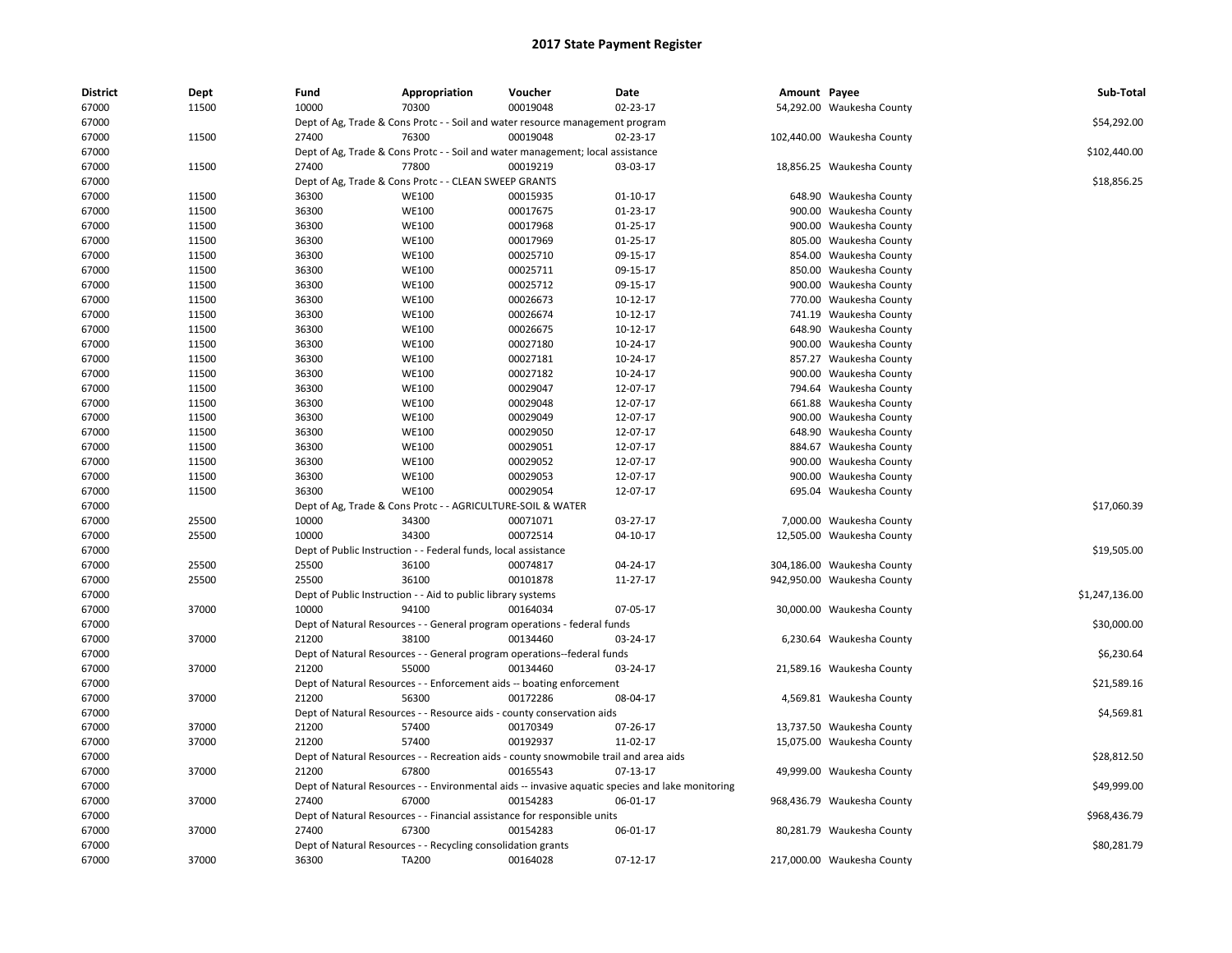| <b>District</b> | Dept  | Fund  | Appropriation                                                  | Voucher                                                                               | Date                                                                                             | Amount Payee |                            | Sub-Total      |
|-----------------|-------|-------|----------------------------------------------------------------|---------------------------------------------------------------------------------------|--------------------------------------------------------------------------------------------------|--------------|----------------------------|----------------|
| 67000           | 11500 | 10000 | 70300                                                          | 00019048                                                                              | 02-23-17                                                                                         |              | 54,292.00 Waukesha County  |                |
| 67000           |       |       |                                                                | Dept of Ag, Trade & Cons Protc - - Soil and water resource management program         |                                                                                                  |              |                            | \$54,292.00    |
| 67000           | 11500 | 27400 | 76300                                                          | 00019048                                                                              | 02-23-17                                                                                         |              | 102,440.00 Waukesha County |                |
| 67000           |       |       |                                                                | Dept of Ag, Trade & Cons Protc - - Soil and water management; local assistance        |                                                                                                  |              |                            | \$102,440.00   |
| 67000           | 11500 | 27400 | 77800                                                          | 00019219                                                                              | 03-03-17                                                                                         |              | 18,856.25 Waukesha County  |                |
| 67000           |       |       | Dept of Ag, Trade & Cons Protc - - CLEAN SWEEP GRANTS          |                                                                                       |                                                                                                  |              |                            | \$18,856.25    |
| 67000           | 11500 | 36300 | <b>WE100</b>                                                   | 00015935                                                                              | $01-10-17$                                                                                       |              | 648.90 Waukesha County     |                |
| 67000           | 11500 | 36300 | <b>WE100</b>                                                   | 00017675                                                                              | 01-23-17                                                                                         |              | 900.00 Waukesha County     |                |
| 67000           | 11500 | 36300 | <b>WE100</b>                                                   | 00017968                                                                              | $01 - 25 - 17$                                                                                   |              | 900.00 Waukesha County     |                |
| 67000           | 11500 | 36300 | <b>WE100</b>                                                   | 00017969                                                                              | 01-25-17                                                                                         |              | 805.00 Waukesha County     |                |
| 67000           | 11500 | 36300 | <b>WE100</b>                                                   | 00025710                                                                              | 09-15-17                                                                                         |              | 854.00 Waukesha County     |                |
| 67000           | 11500 | 36300 | <b>WE100</b>                                                   | 00025711                                                                              | 09-15-17                                                                                         |              | 850.00 Waukesha County     |                |
| 67000           | 11500 | 36300 | <b>WE100</b>                                                   | 00025712                                                                              | 09-15-17                                                                                         |              | 900.00 Waukesha County     |                |
| 67000           | 11500 | 36300 | <b>WE100</b>                                                   | 00026673                                                                              | 10-12-17                                                                                         |              | 770.00 Waukesha County     |                |
| 67000           | 11500 | 36300 | <b>WE100</b>                                                   | 00026674                                                                              | 10-12-17                                                                                         |              | 741.19 Waukesha County     |                |
| 67000           | 11500 | 36300 | <b>WE100</b>                                                   | 00026675                                                                              | 10-12-17                                                                                         |              | 648.90 Waukesha County     |                |
| 67000           | 11500 | 36300 | <b>WE100</b>                                                   | 00027180                                                                              | 10-24-17                                                                                         |              | 900.00 Waukesha County     |                |
| 67000           | 11500 | 36300 | <b>WE100</b>                                                   | 00027181                                                                              | 10-24-17                                                                                         |              | 857.27 Waukesha County     |                |
| 67000           | 11500 | 36300 | <b>WE100</b>                                                   | 00027182                                                                              | 10-24-17                                                                                         |              | 900.00 Waukesha County     |                |
| 67000           | 11500 | 36300 | <b>WE100</b>                                                   | 00029047                                                                              | 12-07-17                                                                                         |              | 794.64 Waukesha County     |                |
| 67000           | 11500 | 36300 | <b>WE100</b>                                                   | 00029048                                                                              | 12-07-17                                                                                         |              | 661.88 Waukesha County     |                |
| 67000           | 11500 | 36300 | <b>WE100</b>                                                   | 00029049                                                                              | 12-07-17                                                                                         |              | 900.00 Waukesha County     |                |
| 67000           | 11500 | 36300 | <b>WE100</b>                                                   | 00029050                                                                              | 12-07-17                                                                                         |              | 648.90 Waukesha County     |                |
| 67000           | 11500 | 36300 | <b>WE100</b>                                                   | 00029051                                                                              | 12-07-17                                                                                         |              | 884.67 Waukesha County     |                |
| 67000           | 11500 | 36300 | <b>WE100</b>                                                   | 00029052                                                                              | 12-07-17                                                                                         |              | 900.00 Waukesha County     |                |
| 67000           | 11500 | 36300 | <b>WE100</b>                                                   | 00029053                                                                              | 12-07-17                                                                                         |              | 900.00 Waukesha County     |                |
| 67000           | 11500 | 36300 | <b>WE100</b>                                                   | 00029054                                                                              | 12-07-17                                                                                         |              | 695.04 Waukesha County     |                |
| 67000           |       |       | Dept of Ag, Trade & Cons Protc - - AGRICULTURE-SOIL & WATER    |                                                                                       |                                                                                                  |              |                            | \$17,060.39    |
| 67000           | 25500 | 10000 | 34300                                                          | 00071071                                                                              | 03-27-17                                                                                         |              | 7,000.00 Waukesha County   |                |
| 67000           | 25500 | 10000 | 34300                                                          | 00072514                                                                              | 04-10-17                                                                                         |              | 12,505.00 Waukesha County  |                |
| 67000           |       |       | Dept of Public Instruction - - Federal funds, local assistance |                                                                                       |                                                                                                  |              |                            | \$19,505.00    |
| 67000           | 25500 | 25500 | 36100                                                          | 00074817                                                                              | 04-24-17                                                                                         |              | 304,186.00 Waukesha County |                |
| 67000           | 25500 | 25500 | 36100                                                          | 00101878                                                                              | 11-27-17                                                                                         |              | 942,950.00 Waukesha County |                |
| 67000           |       |       | Dept of Public Instruction - - Aid to public library systems   |                                                                                       |                                                                                                  |              |                            | \$1,247,136.00 |
| 67000           | 37000 | 10000 | 94100                                                          | 00164034                                                                              | 07-05-17                                                                                         |              | 30,000.00 Waukesha County  |                |
| 67000           |       |       |                                                                | Dept of Natural Resources - - General program operations - federal funds              |                                                                                                  |              |                            | \$30,000.00    |
| 67000           | 37000 | 21200 | 38100                                                          | 00134460                                                                              | 03-24-17                                                                                         |              | 6,230.64 Waukesha County   |                |
| 67000           |       |       |                                                                | Dept of Natural Resources - - General program operations--federal funds               |                                                                                                  |              |                            | \$6,230.64     |
| 67000           | 37000 | 21200 | 55000                                                          | 00134460                                                                              | 03-24-17                                                                                         |              | 21,589.16 Waukesha County  |                |
| 67000           |       |       |                                                                | Dept of Natural Resources - - Enforcement aids -- boating enforcement                 |                                                                                                  |              |                            | \$21,589.16    |
| 67000           | 37000 | 21200 | 56300                                                          | 00172286                                                                              | 08-04-17                                                                                         |              | 4,569.81 Waukesha County   |                |
| 67000           |       |       |                                                                | Dept of Natural Resources - - Resource aids - county conservation aids                |                                                                                                  |              |                            | \$4,569.81     |
| 67000           | 37000 | 21200 | 57400                                                          | 00170349                                                                              | 07-26-17                                                                                         |              | 13,737.50 Waukesha County  |                |
| 67000           | 37000 | 21200 | 57400                                                          | 00192937                                                                              | 11-02-17                                                                                         |              | 15,075.00 Waukesha County  |                |
|                 |       |       |                                                                |                                                                                       |                                                                                                  |              |                            |                |
| 67000           |       |       |                                                                | Dept of Natural Resources - - Recreation aids - county snowmobile trail and area aids |                                                                                                  |              |                            | \$28,812.50    |
| 67000           | 37000 | 21200 | 67800                                                          | 00165543                                                                              | $07-13-17$                                                                                       |              | 49,999.00 Waukesha County  |                |
| 67000           |       |       |                                                                |                                                                                       | Dept of Natural Resources - - Environmental aids -- invasive aquatic species and lake monitoring |              |                            | \$49,999.00    |
| 67000           | 37000 | 27400 | 67000                                                          | 00154283                                                                              | 06-01-17                                                                                         |              | 968,436.79 Waukesha County |                |
| 67000           |       |       |                                                                | Dept of Natural Resources - - Financial assistance for responsible units              |                                                                                                  |              |                            | \$968,436.79   |
| 67000           | 37000 | 27400 | 67300                                                          | 00154283                                                                              | 06-01-17                                                                                         |              | 80,281.79 Waukesha County  |                |
| 67000           |       |       | Dept of Natural Resources - - Recycling consolidation grants   |                                                                                       |                                                                                                  |              |                            | \$80,281.79    |
| 67000           | 37000 | 36300 | <b>TA200</b>                                                   | 00164028                                                                              | $07-12-17$                                                                                       |              | 217,000.00 Waukesha County |                |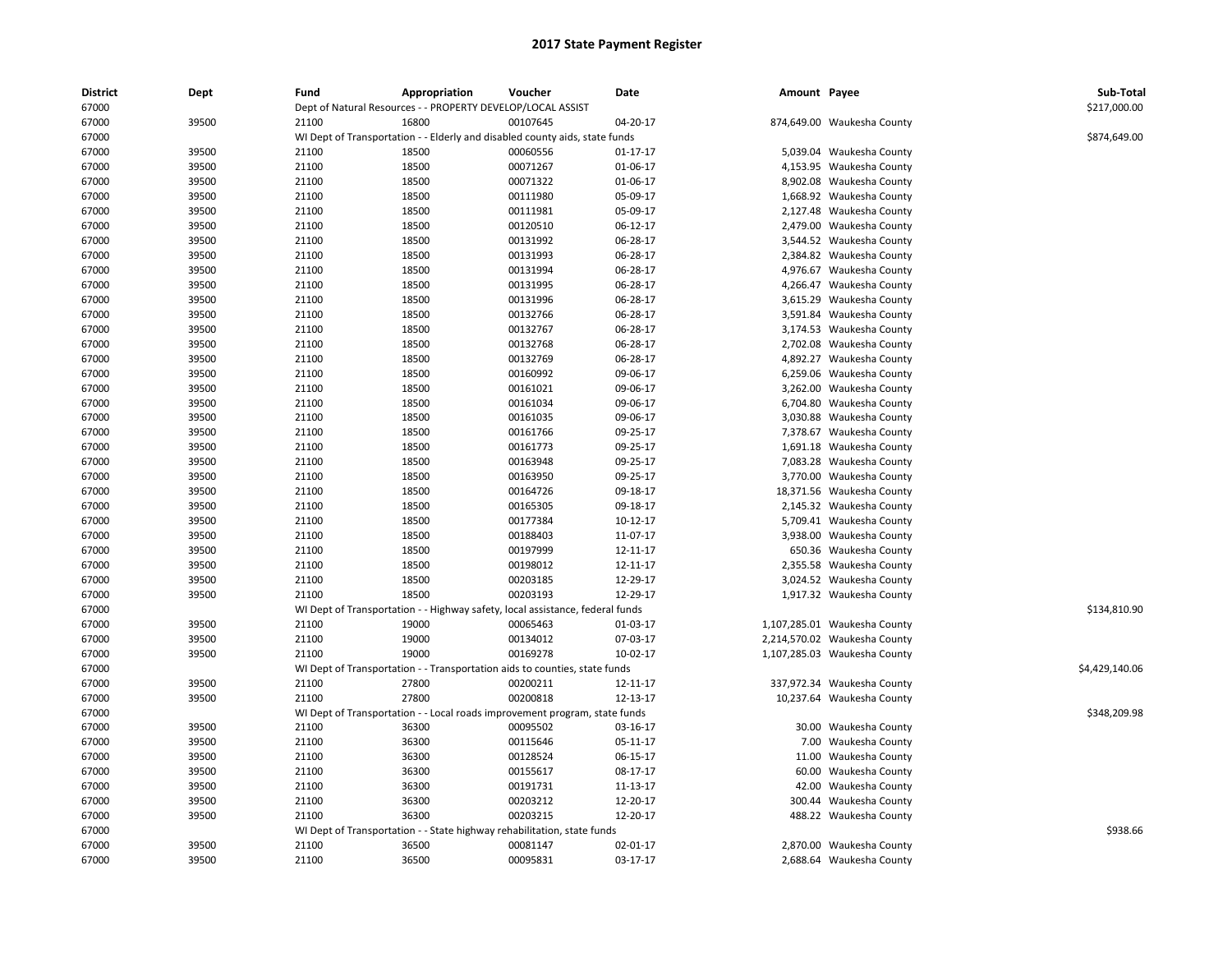| <b>District</b> | Dept  | Fund  | Appropriation                                                                 | Voucher  | Date     | Amount Payee |                              | Sub-Total<br>\$217,000.00 |
|-----------------|-------|-------|-------------------------------------------------------------------------------|----------|----------|--------------|------------------------------|---------------------------|
| 67000           |       |       | Dept of Natural Resources - - PROPERTY DEVELOP/LOCAL ASSIST                   |          |          |              |                              |                           |
| 67000           | 39500 | 21100 | 16800                                                                         | 00107645 | 04-20-17 |              | 874,649.00 Waukesha County   |                           |
| 67000           |       |       | WI Dept of Transportation - - Elderly and disabled county aids, state funds   |          |          |              |                              | \$874,649.00              |
| 67000           | 39500 | 21100 | 18500                                                                         | 00060556 | 01-17-17 |              | 5,039.04 Waukesha County     |                           |
| 67000           | 39500 | 21100 | 18500                                                                         | 00071267 | 01-06-17 |              | 4,153.95 Waukesha County     |                           |
| 67000           | 39500 | 21100 | 18500                                                                         | 00071322 | 01-06-17 |              | 8,902.08 Waukesha County     |                           |
| 67000           | 39500 | 21100 | 18500                                                                         | 00111980 | 05-09-17 |              | 1,668.92 Waukesha County     |                           |
| 67000           | 39500 | 21100 | 18500                                                                         | 00111981 | 05-09-17 |              | 2,127.48 Waukesha County     |                           |
| 67000           | 39500 | 21100 | 18500                                                                         | 00120510 | 06-12-17 |              | 2,479.00 Waukesha County     |                           |
| 67000           | 39500 | 21100 | 18500                                                                         | 00131992 | 06-28-17 |              | 3,544.52 Waukesha County     |                           |
| 67000           | 39500 | 21100 | 18500                                                                         | 00131993 | 06-28-17 |              | 2,384.82 Waukesha County     |                           |
| 67000           | 39500 | 21100 | 18500                                                                         | 00131994 | 06-28-17 |              | 4,976.67 Waukesha County     |                           |
| 67000           | 39500 | 21100 | 18500                                                                         | 00131995 | 06-28-17 |              | 4,266.47 Waukesha County     |                           |
| 67000           | 39500 | 21100 | 18500                                                                         | 00131996 | 06-28-17 |              | 3,615.29 Waukesha County     |                           |
| 67000           | 39500 | 21100 | 18500                                                                         | 00132766 | 06-28-17 |              | 3,591.84 Waukesha County     |                           |
| 67000           | 39500 | 21100 | 18500                                                                         | 00132767 | 06-28-17 |              | 3,174.53 Waukesha County     |                           |
| 67000           | 39500 | 21100 | 18500                                                                         | 00132768 | 06-28-17 |              | 2,702.08 Waukesha County     |                           |
| 67000           | 39500 | 21100 | 18500                                                                         | 00132769 | 06-28-17 |              | 4,892.27 Waukesha County     |                           |
| 67000           | 39500 | 21100 | 18500                                                                         | 00160992 | 09-06-17 |              | 6,259.06 Waukesha County     |                           |
| 67000           | 39500 | 21100 | 18500                                                                         | 00161021 | 09-06-17 |              | 3,262.00 Waukesha County     |                           |
| 67000           | 39500 | 21100 | 18500                                                                         | 00161034 | 09-06-17 |              | 6,704.80 Waukesha County     |                           |
| 67000           | 39500 | 21100 | 18500                                                                         | 00161035 | 09-06-17 |              | 3,030.88 Waukesha County     |                           |
| 67000           | 39500 | 21100 | 18500                                                                         | 00161766 | 09-25-17 |              | 7,378.67 Waukesha County     |                           |
| 67000           | 39500 | 21100 | 18500                                                                         | 00161773 | 09-25-17 |              | 1,691.18 Waukesha County     |                           |
| 67000           | 39500 | 21100 | 18500                                                                         | 00163948 | 09-25-17 |              | 7,083.28 Waukesha County     |                           |
| 67000           | 39500 | 21100 | 18500                                                                         | 00163950 | 09-25-17 |              | 3,770.00 Waukesha County     |                           |
| 67000           | 39500 | 21100 | 18500                                                                         | 00164726 | 09-18-17 |              | 18,371.56 Waukesha County    |                           |
| 67000           | 39500 | 21100 | 18500                                                                         | 00165305 | 09-18-17 |              | 2,145.32 Waukesha County     |                           |
| 67000           | 39500 | 21100 | 18500                                                                         | 00177384 | 10-12-17 |              | 5,709.41 Waukesha County     |                           |
| 67000           | 39500 | 21100 | 18500                                                                         | 00188403 | 11-07-17 |              | 3,938.00 Waukesha County     |                           |
| 67000           | 39500 | 21100 | 18500                                                                         | 00197999 | 12-11-17 |              | 650.36 Waukesha County       |                           |
| 67000           | 39500 | 21100 | 18500                                                                         | 00198012 | 12-11-17 |              | 2,355.58 Waukesha County     |                           |
| 67000           | 39500 | 21100 | 18500                                                                         | 00203185 | 12-29-17 |              | 3,024.52 Waukesha County     |                           |
| 67000           | 39500 | 21100 | 18500                                                                         | 00203193 | 12-29-17 |              | 1,917.32 Waukesha County     |                           |
| 67000           |       |       | WI Dept of Transportation - - Highway safety, local assistance, federal funds |          |          |              |                              | \$134,810.90              |
| 67000           | 39500 | 21100 | 19000                                                                         | 00065463 | 01-03-17 |              | 1,107,285.01 Waukesha County |                           |
| 67000           | 39500 | 21100 | 19000                                                                         | 00134012 | 07-03-17 |              | 2,214,570.02 Waukesha County |                           |
| 67000           | 39500 | 21100 | 19000                                                                         | 00169278 | 10-02-17 |              | 1,107,285.03 Waukesha County |                           |
| 67000           |       |       | WI Dept of Transportation - - Transportation aids to counties, state funds    |          |          |              |                              | \$4,429,140.06            |
| 67000           | 39500 | 21100 | 27800                                                                         | 00200211 | 12-11-17 |              | 337,972.34 Waukesha County   |                           |
| 67000           | 39500 | 21100 | 27800                                                                         | 00200818 | 12-13-17 |              | 10,237.64 Waukesha County    |                           |
| 67000           |       |       | WI Dept of Transportation - - Local roads improvement program, state funds    |          |          |              |                              | \$348,209.98              |
| 67000           | 39500 | 21100 | 36300                                                                         | 00095502 | 03-16-17 |              | 30.00 Waukesha County        |                           |
| 67000           | 39500 | 21100 | 36300                                                                         | 00115646 | 05-11-17 |              | 7.00 Waukesha County         |                           |
| 67000           | 39500 | 21100 | 36300                                                                         | 00128524 | 06-15-17 |              | 11.00 Waukesha County        |                           |
| 67000           | 39500 | 21100 | 36300                                                                         | 00155617 | 08-17-17 |              | 60.00 Waukesha County        |                           |
| 67000           | 39500 | 21100 | 36300                                                                         | 00191731 | 11-13-17 |              | 42.00 Waukesha County        |                           |
| 67000           | 39500 | 21100 | 36300                                                                         | 00203212 | 12-20-17 |              | 300.44 Waukesha County       |                           |
| 67000           | 39500 | 21100 | 36300                                                                         | 00203215 | 12-20-17 |              | 488.22 Waukesha County       |                           |
| 67000           |       |       | WI Dept of Transportation - - State highway rehabilitation, state funds       |          |          |              |                              | \$938.66                  |
| 67000           | 39500 | 21100 | 36500                                                                         | 00081147 | 02-01-17 |              | 2,870.00 Waukesha County     |                           |
|                 |       |       |                                                                               |          |          |              |                              |                           |
| 67000           | 39500 | 21100 | 36500                                                                         | 00095831 | 03-17-17 |              | 2,688.64 Waukesha County     |                           |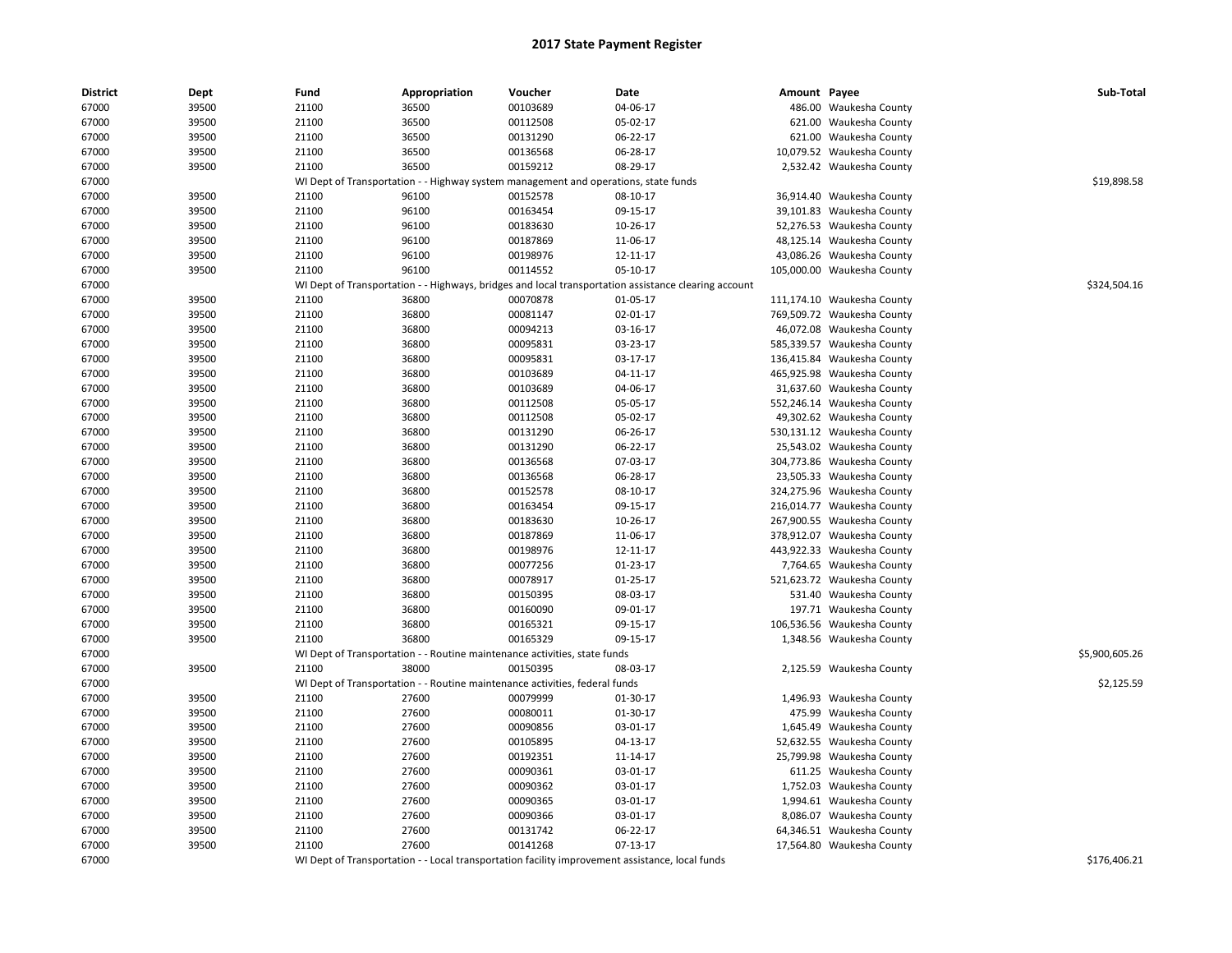| District | Dept  | Fund                                                                                | Appropriation | Voucher  | Date                                                                                                 | Amount Payee |                            | Sub-Total      |
|----------|-------|-------------------------------------------------------------------------------------|---------------|----------|------------------------------------------------------------------------------------------------------|--------------|----------------------------|----------------|
| 67000    | 39500 | 21100                                                                               | 36500         | 00103689 | 04-06-17                                                                                             |              | 486.00 Waukesha County     |                |
| 67000    | 39500 | 21100                                                                               | 36500         | 00112508 | 05-02-17                                                                                             |              | 621.00 Waukesha County     |                |
| 67000    | 39500 | 21100                                                                               | 36500         | 00131290 | 06-22-17                                                                                             |              | 621.00 Waukesha County     |                |
| 67000    | 39500 | 21100                                                                               | 36500         | 00136568 | 06-28-17                                                                                             |              | 10,079.52 Waukesha County  |                |
| 67000    | 39500 | 21100                                                                               | 36500         | 00159212 | 08-29-17                                                                                             |              | 2,532.42 Waukesha County   |                |
| 67000    |       | WI Dept of Transportation - - Highway system management and operations, state funds |               |          |                                                                                                      |              |                            | \$19,898.58    |
| 67000    | 39500 | 21100                                                                               | 96100         | 00152578 | 08-10-17                                                                                             |              | 36,914.40 Waukesha County  |                |
| 67000    | 39500 | 21100                                                                               | 96100         | 00163454 | 09-15-17                                                                                             |              | 39,101.83 Waukesha County  |                |
| 67000    | 39500 | 21100                                                                               | 96100         | 00183630 | 10-26-17                                                                                             |              | 52,276.53 Waukesha County  |                |
| 67000    | 39500 | 21100                                                                               | 96100         | 00187869 | 11-06-17                                                                                             |              | 48,125.14 Waukesha County  |                |
| 67000    | 39500 | 21100                                                                               | 96100         | 00198976 | 12-11-17                                                                                             |              | 43,086.26 Waukesha County  |                |
| 67000    | 39500 | 21100                                                                               | 96100         | 00114552 | 05-10-17                                                                                             |              | 105,000.00 Waukesha County |                |
| 67000    |       |                                                                                     |               |          | WI Dept of Transportation - - Highways, bridges and local transportation assistance clearing account |              |                            | \$324,504.16   |
| 67000    | 39500 | 21100                                                                               | 36800         | 00070878 | 01-05-17                                                                                             |              | 111,174.10 Waukesha County |                |
| 67000    | 39500 | 21100                                                                               | 36800         | 00081147 | 02-01-17                                                                                             |              | 769,509.72 Waukesha County |                |
| 67000    | 39500 | 21100                                                                               | 36800         | 00094213 | 03-16-17                                                                                             |              | 46,072.08 Waukesha County  |                |
| 67000    | 39500 | 21100                                                                               | 36800         | 00095831 | 03-23-17                                                                                             |              | 585,339.57 Waukesha County |                |
| 67000    | 39500 | 21100                                                                               | 36800         | 00095831 | 03-17-17                                                                                             |              | 136,415.84 Waukesha County |                |
| 67000    | 39500 | 21100                                                                               | 36800         | 00103689 | 04-11-17                                                                                             |              | 465,925.98 Waukesha County |                |
| 67000    | 39500 | 21100                                                                               | 36800         | 00103689 | 04-06-17                                                                                             |              | 31,637.60 Waukesha County  |                |
| 67000    | 39500 | 21100                                                                               | 36800         | 00112508 | 05-05-17                                                                                             |              | 552,246.14 Waukesha County |                |
| 67000    | 39500 | 21100                                                                               | 36800         | 00112508 | 05-02-17                                                                                             |              | 49,302.62 Waukesha County  |                |
| 67000    | 39500 | 21100                                                                               | 36800         | 00131290 | 06-26-17                                                                                             |              | 530,131.12 Waukesha County |                |
| 67000    | 39500 | 21100                                                                               | 36800         | 00131290 | 06-22-17                                                                                             |              | 25,543.02 Waukesha County  |                |
| 67000    | 39500 | 21100                                                                               | 36800         | 00136568 | 07-03-17                                                                                             |              | 304,773.86 Waukesha County |                |
| 67000    | 39500 | 21100                                                                               | 36800         | 00136568 | 06-28-17                                                                                             |              | 23,505.33 Waukesha County  |                |
| 67000    | 39500 | 21100                                                                               | 36800         | 00152578 | 08-10-17                                                                                             |              | 324,275.96 Waukesha County |                |
| 67000    | 39500 | 21100                                                                               | 36800         | 00163454 | 09-15-17                                                                                             |              | 216,014.77 Waukesha County |                |
| 67000    | 39500 | 21100                                                                               | 36800         | 00183630 | 10-26-17                                                                                             |              | 267,900.55 Waukesha County |                |
| 67000    | 39500 | 21100                                                                               | 36800         | 00187869 | 11-06-17                                                                                             |              | 378,912.07 Waukesha County |                |
| 67000    | 39500 | 21100                                                                               | 36800         | 00198976 | 12-11-17                                                                                             |              | 443,922.33 Waukesha County |                |
| 67000    | 39500 | 21100                                                                               | 36800         | 00077256 | 01-23-17                                                                                             |              | 7,764.65 Waukesha County   |                |
| 67000    | 39500 | 21100                                                                               | 36800         | 00078917 | 01-25-17                                                                                             |              | 521,623.72 Waukesha County |                |
| 67000    | 39500 | 21100                                                                               | 36800         | 00150395 | 08-03-17                                                                                             |              | 531.40 Waukesha County     |                |
| 67000    | 39500 | 21100                                                                               | 36800         | 00160090 | 09-01-17                                                                                             |              | 197.71 Waukesha County     |                |
| 67000    | 39500 | 21100                                                                               | 36800         | 00165321 | 09-15-17                                                                                             |              | 106,536.56 Waukesha County |                |
| 67000    | 39500 | 21100                                                                               | 36800         | 00165329 | 09-15-17                                                                                             |              | 1,348.56 Waukesha County   |                |
| 67000    |       | WI Dept of Transportation - - Routine maintenance activities, state funds           |               |          |                                                                                                      |              |                            | \$5,900,605.26 |
| 67000    | 39500 | 21100                                                                               | 38000         | 00150395 | 08-03-17                                                                                             |              | 2,125.59 Waukesha County   |                |
| 67000    |       | WI Dept of Transportation - - Routine maintenance activities, federal funds         |               |          |                                                                                                      |              |                            | \$2,125.59     |
| 67000    | 39500 | 21100                                                                               | 27600         | 00079999 | 01-30-17                                                                                             |              | 1,496.93 Waukesha County   |                |
| 67000    | 39500 | 21100                                                                               | 27600         | 00080011 | 01-30-17                                                                                             |              | 475.99 Waukesha County     |                |
| 67000    | 39500 | 21100                                                                               | 27600         | 00090856 | 03-01-17                                                                                             |              | 1,645.49 Waukesha County   |                |
| 67000    | 39500 | 21100                                                                               | 27600         | 00105895 | 04-13-17                                                                                             |              | 52,632.55 Waukesha County  |                |
| 67000    | 39500 | 21100                                                                               | 27600         | 00192351 | 11-14-17                                                                                             |              | 25,799.98 Waukesha County  |                |
| 67000    | 39500 | 21100                                                                               | 27600         | 00090361 | 03-01-17                                                                                             |              | 611.25 Waukesha County     |                |
| 67000    | 39500 | 21100                                                                               | 27600         | 00090362 | 03-01-17                                                                                             |              | 1,752.03 Waukesha County   |                |
| 67000    | 39500 | 21100                                                                               | 27600         | 00090365 | 03-01-17                                                                                             |              | 1,994.61 Waukesha County   |                |
| 67000    | 39500 | 21100                                                                               | 27600         | 00090366 | 03-01-17                                                                                             |              | 8,086.07 Waukesha County   |                |
| 67000    | 39500 | 21100                                                                               | 27600         | 00131742 | 06-22-17                                                                                             |              | 64,346.51 Waukesha County  |                |
| 67000    | 39500 | 21100                                                                               | 27600         | 00141268 | 07-13-17                                                                                             |              | 17,564.80 Waukesha County  |                |
| 67000    |       |                                                                                     |               |          | WI Dept of Transportation - - Local transportation facility improvement assistance, local funds      |              |                            | \$176,406.21   |
|          |       |                                                                                     |               |          |                                                                                                      |              |                            |                |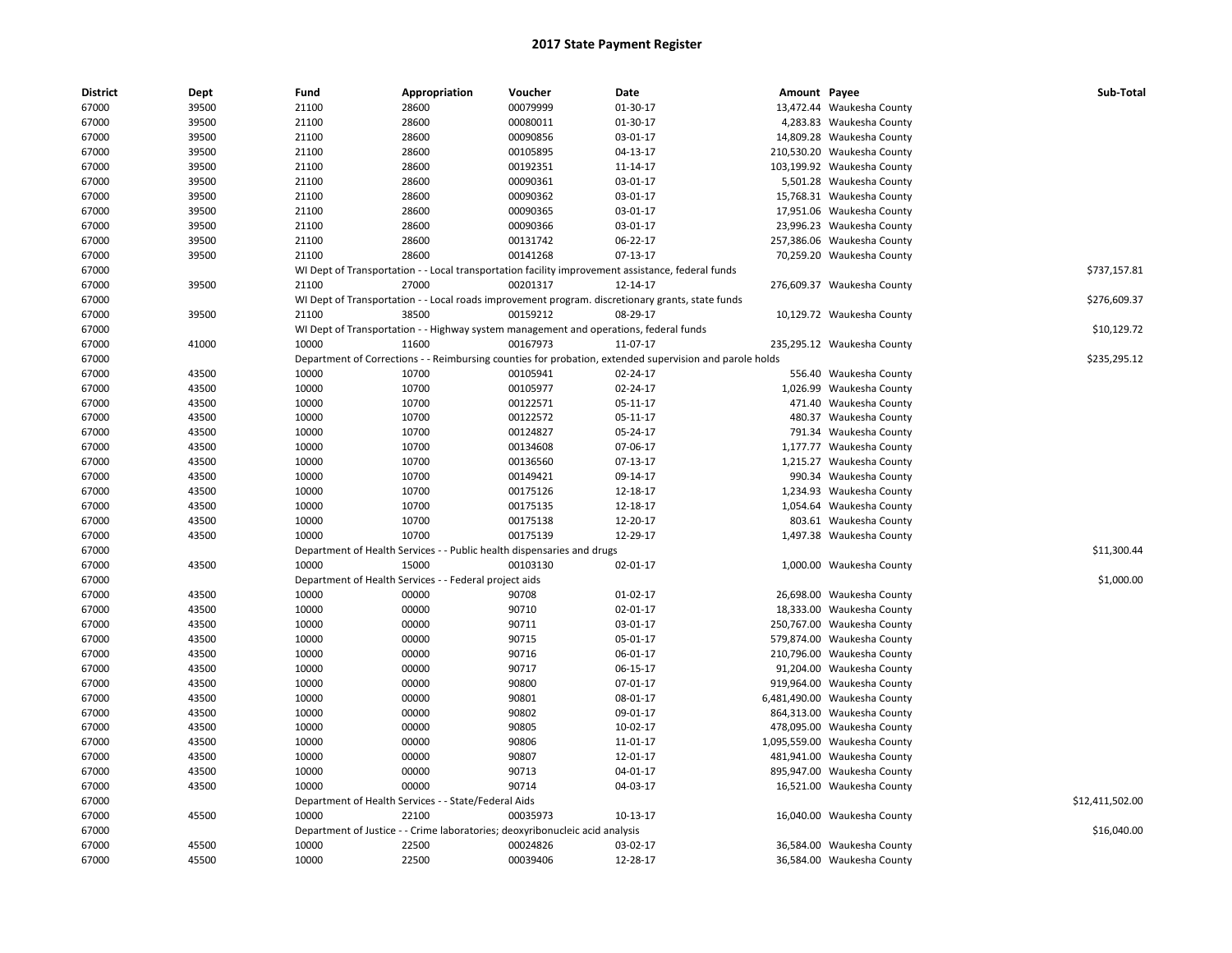| <b>District</b> | Dept  | Fund  | Appropriation                                                                         | Voucher  | Date                                                                                                    | Amount Payee |                              | Sub-Total       |
|-----------------|-------|-------|---------------------------------------------------------------------------------------|----------|---------------------------------------------------------------------------------------------------------|--------------|------------------------------|-----------------|
| 67000           | 39500 | 21100 | 28600                                                                                 | 00079999 | 01-30-17                                                                                                |              | 13,472.44 Waukesha County    |                 |
| 67000           | 39500 | 21100 | 28600                                                                                 | 00080011 | 01-30-17                                                                                                |              | 4,283.83 Waukesha County     |                 |
| 67000           | 39500 | 21100 | 28600                                                                                 | 00090856 | 03-01-17                                                                                                |              | 14,809.28 Waukesha County    |                 |
| 67000           | 39500 | 21100 | 28600                                                                                 | 00105895 | 04-13-17                                                                                                |              | 210,530.20 Waukesha County   |                 |
| 67000           | 39500 | 21100 | 28600                                                                                 | 00192351 | 11-14-17                                                                                                |              | 103,199.92 Waukesha County   |                 |
| 67000           | 39500 | 21100 | 28600                                                                                 | 00090361 | 03-01-17                                                                                                |              | 5,501.28 Waukesha County     |                 |
| 67000           | 39500 | 21100 | 28600                                                                                 | 00090362 | 03-01-17                                                                                                |              | 15,768.31 Waukesha County    |                 |
| 67000           | 39500 | 21100 | 28600                                                                                 | 00090365 | 03-01-17                                                                                                |              | 17,951.06 Waukesha County    |                 |
| 67000           | 39500 | 21100 | 28600                                                                                 | 00090366 | 03-01-17                                                                                                |              | 23,996.23 Waukesha County    |                 |
| 67000           | 39500 | 21100 | 28600                                                                                 | 00131742 | 06-22-17                                                                                                |              | 257,386.06 Waukesha County   |                 |
| 67000           | 39500 | 21100 | 28600                                                                                 | 00141268 | 07-13-17                                                                                                |              | 70,259.20 Waukesha County    |                 |
| 67000           |       |       |                                                                                       |          | WI Dept of Transportation - - Local transportation facility improvement assistance, federal funds       |              |                              | \$737,157.81    |
| 67000           | 39500 | 21100 | 27000                                                                                 | 00201317 | 12-14-17                                                                                                |              | 276,609.37 Waukesha County   |                 |
| 67000           |       |       |                                                                                       |          | WI Dept of Transportation - - Local roads improvement program. discretionary grants, state funds        |              |                              | \$276,609.37    |
| 67000           | 39500 | 21100 | 38500                                                                                 | 00159212 | 08-29-17                                                                                                |              | 10,129.72 Waukesha County    |                 |
| 67000           |       |       | WI Dept of Transportation - - Highway system management and operations, federal funds |          |                                                                                                         |              |                              | \$10,129.72     |
| 67000           | 41000 | 10000 | 11600                                                                                 | 00167973 | 11-07-17                                                                                                |              | 235,295.12 Waukesha County   |                 |
| 67000           |       |       |                                                                                       |          | Department of Corrections - - Reimbursing counties for probation, extended supervision and parole holds |              |                              | \$235,295.12    |
| 67000           | 43500 | 10000 | 10700                                                                                 | 00105941 | 02-24-17                                                                                                |              | 556.40 Waukesha County       |                 |
| 67000           | 43500 | 10000 | 10700                                                                                 | 00105977 | 02-24-17                                                                                                |              | 1,026.99 Waukesha County     |                 |
| 67000           | 43500 | 10000 | 10700                                                                                 | 00122571 | 05-11-17                                                                                                |              | 471.40 Waukesha County       |                 |
| 67000           | 43500 | 10000 | 10700                                                                                 | 00122572 | 05-11-17                                                                                                |              | 480.37 Waukesha County       |                 |
| 67000           | 43500 | 10000 | 10700                                                                                 | 00124827 | 05-24-17                                                                                                |              | 791.34 Waukesha County       |                 |
| 67000           | 43500 | 10000 | 10700                                                                                 | 00134608 | 07-06-17                                                                                                |              | 1,177.77 Waukesha County     |                 |
|                 |       | 10000 | 10700                                                                                 | 00136560 | $07-13-17$                                                                                              |              |                              |                 |
| 67000           | 43500 |       |                                                                                       |          |                                                                                                         |              | 1,215.27 Waukesha County     |                 |
| 67000           | 43500 | 10000 | 10700                                                                                 | 00149421 | 09-14-17                                                                                                |              | 990.34 Waukesha County       |                 |
| 67000           | 43500 | 10000 | 10700                                                                                 | 00175126 | 12-18-17                                                                                                |              | 1,234.93 Waukesha County     |                 |
| 67000           | 43500 | 10000 | 10700                                                                                 | 00175135 | 12-18-17                                                                                                |              | 1,054.64 Waukesha County     |                 |
| 67000           | 43500 | 10000 | 10700                                                                                 | 00175138 | 12-20-17                                                                                                |              | 803.61 Waukesha County       |                 |
| 67000           | 43500 | 10000 | 10700                                                                                 | 00175139 | 12-29-17                                                                                                |              | 1,497.38 Waukesha County     |                 |
| 67000           |       |       | Department of Health Services - - Public health dispensaries and drugs                |          |                                                                                                         |              |                              | \$11,300.44     |
| 67000           | 43500 | 10000 | 15000                                                                                 | 00103130 | 02-01-17                                                                                                |              | 1,000.00 Waukesha County     |                 |
| 67000           |       |       | Department of Health Services - - Federal project aids                                |          |                                                                                                         |              |                              | \$1,000.00      |
| 67000           | 43500 | 10000 | 00000                                                                                 | 90708    | 01-02-17                                                                                                |              | 26,698.00 Waukesha County    |                 |
| 67000           | 43500 | 10000 | 00000                                                                                 | 90710    | 02-01-17                                                                                                |              | 18,333.00 Waukesha County    |                 |
| 67000           | 43500 | 10000 | 00000                                                                                 | 90711    | 03-01-17                                                                                                |              | 250,767.00 Waukesha County   |                 |
| 67000           | 43500 | 10000 | 00000                                                                                 | 90715    | 05-01-17                                                                                                |              | 579,874.00 Waukesha County   |                 |
| 67000           | 43500 | 10000 | 00000                                                                                 | 90716    | 06-01-17                                                                                                |              | 210,796.00 Waukesha County   |                 |
| 67000           | 43500 | 10000 | 00000                                                                                 | 90717    | 06-15-17                                                                                                |              | 91,204.00 Waukesha County    |                 |
| 67000           | 43500 | 10000 | 00000                                                                                 | 90800    | 07-01-17                                                                                                |              | 919,964.00 Waukesha County   |                 |
| 67000           | 43500 | 10000 | 00000                                                                                 | 90801    | 08-01-17                                                                                                |              | 6,481,490.00 Waukesha County |                 |
| 67000           | 43500 | 10000 | 00000                                                                                 | 90802    | 09-01-17                                                                                                |              | 864,313.00 Waukesha County   |                 |
| 67000           | 43500 | 10000 | 00000                                                                                 | 90805    | 10-02-17                                                                                                |              | 478,095.00 Waukesha County   |                 |
| 67000           | 43500 | 10000 | 00000                                                                                 | 90806    | 11-01-17                                                                                                |              | 1,095,559.00 Waukesha County |                 |
| 67000           | 43500 | 10000 | 00000                                                                                 | 90807    | 12-01-17                                                                                                |              | 481,941.00 Waukesha County   |                 |
| 67000           | 43500 | 10000 | 00000                                                                                 | 90713    | 04-01-17                                                                                                |              | 895,947.00 Waukesha County   |                 |
| 67000           | 43500 | 10000 | 00000                                                                                 | 90714    | 04-03-17                                                                                                |              | 16,521.00 Waukesha County    |                 |
| 67000           |       |       | Department of Health Services - - State/Federal Aids                                  |          |                                                                                                         |              |                              | \$12,411,502.00 |
| 67000           | 45500 | 10000 | 22100                                                                                 | 00035973 | 10-13-17                                                                                                |              | 16,040.00 Waukesha County    |                 |
| 67000           |       |       | Department of Justice - - Crime laboratories; deoxyribonucleic acid analysis          |          |                                                                                                         |              |                              | \$16,040.00     |
| 67000           | 45500 | 10000 | 22500                                                                                 | 00024826 | 03-02-17                                                                                                |              | 36,584.00 Waukesha County    |                 |
| 67000           | 45500 | 10000 | 22500                                                                                 | 00039406 | 12-28-17                                                                                                |              | 36,584.00 Waukesha County    |                 |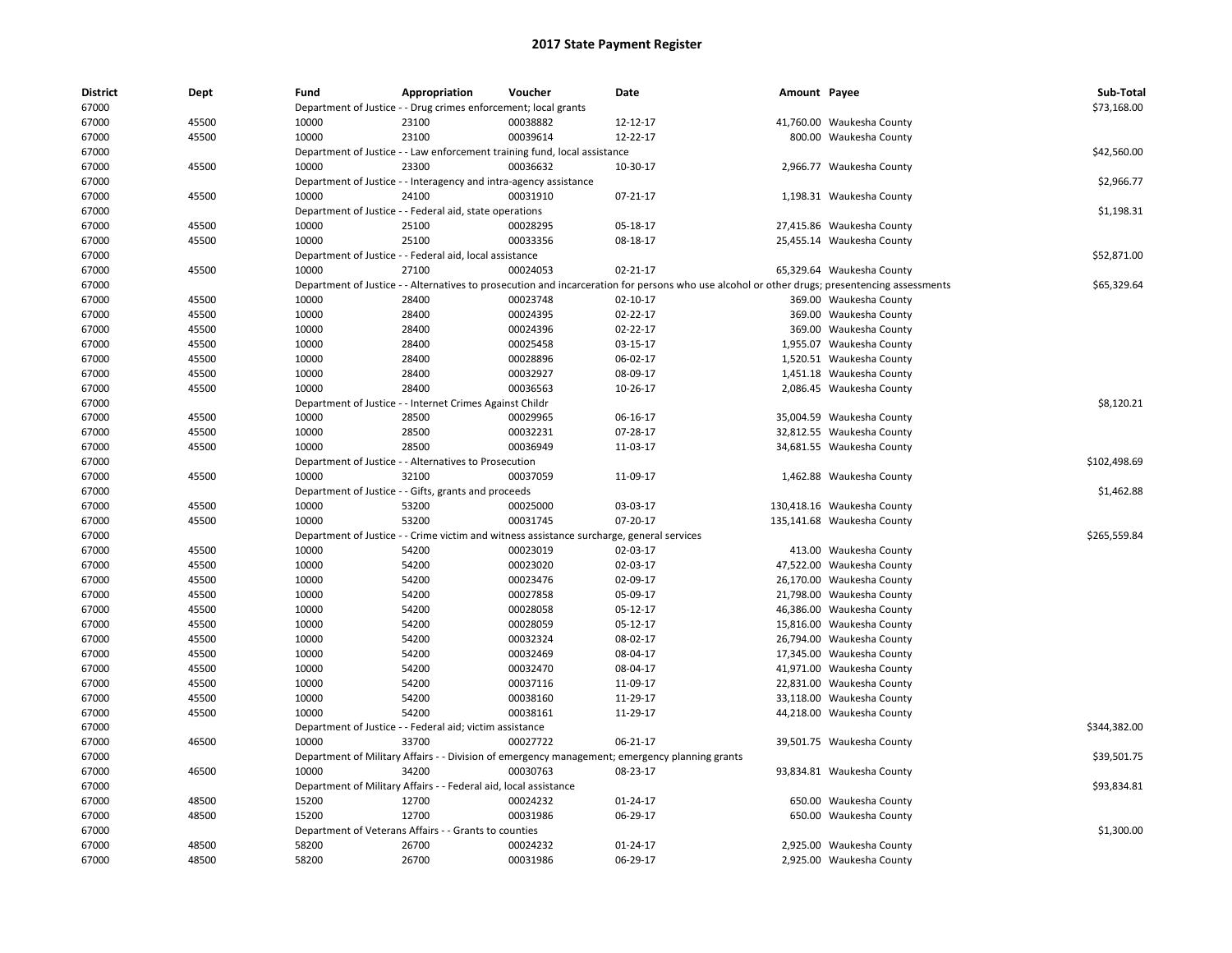| <b>District</b> | Dept  | Fund  | Appropriation                                                             | Voucher  | Date                                                                                           | Amount Payee |                                                                                                                                               | Sub-Total    |
|-----------------|-------|-------|---------------------------------------------------------------------------|----------|------------------------------------------------------------------------------------------------|--------------|-----------------------------------------------------------------------------------------------------------------------------------------------|--------------|
| 67000           |       |       | Department of Justice - - Drug crimes enforcement; local grants           |          |                                                                                                |              |                                                                                                                                               | \$73,168.00  |
| 67000           | 45500 | 10000 | 23100                                                                     | 00038882 | 12-12-17                                                                                       |              | 41,760.00 Waukesha County                                                                                                                     |              |
| 67000           | 45500 | 10000 | 23100                                                                     | 00039614 | 12-22-17                                                                                       |              | 800.00 Waukesha County                                                                                                                        |              |
| 67000           |       |       | Department of Justice - - Law enforcement training fund, local assistance |          |                                                                                                |              |                                                                                                                                               | \$42,560.00  |
| 67000           | 45500 | 10000 | 23300                                                                     | 00036632 | 10-30-17                                                                                       |              | 2,966.77 Waukesha County                                                                                                                      |              |
| 67000           |       |       | Department of Justice - - Interagency and intra-agency assistance         |          |                                                                                                |              |                                                                                                                                               | \$2,966.77   |
| 67000           | 45500 | 10000 | 24100                                                                     | 00031910 | 07-21-17                                                                                       |              | 1,198.31 Waukesha County                                                                                                                      |              |
| 67000           |       |       | Department of Justice - - Federal aid, state operations                   |          |                                                                                                |              |                                                                                                                                               | \$1,198.31   |
| 67000           | 45500 | 10000 | 25100                                                                     | 00028295 | 05-18-17                                                                                       |              | 27,415.86 Waukesha County                                                                                                                     |              |
| 67000           | 45500 | 10000 | 25100                                                                     | 00033356 | 08-18-17                                                                                       |              | 25,455.14 Waukesha County                                                                                                                     |              |
| 67000           |       |       | Department of Justice - - Federal aid, local assistance                   |          |                                                                                                |              |                                                                                                                                               | \$52,871.00  |
| 67000           | 45500 | 10000 | 27100                                                                     | 00024053 | 02-21-17                                                                                       |              | 65,329.64 Waukesha County                                                                                                                     |              |
| 67000           |       |       |                                                                           |          |                                                                                                |              | Department of Justice - - Alternatives to prosecution and incarceration for persons who use alcohol or other drugs; presentencing assessments | \$65,329.64  |
| 67000           | 45500 | 10000 | 28400                                                                     | 00023748 | 02-10-17                                                                                       |              | 369.00 Waukesha County                                                                                                                        |              |
| 67000           | 45500 | 10000 | 28400                                                                     | 00024395 | 02-22-17                                                                                       |              | 369.00 Waukesha County                                                                                                                        |              |
| 67000           | 45500 | 10000 | 28400                                                                     | 00024396 | 02-22-17                                                                                       |              | 369.00 Waukesha County                                                                                                                        |              |
| 67000           | 45500 | 10000 | 28400                                                                     | 00025458 | 03-15-17                                                                                       |              | 1,955.07 Waukesha County                                                                                                                      |              |
| 67000           | 45500 | 10000 | 28400                                                                     | 00028896 | 06-02-17                                                                                       |              | 1,520.51 Waukesha County                                                                                                                      |              |
| 67000           | 45500 | 10000 | 28400                                                                     | 00032927 | 08-09-17                                                                                       |              | 1,451.18 Waukesha County                                                                                                                      |              |
| 67000           | 45500 | 10000 | 28400                                                                     | 00036563 | 10-26-17                                                                                       |              | 2,086.45 Waukesha County                                                                                                                      |              |
| 67000           |       |       | Department of Justice - - Internet Crimes Against Childr                  |          |                                                                                                |              |                                                                                                                                               | \$8,120.21   |
| 67000           | 45500 | 10000 | 28500                                                                     | 00029965 | 06-16-17                                                                                       |              | 35,004.59 Waukesha County                                                                                                                     |              |
| 67000           | 45500 | 10000 | 28500                                                                     | 00032231 | 07-28-17                                                                                       |              | 32,812.55 Waukesha County                                                                                                                     |              |
| 67000           | 45500 | 10000 | 28500                                                                     | 00036949 | 11-03-17                                                                                       |              | 34,681.55 Waukesha County                                                                                                                     |              |
| 67000           |       |       | Department of Justice - - Alternatives to Prosecution                     |          |                                                                                                |              |                                                                                                                                               | \$102,498.69 |
| 67000           | 45500 | 10000 | 32100                                                                     | 00037059 | 11-09-17                                                                                       |              | 1,462.88 Waukesha County                                                                                                                      |              |
| 67000           |       |       | Department of Justice - - Gifts, grants and proceeds                      |          |                                                                                                |              |                                                                                                                                               | \$1,462.88   |
| 67000           | 45500 | 10000 | 53200                                                                     | 00025000 | 03-03-17                                                                                       |              | 130,418.16 Waukesha County                                                                                                                    |              |
| 67000           | 45500 | 10000 | 53200                                                                     | 00031745 | 07-20-17                                                                                       |              | 135,141.68 Waukesha County                                                                                                                    |              |
| 67000           |       |       |                                                                           |          | Department of Justice - - Crime victim and witness assistance surcharge, general services      |              |                                                                                                                                               | \$265,559.84 |
| 67000           | 45500 | 10000 | 54200                                                                     | 00023019 | 02-03-17                                                                                       |              | 413.00 Waukesha County                                                                                                                        |              |
| 67000           | 45500 | 10000 | 54200                                                                     | 00023020 | 02-03-17                                                                                       |              | 47,522.00 Waukesha County                                                                                                                     |              |
| 67000           | 45500 | 10000 | 54200                                                                     | 00023476 | 02-09-17                                                                                       |              | 26,170.00 Waukesha County                                                                                                                     |              |
| 67000           | 45500 | 10000 | 54200                                                                     | 00027858 | 05-09-17                                                                                       |              | 21,798.00 Waukesha County                                                                                                                     |              |
| 67000           | 45500 | 10000 | 54200                                                                     | 00028058 | 05-12-17                                                                                       | 46,386.00    | Waukesha County                                                                                                                               |              |
| 67000           | 45500 | 10000 | 54200                                                                     | 00028059 | 05-12-17                                                                                       |              | 15,816.00 Waukesha County                                                                                                                     |              |
| 67000           | 45500 | 10000 | 54200                                                                     | 00032324 | 08-02-17                                                                                       |              | 26,794.00 Waukesha County                                                                                                                     |              |
| 67000           | 45500 | 10000 | 54200                                                                     | 00032469 | 08-04-17                                                                                       |              | 17,345.00 Waukesha County                                                                                                                     |              |
| 67000           | 45500 | 10000 | 54200                                                                     | 00032470 | 08-04-17                                                                                       |              | 41,971.00 Waukesha County                                                                                                                     |              |
| 67000           | 45500 | 10000 | 54200                                                                     | 00037116 | 11-09-17                                                                                       |              | 22,831.00 Waukesha County                                                                                                                     |              |
| 67000           | 45500 | 10000 | 54200                                                                     | 00038160 | 11-29-17                                                                                       |              | 33,118.00 Waukesha County                                                                                                                     |              |
| 67000           | 45500 | 10000 | 54200                                                                     | 00038161 | 11-29-17                                                                                       |              | 44,218.00 Waukesha County                                                                                                                     |              |
| 67000           |       |       | Department of Justice - - Federal aid; victim assistance                  |          |                                                                                                |              |                                                                                                                                               | \$344,382.00 |
| 67000           | 46500 | 10000 | 33700                                                                     | 00027722 | 06-21-17                                                                                       |              | 39,501.75 Waukesha County                                                                                                                     |              |
| 67000           |       |       |                                                                           |          | Department of Military Affairs - - Division of emergency management; emergency planning grants |              |                                                                                                                                               | \$39,501.75  |
| 67000           | 46500 | 10000 | 34200                                                                     | 00030763 | 08-23-17                                                                                       |              | 93,834.81 Waukesha County                                                                                                                     |              |
| 67000           |       |       | Department of Military Affairs - - Federal aid, local assistance          |          |                                                                                                |              |                                                                                                                                               | \$93,834.81  |
| 67000           | 48500 | 15200 | 12700                                                                     | 00024232 | 01-24-17                                                                                       |              | 650.00 Waukesha County                                                                                                                        |              |
| 67000           | 48500 | 15200 | 12700                                                                     | 00031986 | 06-29-17                                                                                       |              | 650.00 Waukesha County                                                                                                                        |              |
| 67000           |       |       | Department of Veterans Affairs - - Grants to counties                     |          |                                                                                                |              |                                                                                                                                               | \$1,300.00   |
| 67000           | 48500 | 58200 | 26700                                                                     | 00024232 | 01-24-17                                                                                       |              | 2,925.00 Waukesha County                                                                                                                      |              |
| 67000           | 48500 | 58200 | 26700                                                                     | 00031986 | 06-29-17                                                                                       |              | 2,925.00 Waukesha County                                                                                                                      |              |
|                 |       |       |                                                                           |          |                                                                                                |              |                                                                                                                                               |              |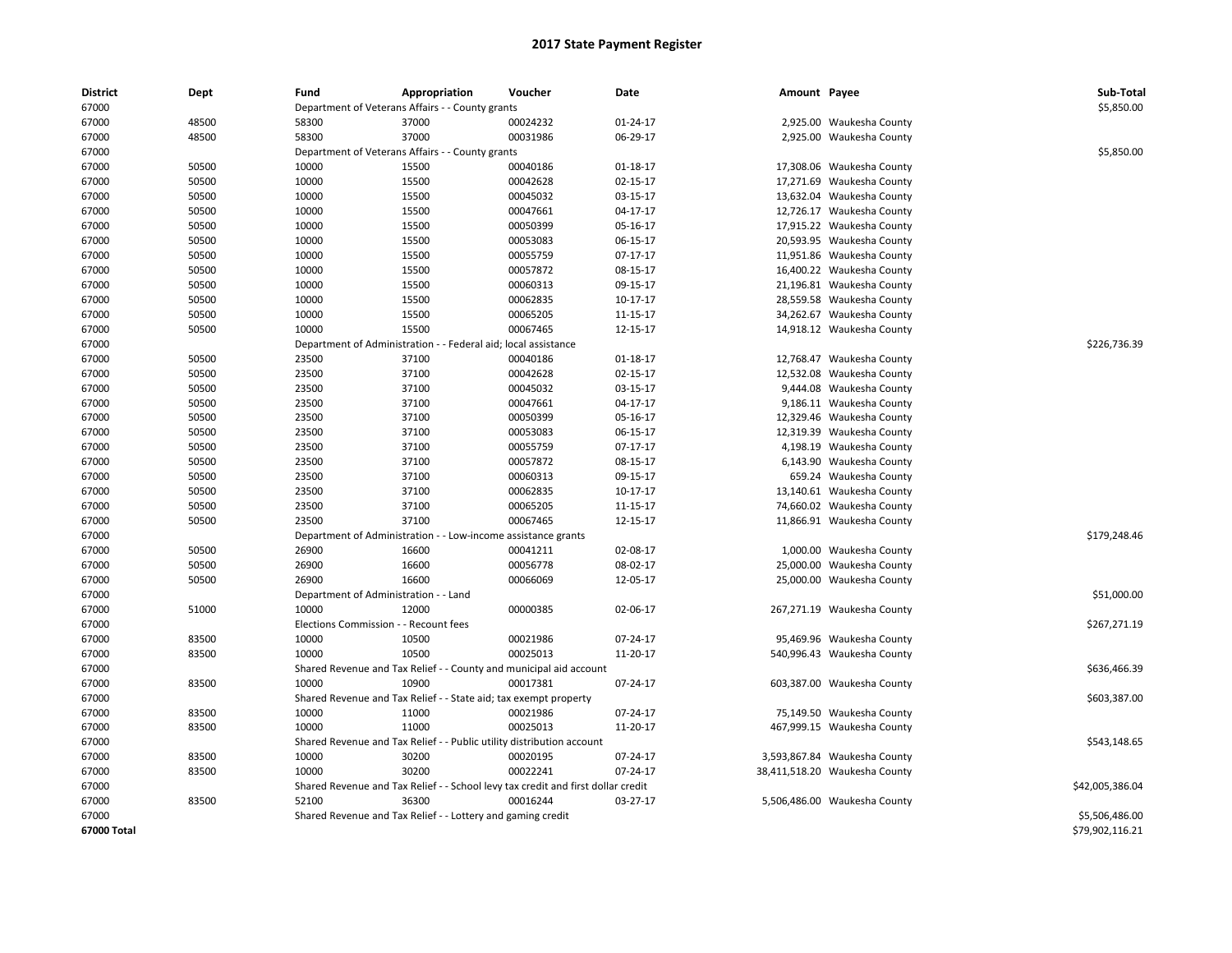| <b>District</b> | Dept  | Fund                                  | Appropriation                                                                    | Voucher  | Date           | Amount Payee |                               | Sub-Total       |
|-----------------|-------|---------------------------------------|----------------------------------------------------------------------------------|----------|----------------|--------------|-------------------------------|-----------------|
| 67000           |       |                                       | Department of Veterans Affairs - - County grants                                 |          |                |              |                               | \$5,850.00      |
| 67000           | 48500 | 58300                                 | 37000                                                                            | 00024232 | 01-24-17       |              | 2,925.00 Waukesha County      |                 |
| 67000           | 48500 | 58300                                 | 37000                                                                            | 00031986 | 06-29-17       |              | 2,925.00 Waukesha County      |                 |
| 67000           |       |                                       | Department of Veterans Affairs - - County grants                                 |          |                |              |                               | \$5,850.00      |
| 67000           | 50500 | 10000                                 | 15500                                                                            | 00040186 | 01-18-17       |              | 17,308.06 Waukesha County     |                 |
| 67000           | 50500 | 10000                                 | 15500                                                                            | 00042628 | 02-15-17       |              | 17,271.69 Waukesha County     |                 |
| 67000           | 50500 | 10000                                 | 15500                                                                            | 00045032 | 03-15-17       |              | 13,632.04 Waukesha County     |                 |
| 67000           | 50500 | 10000                                 | 15500                                                                            | 00047661 | 04-17-17       |              | 12,726.17 Waukesha County     |                 |
| 67000           | 50500 | 10000                                 | 15500                                                                            | 00050399 | 05-16-17       |              | 17,915.22 Waukesha County     |                 |
| 67000           | 50500 | 10000                                 | 15500                                                                            | 00053083 | 06-15-17       |              | 20,593.95 Waukesha County     |                 |
| 67000           | 50500 | 10000                                 | 15500                                                                            | 00055759 | $07 - 17 - 17$ |              | 11,951.86 Waukesha County     |                 |
| 67000           | 50500 | 10000                                 | 15500                                                                            | 00057872 | 08-15-17       |              | 16,400.22 Waukesha County     |                 |
| 67000           | 50500 | 10000                                 | 15500                                                                            | 00060313 | 09-15-17       |              | 21,196.81 Waukesha County     |                 |
| 67000           | 50500 | 10000                                 | 15500                                                                            | 00062835 | 10-17-17       |              | 28,559.58 Waukesha County     |                 |
| 67000           | 50500 | 10000                                 | 15500                                                                            | 00065205 | 11-15-17       |              | 34,262.67 Waukesha County     |                 |
| 67000           | 50500 | 10000                                 | 15500                                                                            | 00067465 | 12-15-17       |              | 14,918.12 Waukesha County     |                 |
| 67000           |       |                                       | Department of Administration - - Federal aid; local assistance                   |          |                |              |                               | \$226,736.39    |
| 67000           | 50500 | 23500                                 | 37100                                                                            | 00040186 | 01-18-17       |              | 12,768.47 Waukesha County     |                 |
| 67000           | 50500 | 23500                                 | 37100                                                                            | 00042628 | 02-15-17       |              | 12,532.08 Waukesha County     |                 |
| 67000           | 50500 | 23500                                 | 37100                                                                            | 00045032 | 03-15-17       |              | 9,444.08 Waukesha County      |                 |
| 67000           | 50500 | 23500                                 | 37100                                                                            | 00047661 | 04-17-17       |              | 9,186.11 Waukesha County      |                 |
| 67000           | 50500 | 23500                                 | 37100                                                                            | 00050399 | 05-16-17       |              | 12,329.46 Waukesha County     |                 |
| 67000           | 50500 | 23500                                 | 37100                                                                            | 00053083 | 06-15-17       |              | 12,319.39 Waukesha County     |                 |
| 67000           | 50500 | 23500                                 | 37100                                                                            | 00055759 | 07-17-17       |              | 4,198.19 Waukesha County      |                 |
| 67000           | 50500 | 23500                                 | 37100                                                                            | 00057872 | 08-15-17       |              | 6,143.90 Waukesha County      |                 |
| 67000           | 50500 | 23500                                 | 37100                                                                            | 00060313 | 09-15-17       |              | 659.24 Waukesha County        |                 |
| 67000           | 50500 | 23500                                 | 37100                                                                            | 00062835 | 10-17-17       |              | 13,140.61 Waukesha County     |                 |
| 67000           | 50500 | 23500                                 | 37100                                                                            | 00065205 | 11-15-17       |              | 74,660.02 Waukesha County     |                 |
| 67000           | 50500 | 23500                                 | 37100                                                                            | 00067465 | 12-15-17       |              | 11,866.91 Waukesha County     |                 |
| 67000           |       |                                       | Department of Administration - - Low-income assistance grants                    |          |                |              |                               | \$179,248.46    |
| 67000           | 50500 | 26900                                 | 16600                                                                            | 00041211 | 02-08-17       |              | 1,000.00 Waukesha County      |                 |
| 67000           | 50500 | 26900                                 | 16600                                                                            | 00056778 | 08-02-17       |              | 25,000.00 Waukesha County     |                 |
| 67000           | 50500 | 26900                                 | 16600                                                                            | 00066069 | 12-05-17       |              | 25,000.00 Waukesha County     |                 |
| 67000           |       | Department of Administration - - Land |                                                                                  |          |                |              |                               | \$51,000.00     |
| 67000           | 51000 | 10000                                 | 12000                                                                            | 00000385 | 02-06-17       |              | 267,271.19 Waukesha County    |                 |
| 67000           |       | Elections Commission - - Recount fees |                                                                                  |          |                |              |                               | \$267,271.19    |
| 67000           | 83500 | 10000                                 | 10500                                                                            | 00021986 | 07-24-17       |              | 95,469.96 Waukesha County     |                 |
| 67000           | 83500 | 10000                                 | 10500                                                                            | 00025013 | 11-20-17       |              | 540,996.43 Waukesha County    |                 |
| 67000           |       |                                       | Shared Revenue and Tax Relief - - County and municipal aid account               |          |                |              |                               | \$636,466.39    |
| 67000           | 83500 | 10000                                 | 10900                                                                            | 00017381 | 07-24-17       |              | 603,387.00 Waukesha County    |                 |
| 67000           |       |                                       | Shared Revenue and Tax Relief - - State aid; tax exempt property                 |          |                |              |                               | \$603,387.00    |
| 67000           | 83500 | 10000                                 | 11000                                                                            | 00021986 | 07-24-17       |              | 75,149.50 Waukesha County     |                 |
| 67000           | 83500 | 10000                                 | 11000                                                                            | 00025013 | 11-20-17       |              | 467,999.15 Waukesha County    |                 |
| 67000           |       |                                       | Shared Revenue and Tax Relief - - Public utility distribution account            |          |                |              |                               | \$543,148.65    |
| 67000           | 83500 | 10000                                 | 30200                                                                            | 00020195 | 07-24-17       |              | 3,593,867.84 Waukesha County  |                 |
| 67000           | 83500 | 10000                                 | 30200                                                                            | 00022241 | 07-24-17       |              | 38,411,518.20 Waukesha County |                 |
| 67000           |       |                                       | Shared Revenue and Tax Relief - - School levy tax credit and first dollar credit |          |                |              |                               | \$42,005,386.04 |
| 67000           | 83500 | 52100                                 | 36300                                                                            | 00016244 | 03-27-17       |              | 5,506,486.00 Waukesha County  |                 |
| 67000           |       |                                       | Shared Revenue and Tax Relief - - Lottery and gaming credit                      |          |                |              |                               | \$5,506,486.00  |
| 67000 Total     |       |                                       |                                                                                  |          |                |              |                               | \$79,902,116.21 |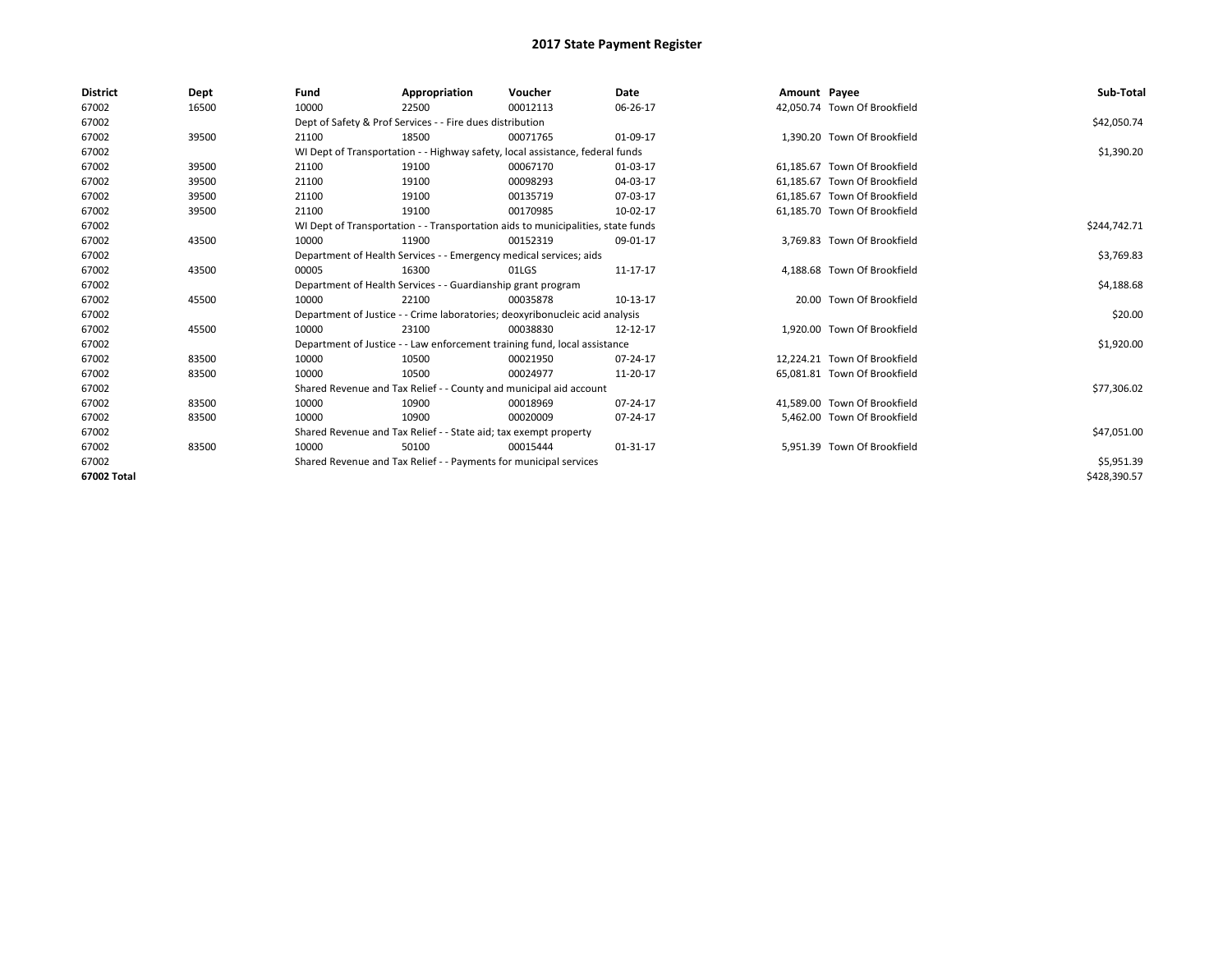| <b>District</b> | Dept  | Fund  | Appropriation                                                                    | Voucher  | Date         | Amount Payee |                              | Sub-Total    |  |  |
|-----------------|-------|-------|----------------------------------------------------------------------------------|----------|--------------|--------------|------------------------------|--------------|--|--|
| 67002           | 16500 | 10000 | 22500                                                                            | 00012113 | 06-26-17     |              | 42.050.74 Town Of Brookfield |              |  |  |
| 67002           |       |       | Dept of Safety & Prof Services - - Fire dues distribution                        |          |              |              |                              | \$42,050.74  |  |  |
| 67002           | 39500 | 21100 | 18500                                                                            | 00071765 | 01-09-17     |              | 1.390.20 Town Of Brookfield  |              |  |  |
| 67002           |       |       | WI Dept of Transportation - - Highway safety, local assistance, federal funds    |          |              |              |                              |              |  |  |
| 67002           | 39500 | 21100 | 19100                                                                            | 00067170 | 01-03-17     |              | 61.185.67 Town Of Brookfield |              |  |  |
| 67002           | 39500 | 21100 | 19100                                                                            | 00098293 | 04-03-17     |              | 61.185.67 Town Of Brookfield |              |  |  |
| 67002           | 39500 | 21100 | 19100                                                                            | 00135719 | 07-03-17     |              | 61,185.67 Town Of Brookfield |              |  |  |
| 67002           | 39500 | 21100 | 19100                                                                            | 00170985 | 10-02-17     |              | 61,185.70 Town Of Brookfield |              |  |  |
| 67002           |       |       | WI Dept of Transportation - - Transportation aids to municipalities, state funds |          | \$244,742.71 |              |                              |              |  |  |
| 67002           | 43500 | 10000 | 11900                                                                            | 00152319 | 09-01-17     |              | 3,769.83 Town Of Brookfield  |              |  |  |
| 67002           |       |       | Department of Health Services - - Emergency medical services; aids               |          |              |              |                              |              |  |  |
| 67002           | 43500 | 00005 | 16300                                                                            | 01LGS    | 11-17-17     |              | 4,188.68 Town Of Brookfield  |              |  |  |
| 67002           |       |       | Department of Health Services - - Guardianship grant program                     |          |              |              |                              |              |  |  |
| 67002           | 45500 | 10000 | 22100                                                                            | 00035878 | 10-13-17     |              | 20.00 Town Of Brookfield     |              |  |  |
| 67002           |       |       | Department of Justice - - Crime laboratories; deoxyribonucleic acid analysis     |          |              |              |                              | \$20.00      |  |  |
| 67002           | 45500 | 10000 | 23100                                                                            | 00038830 | 12-12-17     |              | 1.920.00 Town Of Brookfield  |              |  |  |
| 67002           |       |       | Department of Justice - - Law enforcement training fund, local assistance        |          |              |              |                              | \$1,920.00   |  |  |
| 67002           | 83500 | 10000 | 10500                                                                            | 00021950 | 07-24-17     |              | 12,224.21 Town Of Brookfield |              |  |  |
| 67002           | 83500 | 10000 | 10500                                                                            | 00024977 | 11-20-17     |              | 65.081.81 Town Of Brookfield |              |  |  |
| 67002           |       |       | Shared Revenue and Tax Relief - - County and municipal aid account               |          |              |              |                              | \$77,306.02  |  |  |
| 67002           | 83500 | 10000 | 10900                                                                            | 00018969 | 07-24-17     |              | 41.589.00 Town Of Brookfield |              |  |  |
| 67002           | 83500 | 10000 | 10900                                                                            | 00020009 | 07-24-17     |              | 5,462.00 Town Of Brookfield  |              |  |  |
| 67002           |       |       | Shared Revenue and Tax Relief - - State aid; tax exempt property                 |          |              |              |                              |              |  |  |
| 67002           | 83500 | 10000 | 50100                                                                            | 00015444 | 01-31-17     |              | 5,951.39 Town Of Brookfield  |              |  |  |
| 67002           |       |       | Shared Revenue and Tax Relief - - Payments for municipal services                |          |              |              |                              |              |  |  |
| 67002 Total     |       |       |                                                                                  |          |              |              |                              | \$428,390.57 |  |  |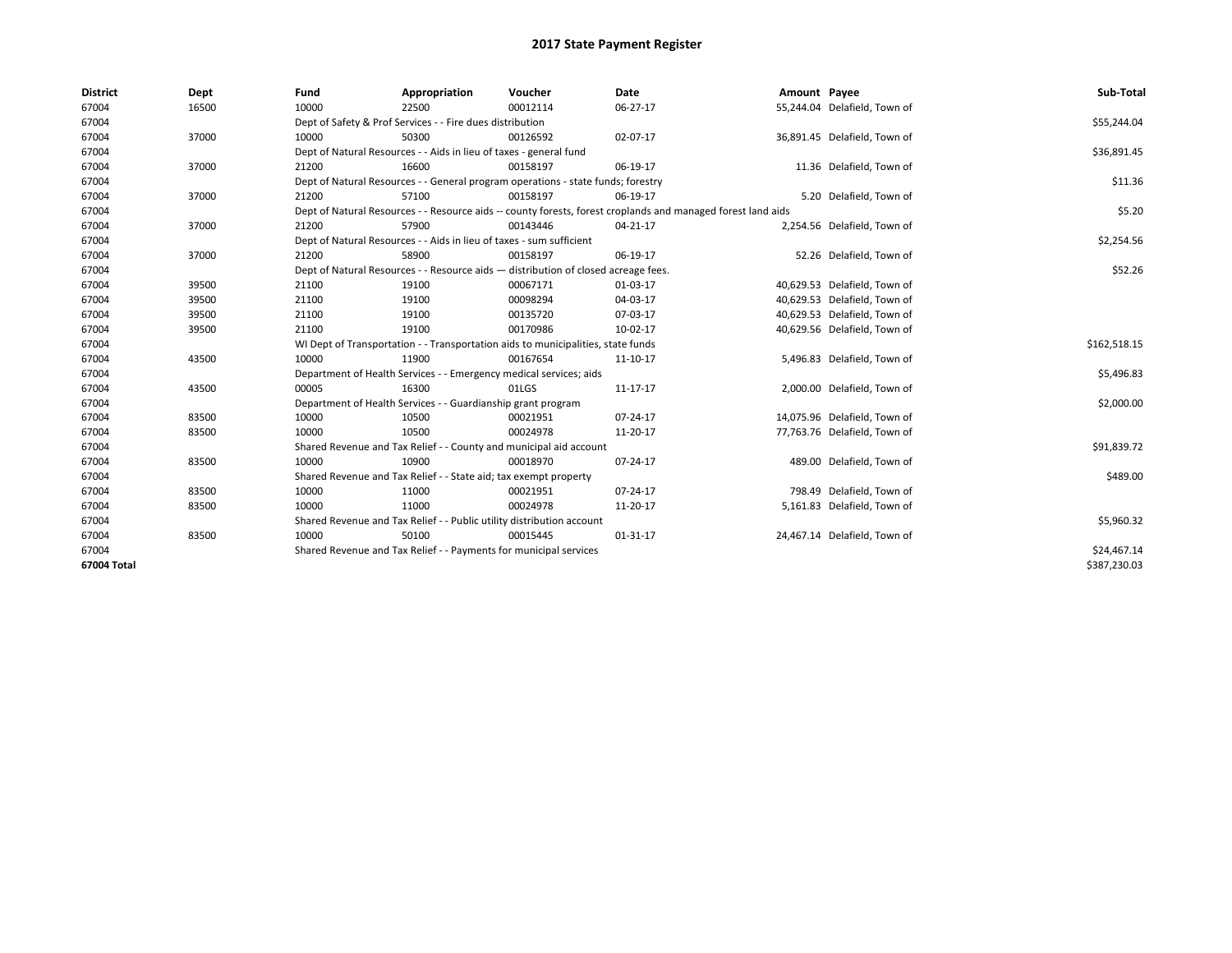| <b>District</b> | Dept  | Fund  | Appropriation                                                                                                | Voucher  | <b>Date</b> | Amount Payee |                              | Sub-Total    |  |  |
|-----------------|-------|-------|--------------------------------------------------------------------------------------------------------------|----------|-------------|--------------|------------------------------|--------------|--|--|
| 67004           | 16500 | 10000 | 22500                                                                                                        | 00012114 | 06-27-17    |              | 55,244.04 Delafield, Town of |              |  |  |
| 67004           |       |       | Dept of Safety & Prof Services - - Fire dues distribution                                                    |          |             |              |                              | \$55,244.04  |  |  |
| 67004           | 37000 | 10000 | 50300                                                                                                        | 00126592 | 02-07-17    |              | 36,891.45 Delafield, Town of |              |  |  |
| 67004           |       |       | Dept of Natural Resources - - Aids in lieu of taxes - general fund                                           |          |             |              |                              | \$36,891.45  |  |  |
| 67004           | 37000 | 21200 | 16600                                                                                                        | 00158197 | 06-19-17    |              | 11.36 Delafield, Town of     |              |  |  |
| 67004           |       |       | Dept of Natural Resources - - General program operations - state funds; forestry                             |          |             |              |                              | \$11.36      |  |  |
| 67004           | 37000 | 21200 | 57100                                                                                                        | 00158197 | 06-19-17    |              | 5.20 Delafield, Town of      |              |  |  |
| 67004           |       |       | Dept of Natural Resources - - Resource aids -- county forests, forest croplands and managed forest land aids |          |             |              |                              |              |  |  |
| 67004           | 37000 | 21200 | 57900                                                                                                        | 00143446 | 04-21-17    |              | 2,254.56 Delafield, Town of  |              |  |  |
| 67004           |       |       | Dept of Natural Resources - - Aids in lieu of taxes - sum sufficient                                         |          |             |              |                              | \$2,254.56   |  |  |
| 67004           | 37000 | 21200 | 58900                                                                                                        | 00158197 | 06-19-17    |              | 52.26 Delafield, Town of     |              |  |  |
| 67004           |       |       | Dept of Natural Resources - - Resource aids - distribution of closed acreage fees.                           |          |             |              |                              |              |  |  |
| 67004           | 39500 | 21100 | 19100                                                                                                        | 00067171 | 01-03-17    |              | 40,629.53 Delafield, Town of |              |  |  |
| 67004           | 39500 | 21100 | 19100                                                                                                        | 00098294 | 04-03-17    |              | 40,629.53 Delafield, Town of |              |  |  |
| 67004           | 39500 | 21100 | 19100                                                                                                        | 00135720 | 07-03-17    |              | 40,629.53 Delafield, Town of |              |  |  |
| 67004           | 39500 | 21100 | 19100                                                                                                        | 00170986 | 10-02-17    |              | 40,629.56 Delafield, Town of |              |  |  |
| 67004           |       |       | WI Dept of Transportation - - Transportation aids to municipalities, state funds                             |          |             |              |                              | \$162,518.15 |  |  |
| 67004           | 43500 | 10000 | 11900                                                                                                        | 00167654 | 11-10-17    |              | 5,496.83 Delafield, Town of  |              |  |  |
| 67004           |       |       | Department of Health Services - - Emergency medical services; aids                                           |          |             |              |                              | \$5,496.83   |  |  |
| 67004           | 43500 | 00005 | 16300                                                                                                        | 01LGS    | 11-17-17    |              | 2,000.00 Delafield, Town of  |              |  |  |
| 67004           |       |       | Department of Health Services - - Guardianship grant program                                                 |          |             |              |                              | \$2,000.00   |  |  |
| 67004           | 83500 | 10000 | 10500                                                                                                        | 00021951 | 07-24-17    |              | 14,075.96 Delafield, Town of |              |  |  |
| 67004           | 83500 | 10000 | 10500                                                                                                        | 00024978 | 11-20-17    |              | 77,763.76 Delafield, Town of |              |  |  |
| 67004           |       |       | Shared Revenue and Tax Relief - - County and municipal aid account                                           |          |             |              |                              | \$91,839.72  |  |  |
| 67004           | 83500 | 10000 | 10900                                                                                                        | 00018970 | 07-24-17    |              | 489.00 Delafield, Town of    |              |  |  |
| 67004           |       |       | Shared Revenue and Tax Relief - - State aid; tax exempt property                                             |          |             |              |                              | \$489.00     |  |  |
| 67004           | 83500 | 10000 | 11000                                                                                                        | 00021951 | 07-24-17    |              | 798.49 Delafield, Town of    |              |  |  |
| 67004           | 83500 | 10000 | 11000                                                                                                        | 00024978 | 11-20-17    |              | 5,161.83 Delafield, Town of  |              |  |  |
| 67004           |       |       | Shared Revenue and Tax Relief - - Public utility distribution account                                        |          |             |              |                              | \$5,960.32   |  |  |
| 67004           | 83500 | 10000 | 50100                                                                                                        | 00015445 | 01-31-17    |              | 24,467.14 Delafield, Town of |              |  |  |
| 67004           |       |       | Shared Revenue and Tax Relief - - Payments for municipal services                                            |          |             |              |                              |              |  |  |
| 67004 Total     |       |       |                                                                                                              |          |             |              |                              | \$387,230.03 |  |  |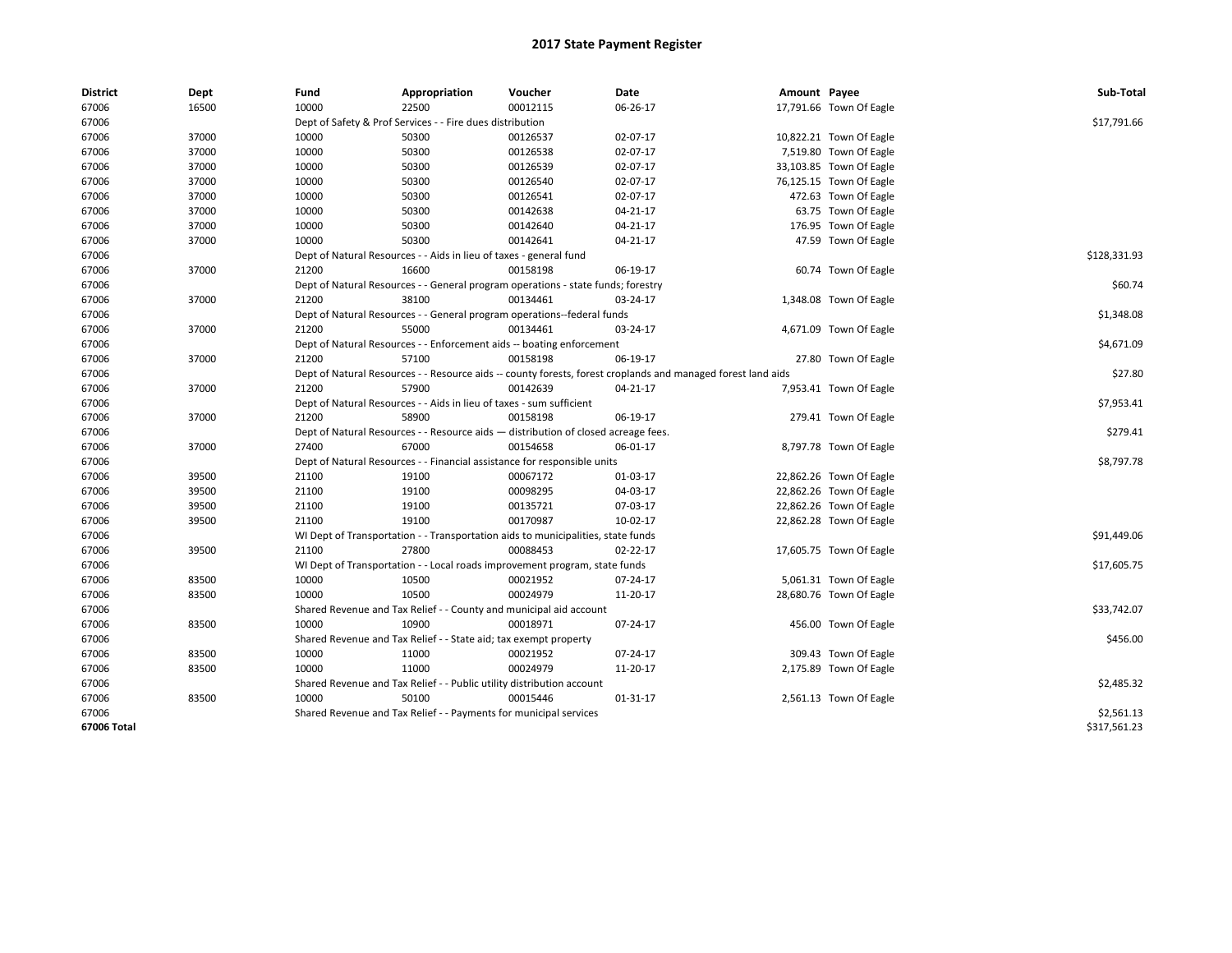| <b>District</b> | Dept  | Fund  | Appropriation                                                                      | Voucher  | Date                                                                                                         | Amount Payee |                         | Sub-Total    |
|-----------------|-------|-------|------------------------------------------------------------------------------------|----------|--------------------------------------------------------------------------------------------------------------|--------------|-------------------------|--------------|
| 67006           | 16500 | 10000 | 22500                                                                              | 00012115 | 06-26-17                                                                                                     |              | 17,791.66 Town Of Eagle |              |
| 67006           |       |       | Dept of Safety & Prof Services - - Fire dues distribution                          |          |                                                                                                              |              |                         | \$17,791.66  |
| 67006           | 37000 | 10000 | 50300                                                                              | 00126537 | 02-07-17                                                                                                     |              | 10,822.21 Town Of Eagle |              |
| 67006           | 37000 | 10000 | 50300                                                                              | 00126538 | 02-07-17                                                                                                     |              | 7,519.80 Town Of Eagle  |              |
| 67006           | 37000 | 10000 | 50300                                                                              | 00126539 | 02-07-17                                                                                                     |              | 33,103.85 Town Of Eagle |              |
| 67006           | 37000 | 10000 | 50300                                                                              | 00126540 | 02-07-17                                                                                                     |              | 76,125.15 Town Of Eagle |              |
| 67006           | 37000 | 10000 | 50300                                                                              | 00126541 | 02-07-17                                                                                                     |              | 472.63 Town Of Eagle    |              |
| 67006           | 37000 | 10000 | 50300                                                                              | 00142638 | 04-21-17                                                                                                     |              | 63.75 Town Of Eagle     |              |
| 67006           | 37000 | 10000 | 50300                                                                              | 00142640 | 04-21-17                                                                                                     |              | 176.95 Town Of Eagle    |              |
| 67006           | 37000 | 10000 | 50300                                                                              | 00142641 | 04-21-17                                                                                                     |              | 47.59 Town Of Eagle     |              |
| 67006           |       |       | Dept of Natural Resources - - Aids in lieu of taxes - general fund                 |          |                                                                                                              |              |                         | \$128,331.93 |
| 67006           | 37000 | 21200 | 16600                                                                              | 00158198 | 06-19-17                                                                                                     |              | 60.74 Town Of Eagle     |              |
| 67006           |       |       | Dept of Natural Resources - - General program operations - state funds; forestry   |          |                                                                                                              |              |                         | \$60.74      |
| 67006           | 37000 | 21200 | 38100                                                                              | 00134461 | 03-24-17                                                                                                     |              | 1,348.08 Town Of Eagle  |              |
| 67006           |       |       | Dept of Natural Resources - - General program operations--federal funds            |          |                                                                                                              |              |                         | \$1,348.08   |
| 67006           | 37000 | 21200 | 55000                                                                              | 00134461 | 03-24-17                                                                                                     |              | 4,671.09 Town Of Eagle  |              |
| 67006           |       |       | Dept of Natural Resources - - Enforcement aids -- boating enforcement              |          |                                                                                                              |              |                         | \$4,671.09   |
| 67006           | 37000 | 21200 | 57100                                                                              | 00158198 | 06-19-17                                                                                                     |              | 27.80 Town Of Eagle     |              |
| 67006           |       |       |                                                                                    |          | Dept of Natural Resources - - Resource aids -- county forests, forest croplands and managed forest land aids |              |                         | \$27.80      |
| 67006           | 37000 | 21200 | 57900                                                                              | 00142639 | 04-21-17                                                                                                     |              | 7,953.41 Town Of Eagle  |              |
| 67006           |       |       | Dept of Natural Resources - - Aids in lieu of taxes - sum sufficient               |          |                                                                                                              |              |                         | \$7,953.41   |
| 67006           | 37000 | 21200 | 58900                                                                              | 00158198 | 06-19-17                                                                                                     |              | 279.41 Town Of Eagle    |              |
| 67006           |       |       | Dept of Natural Resources - - Resource aids - distribution of closed acreage fees. |          |                                                                                                              |              |                         | \$279.41     |
| 67006           | 37000 | 27400 | 67000                                                                              | 00154658 | 06-01-17                                                                                                     |              | 8,797.78 Town Of Eagle  |              |
| 67006           |       |       | Dept of Natural Resources - - Financial assistance for responsible units           |          |                                                                                                              |              |                         | \$8,797.78   |
| 67006           | 39500 | 21100 | 19100                                                                              | 00067172 | 01-03-17                                                                                                     |              | 22,862.26 Town Of Eagle |              |
| 67006           | 39500 | 21100 | 19100                                                                              | 00098295 | 04-03-17                                                                                                     |              | 22,862.26 Town Of Eagle |              |
| 67006           | 39500 | 21100 | 19100                                                                              | 00135721 | 07-03-17                                                                                                     |              | 22,862.26 Town Of Eagle |              |
| 67006           | 39500 | 21100 | 19100                                                                              | 00170987 | 10-02-17                                                                                                     |              | 22,862.28 Town Of Eagle |              |
| 67006           |       |       | WI Dept of Transportation - - Transportation aids to municipalities, state funds   |          |                                                                                                              |              |                         | \$91,449.06  |
| 67006           | 39500 | 21100 | 27800                                                                              | 00088453 | 02-22-17                                                                                                     |              | 17,605.75 Town Of Eagle |              |
| 67006           |       |       | WI Dept of Transportation - - Local roads improvement program, state funds         |          |                                                                                                              |              |                         | \$17,605.75  |
| 67006           | 83500 | 10000 | 10500                                                                              | 00021952 | 07-24-17                                                                                                     |              | 5,061.31 Town Of Eagle  |              |
| 67006           | 83500 | 10000 | 10500                                                                              | 00024979 | 11-20-17                                                                                                     |              | 28,680.76 Town Of Eagle |              |
| 67006           |       |       | Shared Revenue and Tax Relief - - County and municipal aid account                 |          |                                                                                                              |              |                         | \$33,742.07  |
| 67006           | 83500 | 10000 | 10900                                                                              | 00018971 | 07-24-17                                                                                                     |              | 456.00 Town Of Eagle    |              |
| 67006           |       |       | Shared Revenue and Tax Relief - - State aid; tax exempt property                   |          |                                                                                                              |              |                         | \$456.00     |
| 67006           | 83500 | 10000 | 11000                                                                              | 00021952 | 07-24-17                                                                                                     |              | 309.43 Town Of Eagle    |              |
| 67006           | 83500 | 10000 | 11000                                                                              | 00024979 | 11-20-17                                                                                                     |              | 2,175.89 Town Of Eagle  |              |
| 67006           |       |       | Shared Revenue and Tax Relief - - Public utility distribution account              |          |                                                                                                              |              |                         | \$2,485.32   |
| 67006           | 83500 | 10000 | 50100                                                                              | 00015446 | 01-31-17                                                                                                     |              | 2,561.13 Town Of Eagle  |              |
| 67006           |       |       | Shared Revenue and Tax Relief - - Payments for municipal services                  |          |                                                                                                              |              |                         | \$2,561.13   |
| 67006 Total     |       |       |                                                                                    |          |                                                                                                              |              |                         | \$317,561.23 |
|                 |       |       |                                                                                    |          |                                                                                                              |              |                         |              |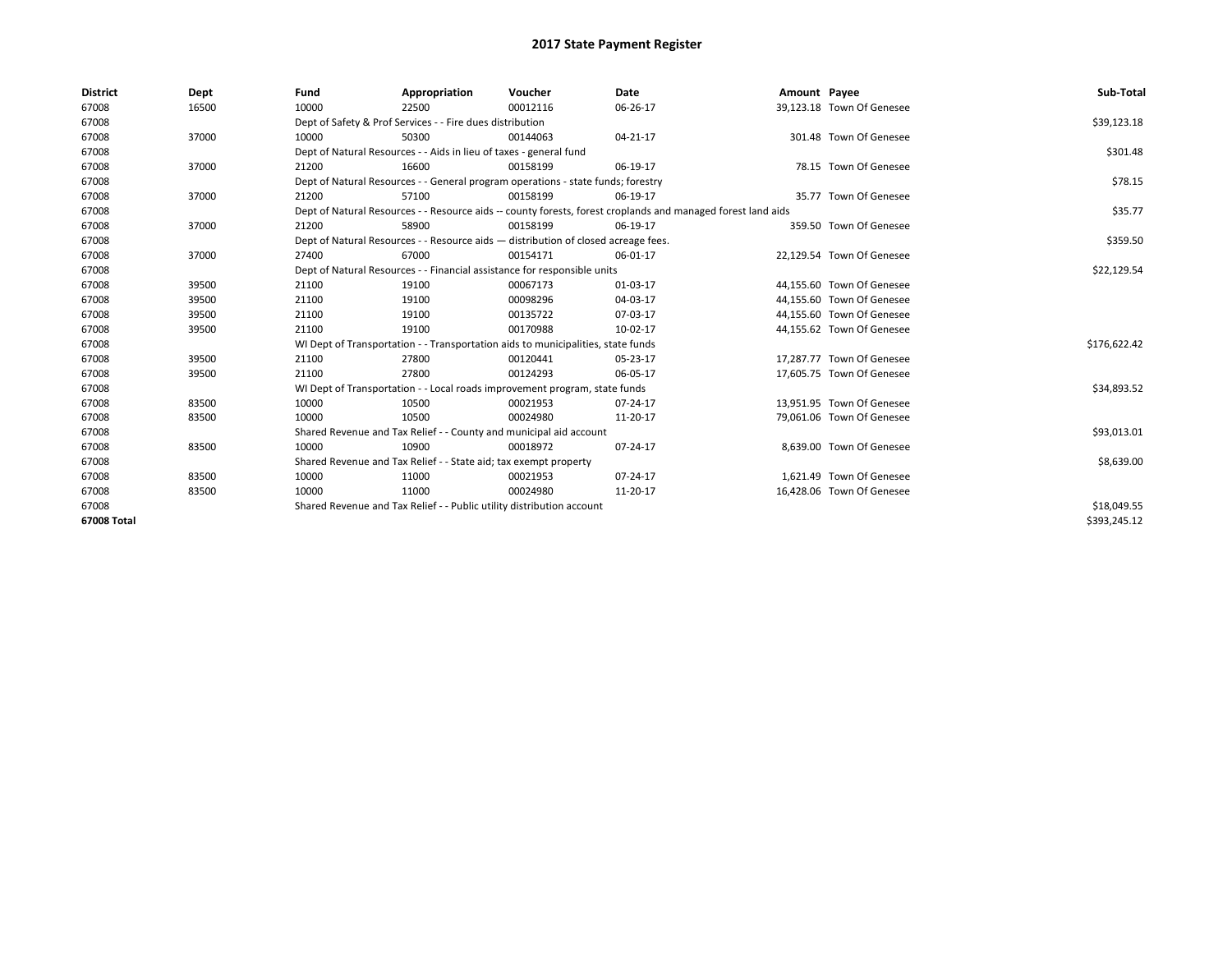| <b>District</b> | Dept  | Fund                                                                  | Appropriation                                                                                                | Voucher     | Date     | Amount Payee |                           | Sub-Total    |  |  |
|-----------------|-------|-----------------------------------------------------------------------|--------------------------------------------------------------------------------------------------------------|-------------|----------|--------------|---------------------------|--------------|--|--|
| 67008           | 16500 | 10000                                                                 | 22500                                                                                                        | 00012116    | 06-26-17 |              | 39,123.18 Town Of Genesee |              |  |  |
| 67008           |       |                                                                       | Dept of Safety & Prof Services - - Fire dues distribution                                                    |             |          |              |                           | \$39,123.18  |  |  |
| 67008           | 37000 | 10000                                                                 | 50300                                                                                                        | 00144063    | 04-21-17 |              | 301.48 Town Of Genesee    |              |  |  |
| 67008           |       |                                                                       | Dept of Natural Resources - - Aids in lieu of taxes - general fund                                           |             |          |              |                           |              |  |  |
| 67008           | 37000 | 21200                                                                 | 16600                                                                                                        | 00158199    | 06-19-17 |              | 78.15 Town Of Genesee     |              |  |  |
| 67008           |       |                                                                       | Dept of Natural Resources - - General program operations - state funds; forestry                             |             |          |              |                           | \$78.15      |  |  |
| 67008           | 37000 | 21200                                                                 | 57100                                                                                                        | 00158199    | 06-19-17 |              | 35.77 Town Of Genesee     |              |  |  |
| 67008           |       |                                                                       | Dept of Natural Resources - - Resource aids -- county forests, forest croplands and managed forest land aids |             |          |              |                           |              |  |  |
| 67008           | 37000 | 21200                                                                 | 58900                                                                                                        | 00158199    | 06-19-17 |              | 359.50 Town Of Genesee    |              |  |  |
| 67008           |       |                                                                       | Dept of Natural Resources - - Resource aids - distribution of closed acreage fees.                           |             |          |              |                           | \$359.50     |  |  |
| 67008           | 37000 | 27400                                                                 | 67000                                                                                                        | 00154171    | 06-01-17 |              | 22,129.54 Town Of Genesee |              |  |  |
| 67008           |       |                                                                       | Dept of Natural Resources - - Financial assistance for responsible units                                     |             |          |              |                           | \$22,129.54  |  |  |
| 67008           | 39500 | 21100                                                                 | 19100                                                                                                        | 00067173    | 01-03-17 |              | 44,155.60 Town Of Genesee |              |  |  |
| 67008           | 39500 | 21100                                                                 | 19100                                                                                                        | 00098296    | 04-03-17 |              | 44.155.60 Town Of Genesee |              |  |  |
| 67008           | 39500 | 21100                                                                 | 19100                                                                                                        | 00135722    | 07-03-17 |              | 44,155.60 Town Of Genesee |              |  |  |
| 67008           | 39500 | 21100                                                                 | 19100                                                                                                        | 00170988    | 10-02-17 |              | 44,155.62 Town Of Genesee |              |  |  |
| 67008           |       |                                                                       | WI Dept of Transportation - - Transportation aids to municipalities, state funds                             |             |          |              |                           | \$176,622.42 |  |  |
| 67008           | 39500 | 21100                                                                 | 27800                                                                                                        | 00120441    | 05-23-17 |              | 17,287.77 Town Of Genesee |              |  |  |
| 67008           | 39500 | 21100                                                                 | 27800                                                                                                        | 00124293    | 06-05-17 |              | 17,605.75 Town Of Genesee |              |  |  |
| 67008           |       |                                                                       | WI Dept of Transportation - - Local roads improvement program, state funds                                   |             |          |              |                           | \$34,893.52  |  |  |
| 67008           | 83500 | 10000                                                                 | 10500                                                                                                        | 00021953    | 07-24-17 |              | 13,951.95 Town Of Genesee |              |  |  |
| 67008           | 83500 | 10000                                                                 | 10500                                                                                                        | 00024980    | 11-20-17 |              | 79,061.06 Town Of Genesee |              |  |  |
| 67008           |       |                                                                       | Shared Revenue and Tax Relief - - County and municipal aid account                                           |             |          |              |                           | \$93,013.01  |  |  |
| 67008           | 83500 | 10000                                                                 | 10900                                                                                                        | 00018972    | 07-24-17 |              | 8.639.00 Town Of Genesee  |              |  |  |
| 67008           |       |                                                                       | Shared Revenue and Tax Relief - - State aid; tax exempt property                                             |             |          |              |                           | \$8,639.00   |  |  |
| 67008           | 83500 | 10000                                                                 | 11000                                                                                                        | 00021953    | 07-24-17 |              | 1.621.49 Town Of Genesee  |              |  |  |
| 67008           | 83500 | 10000                                                                 | 11000                                                                                                        | 00024980    | 11-20-17 |              | 16,428.06 Town Of Genesee |              |  |  |
| 67008           |       | Shared Revenue and Tax Relief - - Public utility distribution account |                                                                                                              | \$18,049.55 |          |              |                           |              |  |  |
| 67008 Total     |       |                                                                       |                                                                                                              |             |          |              |                           | \$393,245.12 |  |  |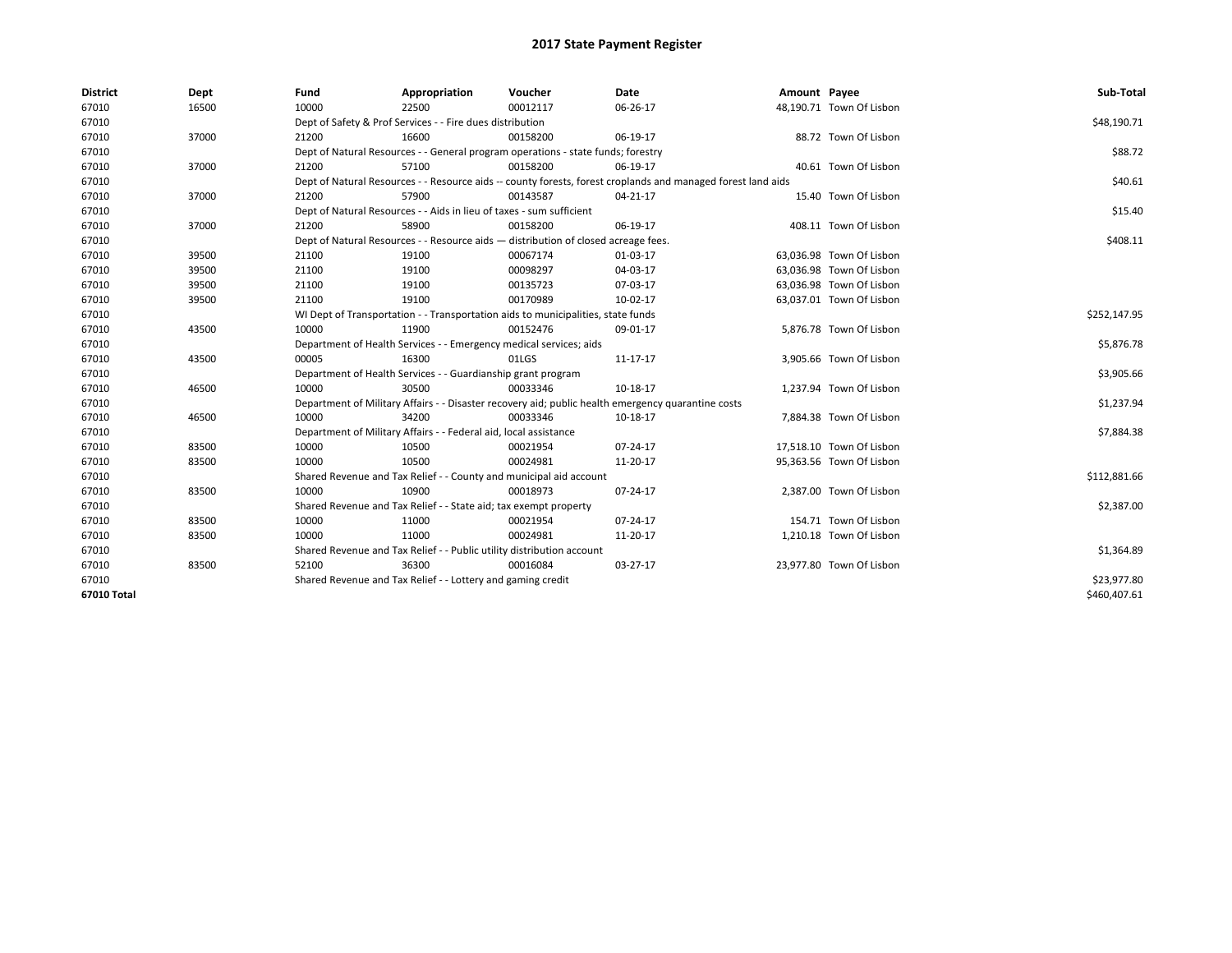| <b>District</b> | Dept  | Fund                                                               | Appropriation                                                                                                | Voucher  | Date     | Amount Payee |                          | Sub-Total    |  |  |  |
|-----------------|-------|--------------------------------------------------------------------|--------------------------------------------------------------------------------------------------------------|----------|----------|--------------|--------------------------|--------------|--|--|--|
| 67010           | 16500 | 10000                                                              | 22500                                                                                                        | 00012117 | 06-26-17 |              | 48,190.71 Town Of Lisbon |              |  |  |  |
| 67010           |       |                                                                    | Dept of Safety & Prof Services - - Fire dues distribution                                                    |          |          |              |                          | \$48,190.71  |  |  |  |
| 67010           | 37000 | 21200                                                              | 16600                                                                                                        | 00158200 | 06-19-17 |              | 88.72 Town Of Lisbon     |              |  |  |  |
| 67010           |       |                                                                    | Dept of Natural Resources - - General program operations - state funds; forestry                             |          |          |              |                          | \$88.72      |  |  |  |
| 67010           | 37000 | 21200                                                              | 57100                                                                                                        | 00158200 | 06-19-17 |              | 40.61 Town Of Lisbon     |              |  |  |  |
| 67010           |       |                                                                    | Dept of Natural Resources - - Resource aids -- county forests, forest croplands and managed forest land aids |          |          |              |                          | \$40.61      |  |  |  |
| 67010           | 37000 | 21200                                                              | 57900                                                                                                        | 00143587 | 04-21-17 |              | 15.40 Town Of Lisbon     |              |  |  |  |
| 67010           |       |                                                                    | Dept of Natural Resources - - Aids in lieu of taxes - sum sufficient                                         |          |          |              |                          |              |  |  |  |
| 67010           | 37000 | 21200                                                              | 58900                                                                                                        | 00158200 | 06-19-17 |              | 408.11 Town Of Lisbon    |              |  |  |  |
| 67010           |       |                                                                    | Dept of Natural Resources - - Resource aids - distribution of closed acreage fees.                           |          |          |              |                          | \$408.11     |  |  |  |
| 67010           | 39500 | 21100                                                              | 19100                                                                                                        | 00067174 | 01-03-17 |              | 63,036.98 Town Of Lisbon |              |  |  |  |
| 67010           | 39500 | 21100                                                              | 19100                                                                                                        | 00098297 | 04-03-17 |              | 63,036.98 Town Of Lisbon |              |  |  |  |
| 67010           | 39500 | 21100                                                              | 19100                                                                                                        | 00135723 | 07-03-17 |              | 63,036.98 Town Of Lisbon |              |  |  |  |
| 67010           | 39500 | 21100                                                              | 19100                                                                                                        | 00170989 | 10-02-17 |              | 63,037.01 Town Of Lisbon |              |  |  |  |
| 67010           |       |                                                                    | WI Dept of Transportation - - Transportation aids to municipalities, state funds                             |          |          |              |                          |              |  |  |  |
| 67010           | 43500 | 10000                                                              | 11900                                                                                                        | 00152476 | 09-01-17 |              | 5,876.78 Town Of Lisbon  |              |  |  |  |
| 67010           |       | Department of Health Services - - Emergency medical services; aids | \$5,876.78                                                                                                   |          |          |              |                          |              |  |  |  |
| 67010           | 43500 | 00005                                                              | 16300                                                                                                        | 01LGS    | 11-17-17 |              | 3,905.66 Town Of Lisbon  |              |  |  |  |
| 67010           |       |                                                                    | Department of Health Services - - Guardianship grant program                                                 |          |          |              |                          | \$3,905.66   |  |  |  |
| 67010           | 46500 | 10000                                                              | 30500                                                                                                        | 00033346 | 10-18-17 |              | 1,237.94 Town Of Lisbon  |              |  |  |  |
| 67010           |       |                                                                    | Department of Military Affairs - - Disaster recovery aid; public health emergency quarantine costs           |          |          |              |                          | \$1,237.94   |  |  |  |
| 67010           | 46500 | 10000                                                              | 34200                                                                                                        | 00033346 | 10-18-17 |              | 7,884.38 Town Of Lisbon  |              |  |  |  |
| 67010           |       |                                                                    | Department of Military Affairs - - Federal aid, local assistance                                             |          |          |              |                          | \$7,884.38   |  |  |  |
| 67010           | 83500 | 10000                                                              | 10500                                                                                                        | 00021954 | 07-24-17 |              | 17,518.10 Town Of Lisbon |              |  |  |  |
| 67010           | 83500 | 10000                                                              | 10500                                                                                                        | 00024981 | 11-20-17 |              | 95,363.56 Town Of Lisbon |              |  |  |  |
| 67010           |       |                                                                    | Shared Revenue and Tax Relief - - County and municipal aid account                                           |          |          |              |                          | \$112,881.66 |  |  |  |
| 67010           | 83500 | 10000                                                              | 10900                                                                                                        | 00018973 | 07-24-17 |              | 2,387.00 Town Of Lisbon  |              |  |  |  |
| 67010           |       |                                                                    | Shared Revenue and Tax Relief - - State aid; tax exempt property                                             |          |          |              |                          | \$2,387.00   |  |  |  |
| 67010           | 83500 | 10000                                                              | 11000                                                                                                        | 00021954 | 07-24-17 |              | 154.71 Town Of Lisbon    |              |  |  |  |
| 67010           | 83500 | 10000                                                              | 11000                                                                                                        | 00024981 | 11-20-17 |              | 1,210.18 Town Of Lisbon  |              |  |  |  |
| 67010           |       |                                                                    | Shared Revenue and Tax Relief - - Public utility distribution account                                        |          |          |              |                          | \$1,364.89   |  |  |  |
| 67010           | 83500 | 52100                                                              | 36300                                                                                                        | 00016084 | 03-27-17 |              | 23,977.80 Town Of Lisbon |              |  |  |  |
| 67010           |       |                                                                    | Shared Revenue and Tax Relief - - Lottery and gaming credit                                                  |          |          |              |                          | \$23,977.80  |  |  |  |
| 67010 Total     |       |                                                                    |                                                                                                              |          |          |              |                          | \$460,407.61 |  |  |  |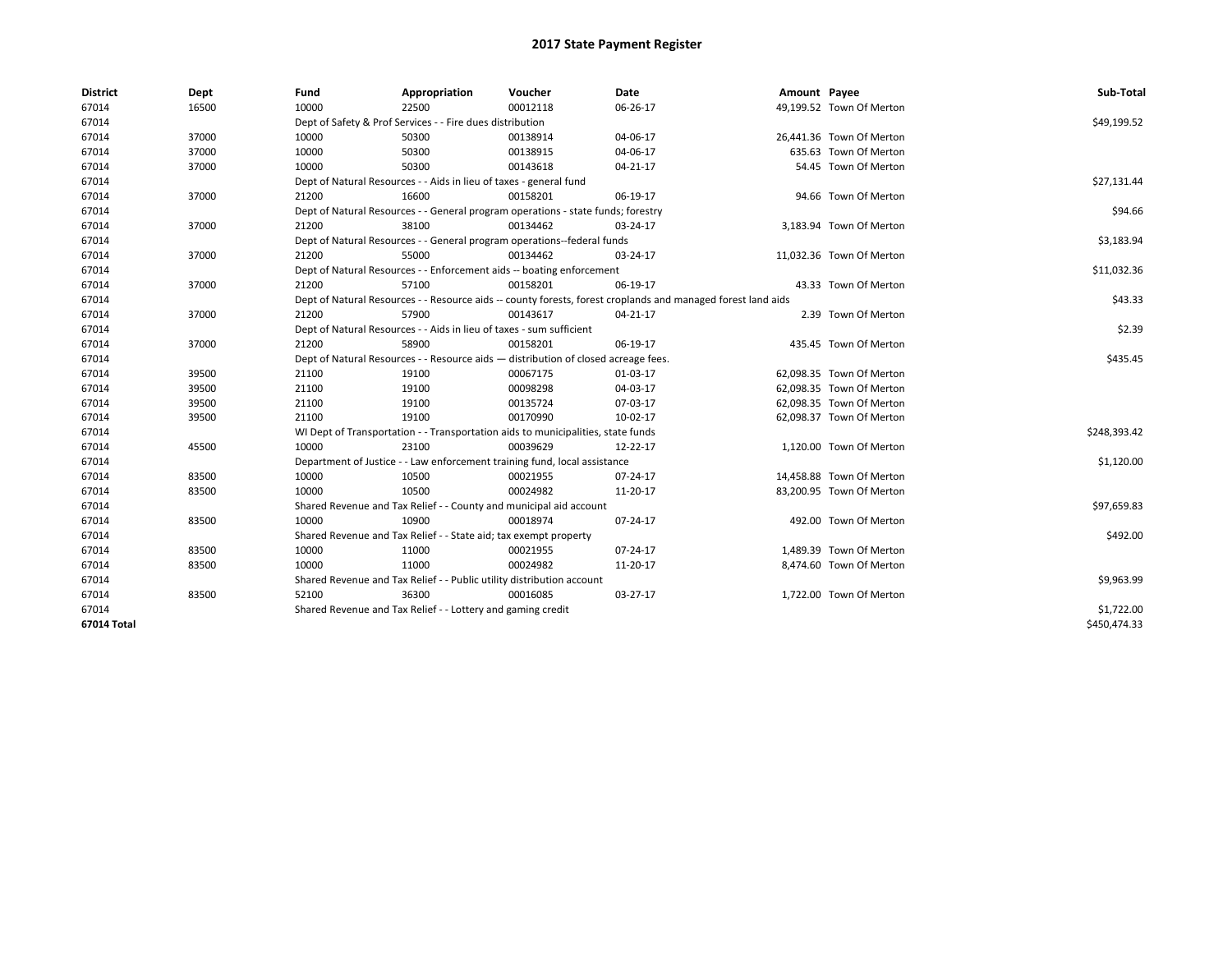| <b>District</b> | Dept  | Fund                                                                               | Appropriation                                                                    | Voucher  | Date                                                                                                         | Amount Payee |                          | Sub-Total    |  |  |
|-----------------|-------|------------------------------------------------------------------------------------|----------------------------------------------------------------------------------|----------|--------------------------------------------------------------------------------------------------------------|--------------|--------------------------|--------------|--|--|
| 67014           | 16500 | 10000                                                                              | 22500                                                                            | 00012118 | 06-26-17                                                                                                     |              | 49,199.52 Town Of Merton |              |  |  |
| 67014           |       |                                                                                    | Dept of Safety & Prof Services - - Fire dues distribution                        |          |                                                                                                              |              |                          | \$49,199.52  |  |  |
| 67014           | 37000 | 10000                                                                              | 50300                                                                            | 00138914 | 04-06-17                                                                                                     |              | 26,441.36 Town Of Merton |              |  |  |
| 67014           | 37000 | 10000                                                                              | 50300                                                                            | 00138915 | 04-06-17                                                                                                     |              | 635.63 Town Of Merton    |              |  |  |
| 67014           | 37000 | 10000                                                                              | 50300                                                                            | 00143618 | $04 - 21 - 17$                                                                                               |              | 54.45 Town Of Merton     |              |  |  |
| 67014           |       |                                                                                    | Dept of Natural Resources - - Aids in lieu of taxes - general fund               |          |                                                                                                              |              |                          |              |  |  |
| 67014           | 37000 | 21200                                                                              | 16600                                                                            | 00158201 | 06-19-17                                                                                                     |              | 94.66 Town Of Merton     |              |  |  |
| 67014           |       |                                                                                    | Dept of Natural Resources - - General program operations - state funds; forestry |          |                                                                                                              |              |                          |              |  |  |
| 67014           | 37000 | 21200                                                                              | 38100                                                                            | 00134462 | 03-24-17                                                                                                     |              | 3,183.94 Town Of Merton  |              |  |  |
| 67014           |       |                                                                                    | Dept of Natural Resources - - General program operations--federal funds          |          |                                                                                                              |              |                          |              |  |  |
| 67014           | 37000 | 21200                                                                              | 55000                                                                            | 00134462 | 03-24-17                                                                                                     |              | 11,032.36 Town Of Merton |              |  |  |
| 67014           |       |                                                                                    | Dept of Natural Resources - - Enforcement aids -- boating enforcement            |          |                                                                                                              |              |                          | \$11,032.36  |  |  |
| 67014           | 37000 | 21200                                                                              | 57100                                                                            | 00158201 | 06-19-17                                                                                                     |              | 43.33 Town Of Merton     |              |  |  |
| 67014           |       |                                                                                    |                                                                                  |          | Dept of Natural Resources - - Resource aids -- county forests, forest croplands and managed forest land aids |              |                          | \$43.33      |  |  |
| 67014           | 37000 | 21200                                                                              | 57900                                                                            | 00143617 | 04-21-17                                                                                                     |              | 2.39 Town Of Merton      |              |  |  |
| 67014           |       |                                                                                    | Dept of Natural Resources - - Aids in lieu of taxes - sum sufficient             |          |                                                                                                              |              |                          | \$2.39       |  |  |
| 67014           | 37000 | 21200                                                                              | 58900                                                                            | 00158201 | 06-19-17                                                                                                     |              | 435.45 Town Of Merton    |              |  |  |
| 67014           |       | Dept of Natural Resources - - Resource aids - distribution of closed acreage fees. | \$435.45                                                                         |          |                                                                                                              |              |                          |              |  |  |
| 67014           | 39500 | 21100                                                                              | 19100                                                                            | 00067175 | 01-03-17                                                                                                     |              | 62,098.35 Town Of Merton |              |  |  |
| 67014           | 39500 | 21100                                                                              | 19100                                                                            | 00098298 | 04-03-17                                                                                                     |              | 62,098.35 Town Of Merton |              |  |  |
| 67014           | 39500 | 21100                                                                              | 19100                                                                            | 00135724 | 07-03-17                                                                                                     |              | 62,098.35 Town Of Merton |              |  |  |
| 67014           | 39500 | 21100                                                                              | 19100                                                                            | 00170990 | 10-02-17                                                                                                     |              | 62,098.37 Town Of Merton |              |  |  |
| 67014           |       |                                                                                    | WI Dept of Transportation - - Transportation aids to municipalities, state funds |          |                                                                                                              |              |                          | \$248,393.42 |  |  |
| 67014           | 45500 | 10000                                                                              | 23100                                                                            | 00039629 | 12-22-17                                                                                                     |              | 1,120.00 Town Of Merton  |              |  |  |
| 67014           |       |                                                                                    | Department of Justice - - Law enforcement training fund, local assistance        |          |                                                                                                              |              |                          | \$1,120.00   |  |  |
| 67014           | 83500 | 10000                                                                              | 10500                                                                            | 00021955 | 07-24-17                                                                                                     |              | 14,458.88 Town Of Merton |              |  |  |
| 67014           | 83500 | 10000                                                                              | 10500                                                                            | 00024982 | 11-20-17                                                                                                     |              | 83,200.95 Town Of Merton |              |  |  |
| 67014           |       |                                                                                    | Shared Revenue and Tax Relief - - County and municipal aid account               |          |                                                                                                              |              |                          | \$97,659.83  |  |  |
| 67014           | 83500 | 10000                                                                              | 10900                                                                            | 00018974 | 07-24-17                                                                                                     |              | 492.00 Town Of Merton    |              |  |  |
| 67014           |       |                                                                                    | Shared Revenue and Tax Relief - - State aid; tax exempt property                 |          |                                                                                                              |              |                          | \$492.00     |  |  |
| 67014           | 83500 | 10000                                                                              | 11000                                                                            | 00021955 | 07-24-17                                                                                                     |              | 1,489.39 Town Of Merton  |              |  |  |
| 67014           | 83500 | 10000                                                                              | 11000                                                                            | 00024982 | 11-20-17                                                                                                     |              | 8,474.60 Town Of Merton  |              |  |  |
| 67014           |       |                                                                                    | Shared Revenue and Tax Relief - - Public utility distribution account            |          |                                                                                                              |              |                          | \$9,963.99   |  |  |
| 67014           | 83500 | 52100                                                                              | 36300                                                                            | 00016085 | 03-27-17                                                                                                     |              | 1,722.00 Town Of Merton  |              |  |  |
| 67014           |       |                                                                                    | Shared Revenue and Tax Relief - - Lottery and gaming credit                      |          |                                                                                                              |              |                          | \$1,722.00   |  |  |
| 67014 Total     |       |                                                                                    |                                                                                  |          |                                                                                                              |              |                          | \$450,474.33 |  |  |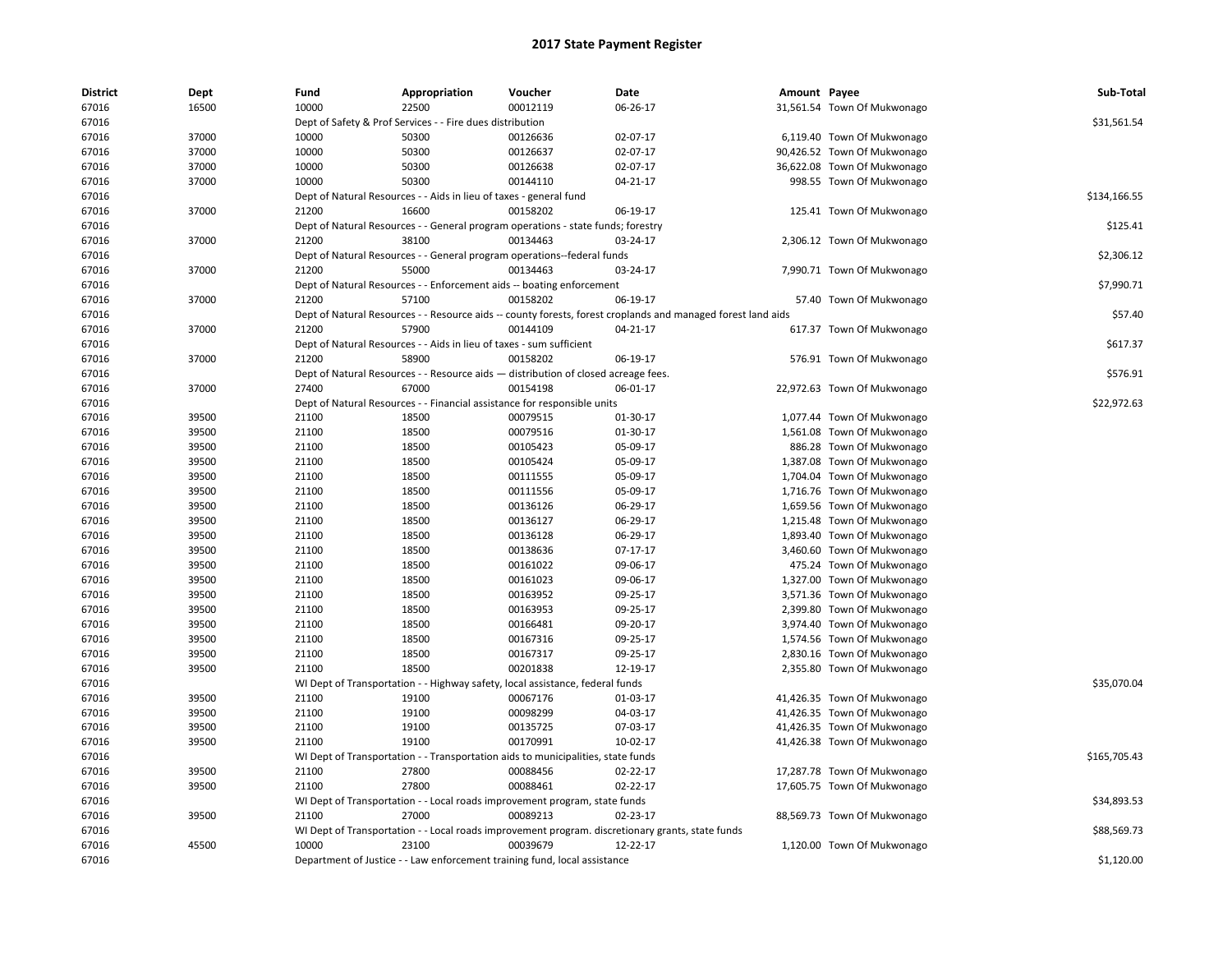| <b>District</b> | Dept  | Fund  | Appropriation                                                                      | Voucher  | Date                                                                                                         | Amount Payee |                             | Sub-Total    |
|-----------------|-------|-------|------------------------------------------------------------------------------------|----------|--------------------------------------------------------------------------------------------------------------|--------------|-----------------------------|--------------|
| 67016           | 16500 | 10000 | 22500                                                                              | 00012119 | 06-26-17                                                                                                     |              | 31,561.54 Town Of Mukwonago |              |
| 67016           |       |       | Dept of Safety & Prof Services - - Fire dues distribution                          |          |                                                                                                              |              |                             | \$31,561.54  |
| 67016           | 37000 | 10000 | 50300                                                                              | 00126636 | 02-07-17                                                                                                     |              | 6,119.40 Town Of Mukwonago  |              |
| 67016           | 37000 | 10000 | 50300                                                                              | 00126637 | 02-07-17                                                                                                     |              | 90,426.52 Town Of Mukwonago |              |
| 67016           | 37000 | 10000 | 50300                                                                              | 00126638 | 02-07-17                                                                                                     |              | 36,622.08 Town Of Mukwonago |              |
| 67016           | 37000 | 10000 | 50300                                                                              | 00144110 | 04-21-17                                                                                                     |              | 998.55 Town Of Mukwonago    |              |
| 67016           |       |       | Dept of Natural Resources - - Aids in lieu of taxes - general fund                 |          |                                                                                                              |              |                             | \$134,166.55 |
| 67016           | 37000 | 21200 | 16600                                                                              | 00158202 | 06-19-17                                                                                                     |              | 125.41 Town Of Mukwonago    |              |
| 67016           |       |       | Dept of Natural Resources - - General program operations - state funds; forestry   |          |                                                                                                              |              |                             | \$125.41     |
| 67016           | 37000 | 21200 | 38100                                                                              | 00134463 | 03-24-17                                                                                                     |              | 2,306.12 Town Of Mukwonago  |              |
| 67016           |       |       | Dept of Natural Resources - - General program operations--federal funds            |          |                                                                                                              |              |                             | \$2,306.12   |
| 67016           | 37000 | 21200 | 55000                                                                              | 00134463 | 03-24-17                                                                                                     |              | 7,990.71 Town Of Mukwonago  |              |
| 67016           |       |       | Dept of Natural Resources - - Enforcement aids -- boating enforcement              |          |                                                                                                              |              |                             | \$7,990.71   |
| 67016           | 37000 | 21200 | 57100                                                                              | 00158202 | 06-19-17                                                                                                     |              | 57.40 Town Of Mukwonago     |              |
| 67016           |       |       |                                                                                    |          | Dept of Natural Resources - - Resource aids -- county forests, forest croplands and managed forest land aids |              |                             | \$57.40      |
| 67016           | 37000 | 21200 | 57900                                                                              | 00144109 | 04-21-17                                                                                                     |              | 617.37 Town Of Mukwonago    |              |
| 67016           |       |       | Dept of Natural Resources - - Aids in lieu of taxes - sum sufficient               |          |                                                                                                              |              |                             | \$617.37     |
| 67016           | 37000 | 21200 | 58900                                                                              | 00158202 | 06-19-17                                                                                                     |              | 576.91 Town Of Mukwonago    |              |
| 67016           |       |       | Dept of Natural Resources - - Resource aids - distribution of closed acreage fees. |          |                                                                                                              |              |                             | \$576.91     |
| 67016           | 37000 | 27400 | 67000                                                                              | 00154198 | 06-01-17                                                                                                     |              | 22,972.63 Town Of Mukwonago |              |
| 67016           |       |       | Dept of Natural Resources - - Financial assistance for responsible units           |          |                                                                                                              |              |                             | \$22,972.63  |
| 67016           | 39500 | 21100 | 18500                                                                              | 00079515 | 01-30-17                                                                                                     |              | 1,077.44 Town Of Mukwonago  |              |
| 67016           | 39500 | 21100 | 18500                                                                              | 00079516 | 01-30-17                                                                                                     |              | 1,561.08 Town Of Mukwonago  |              |
| 67016           | 39500 | 21100 | 18500                                                                              | 00105423 | 05-09-17                                                                                                     |              | 886.28 Town Of Mukwonago    |              |
| 67016           | 39500 | 21100 | 18500                                                                              | 00105424 | 05-09-17                                                                                                     |              | 1,387.08 Town Of Mukwonago  |              |
| 67016           | 39500 | 21100 | 18500                                                                              | 00111555 | 05-09-17                                                                                                     |              | 1,704.04 Town Of Mukwonago  |              |
| 67016           | 39500 | 21100 | 18500                                                                              | 00111556 | 05-09-17                                                                                                     |              | 1,716.76 Town Of Mukwonago  |              |
| 67016           | 39500 | 21100 | 18500                                                                              | 00136126 | 06-29-17                                                                                                     |              | 1,659.56 Town Of Mukwonago  |              |
| 67016           | 39500 | 21100 | 18500                                                                              | 00136127 | 06-29-17                                                                                                     |              | 1,215.48 Town Of Mukwonago  |              |
| 67016           | 39500 | 21100 | 18500                                                                              | 00136128 | 06-29-17                                                                                                     |              | 1,893.40 Town Of Mukwonago  |              |
| 67016           | 39500 | 21100 | 18500                                                                              | 00138636 | 07-17-17                                                                                                     |              | 3,460.60 Town Of Mukwonago  |              |
| 67016           | 39500 | 21100 | 18500                                                                              | 00161022 | 09-06-17                                                                                                     |              | 475.24 Town Of Mukwonago    |              |
| 67016           | 39500 | 21100 | 18500                                                                              | 00161023 | 09-06-17                                                                                                     |              | 1,327.00 Town Of Mukwonago  |              |
| 67016           | 39500 | 21100 | 18500                                                                              | 00163952 | 09-25-17                                                                                                     |              | 3,571.36 Town Of Mukwonago  |              |
| 67016           | 39500 | 21100 | 18500                                                                              | 00163953 | 09-25-17                                                                                                     |              | 2,399.80 Town Of Mukwonago  |              |
| 67016           | 39500 | 21100 | 18500                                                                              | 00166481 | 09-20-17                                                                                                     |              | 3,974.40 Town Of Mukwonago  |              |
| 67016           | 39500 | 21100 | 18500                                                                              | 00167316 | 09-25-17                                                                                                     |              | 1,574.56 Town Of Mukwonago  |              |
| 67016           | 39500 | 21100 | 18500                                                                              | 00167317 | 09-25-17                                                                                                     |              | 2,830.16 Town Of Mukwonago  |              |
| 67016           | 39500 | 21100 | 18500                                                                              | 00201838 | 12-19-17                                                                                                     |              | 2,355.80 Town Of Mukwonago  |              |
| 67016           |       |       | WI Dept of Transportation - - Highway safety, local assistance, federal funds      |          |                                                                                                              |              |                             | \$35,070.04  |
| 67016           | 39500 | 21100 | 19100                                                                              | 00067176 | 01-03-17                                                                                                     |              | 41,426.35 Town Of Mukwonago |              |
| 67016           | 39500 | 21100 | 19100                                                                              | 00098299 | 04-03-17                                                                                                     |              | 41,426.35 Town Of Mukwonago |              |
| 67016           | 39500 | 21100 | 19100                                                                              | 00135725 | 07-03-17                                                                                                     |              | 41,426.35 Town Of Mukwonago |              |
| 67016           | 39500 | 21100 | 19100                                                                              | 00170991 | 10-02-17                                                                                                     |              | 41,426.38 Town Of Mukwonago |              |
| 67016           |       |       | WI Dept of Transportation - - Transportation aids to municipalities, state funds   |          |                                                                                                              |              |                             | \$165,705.43 |
| 67016           | 39500 | 21100 | 27800                                                                              | 00088456 | 02-22-17                                                                                                     |              | 17,287.78 Town Of Mukwonago |              |
| 67016           | 39500 | 21100 | 27800                                                                              | 00088461 | $02 - 22 - 17$                                                                                               |              | 17,605.75 Town Of Mukwonago |              |
| 67016           |       |       | WI Dept of Transportation - - Local roads improvement program, state funds         |          |                                                                                                              |              |                             | \$34,893.53  |
| 67016           | 39500 | 21100 | 27000                                                                              | 00089213 | 02-23-17                                                                                                     |              | 88,569.73 Town Of Mukwonago |              |
| 67016           |       |       |                                                                                    |          | WI Dept of Transportation - - Local roads improvement program. discretionary grants, state funds             |              |                             | \$88,569.73  |
| 67016           | 45500 | 10000 | 23100                                                                              | 00039679 | 12-22-17                                                                                                     |              | 1,120.00 Town Of Mukwonago  |              |
| 67016           |       |       | Department of Justice - - Law enforcement training fund, local assistance          |          |                                                                                                              |              |                             | \$1,120.00   |
|                 |       |       |                                                                                    |          |                                                                                                              |              |                             |              |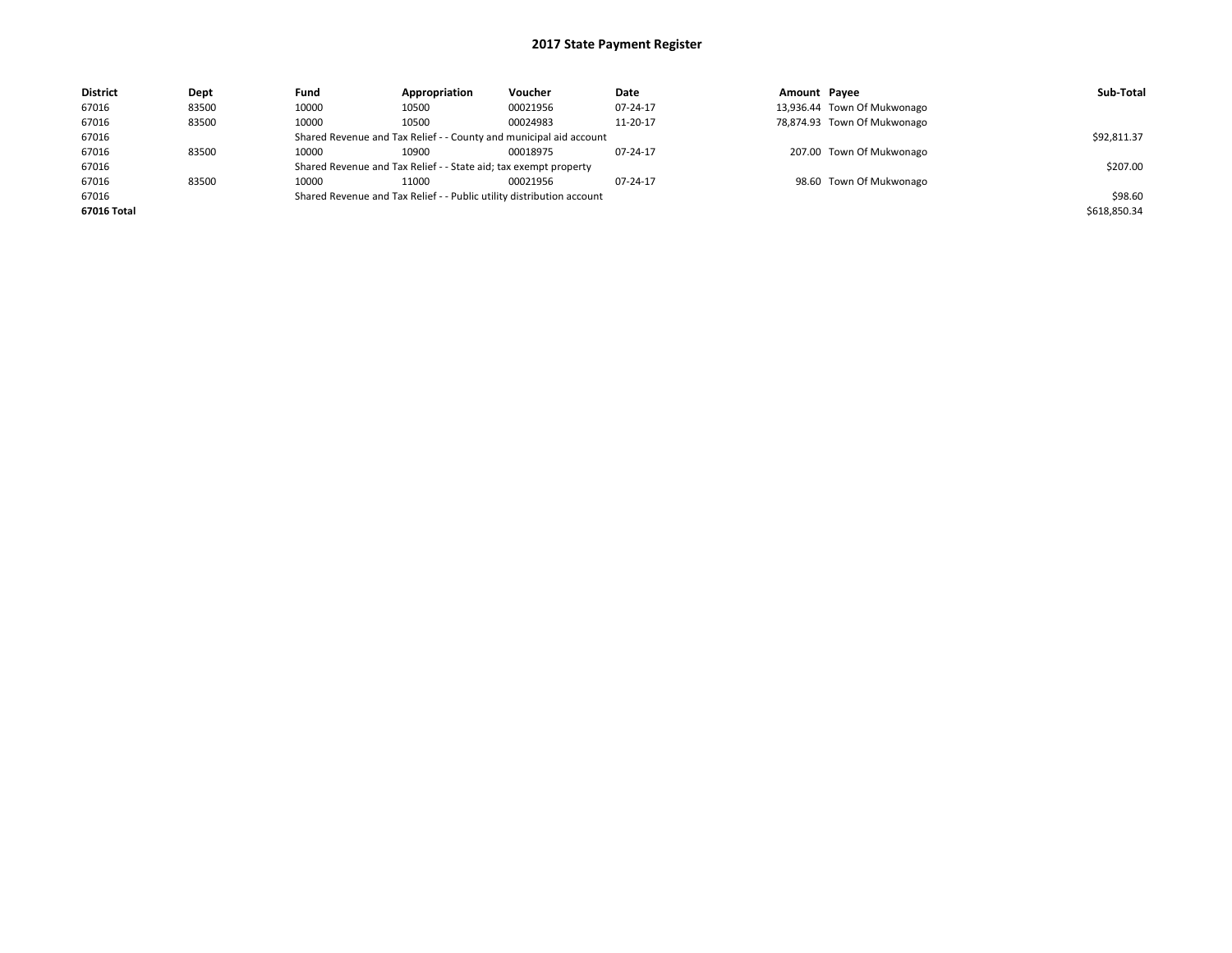| <b>District</b> | Dept  | Fund                                                               | Appropriation                                                         | Voucher     | Date     | Amount Payee |                             | Sub-Total    |
|-----------------|-------|--------------------------------------------------------------------|-----------------------------------------------------------------------|-------------|----------|--------------|-----------------------------|--------------|
| 67016           | 83500 | 10000                                                              | 10500                                                                 | 00021956    | 07-24-17 |              | 13,936.44 Town Of Mukwonago |              |
| 67016           | 83500 | 10000                                                              | 10500                                                                 | 00024983    | 11-20-17 |              | 78,874.93 Town Of Mukwonago |              |
| 67016           |       | Shared Revenue and Tax Relief - - County and municipal aid account |                                                                       | \$92,811.37 |          |              |                             |              |
| 67016           | 83500 | 10000                                                              | 10900                                                                 | 00018975    | 07-24-17 |              | 207.00 Town Of Mukwonago    |              |
| 67016           |       |                                                                    | Shared Revenue and Tax Relief - - State aid; tax exempt property      |             |          |              |                             | \$207.00     |
| 67016           | 83500 | 10000                                                              | 11000                                                                 | 00021956    | 07-24-17 |              | 98.60 Town Of Mukwonago     |              |
| 67016           |       |                                                                    | Shared Revenue and Tax Relief - - Public utility distribution account |             |          |              |                             | \$98.60      |
| 67016 Total     |       |                                                                    |                                                                       |             |          |              |                             | \$618,850.34 |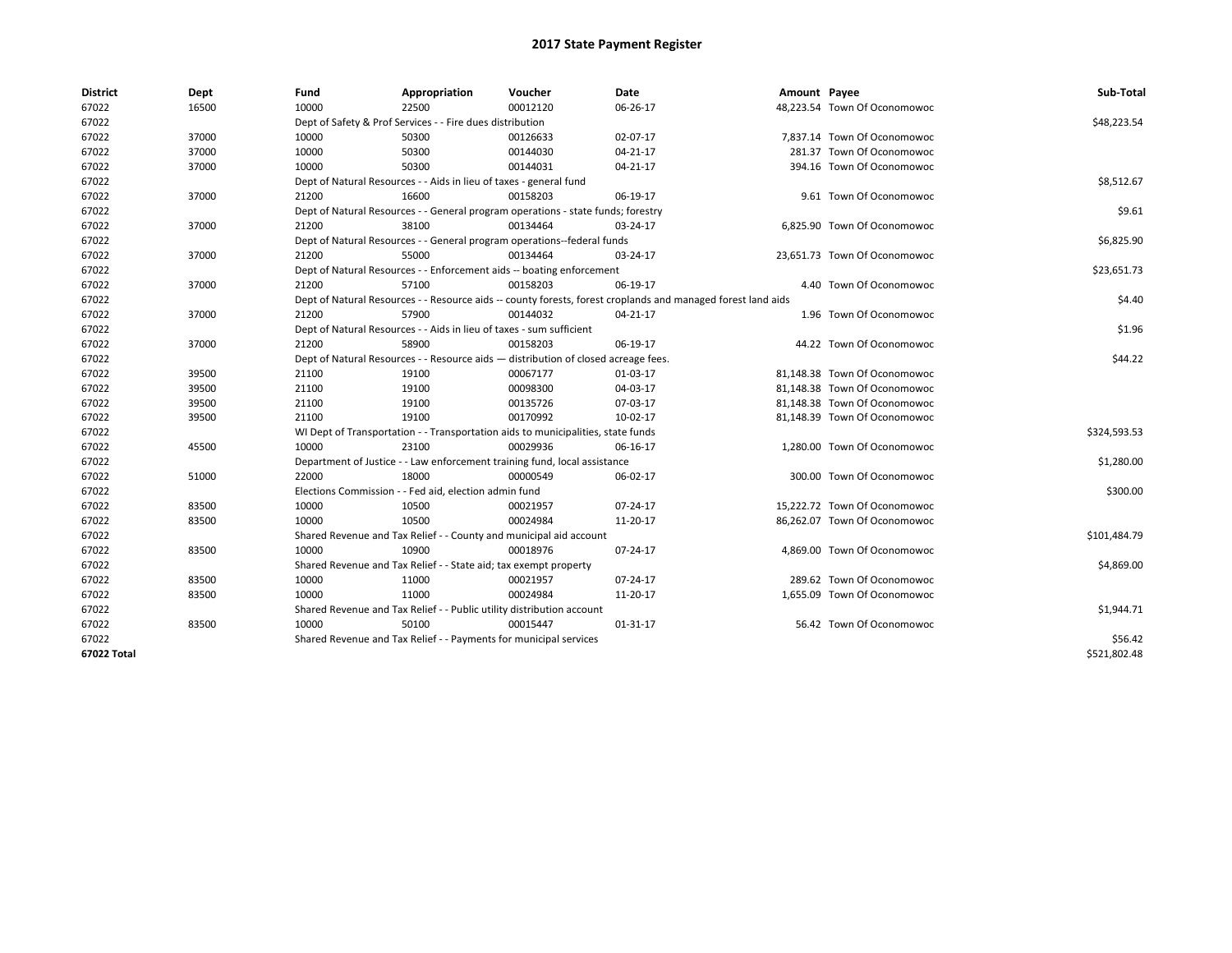| <b>District</b> | Dept  | Fund  | Appropriation                                                                      | Voucher  | Date                                                                                                         | Amount Payee |                              | Sub-Total    |  |  |
|-----------------|-------|-------|------------------------------------------------------------------------------------|----------|--------------------------------------------------------------------------------------------------------------|--------------|------------------------------|--------------|--|--|
| 67022           | 16500 | 10000 | 22500                                                                              | 00012120 | 06-26-17                                                                                                     |              | 48,223.54 Town Of Oconomowoc |              |  |  |
| 67022           |       |       | Dept of Safety & Prof Services - - Fire dues distribution                          |          |                                                                                                              |              |                              | \$48,223.54  |  |  |
| 67022           | 37000 | 10000 | 50300                                                                              | 00126633 | 02-07-17                                                                                                     |              | 7.837.14 Town Of Oconomowoc  |              |  |  |
| 67022           | 37000 | 10000 | 50300                                                                              | 00144030 | 04-21-17                                                                                                     |              | 281.37 Town Of Oconomowoc    |              |  |  |
| 67022           | 37000 | 10000 | 50300                                                                              | 00144031 | 04-21-17                                                                                                     |              | 394.16 Town Of Oconomowoc    |              |  |  |
| 67022           |       |       | Dept of Natural Resources - - Aids in lieu of taxes - general fund                 |          |                                                                                                              |              |                              |              |  |  |
| 67022           | 37000 | 21200 | 16600                                                                              | 00158203 | 06-19-17                                                                                                     |              | 9.61 Town Of Oconomowoc      |              |  |  |
| 67022           |       |       | Dept of Natural Resources - - General program operations - state funds; forestry   |          |                                                                                                              |              |                              |              |  |  |
| 67022           | 37000 | 21200 | 38100                                                                              | 00134464 | 03-24-17                                                                                                     |              | 6,825.90 Town Of Oconomowoc  |              |  |  |
| 67022           |       |       | Dept of Natural Resources - - General program operations--federal funds            |          |                                                                                                              |              |                              | \$6,825.90   |  |  |
| 67022           | 37000 | 21200 | 55000                                                                              | 00134464 | 03-24-17                                                                                                     |              | 23,651.73 Town Of Oconomowoc |              |  |  |
| 67022           |       |       | Dept of Natural Resources - - Enforcement aids -- boating enforcement              |          |                                                                                                              |              |                              | \$23,651.73  |  |  |
| 67022           | 37000 | 21200 | 57100                                                                              | 00158203 | 06-19-17                                                                                                     |              | 4.40 Town Of Oconomowoc      |              |  |  |
| 67022           |       |       |                                                                                    |          | Dept of Natural Resources - - Resource aids -- county forests, forest croplands and managed forest land aids |              |                              | \$4.40       |  |  |
| 67022           | 37000 | 21200 | 57900                                                                              | 00144032 | 04-21-17                                                                                                     |              | 1.96 Town Of Oconomowoc      |              |  |  |
| 67022           |       |       | Dept of Natural Resources - - Aids in lieu of taxes - sum sufficient               |          |                                                                                                              |              |                              |              |  |  |
| 67022           | 37000 | 21200 | 58900                                                                              | 00158203 | 06-19-17                                                                                                     |              | 44.22 Town Of Oconomowoc     |              |  |  |
| 67022           |       |       | Dept of Natural Resources - - Resource aids - distribution of closed acreage fees. |          |                                                                                                              |              |                              |              |  |  |
| 67022           | 39500 | 21100 | 19100                                                                              | 00067177 | 01-03-17                                                                                                     |              | 81,148.38 Town Of Oconomowoc |              |  |  |
| 67022           | 39500 | 21100 | 19100                                                                              | 00098300 | 04-03-17                                                                                                     |              | 81.148.38 Town Of Oconomowoc |              |  |  |
| 67022           | 39500 | 21100 | 19100                                                                              | 00135726 | 07-03-17                                                                                                     |              | 81,148.38 Town Of Oconomowoc |              |  |  |
| 67022           | 39500 | 21100 | 19100                                                                              | 00170992 | 10-02-17                                                                                                     |              | 81,148.39 Town Of Oconomowoc |              |  |  |
| 67022           |       |       | WI Dept of Transportation - - Transportation aids to municipalities, state funds   |          |                                                                                                              |              |                              | \$324,593.53 |  |  |
| 67022           | 45500 | 10000 | 23100                                                                              | 00029936 | 06-16-17                                                                                                     |              | 1,280.00 Town Of Oconomowoc  |              |  |  |
| 67022           |       |       | Department of Justice - - Law enforcement training fund, local assistance          |          |                                                                                                              |              |                              | \$1,280.00   |  |  |
| 67022           | 51000 | 22000 | 18000                                                                              | 00000549 | 06-02-17                                                                                                     |              | 300.00 Town Of Oconomowoc    |              |  |  |
| 67022           |       |       | Elections Commission - - Fed aid, election admin fund                              |          |                                                                                                              |              |                              | \$300.00     |  |  |
| 67022           | 83500 | 10000 | 10500                                                                              | 00021957 | 07-24-17                                                                                                     |              | 15.222.72 Town Of Oconomowoc |              |  |  |
| 67022           | 83500 | 10000 | 10500                                                                              | 00024984 | 11-20-17                                                                                                     |              | 86,262.07 Town Of Oconomowoc |              |  |  |
| 67022           |       |       | Shared Revenue and Tax Relief - - County and municipal aid account                 |          |                                                                                                              |              |                              | \$101,484.79 |  |  |
| 67022           | 83500 | 10000 | 10900                                                                              | 00018976 | 07-24-17                                                                                                     |              | 4,869.00 Town Of Oconomowoc  |              |  |  |
| 67022           |       |       | Shared Revenue and Tax Relief - - State aid; tax exempt property                   |          |                                                                                                              |              |                              | \$4,869.00   |  |  |
| 67022           | 83500 | 10000 | 11000                                                                              | 00021957 | 07-24-17                                                                                                     |              | 289.62 Town Of Oconomowoc    |              |  |  |
| 67022           | 83500 | 10000 | 11000                                                                              | 00024984 | 11-20-17                                                                                                     |              | 1,655.09 Town Of Oconomowoc  |              |  |  |
| 67022           |       |       | Shared Revenue and Tax Relief - - Public utility distribution account              |          |                                                                                                              |              |                              | \$1,944.71   |  |  |
| 67022           | 83500 | 10000 | 50100                                                                              | 00015447 | 01-31-17                                                                                                     |              | 56.42 Town Of Oconomowoc     |              |  |  |
| 67022           |       |       | Shared Revenue and Tax Relief - - Payments for municipal services                  |          |                                                                                                              |              |                              | \$56.42      |  |  |
| 67022 Total     |       |       |                                                                                    |          |                                                                                                              |              |                              | \$521,802.48 |  |  |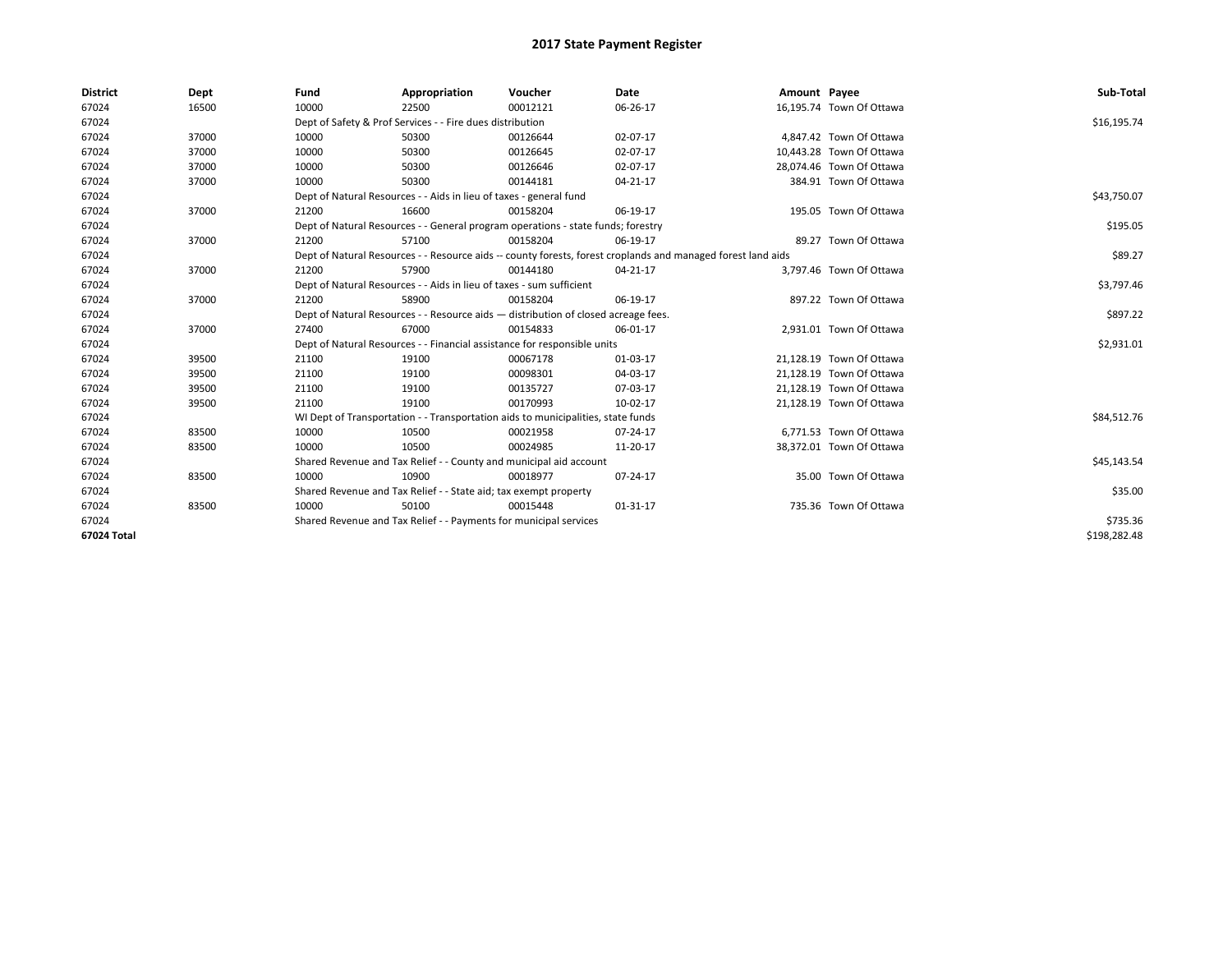| <b>District</b> | Dept  | Fund                                                                                                         | Appropriation                                                                    | Voucher     | Date     | Amount Payee |                          | Sub-Total    |
|-----------------|-------|--------------------------------------------------------------------------------------------------------------|----------------------------------------------------------------------------------|-------------|----------|--------------|--------------------------|--------------|
| 67024           | 16500 | 10000                                                                                                        | 22500                                                                            | 00012121    | 06-26-17 |              | 16,195.74 Town Of Ottawa |              |
| 67024           |       |                                                                                                              | Dept of Safety & Prof Services - - Fire dues distribution                        |             |          |              |                          | \$16,195.74  |
| 67024           | 37000 | 10000                                                                                                        | 50300                                                                            | 00126644    | 02-07-17 |              | 4,847.42 Town Of Ottawa  |              |
| 67024           | 37000 | 10000                                                                                                        | 50300                                                                            | 00126645    | 02-07-17 |              | 10,443.28 Town Of Ottawa |              |
| 67024           | 37000 | 10000                                                                                                        | 50300                                                                            | 00126646    | 02-07-17 |              | 28,074.46 Town Of Ottawa |              |
| 67024           | 37000 | 10000                                                                                                        | 50300                                                                            | 00144181    | 04-21-17 |              | 384.91 Town Of Ottawa    |              |
| 67024           |       | Dept of Natural Resources - - Aids in lieu of taxes - general fund                                           |                                                                                  | \$43,750.07 |          |              |                          |              |
| 67024           | 37000 | 21200                                                                                                        | 16600                                                                            | 00158204    | 06-19-17 |              | 195.05 Town Of Ottawa    |              |
| 67024           |       |                                                                                                              | Dept of Natural Resources - - General program operations - state funds; forestry |             |          |              |                          | \$195.05     |
| 67024           | 37000 | 21200                                                                                                        | 57100                                                                            | 00158204    | 06-19-17 |              | 89.27 Town Of Ottawa     |              |
| 67024           |       | Dept of Natural Resources - - Resource aids -- county forests, forest croplands and managed forest land aids |                                                                                  | \$89.27     |          |              |                          |              |
| 67024           | 37000 | 21200                                                                                                        | 57900                                                                            | 00144180    | 04-21-17 |              | 3,797.46 Town Of Ottawa  |              |
| 67024           |       | Dept of Natural Resources - - Aids in lieu of taxes - sum sufficient                                         |                                                                                  | \$3,797.46  |          |              |                          |              |
| 67024           | 37000 | 21200                                                                                                        | 58900                                                                            | 00158204    | 06-19-17 |              | 897.22 Town Of Ottawa    |              |
| 67024           |       | Dept of Natural Resources - - Resource aids - distribution of closed acreage fees.                           |                                                                                  | \$897.22    |          |              |                          |              |
| 67024           | 37000 | 27400                                                                                                        | 67000                                                                            | 00154833    | 06-01-17 |              | 2,931.01 Town Of Ottawa  |              |
| 67024           |       |                                                                                                              | Dept of Natural Resources - - Financial assistance for responsible units         |             |          |              |                          | \$2,931.01   |
| 67024           | 39500 | 21100                                                                                                        | 19100                                                                            | 00067178    | 01-03-17 |              | 21,128.19 Town Of Ottawa |              |
| 67024           | 39500 | 21100                                                                                                        | 19100                                                                            | 00098301    | 04-03-17 |              | 21,128.19 Town Of Ottawa |              |
| 67024           | 39500 | 21100                                                                                                        | 19100                                                                            | 00135727    | 07-03-17 |              | 21.128.19 Town Of Ottawa |              |
| 67024           | 39500 | 21100                                                                                                        | 19100                                                                            | 00170993    | 10-02-17 |              | 21,128.19 Town Of Ottawa |              |
| 67024           |       |                                                                                                              | WI Dept of Transportation - - Transportation aids to municipalities, state funds |             |          |              |                          | \$84,512.76  |
| 67024           | 83500 | 10000                                                                                                        | 10500                                                                            | 00021958    | 07-24-17 |              | 6,771.53 Town Of Ottawa  |              |
| 67024           | 83500 | 10000                                                                                                        | 10500                                                                            | 00024985    | 11-20-17 |              | 38,372.01 Town Of Ottawa |              |
| 67024           |       |                                                                                                              | Shared Revenue and Tax Relief - - County and municipal aid account               |             |          |              |                          | \$45,143.54  |
| 67024           | 83500 | 10000                                                                                                        | 10900                                                                            | 00018977    | 07-24-17 |              | 35.00 Town Of Ottawa     |              |
| 67024           |       |                                                                                                              | Shared Revenue and Tax Relief - - State aid; tax exempt property                 |             |          |              |                          | \$35.00      |
| 67024           | 83500 | 10000                                                                                                        | 50100                                                                            | 00015448    | 01-31-17 |              | 735.36 Town Of Ottawa    |              |
| 67024           |       | Shared Revenue and Tax Relief - - Payments for municipal services                                            |                                                                                  | \$735.36    |          |              |                          |              |
| 67024 Total     |       |                                                                                                              |                                                                                  |             |          |              |                          | \$198,282.48 |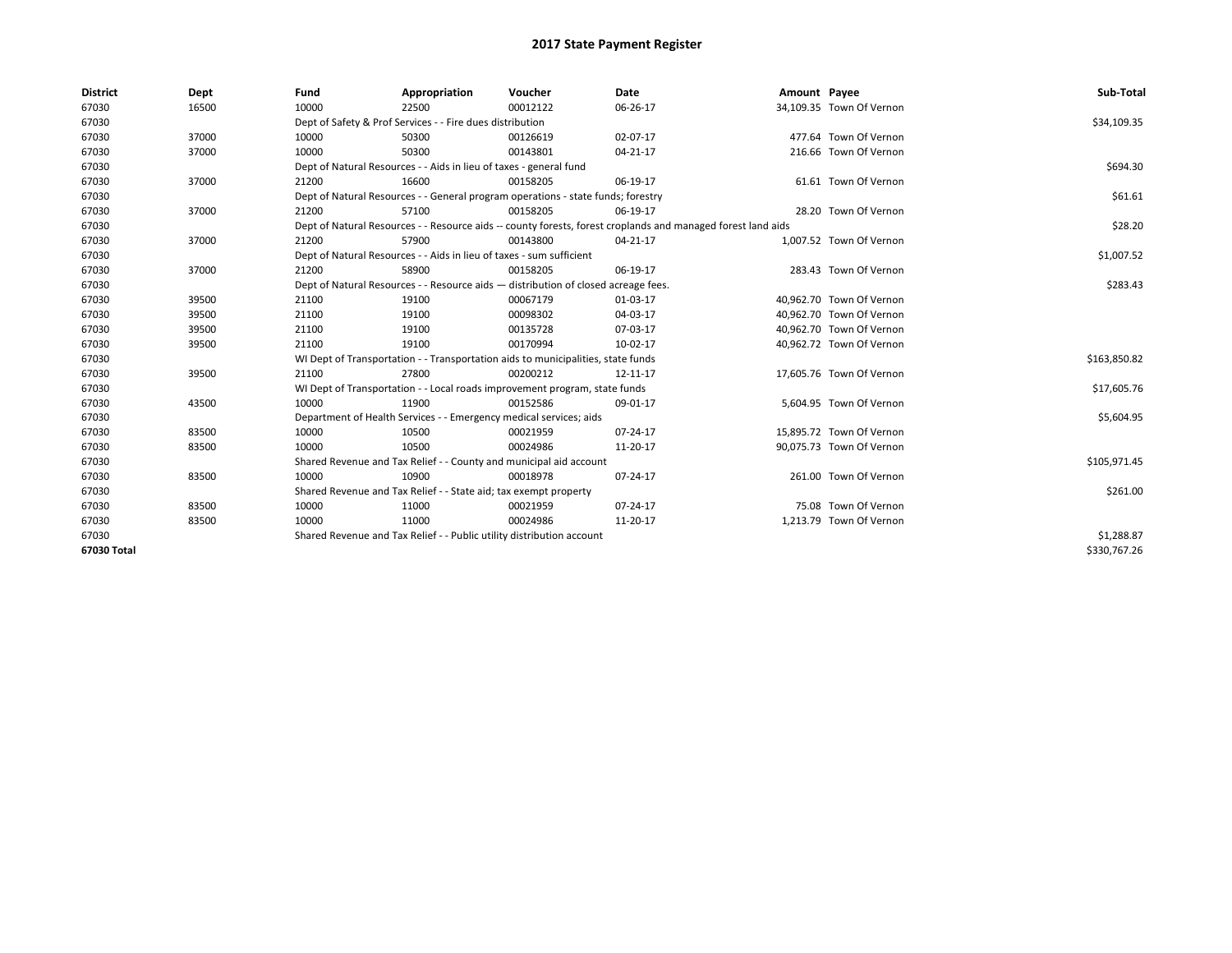| <b>District</b> | Dept  | Fund  | Appropriation                                                                                                | Voucher  | Date     | Amount Payee |                          | Sub-Total    |  |  |
|-----------------|-------|-------|--------------------------------------------------------------------------------------------------------------|----------|----------|--------------|--------------------------|--------------|--|--|
| 67030           | 16500 | 10000 | 22500                                                                                                        | 00012122 | 06-26-17 |              | 34,109.35 Town Of Vernon |              |  |  |
| 67030           |       |       | Dept of Safety & Prof Services - - Fire dues distribution                                                    |          |          |              |                          | \$34,109.35  |  |  |
| 67030           | 37000 | 10000 | 50300                                                                                                        | 00126619 | 02-07-17 |              | 477.64 Town Of Vernon    |              |  |  |
| 67030           | 37000 | 10000 | 50300                                                                                                        | 00143801 | 04-21-17 |              | 216.66 Town Of Vernon    |              |  |  |
| 67030           |       |       | Dept of Natural Resources - - Aids in lieu of taxes - general fund                                           |          |          |              |                          |              |  |  |
| 67030           | 37000 | 21200 | 16600                                                                                                        | 00158205 | 06-19-17 |              | 61.61 Town Of Vernon     |              |  |  |
| 67030           |       |       | Dept of Natural Resources - - General program operations - state funds; forestry                             |          |          |              |                          |              |  |  |
| 67030           | 37000 | 21200 | 57100                                                                                                        | 00158205 | 06-19-17 |              | 28.20 Town Of Vernon     |              |  |  |
| 67030           |       |       | Dept of Natural Resources - - Resource aids -- county forests, forest croplands and managed forest land aids |          |          |              |                          |              |  |  |
| 67030           | 37000 | 21200 | 57900                                                                                                        | 00143800 | 04-21-17 |              | 1,007.52 Town Of Vernon  |              |  |  |
| 67030           |       |       | Dept of Natural Resources - - Aids in lieu of taxes - sum sufficient                                         |          |          |              |                          | \$1,007.52   |  |  |
| 67030           | 37000 | 21200 | 58900                                                                                                        | 00158205 | 06-19-17 |              | 283.43 Town Of Vernon    |              |  |  |
| 67030           |       |       | Dept of Natural Resources - - Resource aids - distribution of closed acreage fees.                           |          |          |              |                          |              |  |  |
| 67030           | 39500 | 21100 | 19100                                                                                                        | 00067179 | 01-03-17 |              | 40,962.70 Town Of Vernon |              |  |  |
| 67030           | 39500 | 21100 | 19100                                                                                                        | 00098302 | 04-03-17 |              | 40,962.70 Town Of Vernon |              |  |  |
| 67030           | 39500 | 21100 | 19100                                                                                                        | 00135728 | 07-03-17 |              | 40.962.70 Town Of Vernon |              |  |  |
| 67030           | 39500 | 21100 | 19100                                                                                                        | 00170994 | 10-02-17 |              | 40,962.72 Town Of Vernon |              |  |  |
| 67030           |       |       | WI Dept of Transportation - - Transportation aids to municipalities, state funds                             |          |          |              |                          | \$163,850.82 |  |  |
| 67030           | 39500 | 21100 | 27800                                                                                                        | 00200212 | 12-11-17 |              | 17,605.76 Town Of Vernon |              |  |  |
| 67030           |       |       | WI Dept of Transportation - - Local roads improvement program, state funds                                   |          |          |              |                          | \$17,605.76  |  |  |
| 67030           | 43500 | 10000 | 11900                                                                                                        | 00152586 | 09-01-17 |              | 5,604.95 Town Of Vernon  |              |  |  |
| 67030           |       |       | Department of Health Services - - Emergency medical services; aids                                           |          |          |              |                          | \$5,604.95   |  |  |
| 67030           | 83500 | 10000 | 10500                                                                                                        | 00021959 | 07-24-17 |              | 15,895.72 Town Of Vernon |              |  |  |
| 67030           | 83500 | 10000 | 10500                                                                                                        | 00024986 | 11-20-17 |              | 90,075.73 Town Of Vernon |              |  |  |
| 67030           |       |       | Shared Revenue and Tax Relief - - County and municipal aid account                                           |          |          |              |                          | \$105,971.45 |  |  |
| 67030           | 83500 | 10000 | 10900                                                                                                        | 00018978 | 07-24-17 |              | 261.00 Town Of Vernon    |              |  |  |
| 67030           |       |       | Shared Revenue and Tax Relief - - State aid; tax exempt property                                             |          |          |              |                          | \$261.00     |  |  |
| 67030           | 83500 | 10000 | 11000                                                                                                        | 00021959 | 07-24-17 |              | 75.08 Town Of Vernon     |              |  |  |
| 67030           | 83500 | 10000 | 11000                                                                                                        | 00024986 | 11-20-17 |              | 1,213.79 Town Of Vernon  |              |  |  |
| 67030           |       |       | Shared Revenue and Tax Relief - - Public utility distribution account                                        |          |          |              |                          | \$1,288.87   |  |  |
| 67030 Total     |       |       |                                                                                                              |          |          |              |                          | \$330,767.26 |  |  |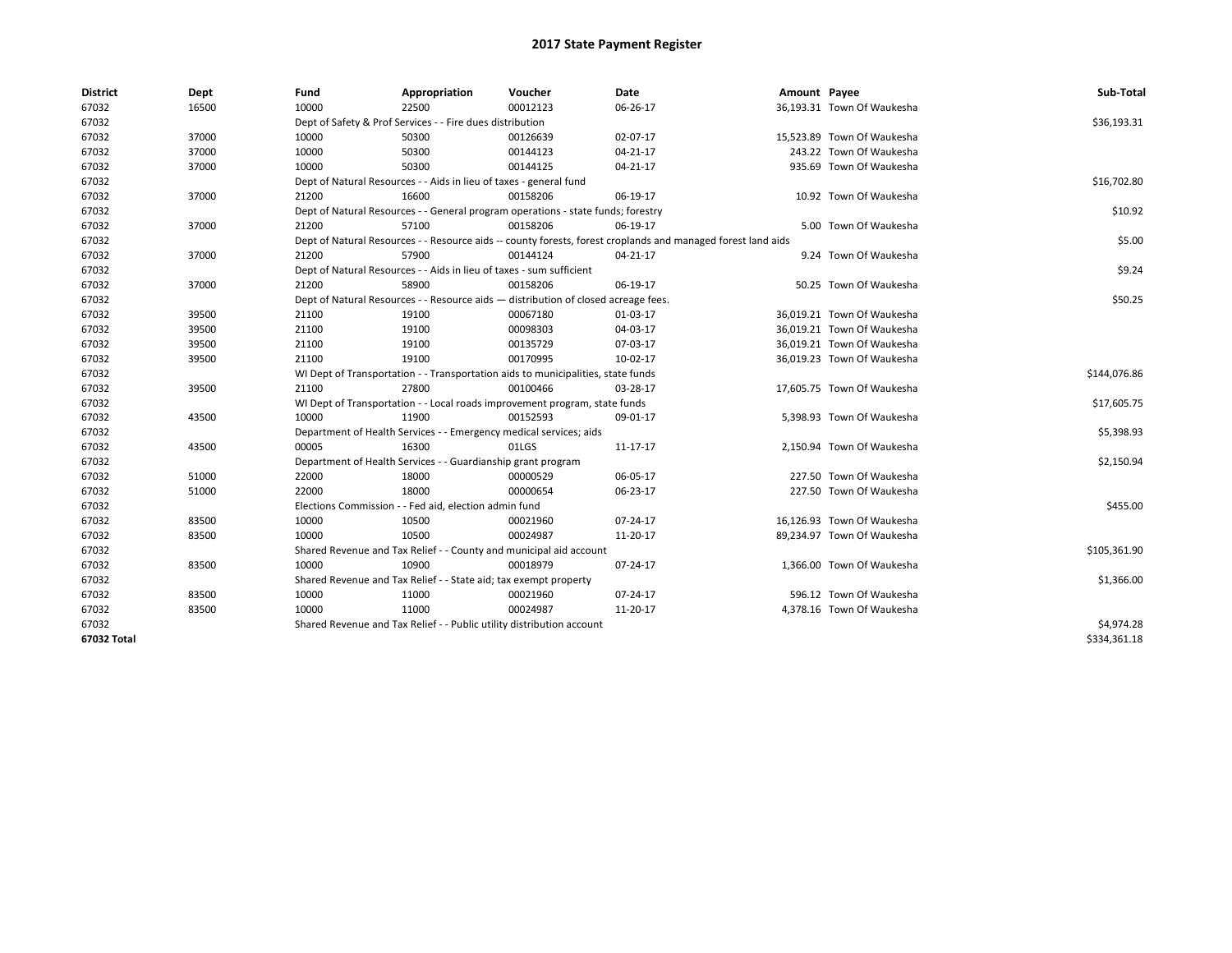| <b>District</b> | Dept  | Fund                                                                             | Appropriation                                                                      | Voucher      | Date                                                                                                         | Amount Payee |                            | Sub-Total    |  |  |
|-----------------|-------|----------------------------------------------------------------------------------|------------------------------------------------------------------------------------|--------------|--------------------------------------------------------------------------------------------------------------|--------------|----------------------------|--------------|--|--|
| 67032           | 16500 | 10000                                                                            | 22500                                                                              | 00012123     | 06-26-17                                                                                                     |              | 36,193.31 Town Of Waukesha |              |  |  |
| 67032           |       |                                                                                  | Dept of Safety & Prof Services - - Fire dues distribution                          |              |                                                                                                              |              |                            | \$36,193.31  |  |  |
| 67032           | 37000 | 10000                                                                            | 50300                                                                              | 00126639     | 02-07-17                                                                                                     |              | 15,523.89 Town Of Waukesha |              |  |  |
| 67032           | 37000 | 10000                                                                            | 50300                                                                              | 00144123     | 04-21-17                                                                                                     |              | 243.22 Town Of Waukesha    |              |  |  |
| 67032           | 37000 | 10000                                                                            | 50300                                                                              | 00144125     | $04 - 21 - 17$                                                                                               |              | 935.69 Town Of Waukesha    |              |  |  |
| 67032           |       |                                                                                  | Dept of Natural Resources - - Aids in lieu of taxes - general fund                 |              |                                                                                                              |              |                            |              |  |  |
| 67032           | 37000 | 21200                                                                            | 16600                                                                              | 00158206     | 06-19-17                                                                                                     |              | 10.92 Town Of Waukesha     |              |  |  |
| 67032           |       |                                                                                  | Dept of Natural Resources - - General program operations - state funds; forestry   |              |                                                                                                              |              |                            | \$10.92      |  |  |
| 67032           | 37000 | 21200                                                                            | 57100                                                                              | 00158206     | 06-19-17                                                                                                     |              | 5.00 Town Of Waukesha      |              |  |  |
| 67032           |       |                                                                                  |                                                                                    |              | Dept of Natural Resources - - Resource aids -- county forests, forest croplands and managed forest land aids |              |                            | \$5.00       |  |  |
| 67032           | 37000 | 21200                                                                            | 57900                                                                              | 00144124     | 04-21-17                                                                                                     |              | 9.24 Town Of Waukesha      |              |  |  |
| 67032           |       |                                                                                  | Dept of Natural Resources - - Aids in lieu of taxes - sum sufficient               |              |                                                                                                              |              |                            | \$9.24       |  |  |
| 67032           | 37000 | 21200                                                                            | 58900                                                                              | 00158206     | 06-19-17                                                                                                     |              | 50.25 Town Of Waukesha     |              |  |  |
| 67032           |       |                                                                                  | Dept of Natural Resources - - Resource aids - distribution of closed acreage fees. |              |                                                                                                              |              |                            | \$50.25      |  |  |
| 67032           | 39500 | 21100                                                                            | 19100                                                                              | 00067180     | 01-03-17                                                                                                     |              | 36,019.21 Town Of Waukesha |              |  |  |
| 67032           | 39500 | 21100                                                                            | 19100                                                                              | 00098303     | 04-03-17                                                                                                     |              | 36.019.21 Town Of Waukesha |              |  |  |
| 67032           | 39500 | 21100                                                                            | 19100                                                                              | 00135729     | 07-03-17                                                                                                     |              | 36.019.21 Town Of Waukesha |              |  |  |
| 67032           | 39500 | 21100                                                                            | 19100                                                                              | 00170995     | 10-02-17                                                                                                     |              | 36,019.23 Town Of Waukesha |              |  |  |
| 67032           |       | WI Dept of Transportation - - Transportation aids to municipalities, state funds |                                                                                    | \$144,076.86 |                                                                                                              |              |                            |              |  |  |
| 67032           | 39500 | 21100                                                                            | 27800                                                                              | 00100466     | 03-28-17                                                                                                     |              | 17,605.75 Town Of Waukesha |              |  |  |
| 67032           |       |                                                                                  | WI Dept of Transportation - - Local roads improvement program, state funds         |              |                                                                                                              |              |                            | \$17,605.75  |  |  |
| 67032           | 43500 | 10000                                                                            | 11900                                                                              | 00152593     | 09-01-17                                                                                                     |              | 5,398.93 Town Of Waukesha  |              |  |  |
| 67032           |       |                                                                                  | Department of Health Services - - Emergency medical services; aids                 |              |                                                                                                              |              |                            | \$5,398.93   |  |  |
| 67032           | 43500 | 00005                                                                            | 16300                                                                              | 01LGS        | 11-17-17                                                                                                     |              | 2,150.94 Town Of Waukesha  |              |  |  |
| 67032           |       |                                                                                  | Department of Health Services - - Guardianship grant program                       |              |                                                                                                              |              |                            | \$2,150.94   |  |  |
| 67032           | 51000 | 22000                                                                            | 18000                                                                              | 00000529     | 06-05-17                                                                                                     |              | 227.50 Town Of Waukesha    |              |  |  |
| 67032           | 51000 | 22000                                                                            | 18000                                                                              | 00000654     | 06-23-17                                                                                                     |              | 227.50 Town Of Waukesha    |              |  |  |
| 67032           |       |                                                                                  | Elections Commission - - Fed aid, election admin fund                              |              |                                                                                                              |              |                            | \$455.00     |  |  |
| 67032           | 83500 | 10000                                                                            | 10500                                                                              | 00021960     | 07-24-17                                                                                                     |              | 16,126.93 Town Of Waukesha |              |  |  |
| 67032           | 83500 | 10000                                                                            | 10500                                                                              | 00024987     | 11-20-17                                                                                                     |              | 89,234.97 Town Of Waukesha |              |  |  |
| 67032           |       |                                                                                  | Shared Revenue and Tax Relief - - County and municipal aid account                 |              |                                                                                                              |              |                            | \$105,361.90 |  |  |
| 67032           | 83500 | 10000                                                                            | 10900                                                                              | 00018979     | 07-24-17                                                                                                     |              | 1,366.00 Town Of Waukesha  |              |  |  |
| 67032           |       |                                                                                  | Shared Revenue and Tax Relief - - State aid; tax exempt property                   |              |                                                                                                              |              |                            | \$1,366.00   |  |  |
| 67032           | 83500 | 10000                                                                            | 11000                                                                              | 00021960     | 07-24-17                                                                                                     |              | 596.12 Town Of Waukesha    |              |  |  |
| 67032           | 83500 | 10000                                                                            | 11000                                                                              | 00024987     | 11-20-17                                                                                                     |              | 4,378.16 Town Of Waukesha  |              |  |  |
| 67032           |       |                                                                                  | Shared Revenue and Tax Relief - - Public utility distribution account              |              |                                                                                                              |              |                            | \$4,974.28   |  |  |
| 67032 Total     |       |                                                                                  |                                                                                    |              |                                                                                                              |              |                            | \$334,361.18 |  |  |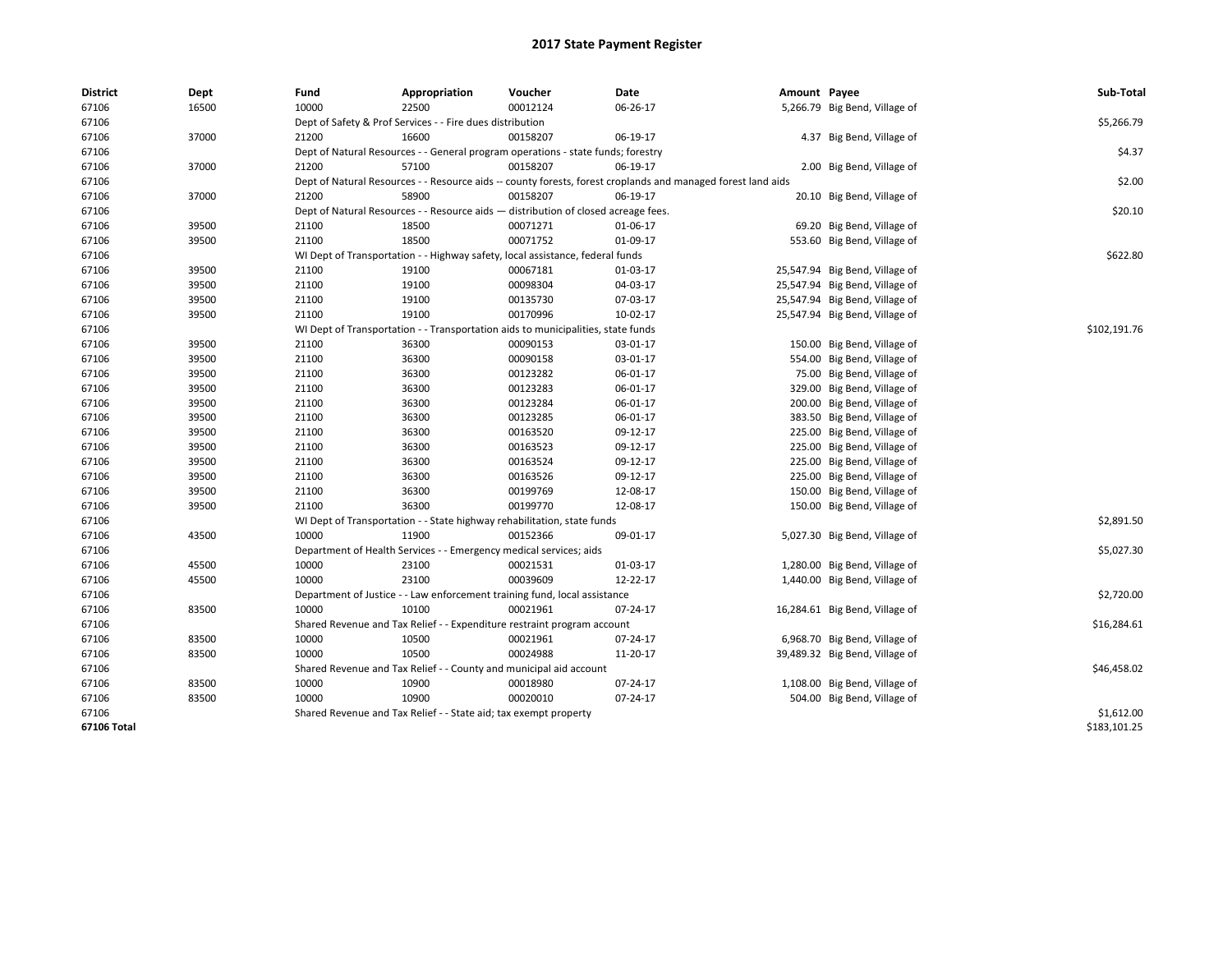| District    | Dept  | Fund                                                                          | Appropriation                                                                      | Voucher  | Date                                                                                                         | Amount Payee |                                | Sub-Total    |  |  |  |
|-------------|-------|-------------------------------------------------------------------------------|------------------------------------------------------------------------------------|----------|--------------------------------------------------------------------------------------------------------------|--------------|--------------------------------|--------------|--|--|--|
| 67106       | 16500 | 10000                                                                         | 22500                                                                              | 00012124 | 06-26-17                                                                                                     |              | 5,266.79 Big Bend, Village of  |              |  |  |  |
| 67106       |       |                                                                               | Dept of Safety & Prof Services - - Fire dues distribution                          |          |                                                                                                              |              |                                | \$5,266.79   |  |  |  |
| 67106       | 37000 | 21200                                                                         | 16600                                                                              | 00158207 | 06-19-17                                                                                                     |              | 4.37 Big Bend, Village of      |              |  |  |  |
| 67106       |       |                                                                               | Dept of Natural Resources - - General program operations - state funds; forestry   |          |                                                                                                              |              |                                | \$4.37       |  |  |  |
| 67106       | 37000 | 21200                                                                         | 57100                                                                              | 00158207 | 06-19-17                                                                                                     |              | 2.00 Big Bend, Village of      |              |  |  |  |
| 67106       |       |                                                                               |                                                                                    |          | Dept of Natural Resources - - Resource aids -- county forests, forest croplands and managed forest land aids |              |                                | \$2.00       |  |  |  |
| 67106       | 37000 | 21200                                                                         | 58900                                                                              | 00158207 | 06-19-17                                                                                                     |              | 20.10 Big Bend, Village of     |              |  |  |  |
| 67106       |       |                                                                               | Dept of Natural Resources - - Resource aids - distribution of closed acreage fees. |          |                                                                                                              |              |                                | \$20.10      |  |  |  |
| 67106       | 39500 | 21100                                                                         | 18500                                                                              | 00071271 | 01-06-17                                                                                                     |              | 69.20 Big Bend, Village of     |              |  |  |  |
| 67106       | 39500 | 21100                                                                         | 18500                                                                              | 00071752 | 01-09-17                                                                                                     |              | 553.60 Big Bend, Village of    |              |  |  |  |
| 67106       |       | WI Dept of Transportation - - Highway safety, local assistance, federal funds |                                                                                    | \$622.80 |                                                                                                              |              |                                |              |  |  |  |
| 67106       | 39500 | 21100                                                                         | 19100                                                                              | 00067181 | 01-03-17                                                                                                     |              | 25,547.94 Big Bend, Village of |              |  |  |  |
| 67106       | 39500 | 21100                                                                         | 19100                                                                              | 00098304 | 04-03-17                                                                                                     |              | 25,547.94 Big Bend, Village of |              |  |  |  |
| 67106       | 39500 | 21100                                                                         | 19100                                                                              | 00135730 | 07-03-17                                                                                                     |              | 25,547.94 Big Bend, Village of |              |  |  |  |
| 67106       | 39500 | 21100                                                                         | 19100                                                                              | 00170996 | 10-02-17                                                                                                     |              | 25,547.94 Big Bend, Village of |              |  |  |  |
| 67106       |       |                                                                               | WI Dept of Transportation - - Transportation aids to municipalities, state funds   |          |                                                                                                              |              |                                |              |  |  |  |
| 67106       | 39500 | 21100                                                                         | 36300                                                                              | 00090153 | 03-01-17                                                                                                     |              | 150.00 Big Bend, Village of    |              |  |  |  |
| 67106       | 39500 | 21100                                                                         | 36300                                                                              | 00090158 | 03-01-17                                                                                                     |              | 554.00 Big Bend, Village of    |              |  |  |  |
| 67106       | 39500 | 21100                                                                         | 36300                                                                              | 00123282 | 06-01-17                                                                                                     |              | 75.00 Big Bend, Village of     |              |  |  |  |
| 67106       | 39500 | 21100                                                                         | 36300                                                                              | 00123283 | 06-01-17                                                                                                     |              | 329.00 Big Bend, Village of    |              |  |  |  |
| 67106       | 39500 | 21100                                                                         | 36300                                                                              | 00123284 | 06-01-17                                                                                                     |              | 200.00 Big Bend, Village of    |              |  |  |  |
| 67106       | 39500 | 21100                                                                         | 36300                                                                              | 00123285 | 06-01-17                                                                                                     |              | 383.50 Big Bend, Village of    |              |  |  |  |
| 67106       | 39500 | 21100                                                                         | 36300                                                                              | 00163520 | 09-12-17                                                                                                     |              | 225.00 Big Bend, Village of    |              |  |  |  |
| 67106       | 39500 | 21100                                                                         | 36300                                                                              | 00163523 | 09-12-17                                                                                                     |              | 225.00 Big Bend, Village of    |              |  |  |  |
| 67106       | 39500 | 21100                                                                         | 36300                                                                              | 00163524 | 09-12-17                                                                                                     |              | 225.00 Big Bend, Village of    |              |  |  |  |
| 67106       | 39500 | 21100                                                                         | 36300                                                                              | 00163526 | 09-12-17                                                                                                     |              | 225.00 Big Bend, Village of    |              |  |  |  |
| 67106       | 39500 | 21100                                                                         | 36300                                                                              | 00199769 | 12-08-17                                                                                                     |              | 150.00 Big Bend, Village of    |              |  |  |  |
| 67106       | 39500 | 21100                                                                         | 36300                                                                              | 00199770 | 12-08-17                                                                                                     |              | 150.00 Big Bend, Village of    |              |  |  |  |
| 67106       |       |                                                                               | WI Dept of Transportation - - State highway rehabilitation, state funds            |          |                                                                                                              |              |                                | \$2,891.50   |  |  |  |
| 67106       | 43500 | 10000                                                                         | 11900                                                                              | 00152366 | 09-01-17                                                                                                     |              | 5,027.30 Big Bend, Village of  |              |  |  |  |
| 67106       |       |                                                                               | Department of Health Services - - Emergency medical services; aids                 |          |                                                                                                              |              |                                | \$5,027.30   |  |  |  |
| 67106       | 45500 | 10000                                                                         | 23100                                                                              | 00021531 | 01-03-17                                                                                                     |              | 1,280.00 Big Bend, Village of  |              |  |  |  |
| 67106       | 45500 | 10000                                                                         | 23100                                                                              | 00039609 | 12-22-17                                                                                                     |              | 1,440.00 Big Bend, Village of  |              |  |  |  |
| 67106       |       |                                                                               | Department of Justice - - Law enforcement training fund, local assistance          |          |                                                                                                              |              |                                | \$2,720.00   |  |  |  |
| 67106       | 83500 | 10000                                                                         | 10100                                                                              | 00021961 | 07-24-17                                                                                                     |              | 16,284.61 Big Bend, Village of |              |  |  |  |
| 67106       |       |                                                                               | Shared Revenue and Tax Relief - - Expenditure restraint program account            |          |                                                                                                              |              |                                | \$16,284.61  |  |  |  |
| 67106       | 83500 | 10000                                                                         | 10500                                                                              | 00021961 | 07-24-17                                                                                                     |              | 6,968.70 Big Bend, Village of  |              |  |  |  |
| 67106       | 83500 | 10000                                                                         | 10500                                                                              | 00024988 | 11-20-17                                                                                                     |              | 39,489.32 Big Bend, Village of |              |  |  |  |
| 67106       |       |                                                                               | Shared Revenue and Tax Relief - - County and municipal aid account                 |          |                                                                                                              |              |                                | \$46,458.02  |  |  |  |
| 67106       | 83500 | 10000                                                                         | 10900                                                                              | 00018980 | 07-24-17                                                                                                     |              | 1,108.00 Big Bend, Village of  |              |  |  |  |
| 67106       | 83500 | 10000                                                                         | 10900                                                                              | 00020010 | 07-24-17                                                                                                     |              | 504.00 Big Bend, Village of    |              |  |  |  |
| 67106       |       |                                                                               | Shared Revenue and Tax Relief - - State aid; tax exempt property                   |          |                                                                                                              |              |                                | \$1,612.00   |  |  |  |
| 67106 Total |       |                                                                               |                                                                                    |          |                                                                                                              |              |                                | \$183,101.25 |  |  |  |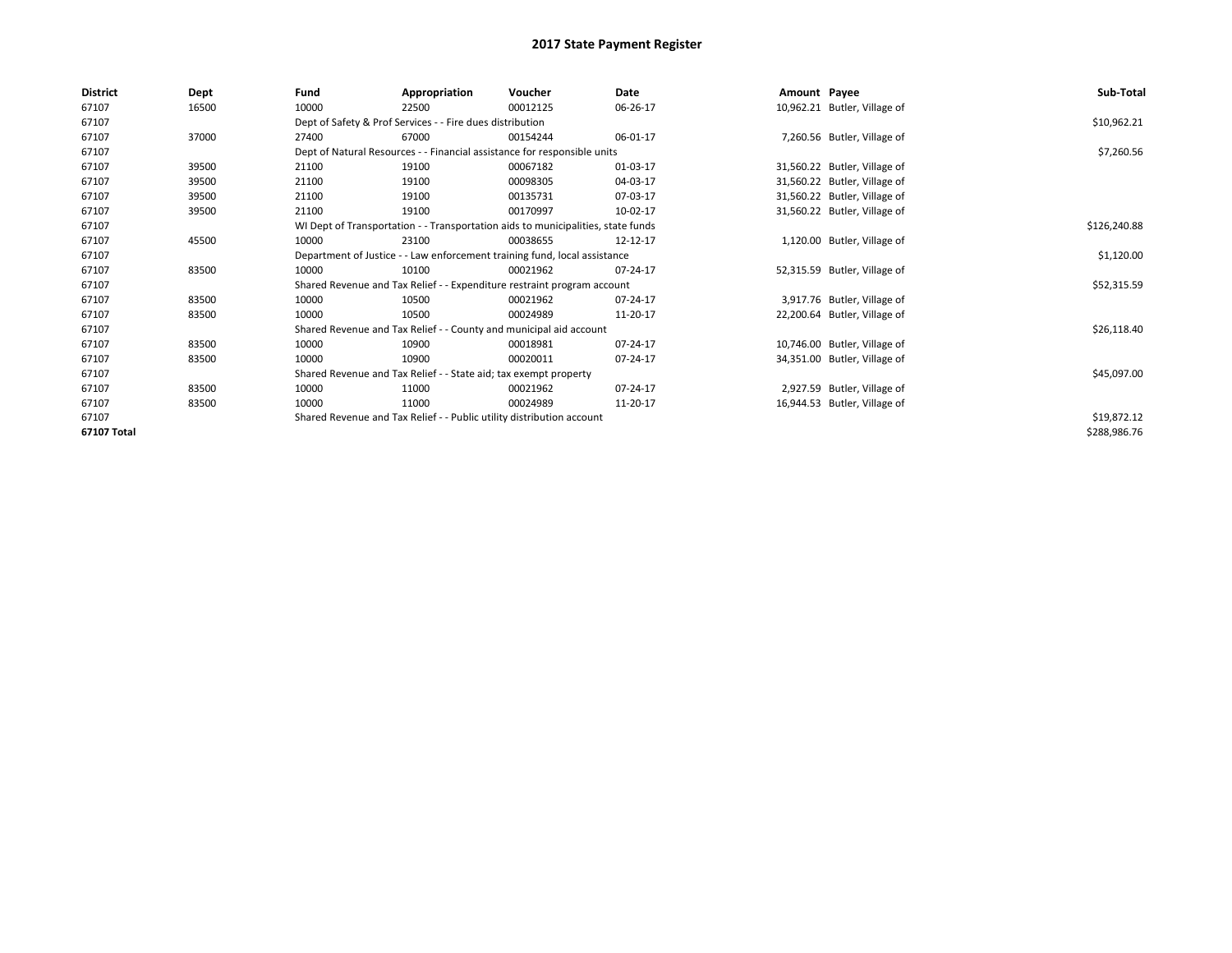| <b>District</b> | Dept  | Fund                                                                             | Appropriation                                                            | Voucher                                                                 | Date     |  | Amount Payee                 | Sub-Total    |  |  |
|-----------------|-------|----------------------------------------------------------------------------------|--------------------------------------------------------------------------|-------------------------------------------------------------------------|----------|--|------------------------------|--------------|--|--|
| 67107           | 16500 | 10000                                                                            | 22500                                                                    | 00012125                                                                | 06-26-17 |  | 10,962.21 Butler, Village of |              |  |  |
| 67107           |       |                                                                                  | Dept of Safety & Prof Services - - Fire dues distribution                |                                                                         |          |  |                              | \$10,962.21  |  |  |
| 67107           | 37000 | 27400                                                                            | 67000                                                                    | 00154244                                                                | 06-01-17 |  | 7,260.56 Butler, Village of  |              |  |  |
| 67107           |       |                                                                                  | Dept of Natural Resources - - Financial assistance for responsible units |                                                                         |          |  |                              |              |  |  |
| 67107           | 39500 | 21100                                                                            | 19100                                                                    | 00067182                                                                | 01-03-17 |  | 31,560.22 Butler, Village of |              |  |  |
| 67107           | 39500 | 21100                                                                            | 19100                                                                    | 00098305                                                                | 04-03-17 |  | 31,560.22 Butler, Village of |              |  |  |
| 67107           | 39500 | 21100                                                                            | 19100                                                                    | 00135731                                                                | 07-03-17 |  | 31,560.22 Butler, Village of |              |  |  |
| 67107           | 39500 | 21100                                                                            | 19100                                                                    | 00170997                                                                | 10-02-17 |  | 31,560.22 Butler, Village of |              |  |  |
| 67107           |       | WI Dept of Transportation - - Transportation aids to municipalities, state funds |                                                                          | \$126,240.88                                                            |          |  |                              |              |  |  |
| 67107           | 45500 | 10000                                                                            | 23100                                                                    | 00038655                                                                | 12-12-17 |  | 1,120.00 Butler, Village of  |              |  |  |
| 67107           |       | Department of Justice - - Law enforcement training fund, local assistance        |                                                                          | \$1,120.00                                                              |          |  |                              |              |  |  |
| 67107           | 83500 | 10000                                                                            | 10100                                                                    | 00021962                                                                | 07-24-17 |  | 52,315.59 Butler, Village of |              |  |  |
| 67107           |       |                                                                                  |                                                                          | Shared Revenue and Tax Relief - - Expenditure restraint program account |          |  |                              | \$52,315.59  |  |  |
| 67107           | 83500 | 10000                                                                            | 10500                                                                    | 00021962                                                                | 07-24-17 |  | 3,917.76 Butler, Village of  |              |  |  |
| 67107           | 83500 | 10000                                                                            | 10500                                                                    | 00024989                                                                | 11-20-17 |  | 22,200.64 Butler, Village of |              |  |  |
| 67107           |       |                                                                                  |                                                                          | Shared Revenue and Tax Relief - - County and municipal aid account      |          |  |                              | \$26,118.40  |  |  |
| 67107           | 83500 | 10000                                                                            | 10900                                                                    | 00018981                                                                | 07-24-17 |  | 10,746.00 Butler, Village of |              |  |  |
| 67107           | 83500 | 10000                                                                            | 10900                                                                    | 00020011                                                                | 07-24-17 |  | 34,351.00 Butler, Village of |              |  |  |
| 67107           |       |                                                                                  | Shared Revenue and Tax Relief - - State aid; tax exempt property         |                                                                         |          |  |                              | \$45,097.00  |  |  |
| 67107           | 83500 | 10000                                                                            | 11000                                                                    | 00021962                                                                | 07-24-17 |  | 2,927.59 Butler, Village of  |              |  |  |
| 67107           | 83500 | 10000                                                                            | 11000                                                                    | 00024989                                                                | 11-20-17 |  | 16,944.53 Butler, Village of |              |  |  |
| 67107           |       | Shared Revenue and Tax Relief - - Public utility distribution account            |                                                                          | \$19,872.12                                                             |          |  |                              |              |  |  |
| 67107 Total     |       |                                                                                  |                                                                          |                                                                         |          |  |                              | \$288,986.76 |  |  |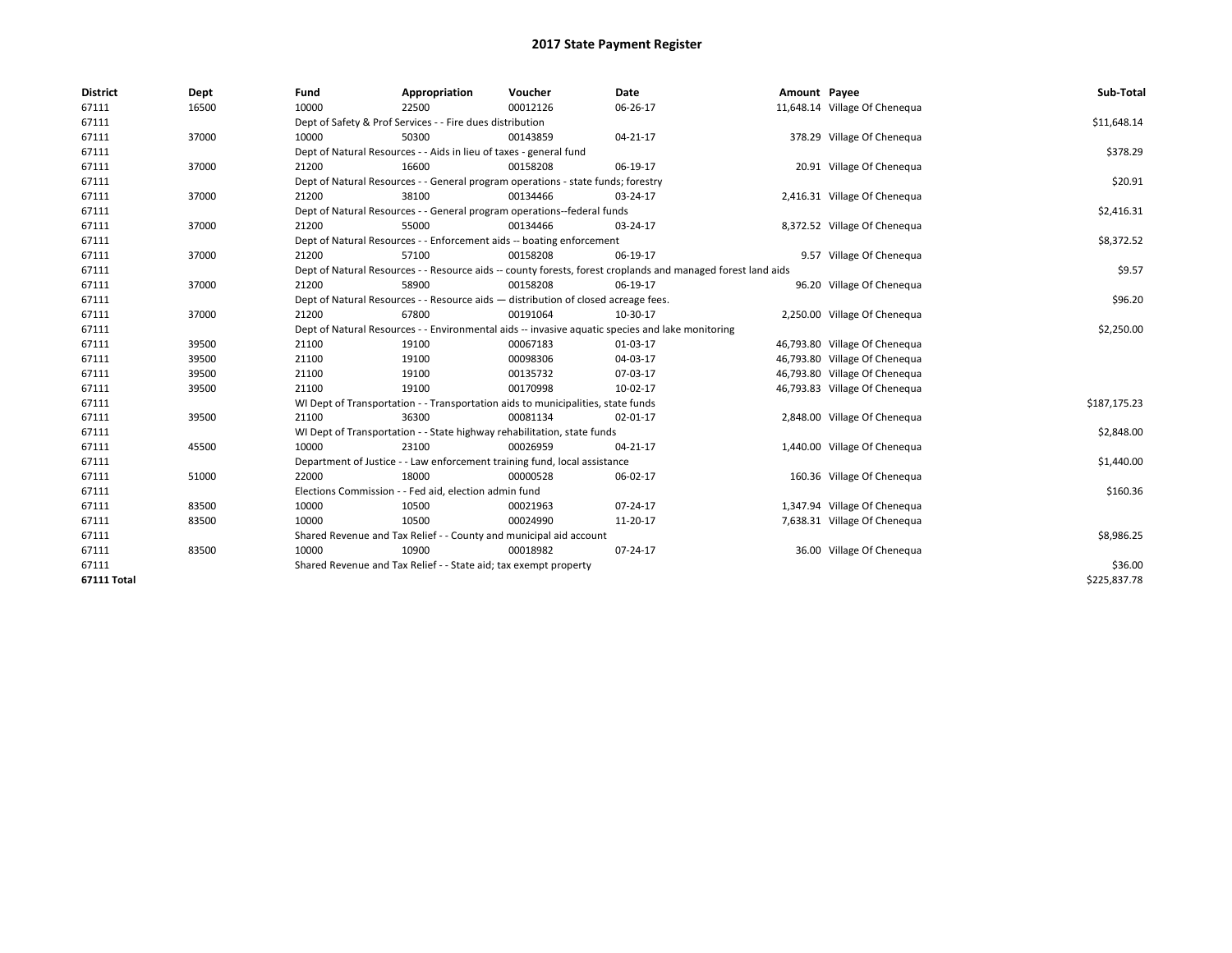| <b>District</b>    | Dept  | Fund                                                                                             | Appropriation                                                                    | Voucher  | <b>Date</b>                                                                                                  | Amount Payee |                               | Sub-Total    |
|--------------------|-------|--------------------------------------------------------------------------------------------------|----------------------------------------------------------------------------------|----------|--------------------------------------------------------------------------------------------------------------|--------------|-------------------------------|--------------|
| 67111              | 16500 | 10000                                                                                            | 22500                                                                            | 00012126 | 06-26-17                                                                                                     |              | 11,648.14 Village Of Chenequa |              |
| 67111              |       |                                                                                                  | Dept of Safety & Prof Services - - Fire dues distribution                        |          |                                                                                                              |              |                               | \$11,648.14  |
| 67111              | 37000 | 10000                                                                                            | 50300                                                                            | 00143859 | 04-21-17                                                                                                     |              | 378.29 Village Of Chenequa    |              |
| 67111              |       |                                                                                                  | Dept of Natural Resources - - Aids in lieu of taxes - general fund               |          |                                                                                                              |              |                               | \$378.29     |
| 67111              | 37000 | 21200                                                                                            | 16600                                                                            | 00158208 | 06-19-17                                                                                                     |              | 20.91 Village Of Chenequa     |              |
| 67111              |       |                                                                                                  | Dept of Natural Resources - - General program operations - state funds; forestry |          |                                                                                                              |              |                               | \$20.91      |
| 67111              | 37000 | 21200                                                                                            | 38100                                                                            | 00134466 | 03-24-17                                                                                                     |              | 2,416.31 Village Of Chenequa  |              |
| 67111              |       |                                                                                                  | Dept of Natural Resources - - General program operations--federal funds          |          |                                                                                                              |              |                               | \$2,416.31   |
| 67111              | 37000 | 21200                                                                                            | 55000                                                                            | 00134466 | 03-24-17                                                                                                     |              | 8,372.52 Village Of Chenequa  |              |
| 67111              |       |                                                                                                  | Dept of Natural Resources - - Enforcement aids -- boating enforcement            |          |                                                                                                              |              |                               | \$8,372.52   |
| 67111              | 37000 | 21200                                                                                            | 57100                                                                            | 00158208 | 06-19-17                                                                                                     |              | 9.57 Village Of Chenequa      |              |
| 67111              |       |                                                                                                  |                                                                                  |          | Dept of Natural Resources - - Resource aids -- county forests, forest croplands and managed forest land aids |              |                               | \$9.57       |
| 67111              | 37000 | 21200                                                                                            | 58900                                                                            | 00158208 | 06-19-17                                                                                                     |              | 96.20 Village Of Chenequa     |              |
| 67111              |       | Dept of Natural Resources - - Resource aids - distribution of closed acreage fees.               | \$96.20                                                                          |          |                                                                                                              |              |                               |              |
| 67111              | 37000 | 21200                                                                                            | 67800                                                                            | 00191064 | 10-30-17                                                                                                     |              | 2,250.00 Village Of Chenequa  |              |
| 67111              |       | Dept of Natural Resources - - Environmental aids -- invasive aquatic species and lake monitoring | \$2,250.00                                                                       |          |                                                                                                              |              |                               |              |
| 67111              | 39500 | 21100                                                                                            | 19100                                                                            | 00067183 | 01-03-17                                                                                                     |              | 46,793.80 Village Of Chenequa |              |
| 67111              | 39500 | 21100                                                                                            | 19100                                                                            | 00098306 | 04-03-17                                                                                                     |              | 46,793.80 Village Of Chenequa |              |
| 67111              | 39500 | 21100                                                                                            | 19100                                                                            | 00135732 | 07-03-17                                                                                                     |              | 46,793.80 Village Of Chenequa |              |
| 67111              | 39500 | 21100                                                                                            | 19100                                                                            | 00170998 | 10-02-17                                                                                                     |              | 46,793.83 Village Of Chenequa |              |
| 67111              |       |                                                                                                  | WI Dept of Transportation - - Transportation aids to municipalities, state funds |          |                                                                                                              |              |                               | \$187,175.23 |
| 67111              | 39500 | 21100                                                                                            | 36300                                                                            | 00081134 | 02-01-17                                                                                                     |              | 2,848.00 Village Of Chenequa  |              |
| 67111              |       |                                                                                                  | WI Dept of Transportation - - State highway rehabilitation, state funds          |          |                                                                                                              |              |                               | \$2,848.00   |
| 67111              | 45500 | 10000                                                                                            | 23100                                                                            | 00026959 | 04-21-17                                                                                                     |              | 1,440.00 Village Of Chenequa  |              |
| 67111              |       |                                                                                                  | Department of Justice - - Law enforcement training fund, local assistance        |          |                                                                                                              |              |                               | \$1,440.00   |
| 67111              | 51000 | 22000                                                                                            | 18000                                                                            | 00000528 | 06-02-17                                                                                                     |              | 160.36 Village Of Chenequa    |              |
| 67111              |       |                                                                                                  | Elections Commission - - Fed aid, election admin fund                            |          |                                                                                                              |              |                               | \$160.36     |
| 67111              | 83500 | 10000                                                                                            | 10500                                                                            | 00021963 | 07-24-17                                                                                                     |              | 1,347.94 Village Of Chenequa  |              |
| 67111              | 83500 | 10000                                                                                            | 10500                                                                            | 00024990 | 11-20-17                                                                                                     |              | 7,638.31 Village Of Chenequa  |              |
| 67111              |       |                                                                                                  | Shared Revenue and Tax Relief - - County and municipal aid account               |          |                                                                                                              |              |                               | \$8,986.25   |
| 67111              | 83500 | 10000                                                                                            | 10900                                                                            | 00018982 | 07-24-17                                                                                                     |              | 36.00 Village Of Chenequa     |              |
| 67111              |       |                                                                                                  | Shared Revenue and Tax Relief - - State aid; tax exempt property                 |          |                                                                                                              |              |                               | \$36.00      |
| <b>67111 Total</b> |       |                                                                                                  |                                                                                  |          |                                                                                                              |              |                               | \$225,837.78 |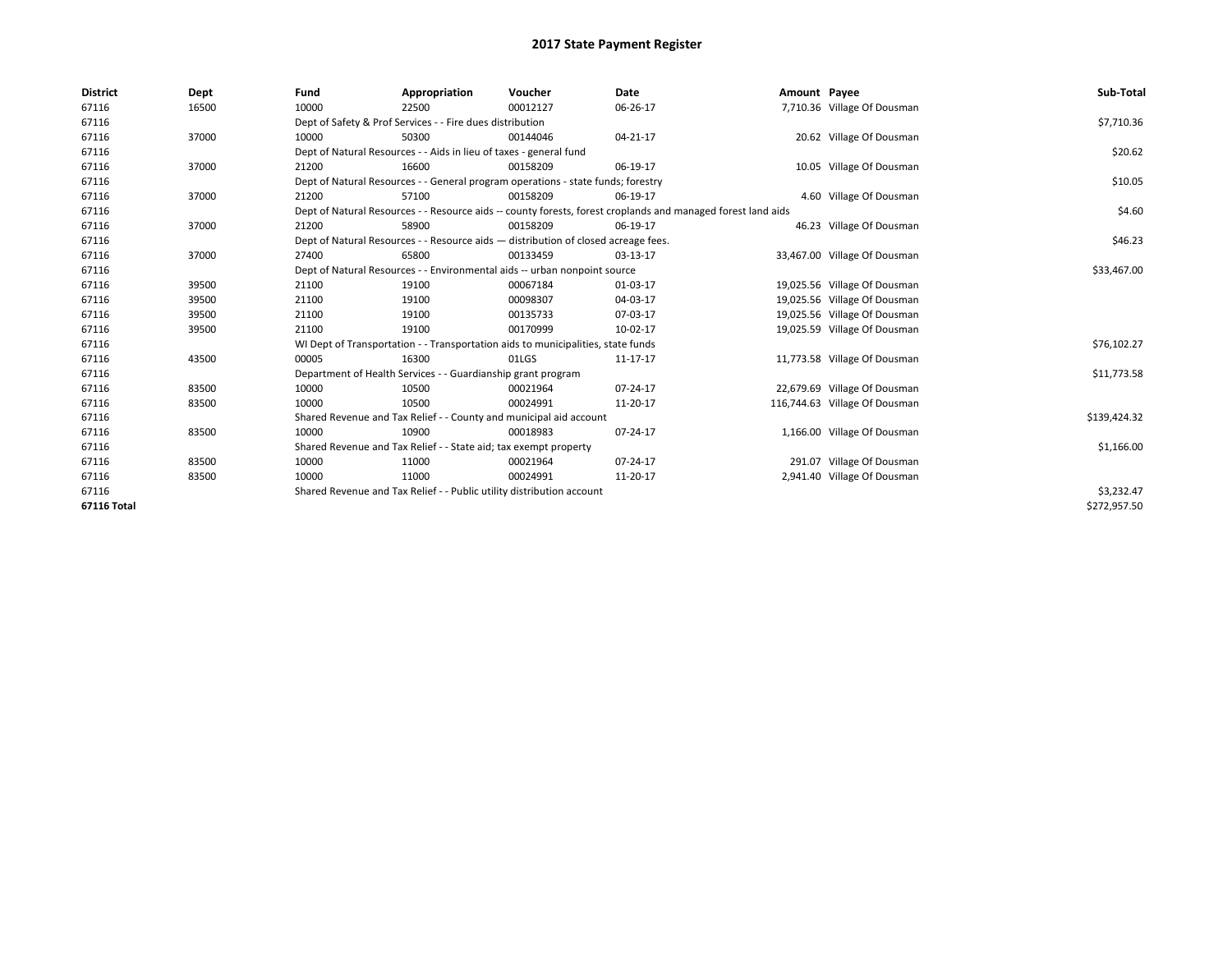| <b>District</b>    | Dept  | Fund                                                                                                         | Appropriation                                                                    | Voucher     | Date     | Amount Payee |                               | Sub-Total    |
|--------------------|-------|--------------------------------------------------------------------------------------------------------------|----------------------------------------------------------------------------------|-------------|----------|--------------|-------------------------------|--------------|
| 67116              | 16500 | 10000                                                                                                        | 22500                                                                            | 00012127    | 06-26-17 |              | 7,710.36 Village Of Dousman   |              |
| 67116              |       |                                                                                                              | Dept of Safety & Prof Services - - Fire dues distribution                        |             |          |              |                               | \$7,710.36   |
| 67116              | 37000 | 10000                                                                                                        | 50300                                                                            | 00144046    | 04-21-17 |              | 20.62 Village Of Dousman      |              |
| 67116              |       | Dept of Natural Resources - - Aids in lieu of taxes - general fund                                           |                                                                                  | \$20.62     |          |              |                               |              |
| 67116              | 37000 | 21200                                                                                                        | 16600                                                                            | 00158209    | 06-19-17 |              | 10.05 Village Of Dousman      |              |
| 67116              |       | Dept of Natural Resources - - General program operations - state funds; forestry                             |                                                                                  | \$10.05     |          |              |                               |              |
| 67116              | 37000 | 21200                                                                                                        | 57100                                                                            | 00158209    | 06-19-17 |              | 4.60 Village Of Dousman       |              |
| 67116              |       | Dept of Natural Resources - - Resource aids -- county forests, forest croplands and managed forest land aids |                                                                                  | \$4.60      |          |              |                               |              |
| 67116              | 37000 | 21200                                                                                                        | 58900                                                                            | 00158209    | 06-19-17 |              | 46.23 Village Of Dousman      |              |
| 67116              |       | Dept of Natural Resources - - Resource aids - distribution of closed acreage fees.                           |                                                                                  | \$46.23     |          |              |                               |              |
| 67116              | 37000 | 27400                                                                                                        | 65800                                                                            | 00133459    | 03-13-17 |              | 33,467.00 Village Of Dousman  |              |
| 67116              |       | Dept of Natural Resources - - Environmental aids -- urban nonpoint source                                    |                                                                                  | \$33,467.00 |          |              |                               |              |
| 67116              | 39500 | 21100                                                                                                        | 19100                                                                            | 00067184    | 01-03-17 |              | 19,025.56 Village Of Dousman  |              |
| 67116              | 39500 | 21100                                                                                                        | 19100                                                                            | 00098307    | 04-03-17 |              | 19,025.56 Village Of Dousman  |              |
| 67116              | 39500 | 21100                                                                                                        | 19100                                                                            | 00135733    | 07-03-17 |              | 19,025.56 Village Of Dousman  |              |
| 67116              | 39500 | 21100                                                                                                        | 19100                                                                            | 00170999    | 10-02-17 |              | 19,025.59 Village Of Dousman  |              |
| 67116              |       |                                                                                                              | WI Dept of Transportation - - Transportation aids to municipalities, state funds |             |          |              |                               | \$76,102.27  |
| 67116              | 43500 | 00005                                                                                                        | 16300                                                                            | 01LGS       | 11-17-17 |              | 11,773.58 Village Of Dousman  |              |
| 67116              |       |                                                                                                              | Department of Health Services - - Guardianship grant program                     |             |          |              |                               | \$11,773.58  |
| 67116              | 83500 | 10000                                                                                                        | 10500                                                                            | 00021964    | 07-24-17 |              | 22,679.69 Village Of Dousman  |              |
| 67116              | 83500 | 10000                                                                                                        | 10500                                                                            | 00024991    | 11-20-17 |              | 116,744.63 Village Of Dousman |              |
| 67116              |       |                                                                                                              | Shared Revenue and Tax Relief - - County and municipal aid account               |             |          |              |                               | \$139,424.32 |
| 67116              | 83500 | 10000                                                                                                        | 10900                                                                            | 00018983    | 07-24-17 |              | 1,166.00 Village Of Dousman   |              |
| 67116              |       |                                                                                                              | Shared Revenue and Tax Relief - - State aid; tax exempt property                 |             |          |              |                               | \$1,166.00   |
| 67116              | 83500 | 10000                                                                                                        | 11000                                                                            | 00021964    | 07-24-17 |              | 291.07 Village Of Dousman     |              |
| 67116              | 83500 | 10000                                                                                                        | 11000                                                                            | 00024991    | 11-20-17 |              | 2,941.40 Village Of Dousman   |              |
| 67116              |       |                                                                                                              | Shared Revenue and Tax Relief - - Public utility distribution account            |             |          |              |                               | \$3,232.47   |
| <b>67116 Total</b> |       |                                                                                                              |                                                                                  |             |          |              |                               | \$272,957.50 |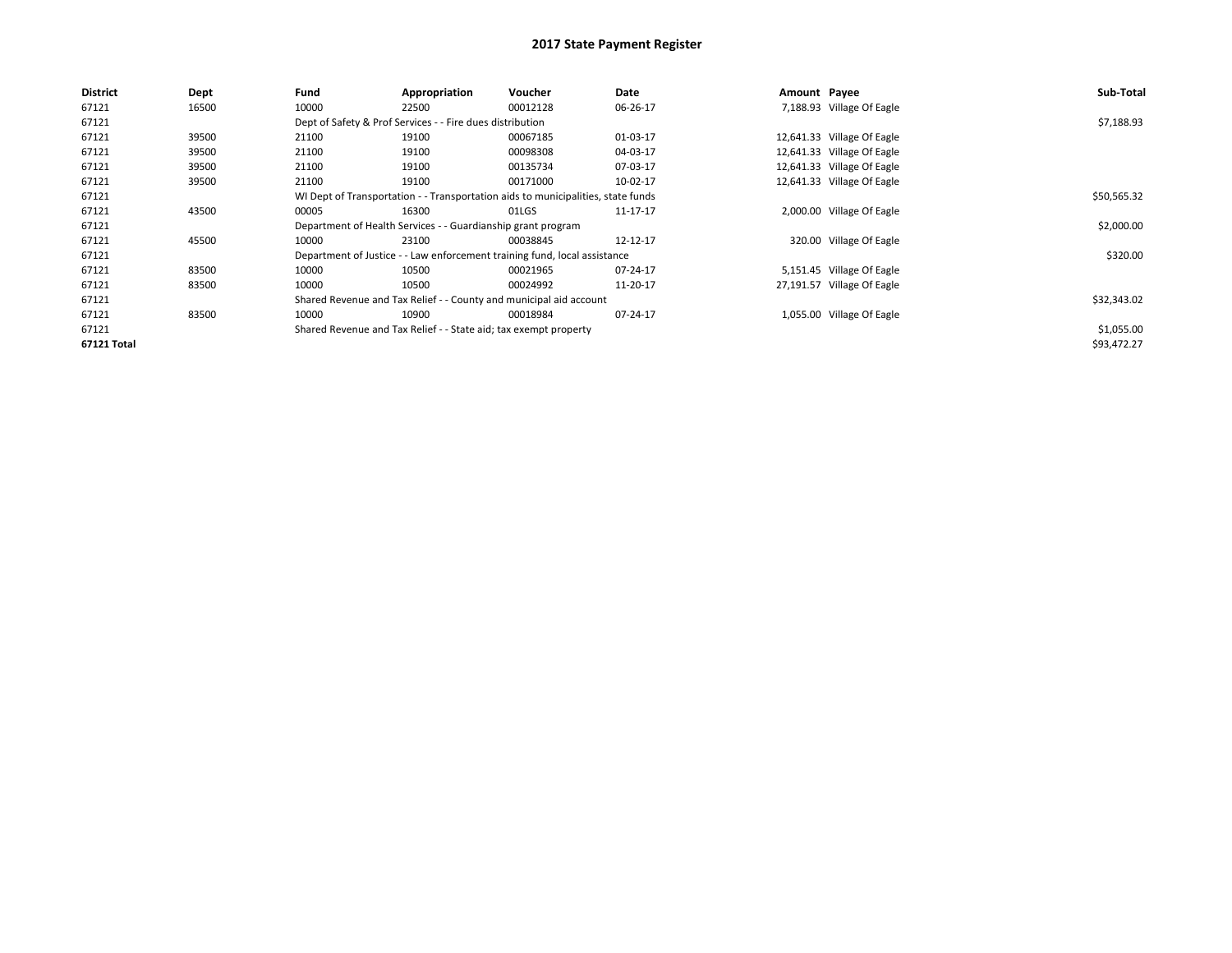| <b>District</b> | Dept  | Fund                                                                             | Appropriation                                                    | Voucher                                                                   | Date     | Amount Payee |                            | Sub-Total   |
|-----------------|-------|----------------------------------------------------------------------------------|------------------------------------------------------------------|---------------------------------------------------------------------------|----------|--------------|----------------------------|-------------|
| 67121           | 16500 | 10000                                                                            | 22500                                                            | 00012128                                                                  | 06-26-17 |              | 7,188.93 Village Of Eagle  |             |
| 67121           |       |                                                                                  | Dept of Safety & Prof Services - - Fire dues distribution        |                                                                           |          |              |                            | \$7,188.93  |
| 67121           | 39500 | 21100                                                                            | 19100                                                            | 00067185                                                                  | 01-03-17 |              | 12,641.33 Village Of Eagle |             |
| 67121           | 39500 | 21100                                                                            | 19100                                                            | 00098308                                                                  | 04-03-17 |              | 12,641.33 Village Of Eagle |             |
| 67121           | 39500 | 21100                                                                            | 19100                                                            | 00135734                                                                  | 07-03-17 |              | 12,641.33 Village Of Eagle |             |
| 67121           | 39500 | 21100                                                                            | 19100                                                            | 00171000                                                                  | 10-02-17 |              | 12,641.33 Village Of Eagle |             |
| 67121           |       | WI Dept of Transportation - - Transportation aids to municipalities, state funds |                                                                  | \$50,565.32                                                               |          |              |                            |             |
| 67121           | 43500 | 00005                                                                            | 16300                                                            | 01LGS                                                                     | 11-17-17 |              | 2,000.00 Village Of Eagle  |             |
| 67121           |       |                                                                                  | Department of Health Services - - Guardianship grant program     |                                                                           |          |              |                            | \$2,000.00  |
| 67121           | 45500 | 10000                                                                            | 23100                                                            | 00038845                                                                  | 12-12-17 |              | 320.00 Village Of Eagle    |             |
| 67121           |       |                                                                                  |                                                                  | Department of Justice - - Law enforcement training fund, local assistance |          |              |                            | \$320.00    |
| 67121           | 83500 | 10000                                                                            | 10500                                                            | 00021965                                                                  | 07-24-17 |              | 5,151.45 Village Of Eagle  |             |
| 67121           | 83500 | 10000                                                                            | 10500                                                            | 00024992                                                                  | 11-20-17 |              | 27,191.57 Village Of Eagle |             |
| 67121           |       |                                                                                  |                                                                  | Shared Revenue and Tax Relief - - County and municipal aid account        |          |              |                            | \$32,343.02 |
| 67121           | 83500 | 10000                                                                            | 10900                                                            | 00018984                                                                  | 07-24-17 |              | 1,055.00 Village Of Eagle  |             |
| 67121           |       |                                                                                  | Shared Revenue and Tax Relief - - State aid; tax exempt property |                                                                           |          |              |                            | \$1,055.00  |
| 67121 Total     |       |                                                                                  |                                                                  |                                                                           |          |              |                            | \$93,472.27 |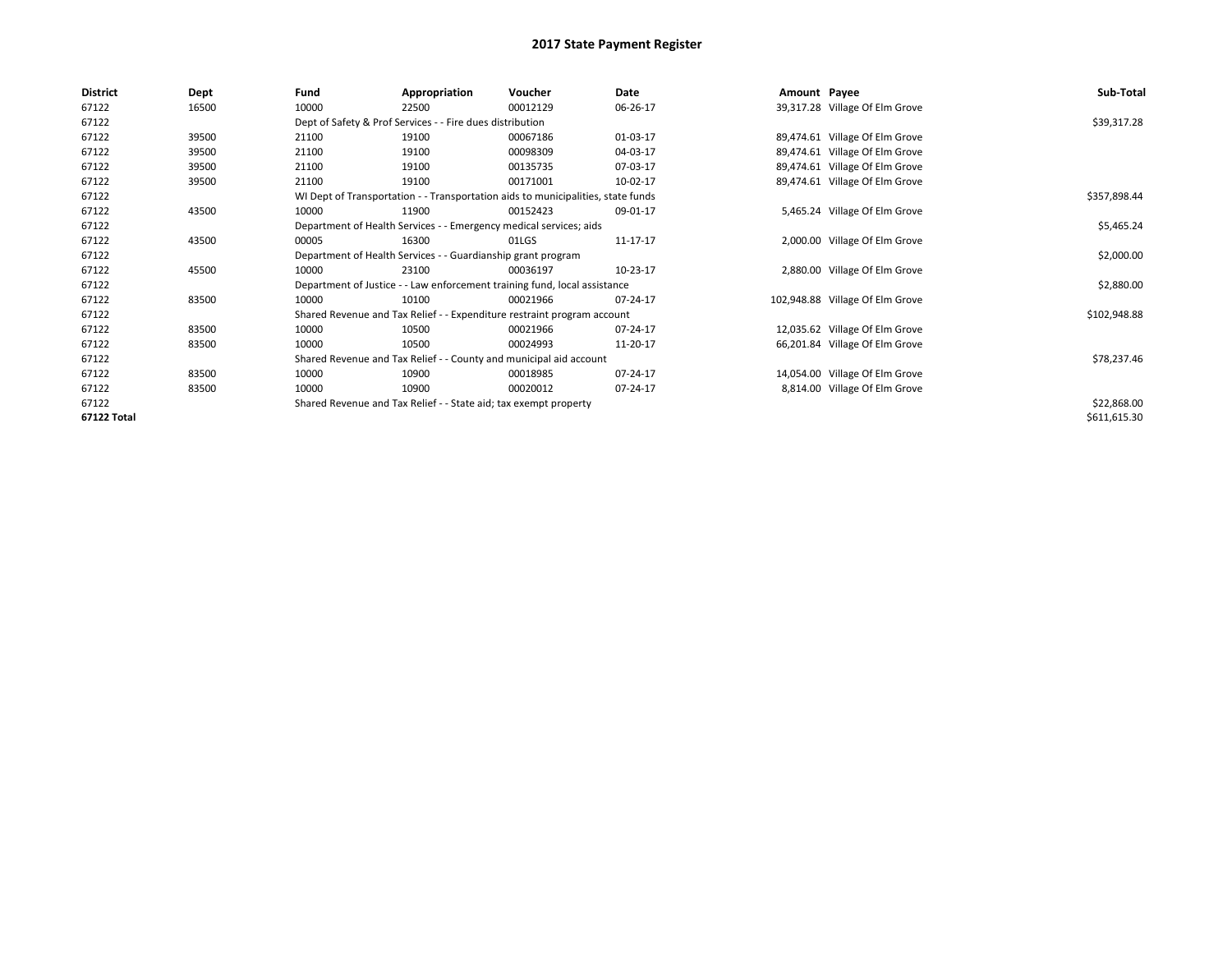| <b>District</b> | Dept  | Fund  | Appropriation                                                                    | Voucher  | Date     | Amount Payee |                                 | Sub-Total    |  |  |
|-----------------|-------|-------|----------------------------------------------------------------------------------|----------|----------|--------------|---------------------------------|--------------|--|--|
| 67122           | 16500 | 10000 | 22500                                                                            | 00012129 | 06-26-17 |              | 39,317.28 Village Of Elm Grove  |              |  |  |
| 67122           |       |       | Dept of Safety & Prof Services - - Fire dues distribution                        |          |          |              |                                 | \$39,317.28  |  |  |
| 67122           | 39500 | 21100 | 19100                                                                            | 00067186 | 01-03-17 |              | 89,474.61 Village Of Elm Grove  |              |  |  |
| 67122           | 39500 | 21100 | 19100                                                                            | 00098309 | 04-03-17 |              | 89,474.61 Village Of Elm Grove  |              |  |  |
| 67122           | 39500 | 21100 | 19100                                                                            | 00135735 | 07-03-17 |              | 89,474.61 Village Of Elm Grove  |              |  |  |
| 67122           | 39500 | 21100 | 19100                                                                            | 00171001 | 10-02-17 |              | 89,474.61 Village Of Elm Grove  |              |  |  |
| 67122           |       |       | WI Dept of Transportation - - Transportation aids to municipalities, state funds |          |          |              |                                 | \$357,898.44 |  |  |
| 67122           | 43500 | 10000 | 11900                                                                            | 00152423 | 09-01-17 |              | 5,465.24 Village Of Elm Grove   |              |  |  |
| 67122           |       |       | Department of Health Services - - Emergency medical services; aids               |          |          |              |                                 | \$5,465.24   |  |  |
| 67122           | 43500 | 00005 | 16300                                                                            | 01LGS    | 11-17-17 |              | 2,000.00 Village Of Elm Grove   |              |  |  |
| 67122           |       |       | Department of Health Services - - Guardianship grant program                     |          |          |              |                                 |              |  |  |
| 67122           | 45500 | 10000 | 23100                                                                            | 00036197 | 10-23-17 |              | 2,880.00 Village Of Elm Grove   |              |  |  |
| 67122           |       |       | Department of Justice - - Law enforcement training fund, local assistance        |          |          |              |                                 | \$2,880.00   |  |  |
| 67122           | 83500 | 10000 | 10100                                                                            | 00021966 | 07-24-17 |              | 102,948.88 Village Of Elm Grove |              |  |  |
| 67122           |       |       | Shared Revenue and Tax Relief - - Expenditure restraint program account          |          |          |              |                                 | \$102,948.88 |  |  |
| 67122           | 83500 | 10000 | 10500                                                                            | 00021966 | 07-24-17 |              | 12,035.62 Village Of Elm Grove  |              |  |  |
| 67122           | 83500 | 10000 | 10500                                                                            | 00024993 | 11-20-17 |              | 66,201.84 Village Of Elm Grove  |              |  |  |
| 67122           |       |       | Shared Revenue and Tax Relief - - County and municipal aid account               |          |          |              |                                 | \$78,237.46  |  |  |
| 67122           | 83500 | 10000 | 10900                                                                            | 00018985 | 07-24-17 |              | 14,054.00 Village Of Elm Grove  |              |  |  |
| 67122           | 83500 | 10000 | 10900                                                                            | 00020012 | 07-24-17 |              | 8,814.00 Village Of Elm Grove   |              |  |  |
| 67122           |       |       | Shared Revenue and Tax Relief - - State aid; tax exempt property                 |          |          |              |                                 | \$22,868.00  |  |  |
| 67122 Total     |       |       |                                                                                  |          |          |              |                                 | \$611,615.30 |  |  |
|                 |       |       |                                                                                  |          |          |              |                                 |              |  |  |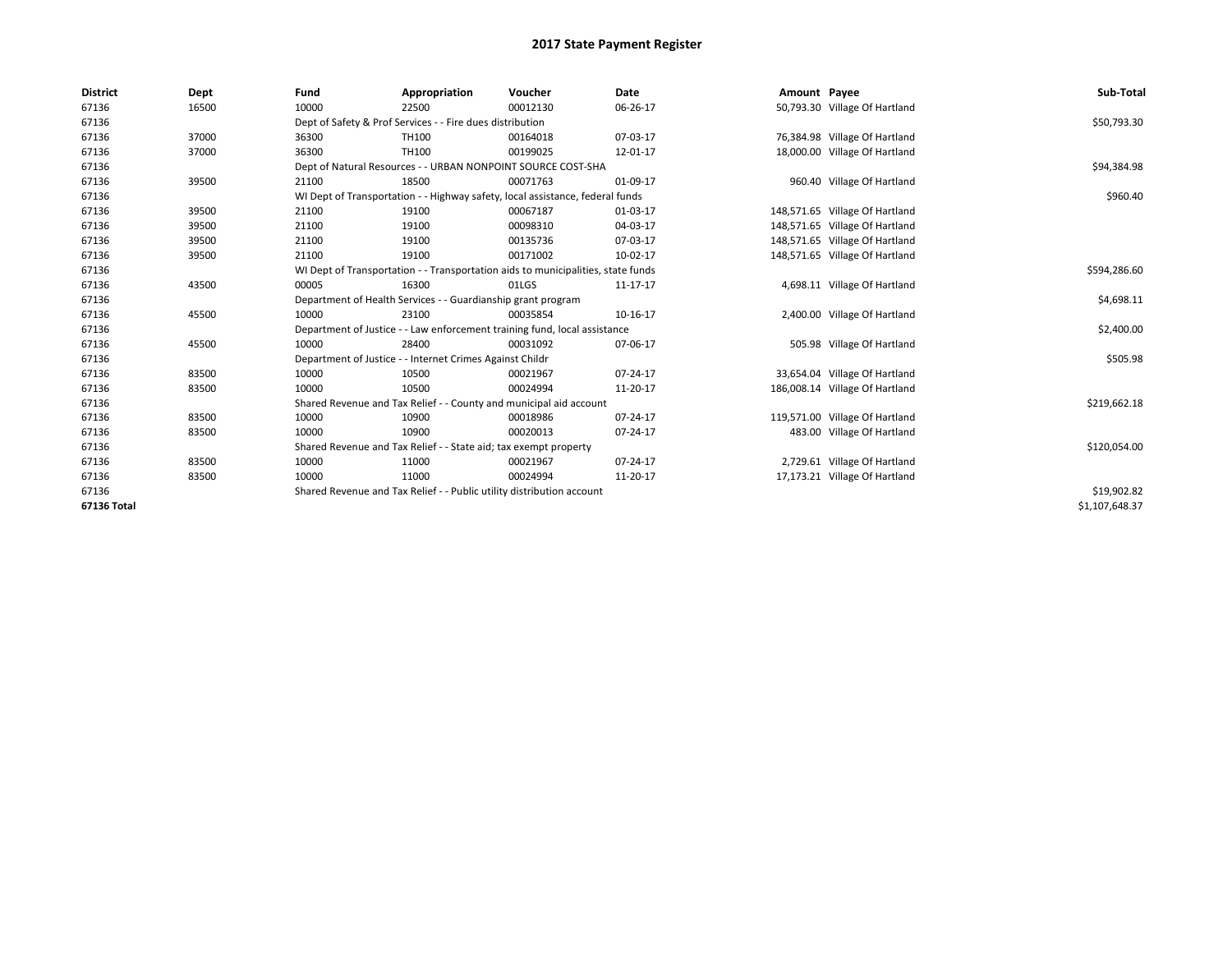| <b>District</b> | Dept  | Fund  | Appropriation                                                                    | Voucher  | <b>Date</b> | Amount Payee |                                | Sub-Total      |  |  |
|-----------------|-------|-------|----------------------------------------------------------------------------------|----------|-------------|--------------|--------------------------------|----------------|--|--|
| 67136           | 16500 | 10000 | 22500                                                                            | 00012130 | 06-26-17    |              | 50,793.30 Village Of Hartland  |                |  |  |
| 67136           |       |       | Dept of Safety & Prof Services - - Fire dues distribution                        |          |             |              |                                | \$50,793.30    |  |  |
| 67136           | 37000 | 36300 | TH100                                                                            | 00164018 | 07-03-17    |              | 76,384.98 Village Of Hartland  |                |  |  |
| 67136           | 37000 | 36300 | TH100                                                                            | 00199025 | 12-01-17    |              | 18,000.00 Village Of Hartland  |                |  |  |
| 67136           |       |       | Dept of Natural Resources - - URBAN NONPOINT SOURCE COST-SHA                     |          |             |              |                                | \$94,384.98    |  |  |
| 67136           | 39500 | 21100 | 18500                                                                            | 00071763 | 01-09-17    |              | 960.40 Village Of Hartland     |                |  |  |
| 67136           |       |       | WI Dept of Transportation - - Highway safety, local assistance, federal funds    |          |             |              |                                |                |  |  |
| 67136           | 39500 | 21100 | 19100                                                                            | 00067187 | 01-03-17    |              | 148,571.65 Village Of Hartland |                |  |  |
| 67136           | 39500 | 21100 | 19100                                                                            | 00098310 | 04-03-17    |              | 148,571.65 Village Of Hartland |                |  |  |
| 67136           | 39500 | 21100 | 19100                                                                            | 00135736 | 07-03-17    |              | 148,571.65 Village Of Hartland |                |  |  |
| 67136           | 39500 | 21100 | 19100                                                                            | 00171002 | 10-02-17    |              | 148,571.65 Village Of Hartland |                |  |  |
| 67136           |       |       | WI Dept of Transportation - - Transportation aids to municipalities, state funds |          |             |              |                                |                |  |  |
| 67136           | 43500 | 00005 | 16300                                                                            | 01LGS    | 11-17-17    |              | 4,698.11 Village Of Hartland   |                |  |  |
| 67136           |       |       | Department of Health Services - - Guardianship grant program                     |          |             |              |                                |                |  |  |
| 67136           | 45500 | 10000 | 23100                                                                            | 00035854 | 10-16-17    |              | 2,400.00 Village Of Hartland   |                |  |  |
| 67136           |       |       | Department of Justice - - Law enforcement training fund, local assistance        |          |             |              |                                | \$2,400.00     |  |  |
| 67136           | 45500 | 10000 | 28400                                                                            | 00031092 | 07-06-17    |              | 505.98 Village Of Hartland     |                |  |  |
| 67136           |       |       | Department of Justice - - Internet Crimes Against Childr                         |          |             |              |                                | \$505.98       |  |  |
| 67136           | 83500 | 10000 | 10500                                                                            | 00021967 | 07-24-17    |              | 33,654.04 Village Of Hartland  |                |  |  |
| 67136           | 83500 | 10000 | 10500                                                                            | 00024994 | 11-20-17    |              | 186,008.14 Village Of Hartland |                |  |  |
| 67136           |       |       | Shared Revenue and Tax Relief - - County and municipal aid account               |          |             |              |                                | \$219,662.18   |  |  |
| 67136           | 83500 | 10000 | 10900                                                                            | 00018986 | 07-24-17    |              | 119,571.00 Village Of Hartland |                |  |  |
| 67136           | 83500 | 10000 | 10900                                                                            | 00020013 | 07-24-17    |              | 483.00 Village Of Hartland     |                |  |  |
| 67136           |       |       | Shared Revenue and Tax Relief - - State aid; tax exempt property                 |          |             |              |                                | \$120,054.00   |  |  |
| 67136           | 83500 | 10000 | 11000                                                                            | 00021967 | 07-24-17    |              | 2,729.61 Village Of Hartland   |                |  |  |
| 67136           | 83500 | 10000 | 11000                                                                            | 00024994 | 11-20-17    |              | 17,173.21 Village Of Hartland  |                |  |  |
| 67136           |       |       | Shared Revenue and Tax Relief - - Public utility distribution account            |          |             |              |                                | \$19,902.82    |  |  |
| 67136 Total     |       |       |                                                                                  |          |             |              |                                | \$1.107.648.37 |  |  |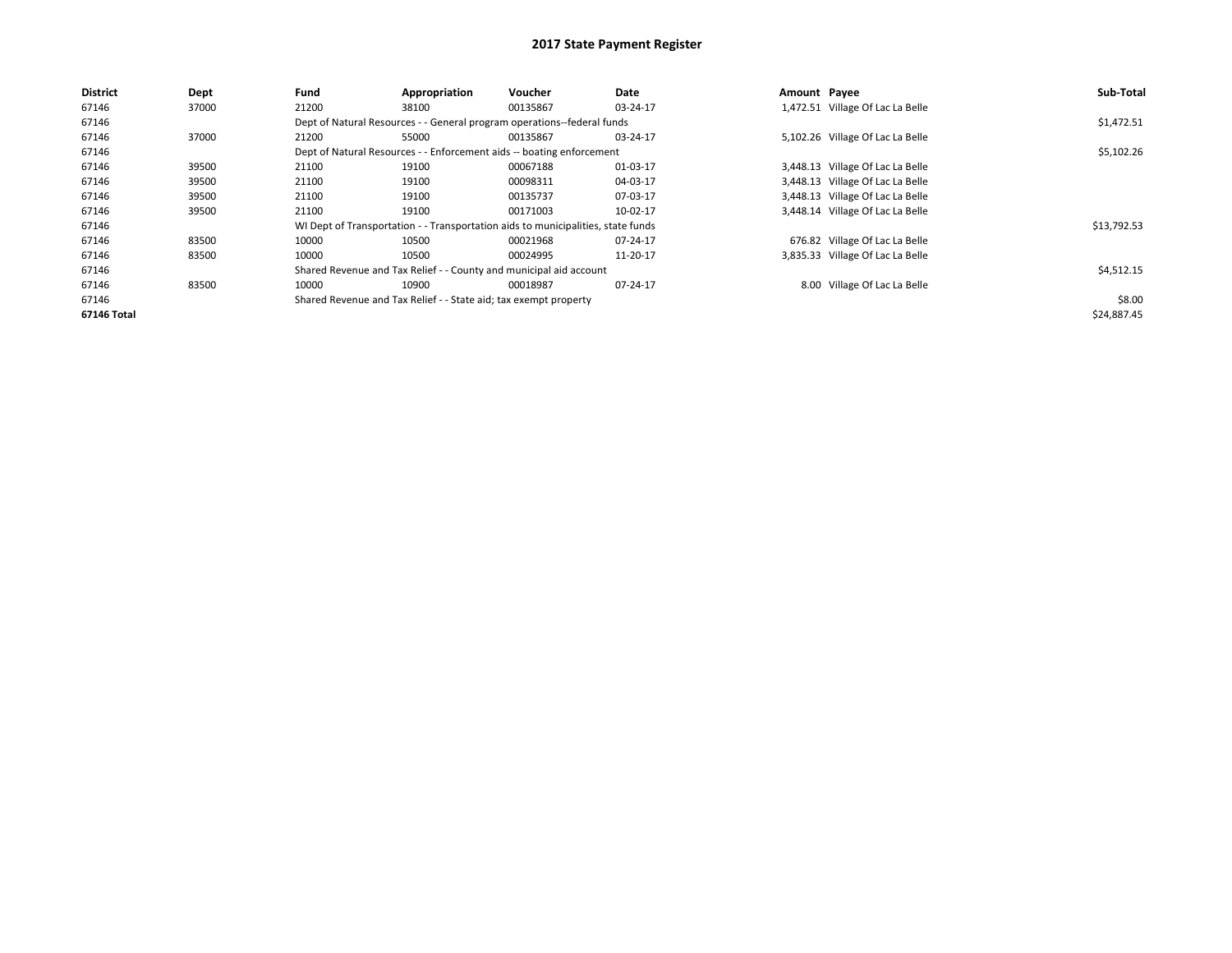| <b>District</b>    | <b>Dept</b> | Fund                                                                    | Appropriation                                                                    | <b>Voucher</b> | Date     | Amount Payee |                                  | Sub-Total   |
|--------------------|-------------|-------------------------------------------------------------------------|----------------------------------------------------------------------------------|----------------|----------|--------------|----------------------------------|-------------|
| 67146              | 37000       | 21200                                                                   | 38100                                                                            | 00135867       | 03-24-17 |              | 1,472.51 Village Of Lac La Belle |             |
| 67146              |             | Dept of Natural Resources - - General program operations--federal funds |                                                                                  | \$1,472.51     |          |              |                                  |             |
| 67146              | 37000       | 21200                                                                   | 55000                                                                            | 00135867       | 03-24-17 |              | 5,102.26 Village Of Lac La Belle |             |
| 67146              |             |                                                                         | Dept of Natural Resources - - Enforcement aids -- boating enforcement            |                |          |              |                                  | \$5,102.26  |
| 67146              | 39500       | 21100                                                                   | 19100                                                                            | 00067188       | 01-03-17 |              | 3,448.13 Village Of Lac La Belle |             |
| 67146              | 39500       | 21100                                                                   | 19100                                                                            | 00098311       | 04-03-17 |              | 3,448.13 Village Of Lac La Belle |             |
| 67146              | 39500       | 21100                                                                   | 19100                                                                            | 00135737       | 07-03-17 |              | 3,448.13 Village Of Lac La Belle |             |
| 67146              | 39500       | 21100                                                                   | 19100                                                                            | 00171003       | 10-02-17 |              | 3,448.14 Village Of Lac La Belle |             |
| 67146              |             |                                                                         | WI Dept of Transportation - - Transportation aids to municipalities, state funds |                |          |              |                                  | \$13,792.53 |
| 67146              | 83500       | 10000                                                                   | 10500                                                                            | 00021968       | 07-24-17 |              | 676.82 Village Of Lac La Belle   |             |
| 67146              | 83500       | 10000                                                                   | 10500                                                                            | 00024995       | 11-20-17 |              | 3,835.33 Village Of Lac La Belle |             |
| 67146              |             |                                                                         | Shared Revenue and Tax Relief - - County and municipal aid account               |                |          |              |                                  | \$4,512.15  |
| 67146              | 83500       | 10000                                                                   | 10900                                                                            | 00018987       | 07-24-17 |              | 8.00 Village Of Lac La Belle     |             |
| 67146              |             |                                                                         | Shared Revenue and Tax Relief - - State aid; tax exempt property                 |                |          |              |                                  | \$8.00      |
| <b>67146 Total</b> |             |                                                                         |                                                                                  |                |          |              |                                  | \$24,887.45 |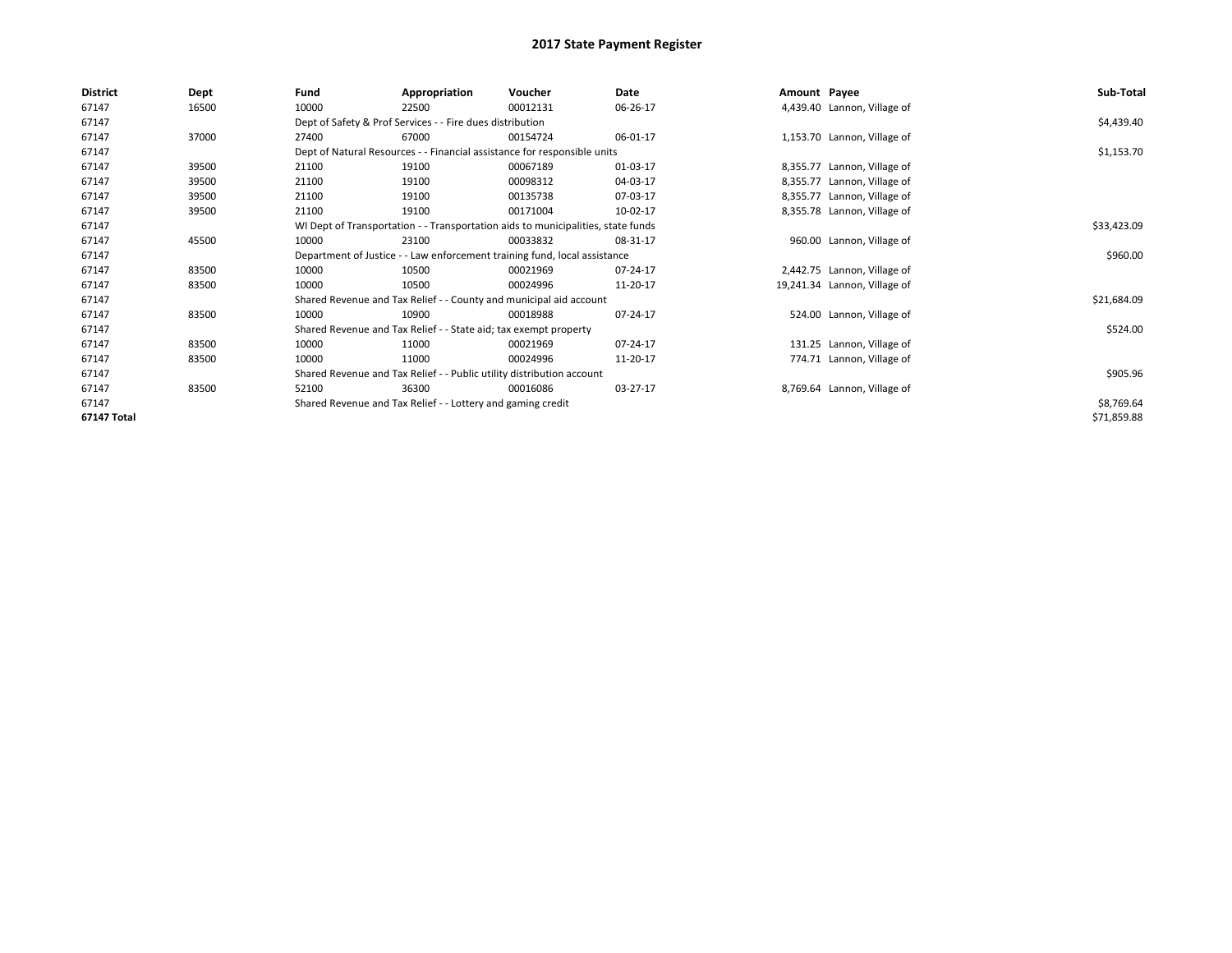| <b>District</b> | Dept  | Fund                                                                      | Appropriation                                                                    | Voucher    | Date     | Amount Payee |                              | Sub-Total   |
|-----------------|-------|---------------------------------------------------------------------------|----------------------------------------------------------------------------------|------------|----------|--------------|------------------------------|-------------|
| 67147           | 16500 | 10000                                                                     | 22500                                                                            | 00012131   | 06-26-17 |              | 4,439.40 Lannon, Village of  |             |
| 67147           |       |                                                                           | Dept of Safety & Prof Services - - Fire dues distribution                        |            |          |              |                              | \$4,439.40  |
| 67147           | 37000 | 27400                                                                     | 67000                                                                            | 00154724   | 06-01-17 |              | 1,153.70 Lannon, Village of  |             |
| 67147           |       | Dept of Natural Resources - - Financial assistance for responsible units  |                                                                                  | \$1,153.70 |          |              |                              |             |
| 67147           | 39500 | 21100                                                                     | 19100                                                                            | 00067189   | 01-03-17 |              | 8,355.77 Lannon, Village of  |             |
| 67147           | 39500 | 21100                                                                     | 19100                                                                            | 00098312   | 04-03-17 |              | 8,355.77 Lannon, Village of  |             |
| 67147           | 39500 | 21100                                                                     | 19100                                                                            | 00135738   | 07-03-17 |              | 8,355.77 Lannon, Village of  |             |
| 67147           | 39500 | 21100                                                                     | 19100                                                                            | 00171004   | 10-02-17 |              | 8,355.78 Lannon, Village of  |             |
| 67147           |       |                                                                           | WI Dept of Transportation - - Transportation aids to municipalities, state funds |            |          |              |                              | \$33,423.09 |
| 67147           | 45500 | 10000                                                                     | 23100                                                                            | 00033832   | 08-31-17 |              | 960.00 Lannon, Village of    |             |
| 67147           |       | Department of Justice - - Law enforcement training fund, local assistance |                                                                                  | \$960.00   |          |              |                              |             |
| 67147           | 83500 | 10000                                                                     | 10500                                                                            | 00021969   | 07-24-17 |              | 2,442.75 Lannon, Village of  |             |
| 67147           | 83500 | 10000                                                                     | 10500                                                                            | 00024996   | 11-20-17 |              | 19,241.34 Lannon, Village of |             |
| 67147           |       |                                                                           | Shared Revenue and Tax Relief - - County and municipal aid account               |            |          |              |                              | \$21,684.09 |
| 67147           | 83500 | 10000                                                                     | 10900                                                                            | 00018988   | 07-24-17 |              | 524.00 Lannon, Village of    |             |
| 67147           |       |                                                                           | Shared Revenue and Tax Relief - - State aid; tax exempt property                 |            |          |              |                              | \$524.00    |
| 67147           | 83500 | 10000                                                                     | 11000                                                                            | 00021969   | 07-24-17 |              | 131.25 Lannon, Village of    |             |
| 67147           | 83500 | 10000                                                                     | 11000                                                                            | 00024996   | 11-20-17 |              | 774.71 Lannon, Village of    |             |
| 67147           |       |                                                                           | Shared Revenue and Tax Relief - - Public utility distribution account            |            |          |              |                              | \$905.96    |
| 67147           | 83500 | 52100                                                                     | 36300                                                                            | 00016086   | 03-27-17 |              | 8,769.64 Lannon, Village of  |             |
| 67147           |       |                                                                           | Shared Revenue and Tax Relief - - Lottery and gaming credit                      |            |          |              |                              | \$8,769.64  |
| 67147 Total     |       |                                                                           |                                                                                  |            |          |              |                              | \$71,859.88 |
|                 |       |                                                                           |                                                                                  |            |          |              |                              |             |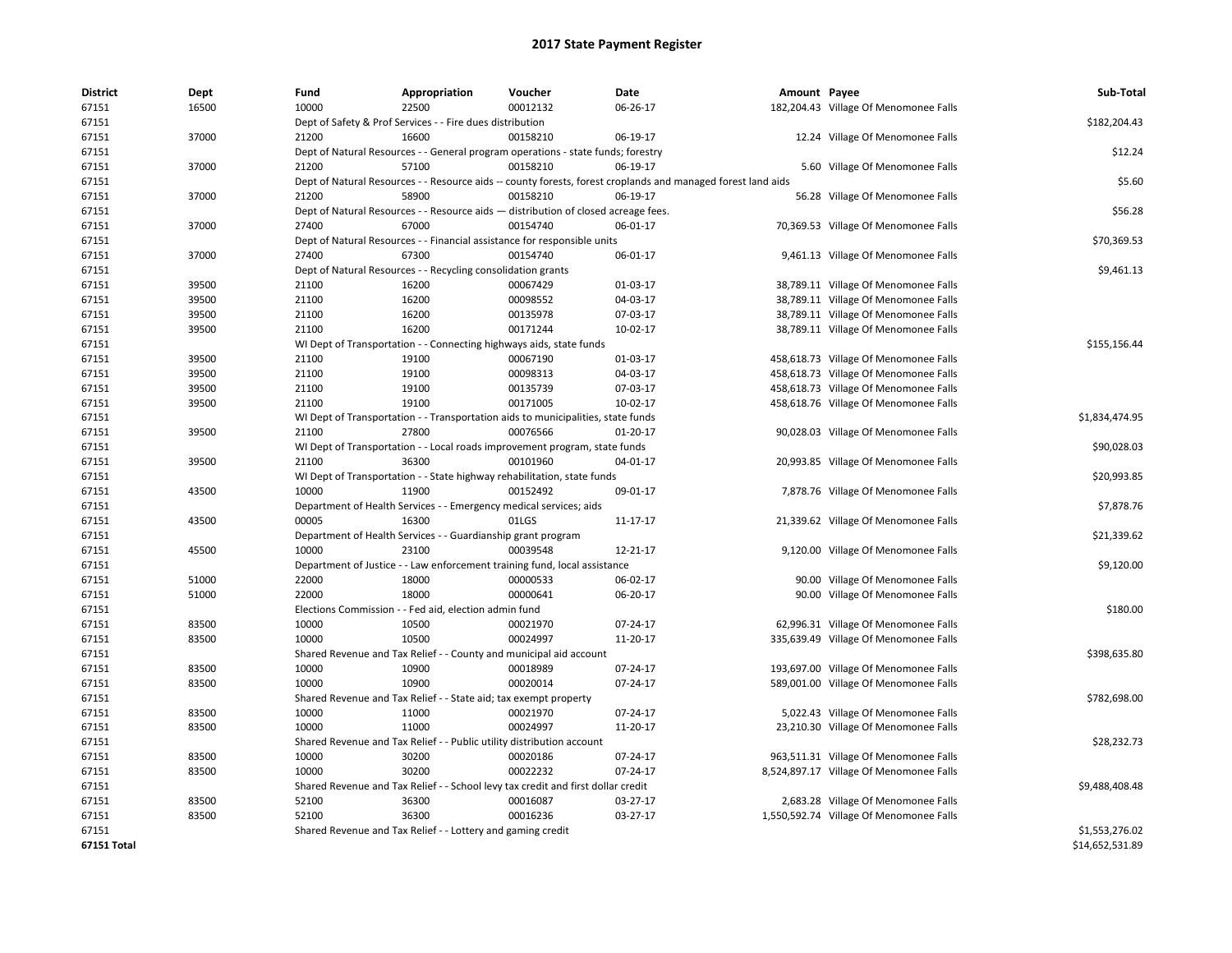| <b>District</b> | Dept  | Fund  | Appropriation                                                                      | Voucher  | Date                                                                                                         | Amount Payee |                                         | Sub-Total       |  |  |
|-----------------|-------|-------|------------------------------------------------------------------------------------|----------|--------------------------------------------------------------------------------------------------------------|--------------|-----------------------------------------|-----------------|--|--|
| 67151           | 16500 | 10000 | 22500                                                                              | 00012132 | 06-26-17                                                                                                     |              | 182,204.43 Village Of Menomonee Falls   |                 |  |  |
| 67151           |       |       | Dept of Safety & Prof Services - - Fire dues distribution                          |          |                                                                                                              |              |                                         | \$182,204.43    |  |  |
| 67151           | 37000 | 21200 | 16600                                                                              | 00158210 | 06-19-17                                                                                                     |              | 12.24 Village Of Menomonee Falls        |                 |  |  |
| 67151           |       |       | Dept of Natural Resources - - General program operations - state funds; forestry   |          |                                                                                                              |              |                                         | \$12.24         |  |  |
| 67151           | 37000 | 21200 | 57100                                                                              | 00158210 | 06-19-17                                                                                                     |              | 5.60 Village Of Menomonee Falls         |                 |  |  |
| 67151           |       |       |                                                                                    |          | Dept of Natural Resources - - Resource aids -- county forests, forest croplands and managed forest land aids |              |                                         | \$5.60          |  |  |
| 67151           | 37000 | 21200 | 58900                                                                              | 00158210 | 06-19-17                                                                                                     |              | 56.28 Village Of Menomonee Falls        |                 |  |  |
| 67151           |       |       | Dept of Natural Resources - - Resource aids - distribution of closed acreage fees. |          |                                                                                                              |              |                                         | \$56.28         |  |  |
| 67151           | 37000 | 27400 | 67000                                                                              | 00154740 | 06-01-17                                                                                                     |              | 70,369.53 Village Of Menomonee Falls    |                 |  |  |
| 67151           |       |       | Dept of Natural Resources - - Financial assistance for responsible units           |          |                                                                                                              |              |                                         | \$70,369.53     |  |  |
| 67151           | 37000 | 27400 | 67300                                                                              | 00154740 | 06-01-17                                                                                                     |              | 9,461.13 Village Of Menomonee Falls     |                 |  |  |
| 67151           |       |       | Dept of Natural Resources - - Recycling consolidation grants                       |          |                                                                                                              |              |                                         |                 |  |  |
| 67151           | 39500 | 21100 | 16200                                                                              | 00067429 | 01-03-17                                                                                                     |              | 38,789.11 Village Of Menomonee Falls    |                 |  |  |
| 67151           | 39500 | 21100 | 16200                                                                              | 00098552 | 04-03-17                                                                                                     |              | 38,789.11 Village Of Menomonee Falls    |                 |  |  |
| 67151           | 39500 | 21100 | 16200                                                                              | 00135978 | 07-03-17                                                                                                     |              | 38,789.11 Village Of Menomonee Falls    |                 |  |  |
| 67151           | 39500 | 21100 | 16200                                                                              | 00171244 | $10-02-17$                                                                                                   |              | 38,789.11 Village Of Menomonee Falls    |                 |  |  |
| 67151           |       |       | WI Dept of Transportation - - Connecting highways aids, state funds                |          |                                                                                                              |              |                                         | \$155,156.44    |  |  |
| 67151           | 39500 | 21100 | 19100                                                                              | 00067190 | 01-03-17                                                                                                     |              | 458,618.73 Village Of Menomonee Falls   |                 |  |  |
| 67151           | 39500 | 21100 | 19100                                                                              | 00098313 | 04-03-17                                                                                                     |              | 458,618.73 Village Of Menomonee Falls   |                 |  |  |
| 67151           | 39500 | 21100 | 19100                                                                              | 00135739 | 07-03-17                                                                                                     |              | 458,618.73 Village Of Menomonee Falls   |                 |  |  |
| 67151           | 39500 | 21100 | 19100                                                                              | 00171005 | 10-02-17                                                                                                     |              | 458,618.76 Village Of Menomonee Falls   |                 |  |  |
| 67151           |       |       | WI Dept of Transportation - - Transportation aids to municipalities, state funds   |          |                                                                                                              |              |                                         | \$1,834,474.95  |  |  |
| 67151           | 39500 | 21100 | 27800                                                                              | 00076566 | $01-20-17$                                                                                                   |              | 90,028.03 Village Of Menomonee Falls    |                 |  |  |
| 67151           |       |       | WI Dept of Transportation - - Local roads improvement program, state funds         |          |                                                                                                              |              |                                         | \$90,028.03     |  |  |
| 67151           | 39500 | 21100 | 36300                                                                              | 00101960 | 04-01-17                                                                                                     |              | 20,993.85 Village Of Menomonee Falls    |                 |  |  |
| 67151           |       |       | WI Dept of Transportation - - State highway rehabilitation, state funds            |          |                                                                                                              |              |                                         | \$20,993.85     |  |  |
| 67151           | 43500 | 10000 | 11900                                                                              | 00152492 | 09-01-17                                                                                                     |              | 7,878.76 Village Of Menomonee Falls     |                 |  |  |
| 67151           |       |       | Department of Health Services - - Emergency medical services; aids                 |          |                                                                                                              |              |                                         | \$7,878.76      |  |  |
| 67151           | 43500 | 00005 | 16300                                                                              | 01LGS    | 11-17-17                                                                                                     |              | 21,339.62 Village Of Menomonee Falls    |                 |  |  |
| 67151           |       |       | Department of Health Services - - Guardianship grant program                       |          |                                                                                                              |              |                                         | \$21,339.62     |  |  |
| 67151           | 45500 | 10000 | 23100                                                                              | 00039548 | 12-21-17                                                                                                     |              | 9,120.00 Village Of Menomonee Falls     |                 |  |  |
| 67151           |       |       | Department of Justice - - Law enforcement training fund, local assistance          |          |                                                                                                              |              |                                         | \$9,120.00      |  |  |
| 67151           | 51000 | 22000 | 18000                                                                              | 00000533 | 06-02-17                                                                                                     |              | 90.00 Village Of Menomonee Falls        |                 |  |  |
| 67151           | 51000 | 22000 | 18000                                                                              | 00000641 | 06-20-17                                                                                                     |              | 90.00 Village Of Menomonee Falls        |                 |  |  |
| 67151           |       |       | Elections Commission - - Fed aid, election admin fund                              |          |                                                                                                              |              |                                         | \$180.00        |  |  |
| 67151           | 83500 | 10000 | 10500                                                                              | 00021970 | 07-24-17                                                                                                     |              | 62,996.31 Village Of Menomonee Falls    |                 |  |  |
| 67151           | 83500 | 10000 | 10500                                                                              | 00024997 | 11-20-17                                                                                                     |              | 335,639.49 Village Of Menomonee Falls   |                 |  |  |
| 67151           |       |       | Shared Revenue and Tax Relief - - County and municipal aid account                 |          |                                                                                                              |              |                                         | \$398,635.80    |  |  |
| 67151           | 83500 | 10000 | 10900                                                                              | 00018989 | 07-24-17                                                                                                     |              | 193,697.00 Village Of Menomonee Falls   |                 |  |  |
| 67151           | 83500 | 10000 | 10900                                                                              | 00020014 | 07-24-17                                                                                                     |              | 589,001.00 Village Of Menomonee Falls   |                 |  |  |
| 67151           |       |       | Shared Revenue and Tax Relief - - State aid; tax exempt property                   |          |                                                                                                              |              |                                         | \$782,698.00    |  |  |
| 67151           | 83500 | 10000 | 11000                                                                              | 00021970 | 07-24-17                                                                                                     |              | 5,022.43 Village Of Menomonee Falls     |                 |  |  |
| 67151           | 83500 | 10000 | 11000                                                                              | 00024997 | 11-20-17                                                                                                     |              | 23,210.30 Village Of Menomonee Falls    |                 |  |  |
| 67151           |       |       | Shared Revenue and Tax Relief - - Public utility distribution account              |          |                                                                                                              |              |                                         | \$28,232.73     |  |  |
| 67151           | 83500 | 10000 | 30200                                                                              | 00020186 | 07-24-17                                                                                                     |              | 963,511.31 Village Of Menomonee Falls   |                 |  |  |
| 67151           | 83500 | 10000 | 30200                                                                              | 00022232 | 07-24-17                                                                                                     |              | 8,524,897.17 Village Of Menomonee Falls |                 |  |  |
| 67151           |       |       | Shared Revenue and Tax Relief - - School levy tax credit and first dollar credit   |          |                                                                                                              |              |                                         | \$9,488,408.48  |  |  |
| 67151           | 83500 | 52100 | 36300                                                                              | 00016087 | 03-27-17                                                                                                     |              | 2,683.28 Village Of Menomonee Falls     |                 |  |  |
| 67151           | 83500 | 52100 | 36300                                                                              | 00016236 | 03-27-17                                                                                                     |              | 1,550,592.74 Village Of Menomonee Falls |                 |  |  |
| 67151           |       |       | Shared Revenue and Tax Relief - - Lottery and gaming credit                        |          |                                                                                                              |              |                                         | \$1,553,276.02  |  |  |
| 67151 Total     |       |       |                                                                                    |          |                                                                                                              |              |                                         | \$14,652,531.89 |  |  |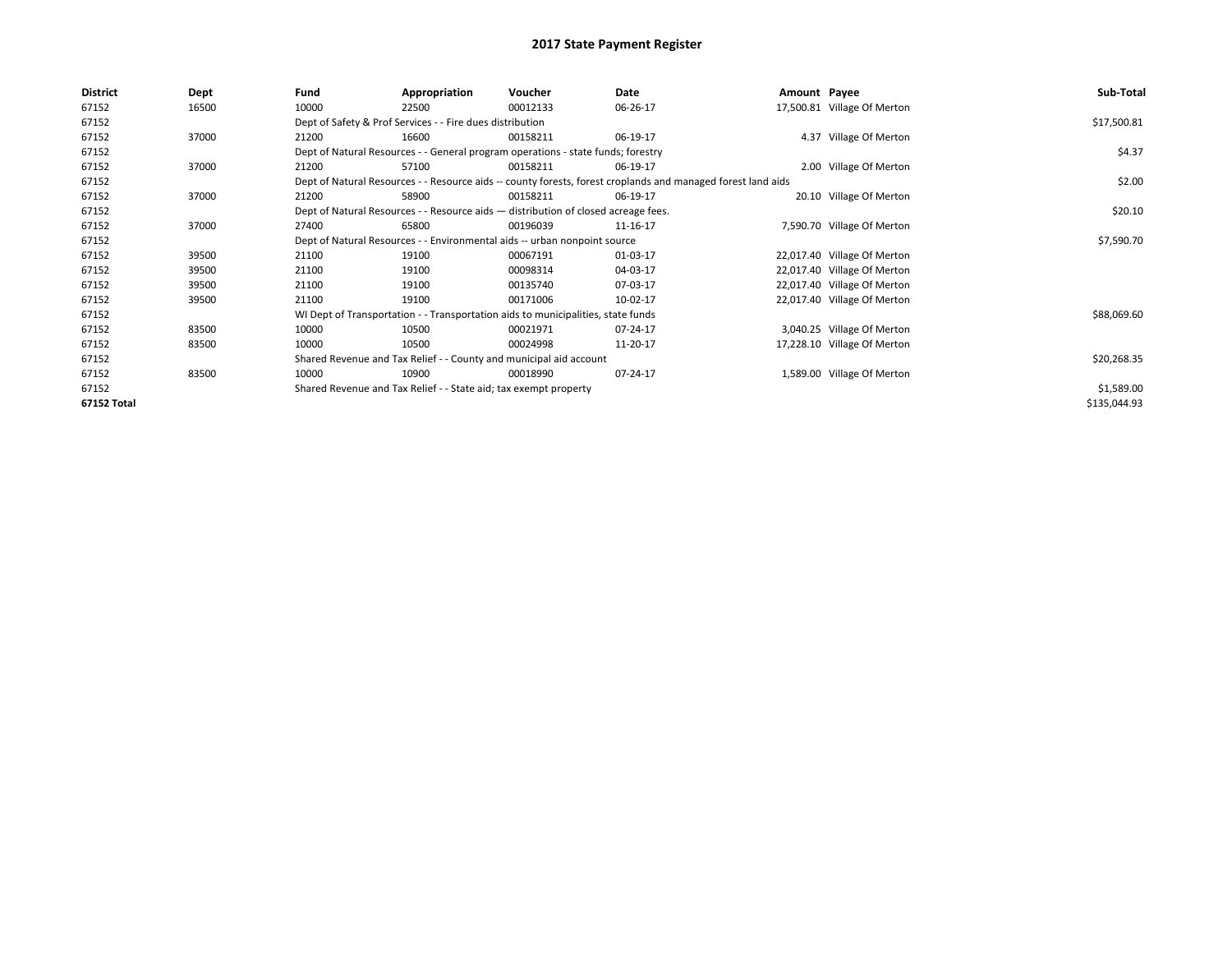| 17,500.81 Village Of Merton<br>67152<br>10000<br>16500<br>22500<br>00012133<br>06-26-17<br>67152<br>Dept of Safety & Prof Services - - Fire dues distribution<br>67152<br>4.37 Village Of Merton<br>37000<br>21200<br>16600<br>00158211<br>06-19-17<br>67152<br>Dept of Natural Resources - - General program operations - state funds; forestry<br>67152<br>37000<br>2.00 Village Of Merton<br>21200<br>57100<br>00158211<br>06-19-17<br>67152<br>Dept of Natural Resources - - Resource aids -- county forests, forest croplands and managed forest land aids<br>67152<br>20.10 Village Of Merton<br>37000<br>21200<br>58900<br>00158211<br>06-19-17<br>67152<br>Dept of Natural Resources - - Resource aids - distribution of closed acreage fees.<br>67152<br>37000<br>65800<br>00196039<br>7,590.70 Village Of Merton<br>27400<br>11-16-17<br>67152<br>Dept of Natural Resources - - Environmental aids -- urban nonpoint source<br>67152<br>22,017.40 Village Of Merton<br>39500<br>21100<br>19100<br>00067191<br>01-03-17<br>22,017.40 Village Of Merton<br>67152<br>39500<br>21100<br>19100<br>00098314<br>04-03-17<br>22,017.40 Village Of Merton<br>67152<br>39500<br>21100<br>19100<br>00135740<br>07-03-17<br>22,017.40 Village Of Merton<br>67152<br>21100<br>19100<br>00171006<br>39500<br>10-02-17<br>67152<br>WI Dept of Transportation - - Transportation aids to municipalities, state funds<br>67152<br>3,040.25 Village Of Merton<br>83500<br>10000<br>10500<br>00021971<br>07-24-17<br>17,228.10 Village Of Merton<br>67152<br>83500<br>10000<br>10500<br>11-20-17<br>00024998<br>67152<br>Shared Revenue and Tax Relief - - County and municipal aid account<br>1,589.00 Village Of Merton<br>67152<br>83500<br>10000<br>10900<br>00018990<br>07-24-17<br>Shared Revenue and Tax Relief - - State aid; tax exempt property | <b>District</b> | Dept | Fund | Appropriation | Voucher | Date | Amount Payee | Sub-Total    |
|--------------------------------------------------------------------------------------------------------------------------------------------------------------------------------------------------------------------------------------------------------------------------------------------------------------------------------------------------------------------------------------------------------------------------------------------------------------------------------------------------------------------------------------------------------------------------------------------------------------------------------------------------------------------------------------------------------------------------------------------------------------------------------------------------------------------------------------------------------------------------------------------------------------------------------------------------------------------------------------------------------------------------------------------------------------------------------------------------------------------------------------------------------------------------------------------------------------------------------------------------------------------------------------------------------------------------------------------------------------------------------------------------------------------------------------------------------------------------------------------------------------------------------------------------------------------------------------------------------------------------------------------------------------------------------------------------------------------------------------------------------------------------------------------------------------------------------------------------|-----------------|------|------|---------------|---------|------|--------------|--------------|
|                                                                                                                                                                                                                                                                                                                                                                                                                                                                                                                                                                                                                                                                                                                                                                                                                                                                                                                                                                                                                                                                                                                                                                                                                                                                                                                                                                                                                                                                                                                                                                                                                                                                                                                                                                                                                                                  |                 |      |      |               |         |      |              |              |
|                                                                                                                                                                                                                                                                                                                                                                                                                                                                                                                                                                                                                                                                                                                                                                                                                                                                                                                                                                                                                                                                                                                                                                                                                                                                                                                                                                                                                                                                                                                                                                                                                                                                                                                                                                                                                                                  |                 |      |      |               |         |      |              | \$17,500.81  |
|                                                                                                                                                                                                                                                                                                                                                                                                                                                                                                                                                                                                                                                                                                                                                                                                                                                                                                                                                                                                                                                                                                                                                                                                                                                                                                                                                                                                                                                                                                                                                                                                                                                                                                                                                                                                                                                  |                 |      |      |               |         |      |              |              |
|                                                                                                                                                                                                                                                                                                                                                                                                                                                                                                                                                                                                                                                                                                                                                                                                                                                                                                                                                                                                                                                                                                                                                                                                                                                                                                                                                                                                                                                                                                                                                                                                                                                                                                                                                                                                                                                  |                 |      |      | \$4.37        |         |      |              |              |
|                                                                                                                                                                                                                                                                                                                                                                                                                                                                                                                                                                                                                                                                                                                                                                                                                                                                                                                                                                                                                                                                                                                                                                                                                                                                                                                                                                                                                                                                                                                                                                                                                                                                                                                                                                                                                                                  |                 |      |      |               |         |      |              |              |
|                                                                                                                                                                                                                                                                                                                                                                                                                                                                                                                                                                                                                                                                                                                                                                                                                                                                                                                                                                                                                                                                                                                                                                                                                                                                                                                                                                                                                                                                                                                                                                                                                                                                                                                                                                                                                                                  |                 |      |      | \$2.00        |         |      |              |              |
|                                                                                                                                                                                                                                                                                                                                                                                                                                                                                                                                                                                                                                                                                                                                                                                                                                                                                                                                                                                                                                                                                                                                                                                                                                                                                                                                                                                                                                                                                                                                                                                                                                                                                                                                                                                                                                                  |                 |      |      |               |         |      |              |              |
|                                                                                                                                                                                                                                                                                                                                                                                                                                                                                                                                                                                                                                                                                                                                                                                                                                                                                                                                                                                                                                                                                                                                                                                                                                                                                                                                                                                                                                                                                                                                                                                                                                                                                                                                                                                                                                                  |                 |      |      |               |         |      |              | \$20.10      |
|                                                                                                                                                                                                                                                                                                                                                                                                                                                                                                                                                                                                                                                                                                                                                                                                                                                                                                                                                                                                                                                                                                                                                                                                                                                                                                                                                                                                                                                                                                                                                                                                                                                                                                                                                                                                                                                  |                 |      |      |               |         |      |              |              |
|                                                                                                                                                                                                                                                                                                                                                                                                                                                                                                                                                                                                                                                                                                                                                                                                                                                                                                                                                                                                                                                                                                                                                                                                                                                                                                                                                                                                                                                                                                                                                                                                                                                                                                                                                                                                                                                  |                 |      |      | \$7,590.70    |         |      |              |              |
|                                                                                                                                                                                                                                                                                                                                                                                                                                                                                                                                                                                                                                                                                                                                                                                                                                                                                                                                                                                                                                                                                                                                                                                                                                                                                                                                                                                                                                                                                                                                                                                                                                                                                                                                                                                                                                                  |                 |      |      |               |         |      |              |              |
|                                                                                                                                                                                                                                                                                                                                                                                                                                                                                                                                                                                                                                                                                                                                                                                                                                                                                                                                                                                                                                                                                                                                                                                                                                                                                                                                                                                                                                                                                                                                                                                                                                                                                                                                                                                                                                                  |                 |      |      |               |         |      |              |              |
|                                                                                                                                                                                                                                                                                                                                                                                                                                                                                                                                                                                                                                                                                                                                                                                                                                                                                                                                                                                                                                                                                                                                                                                                                                                                                                                                                                                                                                                                                                                                                                                                                                                                                                                                                                                                                                                  |                 |      |      |               |         |      |              |              |
|                                                                                                                                                                                                                                                                                                                                                                                                                                                                                                                                                                                                                                                                                                                                                                                                                                                                                                                                                                                                                                                                                                                                                                                                                                                                                                                                                                                                                                                                                                                                                                                                                                                                                                                                                                                                                                                  |                 |      |      |               |         |      |              |              |
|                                                                                                                                                                                                                                                                                                                                                                                                                                                                                                                                                                                                                                                                                                                                                                                                                                                                                                                                                                                                                                                                                                                                                                                                                                                                                                                                                                                                                                                                                                                                                                                                                                                                                                                                                                                                                                                  |                 |      |      |               |         |      |              | \$88,069.60  |
|                                                                                                                                                                                                                                                                                                                                                                                                                                                                                                                                                                                                                                                                                                                                                                                                                                                                                                                                                                                                                                                                                                                                                                                                                                                                                                                                                                                                                                                                                                                                                                                                                                                                                                                                                                                                                                                  |                 |      |      |               |         |      |              |              |
|                                                                                                                                                                                                                                                                                                                                                                                                                                                                                                                                                                                                                                                                                                                                                                                                                                                                                                                                                                                                                                                                                                                                                                                                                                                                                                                                                                                                                                                                                                                                                                                                                                                                                                                                                                                                                                                  |                 |      |      |               |         |      |              |              |
|                                                                                                                                                                                                                                                                                                                                                                                                                                                                                                                                                                                                                                                                                                                                                                                                                                                                                                                                                                                                                                                                                                                                                                                                                                                                                                                                                                                                                                                                                                                                                                                                                                                                                                                                                                                                                                                  |                 |      |      |               |         |      |              | \$20,268.35  |
|                                                                                                                                                                                                                                                                                                                                                                                                                                                                                                                                                                                                                                                                                                                                                                                                                                                                                                                                                                                                                                                                                                                                                                                                                                                                                                                                                                                                                                                                                                                                                                                                                                                                                                                                                                                                                                                  |                 |      |      |               |         |      |              |              |
|                                                                                                                                                                                                                                                                                                                                                                                                                                                                                                                                                                                                                                                                                                                                                                                                                                                                                                                                                                                                                                                                                                                                                                                                                                                                                                                                                                                                                                                                                                                                                                                                                                                                                                                                                                                                                                                  | 67152           |      |      |               |         |      |              | \$1,589.00   |
| 67152 Total                                                                                                                                                                                                                                                                                                                                                                                                                                                                                                                                                                                                                                                                                                                                                                                                                                                                                                                                                                                                                                                                                                                                                                                                                                                                                                                                                                                                                                                                                                                                                                                                                                                                                                                                                                                                                                      |                 |      |      |               |         |      |              | \$135,044.93 |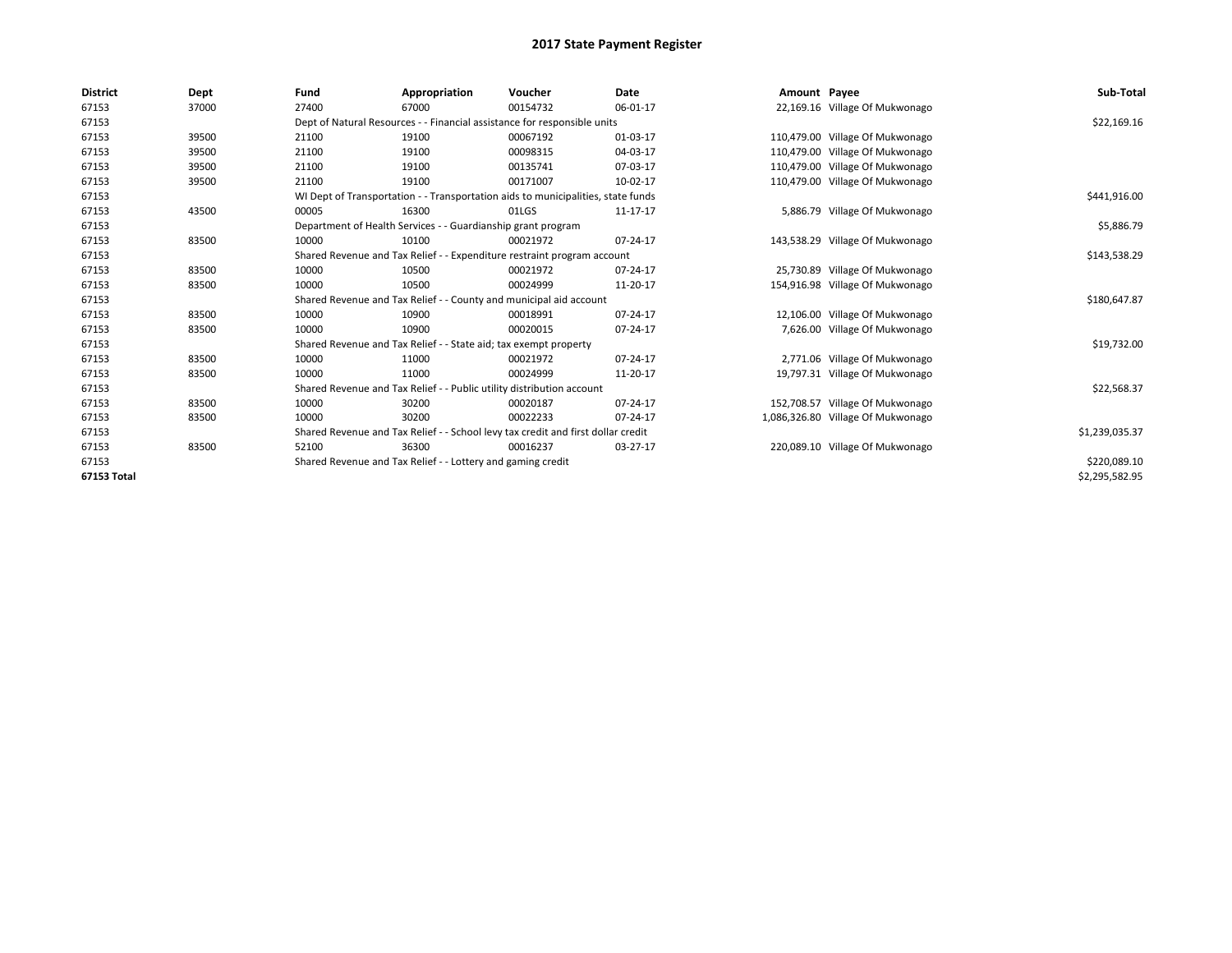| <b>District</b> | Dept  | Fund  | Appropriation                                                                    | Voucher  | Date     | Amount Payee |                                   | Sub-Total      |  |  |
|-----------------|-------|-------|----------------------------------------------------------------------------------|----------|----------|--------------|-----------------------------------|----------------|--|--|
| 67153           | 37000 | 27400 | 67000                                                                            | 00154732 | 06-01-17 |              | 22,169.16 Village Of Mukwonago    |                |  |  |
| 67153           |       |       | Dept of Natural Resources - - Financial assistance for responsible units         |          |          |              |                                   | \$22,169.16    |  |  |
| 67153           | 39500 | 21100 | 19100                                                                            | 00067192 | 01-03-17 |              | 110,479.00 Village Of Mukwonago   |                |  |  |
| 67153           | 39500 | 21100 | 19100                                                                            | 00098315 | 04-03-17 |              | 110,479.00 Village Of Mukwonago   |                |  |  |
| 67153           | 39500 | 21100 | 19100                                                                            | 00135741 | 07-03-17 |              | 110,479.00 Village Of Mukwonago   |                |  |  |
| 67153           | 39500 | 21100 | 19100                                                                            | 00171007 | 10-02-17 |              | 110,479.00 Village Of Mukwonago   |                |  |  |
| 67153           |       |       | WI Dept of Transportation - - Transportation aids to municipalities, state funds |          |          |              |                                   |                |  |  |
| 67153           | 43500 | 00005 | 16300                                                                            | 01LGS    | 11-17-17 |              | 5,886.79 Village Of Mukwonago     |                |  |  |
| 67153           |       |       | Department of Health Services - - Guardianship grant program                     |          |          |              |                                   | \$5,886.79     |  |  |
| 67153           | 83500 | 10000 | 10100                                                                            | 00021972 | 07-24-17 |              | 143,538.29 Village Of Mukwonago   |                |  |  |
| 67153           |       |       | Shared Revenue and Tax Relief - - Expenditure restraint program account          |          |          |              |                                   | \$143,538.29   |  |  |
| 67153           | 83500 | 10000 | 10500                                                                            | 00021972 | 07-24-17 |              | 25,730.89 Village Of Mukwonago    |                |  |  |
| 67153           | 83500 | 10000 | 10500                                                                            | 00024999 | 11-20-17 |              | 154,916.98 Village Of Mukwonago   |                |  |  |
| 67153           |       |       | Shared Revenue and Tax Relief - - County and municipal aid account               |          |          |              |                                   | \$180,647.87   |  |  |
| 67153           | 83500 | 10000 | 10900                                                                            | 00018991 | 07-24-17 |              | 12,106.00 Village Of Mukwonago    |                |  |  |
| 67153           | 83500 | 10000 | 10900                                                                            | 00020015 | 07-24-17 |              | 7,626.00 Village Of Mukwonago     |                |  |  |
| 67153           |       |       | Shared Revenue and Tax Relief - - State aid; tax exempt property                 |          |          |              |                                   | \$19,732.00    |  |  |
| 67153           | 83500 | 10000 | 11000                                                                            | 00021972 | 07-24-17 |              | 2,771.06 Village Of Mukwonago     |                |  |  |
| 67153           | 83500 | 10000 | 11000                                                                            | 00024999 | 11-20-17 |              | 19,797.31 Village Of Mukwonago    |                |  |  |
| 67153           |       |       | Shared Revenue and Tax Relief - - Public utility distribution account            |          |          |              |                                   | \$22,568.37    |  |  |
| 67153           | 83500 | 10000 | 30200                                                                            | 00020187 | 07-24-17 |              | 152,708.57 Village Of Mukwonago   |                |  |  |
| 67153           | 83500 | 10000 | 30200                                                                            | 00022233 | 07-24-17 |              | 1,086,326.80 Village Of Mukwonago |                |  |  |
| 67153           |       |       | Shared Revenue and Tax Relief - - School levy tax credit and first dollar credit |          |          |              |                                   | \$1,239,035.37 |  |  |
| 67153           | 83500 | 52100 | 36300                                                                            | 00016237 | 03-27-17 |              | 220,089.10 Village Of Mukwonago   |                |  |  |
| 67153           |       |       | Shared Revenue and Tax Relief - - Lottery and gaming credit                      |          |          |              |                                   |                |  |  |
| 67153 Total     |       |       |                                                                                  |          |          |              |                                   | \$2,295,582.95 |  |  |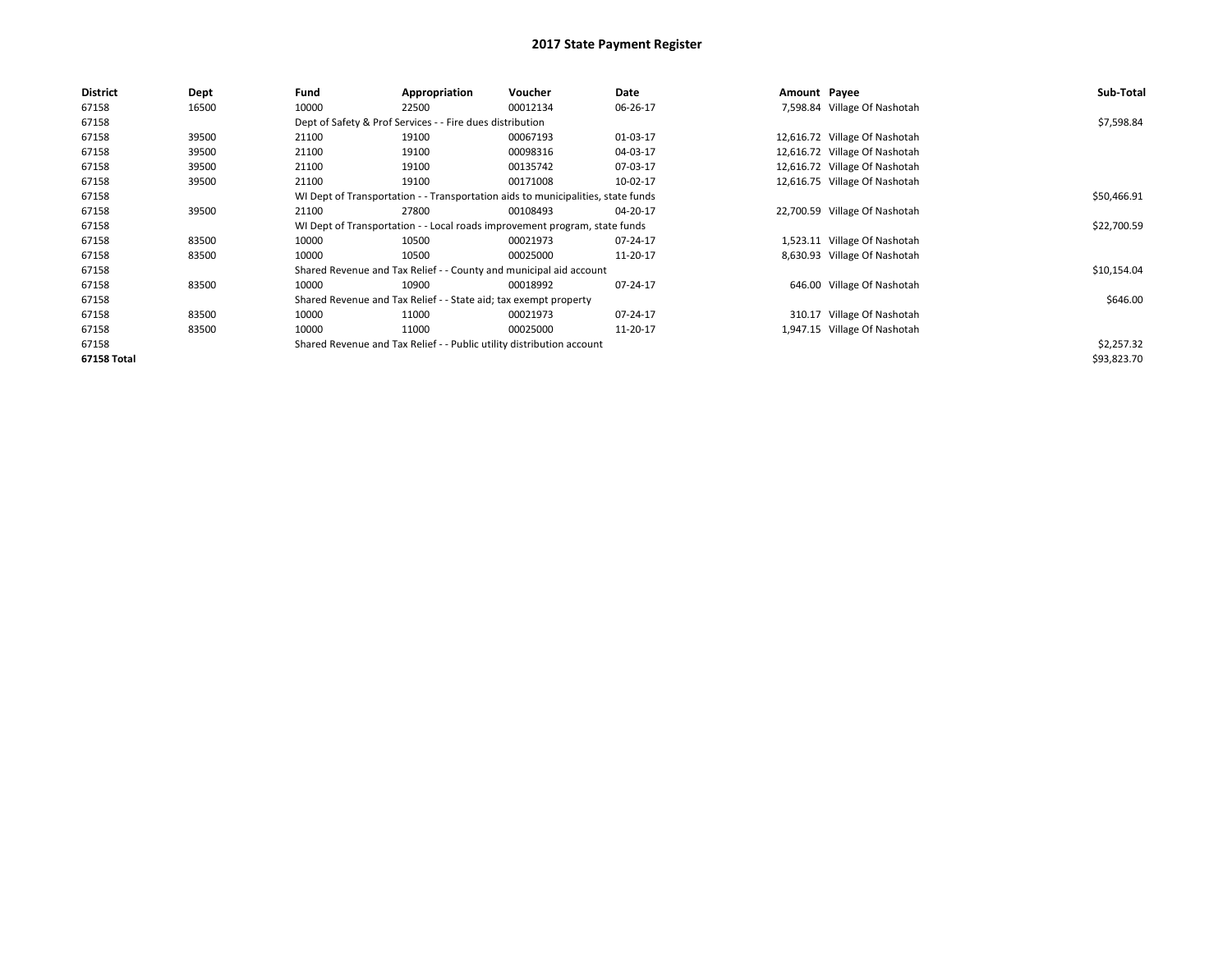| <b>District</b> | Dept  | Fund  | Appropriation                                                         | Voucher                                                                          | Date     | Amount Payee |                               | Sub-Total   |
|-----------------|-------|-------|-----------------------------------------------------------------------|----------------------------------------------------------------------------------|----------|--------------|-------------------------------|-------------|
| 67158           | 16500 | 10000 | 22500                                                                 | 00012134                                                                         | 06-26-17 |              | 7,598.84 Village Of Nashotah  |             |
| 67158           |       |       | Dept of Safety & Prof Services - - Fire dues distribution             |                                                                                  |          |              |                               | \$7,598.84  |
| 67158           | 39500 | 21100 | 19100                                                                 | 00067193                                                                         | 01-03-17 |              | 12,616.72 Village Of Nashotah |             |
| 67158           | 39500 | 21100 | 19100                                                                 | 00098316                                                                         | 04-03-17 |              | 12,616.72 Village Of Nashotah |             |
| 67158           | 39500 | 21100 | 19100                                                                 | 00135742                                                                         | 07-03-17 |              | 12,616.72 Village Of Nashotah |             |
| 67158           | 39500 | 21100 | 19100                                                                 | 00171008                                                                         | 10-02-17 |              | 12,616.75 Village Of Nashotah |             |
| 67158           |       |       |                                                                       | WI Dept of Transportation - - Transportation aids to municipalities, state funds |          |              |                               | \$50,466.91 |
| 67158           | 39500 | 21100 | 27800                                                                 | 00108493                                                                         | 04-20-17 |              | 22,700.59 Village Of Nashotah |             |
| 67158           |       |       |                                                                       | WI Dept of Transportation - - Local roads improvement program, state funds       |          |              |                               | \$22,700.59 |
| 67158           | 83500 | 10000 | 10500                                                                 | 00021973                                                                         | 07-24-17 |              | 1,523.11 Village Of Nashotah  |             |
| 67158           | 83500 | 10000 | 10500                                                                 | 00025000                                                                         | 11-20-17 |              | 8,630.93 Village Of Nashotah  |             |
| 67158           |       |       |                                                                       | Shared Revenue and Tax Relief - - County and municipal aid account               |          |              |                               | \$10,154.04 |
| 67158           | 83500 | 10000 | 10900                                                                 | 00018992                                                                         | 07-24-17 |              | 646.00 Village Of Nashotah    |             |
| 67158           |       |       | Shared Revenue and Tax Relief - - State aid; tax exempt property      |                                                                                  |          |              |                               | \$646.00    |
| 67158           | 83500 | 10000 | 11000                                                                 | 00021973                                                                         | 07-24-17 |              | 310.17 Village Of Nashotah    |             |
| 67158           | 83500 | 10000 | 11000                                                                 | 00025000                                                                         | 11-20-17 |              | 1,947.15 Village Of Nashotah  |             |
| 67158           |       |       | Shared Revenue and Tax Relief - - Public utility distribution account |                                                                                  |          |              |                               | \$2,257.32  |
| 67158 Total     |       |       |                                                                       |                                                                                  |          |              |                               | \$93,823.70 |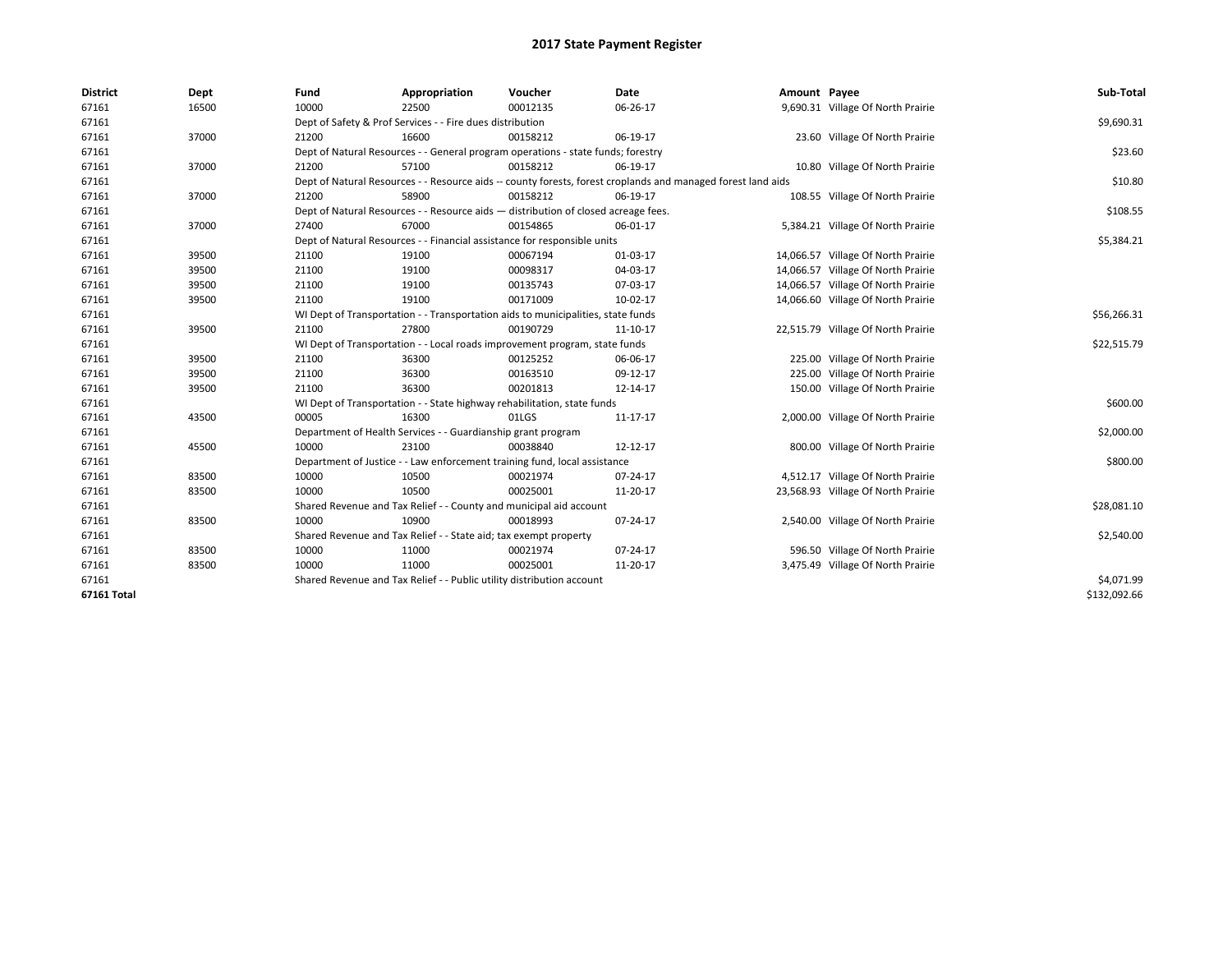| <b>District</b> | Dept  | Fund  | Appropriation                                                                      | Voucher  | Date                                                                                                         | Amount Payee |                                    | Sub-Total    |  |  |  |
|-----------------|-------|-------|------------------------------------------------------------------------------------|----------|--------------------------------------------------------------------------------------------------------------|--------------|------------------------------------|--------------|--|--|--|
| 67161           | 16500 | 10000 | 22500                                                                              | 00012135 | 06-26-17                                                                                                     |              | 9,690.31 Village Of North Prairie  |              |  |  |  |
| 67161           |       |       | Dept of Safety & Prof Services - - Fire dues distribution                          |          |                                                                                                              |              |                                    | \$9,690.31   |  |  |  |
| 67161           | 37000 | 21200 | 16600                                                                              | 00158212 | 06-19-17                                                                                                     |              | 23.60 Village Of North Prairie     |              |  |  |  |
| 67161           |       |       | Dept of Natural Resources - - General program operations - state funds; forestry   |          |                                                                                                              |              |                                    | \$23.60      |  |  |  |
| 67161           | 37000 | 21200 | 57100                                                                              | 00158212 | 06-19-17                                                                                                     |              | 10.80 Village Of North Prairie     |              |  |  |  |
| 67161           |       |       |                                                                                    |          | Dept of Natural Resources - - Resource aids -- county forests, forest croplands and managed forest land aids |              |                                    | \$10.80      |  |  |  |
| 67161           | 37000 | 21200 | 58900                                                                              | 00158212 | 06-19-17                                                                                                     |              | 108.55 Village Of North Prairie    |              |  |  |  |
| 67161           |       |       | Dept of Natural Resources - - Resource aids - distribution of closed acreage fees. |          |                                                                                                              |              |                                    |              |  |  |  |
| 67161           | 37000 | 27400 | 67000                                                                              | 00154865 | 06-01-17                                                                                                     |              | 5,384.21 Village Of North Prairie  |              |  |  |  |
| 67161           |       |       | Dept of Natural Resources - - Financial assistance for responsible units           |          |                                                                                                              |              |                                    | \$5,384.21   |  |  |  |
| 67161           | 39500 | 21100 | 19100                                                                              | 00067194 | 01-03-17                                                                                                     |              | 14,066.57 Village Of North Prairie |              |  |  |  |
| 67161           | 39500 | 21100 | 19100                                                                              | 00098317 | 04-03-17                                                                                                     |              | 14,066.57 Village Of North Prairie |              |  |  |  |
| 67161           | 39500 | 21100 | 19100                                                                              | 00135743 | 07-03-17                                                                                                     |              | 14,066.57 Village Of North Prairie |              |  |  |  |
| 67161           | 39500 | 21100 | 19100                                                                              | 00171009 | 10-02-17                                                                                                     |              | 14,066.60 Village Of North Prairie |              |  |  |  |
| 67161           |       |       | WI Dept of Transportation - - Transportation aids to municipalities, state funds   |          |                                                                                                              |              |                                    |              |  |  |  |
| 67161           | 39500 | 21100 | 27800                                                                              | 00190729 | 11-10-17                                                                                                     |              | 22,515.79 Village Of North Prairie |              |  |  |  |
| 67161           |       |       | WI Dept of Transportation - - Local roads improvement program, state funds         |          |                                                                                                              |              |                                    |              |  |  |  |
| 67161           | 39500 | 21100 | 36300                                                                              | 00125252 | 06-06-17                                                                                                     |              | 225.00 Village Of North Prairie    |              |  |  |  |
| 67161           | 39500 | 21100 | 36300                                                                              | 00163510 | 09-12-17                                                                                                     |              | 225.00 Village Of North Prairie    |              |  |  |  |
| 67161           | 39500 | 21100 | 36300                                                                              | 00201813 | 12-14-17                                                                                                     |              | 150.00 Village Of North Prairie    |              |  |  |  |
| 67161           |       |       | WI Dept of Transportation - - State highway rehabilitation, state funds            |          |                                                                                                              |              |                                    | \$600.00     |  |  |  |
| 67161           | 43500 | 00005 | 16300                                                                              | 01LGS    | 11-17-17                                                                                                     |              | 2,000.00 Village Of North Prairie  |              |  |  |  |
| 67161           |       |       | Department of Health Services - - Guardianship grant program                       |          |                                                                                                              |              |                                    | \$2,000.00   |  |  |  |
| 67161           | 45500 | 10000 | 23100                                                                              | 00038840 | 12-12-17                                                                                                     |              | 800.00 Village Of North Prairie    |              |  |  |  |
| 67161           |       |       | Department of Justice - - Law enforcement training fund, local assistance          |          |                                                                                                              |              |                                    | \$800.00     |  |  |  |
| 67161           | 83500 | 10000 | 10500                                                                              | 00021974 | 07-24-17                                                                                                     |              | 4,512.17 Village Of North Prairie  |              |  |  |  |
| 67161           | 83500 | 10000 | 10500                                                                              | 00025001 | 11-20-17                                                                                                     |              | 23,568.93 Village Of North Prairie |              |  |  |  |
| 67161           |       |       | Shared Revenue and Tax Relief - - County and municipal aid account                 |          |                                                                                                              |              |                                    | \$28,081.10  |  |  |  |
| 67161           | 83500 | 10000 | 10900                                                                              | 00018993 | 07-24-17                                                                                                     |              | 2,540.00 Village Of North Prairie  |              |  |  |  |
| 67161           |       |       | Shared Revenue and Tax Relief - - State aid; tax exempt property                   |          |                                                                                                              |              |                                    | \$2,540.00   |  |  |  |
| 67161           | 83500 | 10000 | 11000                                                                              | 00021974 | 07-24-17                                                                                                     |              | 596.50 Village Of North Prairie    |              |  |  |  |
| 67161           | 83500 | 10000 | 11000                                                                              | 00025001 | 11-20-17                                                                                                     |              | 3,475.49 Village Of North Prairie  |              |  |  |  |
| 67161           |       |       | Shared Revenue and Tax Relief - - Public utility distribution account              |          |                                                                                                              |              |                                    | \$4,071.99   |  |  |  |
| 67161 Total     |       |       |                                                                                    |          |                                                                                                              |              |                                    | \$132,092.66 |  |  |  |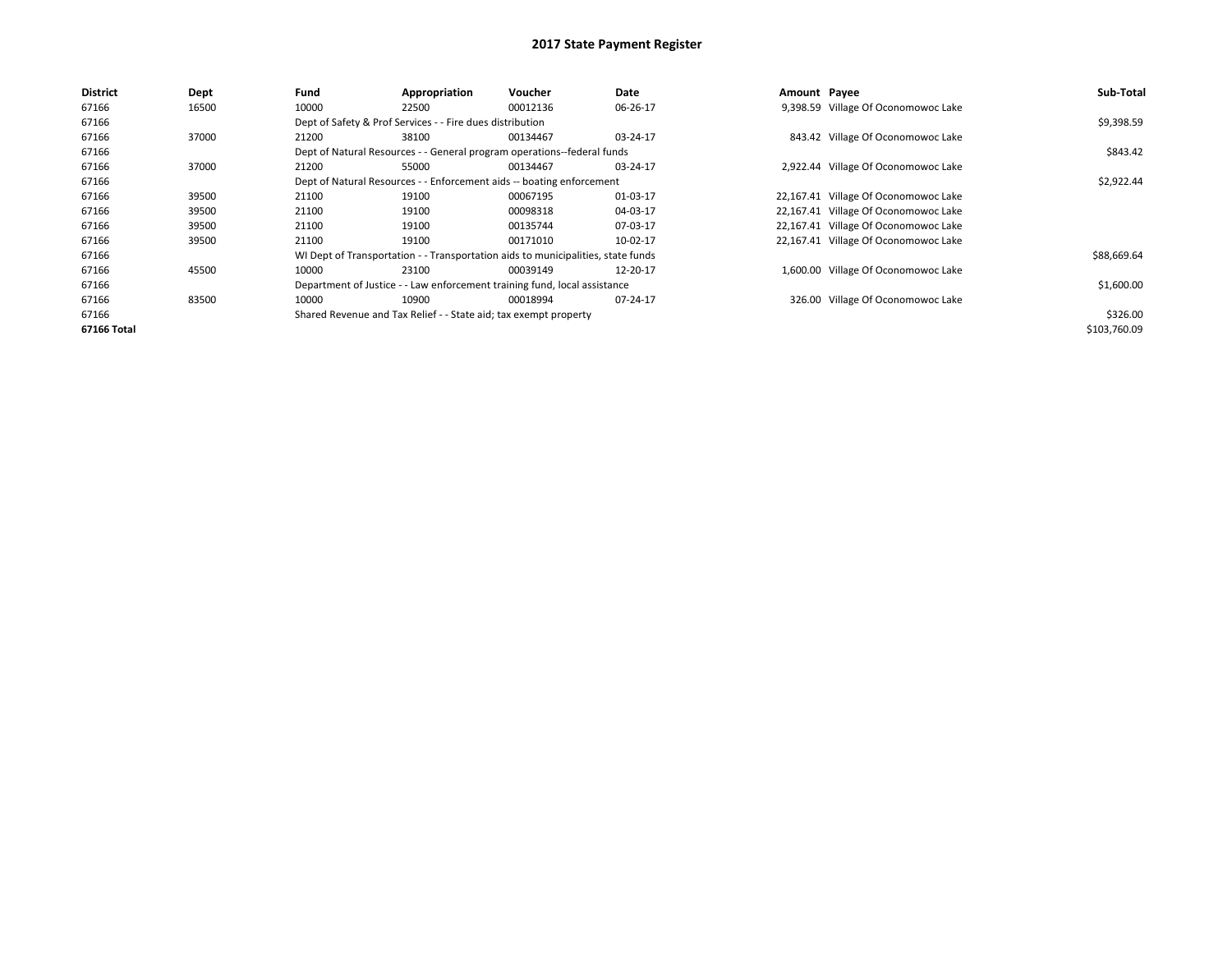| <b>District</b> | Dept  | Fund  | Appropriation                                                                    | Voucher  | Date     | Amount Payee |                                      | Sub-Total    |
|-----------------|-------|-------|----------------------------------------------------------------------------------|----------|----------|--------------|--------------------------------------|--------------|
| 67166           | 16500 | 10000 | 22500                                                                            | 00012136 | 06-26-17 |              | 9,398.59 Village Of Oconomowoc Lake  |              |
| 67166           |       |       | Dept of Safety & Prof Services - - Fire dues distribution                        |          |          |              |                                      | \$9,398.59   |
| 67166           | 37000 | 21200 | 38100                                                                            | 00134467 | 03-24-17 |              | 843.42 Village Of Oconomowoc Lake    |              |
| 67166           |       |       | Dept of Natural Resources - - General program operations--federal funds          |          |          |              |                                      | \$843.42     |
| 67166           | 37000 | 21200 | 55000                                                                            | 00134467 | 03-24-17 |              | 2,922.44 Village Of Oconomowoc Lake  |              |
| 67166           |       |       | Dept of Natural Resources - - Enforcement aids -- boating enforcement            |          |          |              |                                      | \$2,922.44   |
| 67166           | 39500 | 21100 | 19100                                                                            | 00067195 | 01-03-17 |              | 22,167.41 Village Of Oconomowoc Lake |              |
| 67166           | 39500 | 21100 | 19100                                                                            | 00098318 | 04-03-17 |              | 22,167.41 Village Of Oconomowoc Lake |              |
| 67166           | 39500 | 21100 | 19100                                                                            | 00135744 | 07-03-17 |              | 22,167.41 Village Of Oconomowoc Lake |              |
| 67166           | 39500 | 21100 | 19100                                                                            | 00171010 | 10-02-17 |              | 22,167.41 Village Of Oconomowoc Lake |              |
| 67166           |       |       | WI Dept of Transportation - - Transportation aids to municipalities, state funds |          |          |              |                                      | \$88,669.64  |
| 67166           | 45500 | 10000 | 23100                                                                            | 00039149 | 12-20-17 |              | 1,600.00 Village Of Oconomowoc Lake  |              |
| 67166           |       |       | Department of Justice - - Law enforcement training fund, local assistance        |          |          |              |                                      | \$1,600.00   |
| 67166           | 83500 | 10000 | 10900                                                                            | 00018994 | 07-24-17 |              | 326.00 Village Of Oconomowoc Lake    |              |
| 67166           |       |       | Shared Revenue and Tax Relief - - State aid; tax exempt property                 |          |          |              |                                      | \$326.00     |
| 67166 Total     |       |       |                                                                                  |          |          |              |                                      | \$103,760.09 |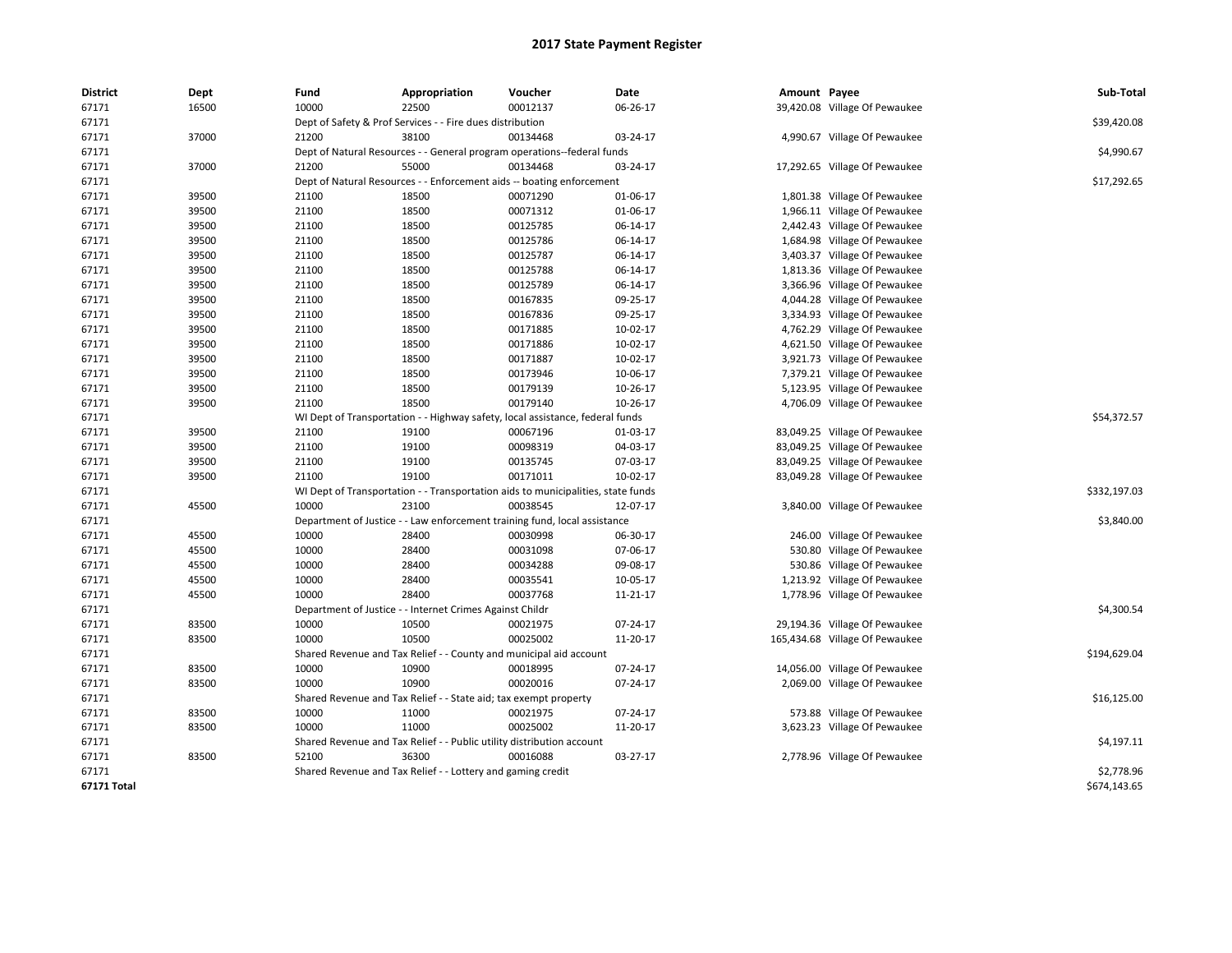| <b>District</b>    | Dept  | Fund  | Appropriation                                                                    | Voucher  | Date     | Amount Payee |                                | Sub-Total    |  |  |  |
|--------------------|-------|-------|----------------------------------------------------------------------------------|----------|----------|--------------|--------------------------------|--------------|--|--|--|
| 67171              | 16500 | 10000 | 22500                                                                            | 00012137 | 06-26-17 |              | 39,420.08 Village Of Pewaukee  |              |  |  |  |
| 67171              |       |       | Dept of Safety & Prof Services - - Fire dues distribution                        |          |          |              |                                | \$39,420.08  |  |  |  |
| 67171              | 37000 | 21200 | 38100                                                                            | 00134468 | 03-24-17 |              | 4,990.67 Village Of Pewaukee   |              |  |  |  |
| 67171              |       |       | Dept of Natural Resources - - General program operations--federal funds          |          |          |              |                                | \$4,990.67   |  |  |  |
| 67171              | 37000 | 21200 | 55000                                                                            | 00134468 | 03-24-17 |              | 17,292.65 Village Of Pewaukee  |              |  |  |  |
| 67171              |       |       | Dept of Natural Resources - - Enforcement aids -- boating enforcement            |          |          |              |                                | \$17,292.65  |  |  |  |
| 67171              | 39500 | 21100 | 18500                                                                            | 00071290 | 01-06-17 |              | 1,801.38 Village Of Pewaukee   |              |  |  |  |
| 67171              | 39500 | 21100 | 18500                                                                            | 00071312 | 01-06-17 |              | 1,966.11 Village Of Pewaukee   |              |  |  |  |
| 67171              | 39500 | 21100 | 18500                                                                            | 00125785 | 06-14-17 |              | 2,442.43 Village Of Pewaukee   |              |  |  |  |
| 67171              | 39500 | 21100 | 18500                                                                            | 00125786 | 06-14-17 |              | 1,684.98 Village Of Pewaukee   |              |  |  |  |
| 67171              | 39500 | 21100 | 18500                                                                            | 00125787 | 06-14-17 |              | 3,403.37 Village Of Pewaukee   |              |  |  |  |
| 67171              | 39500 | 21100 | 18500                                                                            | 00125788 | 06-14-17 |              | 1,813.36 Village Of Pewaukee   |              |  |  |  |
| 67171              | 39500 | 21100 | 18500                                                                            | 00125789 | 06-14-17 |              | 3,366.96 Village Of Pewaukee   |              |  |  |  |
| 67171              | 39500 | 21100 | 18500                                                                            | 00167835 | 09-25-17 |              | 4,044.28 Village Of Pewaukee   |              |  |  |  |
| 67171              | 39500 | 21100 | 18500                                                                            | 00167836 | 09-25-17 |              | 3,334.93 Village Of Pewaukee   |              |  |  |  |
| 67171              | 39500 | 21100 | 18500                                                                            | 00171885 | 10-02-17 |              | 4,762.29 Village Of Pewaukee   |              |  |  |  |
| 67171              | 39500 | 21100 | 18500                                                                            | 00171886 | 10-02-17 |              | 4,621.50 Village Of Pewaukee   |              |  |  |  |
| 67171              | 39500 | 21100 | 18500                                                                            | 00171887 | 10-02-17 |              | 3,921.73 Village Of Pewaukee   |              |  |  |  |
| 67171              | 39500 | 21100 | 18500                                                                            | 00173946 | 10-06-17 |              | 7,379.21 Village Of Pewaukee   |              |  |  |  |
| 67171              | 39500 | 21100 | 18500                                                                            | 00179139 | 10-26-17 |              | 5,123.95 Village Of Pewaukee   |              |  |  |  |
| 67171              | 39500 | 21100 | 18500                                                                            | 00179140 | 10-26-17 |              | 4,706.09 Village Of Pewaukee   |              |  |  |  |
| 67171              |       |       | WI Dept of Transportation - - Highway safety, local assistance, federal funds    |          |          |              |                                |              |  |  |  |
| 67171              | 39500 | 21100 | 19100                                                                            | 00067196 | 01-03-17 |              | 83,049.25 Village Of Pewaukee  |              |  |  |  |
| 67171              | 39500 | 21100 | 19100                                                                            | 00098319 | 04-03-17 |              | 83,049.25 Village Of Pewaukee  |              |  |  |  |
| 67171              | 39500 | 21100 | 19100                                                                            | 00135745 | 07-03-17 |              | 83,049.25 Village Of Pewaukee  |              |  |  |  |
| 67171              | 39500 | 21100 | 19100                                                                            | 00171011 | 10-02-17 |              | 83,049.28 Village Of Pewaukee  |              |  |  |  |
| 67171              |       |       | WI Dept of Transportation - - Transportation aids to municipalities, state funds |          |          |              |                                | \$332,197.03 |  |  |  |
| 67171              | 45500 | 10000 | 23100                                                                            | 00038545 | 12-07-17 |              | 3,840.00 Village Of Pewaukee   |              |  |  |  |
| 67171              |       |       | Department of Justice - - Law enforcement training fund, local assistance        |          |          |              |                                | \$3,840.00   |  |  |  |
| 67171              | 45500 | 10000 | 28400                                                                            | 00030998 | 06-30-17 |              | 246.00 Village Of Pewaukee     |              |  |  |  |
| 67171              | 45500 | 10000 | 28400                                                                            | 00031098 | 07-06-17 |              | 530.80 Village Of Pewaukee     |              |  |  |  |
| 67171              | 45500 | 10000 | 28400                                                                            | 00034288 | 09-08-17 |              | 530.86 Village Of Pewaukee     |              |  |  |  |
| 67171              | 45500 | 10000 | 28400                                                                            | 00035541 | 10-05-17 |              | 1,213.92 Village Of Pewaukee   |              |  |  |  |
| 67171              | 45500 | 10000 | 28400                                                                            | 00037768 | 11-21-17 |              | 1,778.96 Village Of Pewaukee   |              |  |  |  |
| 67171              |       |       | Department of Justice - - Internet Crimes Against Childr                         |          |          |              |                                | \$4,300.54   |  |  |  |
| 67171              | 83500 | 10000 | 10500                                                                            | 00021975 | 07-24-17 |              | 29,194.36 Village Of Pewaukee  |              |  |  |  |
| 67171              | 83500 | 10000 | 10500                                                                            | 00025002 | 11-20-17 |              | 165,434.68 Village Of Pewaukee |              |  |  |  |
| 67171              |       |       | Shared Revenue and Tax Relief - - County and municipal aid account               |          |          |              |                                | \$194,629.04 |  |  |  |
| 67171              | 83500 | 10000 | 10900                                                                            | 00018995 | 07-24-17 |              | 14,056.00 Village Of Pewaukee  |              |  |  |  |
| 67171              | 83500 | 10000 | 10900                                                                            | 00020016 | 07-24-17 |              | 2,069.00 Village Of Pewaukee   |              |  |  |  |
| 67171              |       |       | Shared Revenue and Tax Relief - - State aid; tax exempt property                 |          |          |              |                                | \$16,125.00  |  |  |  |
| 67171              | 83500 | 10000 | 11000                                                                            | 00021975 | 07-24-17 |              | 573.88 Village Of Pewaukee     |              |  |  |  |
| 67171              | 83500 | 10000 | 11000                                                                            | 00025002 | 11-20-17 |              | 3,623.23 Village Of Pewaukee   |              |  |  |  |
| 67171              |       |       | Shared Revenue and Tax Relief - - Public utility distribution account            |          |          |              |                                | \$4,197.11   |  |  |  |
| 67171              | 83500 | 52100 | 36300                                                                            | 00016088 | 03-27-17 |              | 2,778.96 Village Of Pewaukee   |              |  |  |  |
| 67171              |       |       | Shared Revenue and Tax Relief - - Lottery and gaming credit                      |          |          |              |                                | \$2,778.96   |  |  |  |
| <b>67171 Total</b> |       |       |                                                                                  |          |          |              |                                | \$674,143.65 |  |  |  |
|                    |       |       |                                                                                  |          |          |              |                                |              |  |  |  |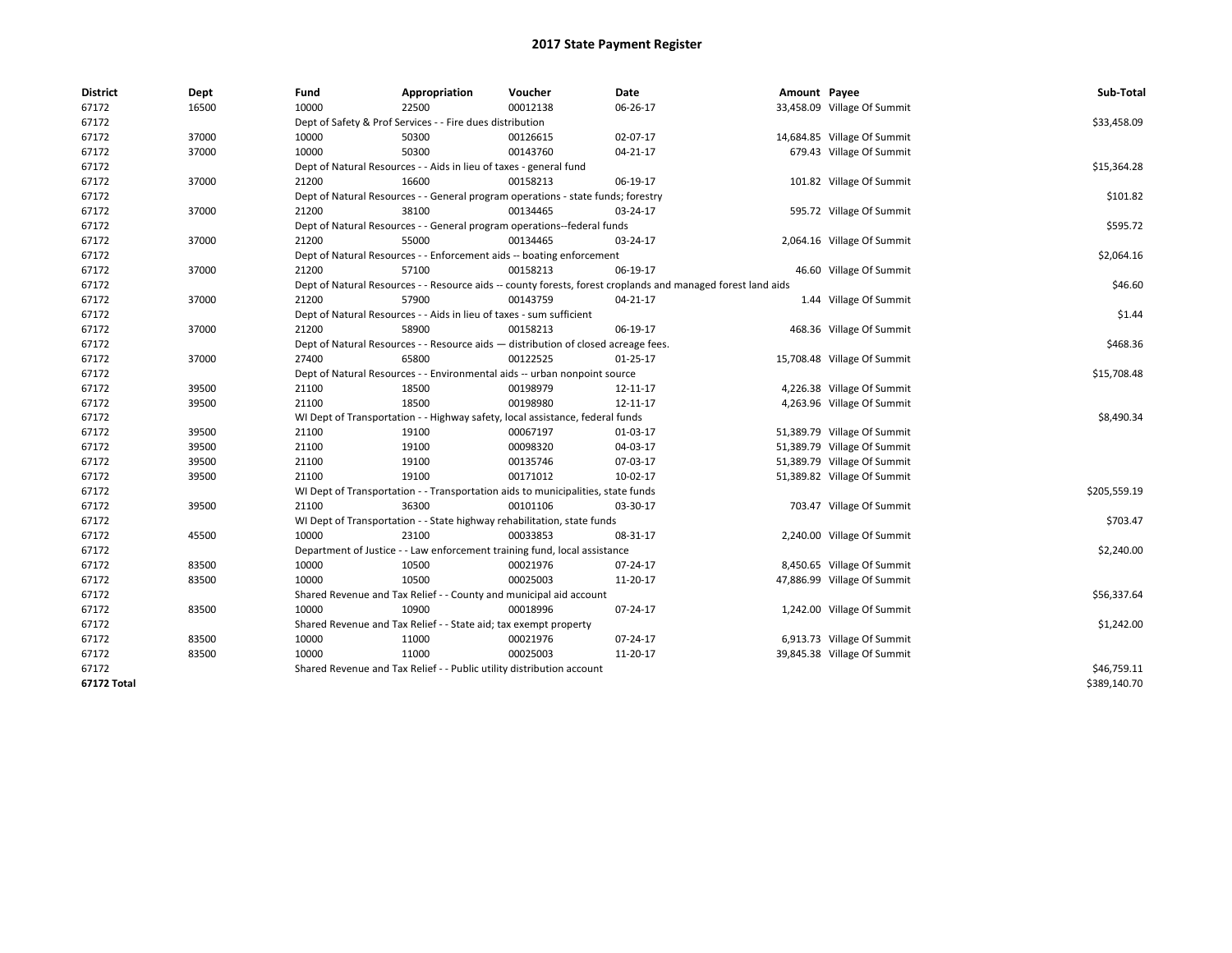| <b>District</b> | Dept  | Fund                                                                      | Appropriation                                                                      | Voucher  | Date                                                                                                         | Amount Payee |                             | Sub-Total    |  |  |  |
|-----------------|-------|---------------------------------------------------------------------------|------------------------------------------------------------------------------------|----------|--------------------------------------------------------------------------------------------------------------|--------------|-----------------------------|--------------|--|--|--|
| 67172           | 16500 | 10000                                                                     | 22500                                                                              | 00012138 | 06-26-17                                                                                                     |              | 33,458.09 Village Of Summit |              |  |  |  |
| 67172           |       |                                                                           | Dept of Safety & Prof Services - - Fire dues distribution                          |          |                                                                                                              |              |                             | \$33,458.09  |  |  |  |
| 67172           | 37000 | 10000                                                                     | 50300                                                                              | 00126615 | 02-07-17                                                                                                     |              | 14,684.85 Village Of Summit |              |  |  |  |
| 67172           | 37000 | 10000                                                                     | 50300                                                                              | 00143760 | 04-21-17                                                                                                     |              | 679.43 Village Of Summit    |              |  |  |  |
| 67172           |       |                                                                           | Dept of Natural Resources - - Aids in lieu of taxes - general fund                 |          |                                                                                                              |              |                             | \$15,364.28  |  |  |  |
| 67172           | 37000 | 21200                                                                     | 16600                                                                              | 00158213 | 06-19-17                                                                                                     |              | 101.82 Village Of Summit    |              |  |  |  |
| 67172           |       |                                                                           | Dept of Natural Resources - - General program operations - state funds; forestry   |          |                                                                                                              |              |                             |              |  |  |  |
| 67172           | 37000 | 21200                                                                     | 38100                                                                              | 00134465 | 03-24-17                                                                                                     |              | 595.72 Village Of Summit    |              |  |  |  |
| 67172           |       |                                                                           | Dept of Natural Resources - - General program operations--federal funds            |          |                                                                                                              |              |                             | \$595.72     |  |  |  |
| 67172           | 37000 | 21200                                                                     | 55000                                                                              | 00134465 | 03-24-17                                                                                                     |              | 2,064.16 Village Of Summit  |              |  |  |  |
| 67172           |       |                                                                           | Dept of Natural Resources - - Enforcement aids -- boating enforcement              |          |                                                                                                              |              |                             | \$2,064.16   |  |  |  |
| 67172           | 37000 | 21200                                                                     | 57100                                                                              | 00158213 | 06-19-17                                                                                                     |              | 46.60 Village Of Summit     |              |  |  |  |
| 67172           |       |                                                                           |                                                                                    |          | Dept of Natural Resources - - Resource aids -- county forests, forest croplands and managed forest land aids |              |                             | \$46.60      |  |  |  |
| 67172           | 37000 | 21200                                                                     | 57900                                                                              | 00143759 | 04-21-17                                                                                                     |              | 1.44 Village Of Summit      |              |  |  |  |
| 67172           |       |                                                                           | Dept of Natural Resources - - Aids in lieu of taxes - sum sufficient               |          |                                                                                                              |              |                             | \$1.44       |  |  |  |
| 67172           | 37000 | 21200                                                                     | 58900                                                                              | 00158213 | 06-19-17                                                                                                     |              | 468.36 Village Of Summit    |              |  |  |  |
| 67172           |       |                                                                           | Dept of Natural Resources - - Resource aids - distribution of closed acreage fees. |          |                                                                                                              |              |                             | \$468.36     |  |  |  |
| 67172           | 37000 | 27400                                                                     | 65800                                                                              | 00122525 | 01-25-17                                                                                                     |              | 15,708.48 Village Of Summit |              |  |  |  |
| 67172           |       | Dept of Natural Resources - - Environmental aids -- urban nonpoint source | \$15,708.48                                                                        |          |                                                                                                              |              |                             |              |  |  |  |
| 67172           | 39500 | 21100                                                                     | 18500                                                                              | 00198979 | 12-11-17                                                                                                     |              | 4,226.38 Village Of Summit  |              |  |  |  |
| 67172           | 39500 | 21100                                                                     | 18500                                                                              | 00198980 | 12-11-17                                                                                                     |              | 4,263.96 Village Of Summit  |              |  |  |  |
| 67172           |       |                                                                           | WI Dept of Transportation - - Highway safety, local assistance, federal funds      |          |                                                                                                              |              |                             | \$8,490.34   |  |  |  |
| 67172           | 39500 | 21100                                                                     | 19100                                                                              | 00067197 | 01-03-17                                                                                                     |              | 51,389.79 Village Of Summit |              |  |  |  |
| 67172           | 39500 | 21100                                                                     | 19100                                                                              | 00098320 | 04-03-17                                                                                                     |              | 51,389.79 Village Of Summit |              |  |  |  |
| 67172           | 39500 | 21100                                                                     | 19100                                                                              | 00135746 | 07-03-17                                                                                                     |              | 51,389.79 Village Of Summit |              |  |  |  |
| 67172           | 39500 | 21100                                                                     | 19100                                                                              | 00171012 | 10-02-17                                                                                                     |              | 51,389.82 Village Of Summit |              |  |  |  |
| 67172           |       |                                                                           | WI Dept of Transportation - - Transportation aids to municipalities, state funds   |          |                                                                                                              |              |                             | \$205,559.19 |  |  |  |
| 67172           | 39500 | 21100                                                                     | 36300                                                                              | 00101106 | 03-30-17                                                                                                     |              | 703.47 Village Of Summit    |              |  |  |  |
| 67172           |       |                                                                           | WI Dept of Transportation - - State highway rehabilitation, state funds            |          |                                                                                                              |              |                             | \$703.47     |  |  |  |
| 67172           | 45500 | 10000                                                                     | 23100                                                                              | 00033853 | 08-31-17                                                                                                     |              | 2,240.00 Village Of Summit  |              |  |  |  |
| 67172           |       |                                                                           | Department of Justice - - Law enforcement training fund, local assistance          |          |                                                                                                              |              |                             | \$2,240.00   |  |  |  |
| 67172           | 83500 | 10000                                                                     | 10500                                                                              | 00021976 | 07-24-17                                                                                                     |              | 8,450.65 Village Of Summit  |              |  |  |  |
| 67172           | 83500 | 10000                                                                     | 10500                                                                              | 00025003 | 11-20-17                                                                                                     |              | 47,886.99 Village Of Summit |              |  |  |  |
| 67172           |       |                                                                           | Shared Revenue and Tax Relief - - County and municipal aid account                 |          |                                                                                                              |              |                             | \$56,337.64  |  |  |  |
| 67172           | 83500 | 10000                                                                     | 10900                                                                              | 00018996 | 07-24-17                                                                                                     |              | 1,242.00 Village Of Summit  |              |  |  |  |
| 67172           |       |                                                                           | Shared Revenue and Tax Relief - - State aid; tax exempt property                   |          |                                                                                                              |              |                             | \$1,242.00   |  |  |  |
| 67172           | 83500 | 10000                                                                     | 11000                                                                              | 00021976 | 07-24-17                                                                                                     |              | 6,913.73 Village Of Summit  |              |  |  |  |
| 67172           | 83500 | 10000                                                                     | 11000                                                                              | 00025003 | 11-20-17                                                                                                     |              | 39,845.38 Village Of Summit |              |  |  |  |
| 67172           |       |                                                                           | Shared Revenue and Tax Relief - - Public utility distribution account              |          |                                                                                                              |              |                             | \$46,759.11  |  |  |  |
| 67172 Total     |       |                                                                           |                                                                                    |          |                                                                                                              |              |                             | \$389,140.70 |  |  |  |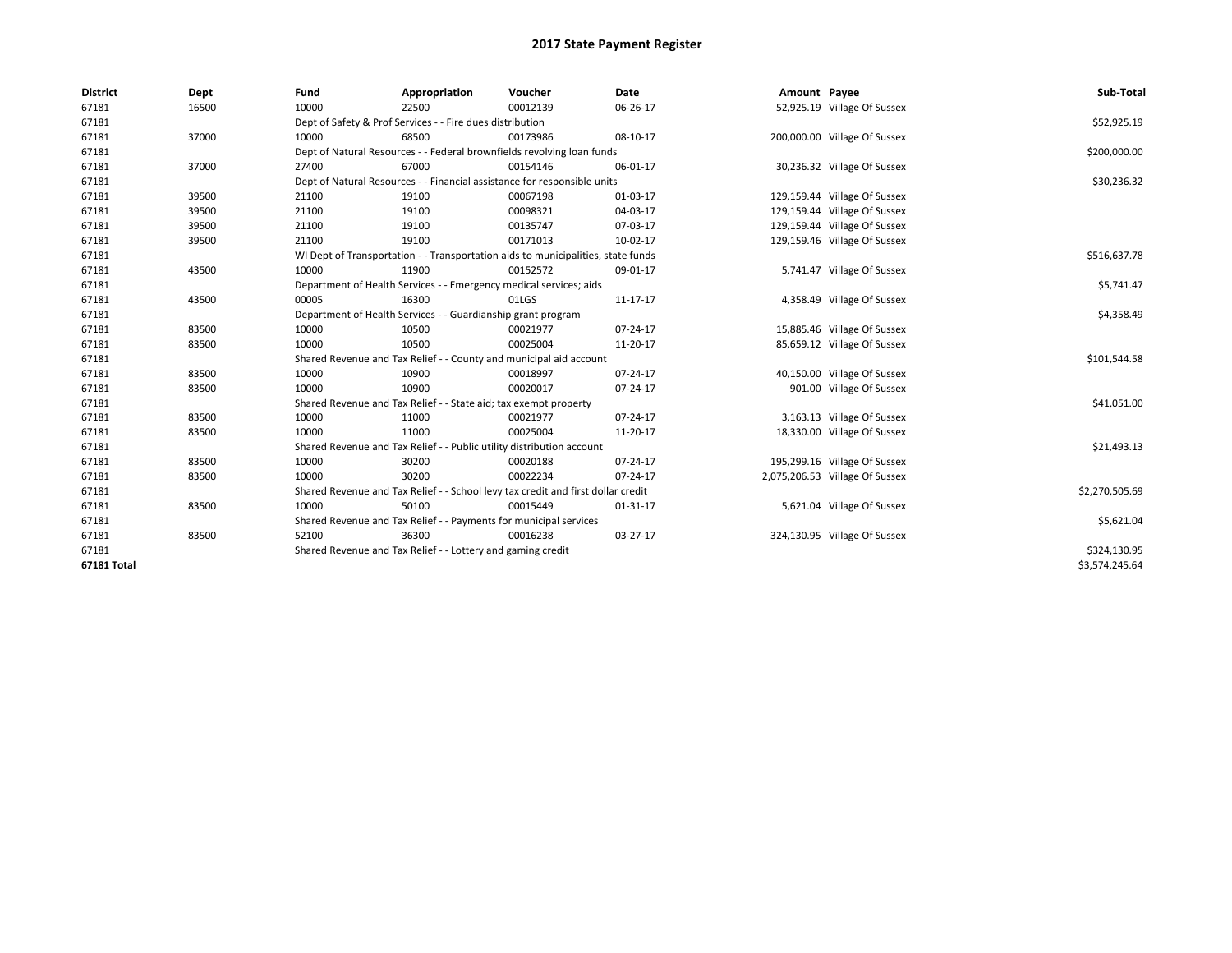| <b>District</b> | Dept  | Fund  | Appropriation                                                                    | Voucher  | Date     | Amount Payee |                                | Sub-Total      |  |  |
|-----------------|-------|-------|----------------------------------------------------------------------------------|----------|----------|--------------|--------------------------------|----------------|--|--|
| 67181           | 16500 | 10000 | 22500                                                                            | 00012139 | 06-26-17 |              | 52,925.19 Village Of Sussex    |                |  |  |
| 67181           |       |       | Dept of Safety & Prof Services - - Fire dues distribution                        |          |          |              |                                | \$52,925.19    |  |  |
| 67181           | 37000 | 10000 | 68500                                                                            | 00173986 | 08-10-17 |              | 200,000.00 Village Of Sussex   |                |  |  |
| 67181           |       |       | Dept of Natural Resources - - Federal brownfields revolving loan funds           |          |          |              |                                | \$200,000.00   |  |  |
| 67181           | 37000 | 27400 | 67000                                                                            | 00154146 | 06-01-17 |              | 30,236.32 Village Of Sussex    |                |  |  |
| 67181           |       |       | Dept of Natural Resources - - Financial assistance for responsible units         |          |          |              |                                | \$30,236.32    |  |  |
| 67181           | 39500 | 21100 | 19100                                                                            | 00067198 | 01-03-17 |              | 129,159.44 Village Of Sussex   |                |  |  |
| 67181           | 39500 | 21100 | 19100                                                                            | 00098321 | 04-03-17 |              | 129,159.44 Village Of Sussex   |                |  |  |
| 67181           | 39500 | 21100 | 19100                                                                            | 00135747 | 07-03-17 |              | 129,159.44 Village Of Sussex   |                |  |  |
| 67181           | 39500 | 21100 | 19100                                                                            | 00171013 | 10-02-17 |              | 129,159.46 Village Of Sussex   |                |  |  |
| 67181           |       |       | WI Dept of Transportation - - Transportation aids to municipalities, state funds |          |          |              |                                |                |  |  |
| 67181           | 43500 | 10000 | 11900                                                                            | 00152572 | 09-01-17 |              | 5,741.47 Village Of Sussex     |                |  |  |
| 67181           |       |       | Department of Health Services - - Emergency medical services; aids               |          |          |              |                                | \$5,741.47     |  |  |
| 67181           | 43500 | 00005 | 16300                                                                            | 01LGS    | 11-17-17 |              | 4,358.49 Village Of Sussex     |                |  |  |
| 67181           |       |       | Department of Health Services - - Guardianship grant program                     |          |          |              |                                |                |  |  |
| 67181           | 83500 | 10000 | 10500                                                                            | 00021977 | 07-24-17 |              | 15,885.46 Village Of Sussex    |                |  |  |
| 67181           | 83500 | 10000 | 10500                                                                            | 00025004 | 11-20-17 |              | 85,659.12 Village Of Sussex    |                |  |  |
| 67181           |       |       | Shared Revenue and Tax Relief - - County and municipal aid account               |          |          |              |                                | \$101,544.58   |  |  |
| 67181           | 83500 | 10000 | 10900                                                                            | 00018997 | 07-24-17 |              | 40,150.00 Village Of Sussex    |                |  |  |
| 67181           | 83500 | 10000 | 10900                                                                            | 00020017 | 07-24-17 |              | 901.00 Village Of Sussex       |                |  |  |
| 67181           |       |       | Shared Revenue and Tax Relief - - State aid; tax exempt property                 |          |          |              |                                | \$41,051.00    |  |  |
| 67181           | 83500 | 10000 | 11000                                                                            | 00021977 | 07-24-17 |              | 3,163.13 Village Of Sussex     |                |  |  |
| 67181           | 83500 | 10000 | 11000                                                                            | 00025004 | 11-20-17 |              | 18,330.00 Village Of Sussex    |                |  |  |
| 67181           |       |       | Shared Revenue and Tax Relief - - Public utility distribution account            |          |          |              |                                | \$21,493.13    |  |  |
| 67181           | 83500 | 10000 | 30200                                                                            | 00020188 | 07-24-17 |              | 195,299.16 Village Of Sussex   |                |  |  |
| 67181           | 83500 | 10000 | 30200                                                                            | 00022234 | 07-24-17 |              | 2,075,206.53 Village Of Sussex |                |  |  |
| 67181           |       |       | Shared Revenue and Tax Relief - - School levy tax credit and first dollar credit |          |          |              |                                | \$2,270,505.69 |  |  |
| 67181           | 83500 | 10000 | 50100                                                                            | 00015449 | 01-31-17 |              | 5,621.04 Village Of Sussex     |                |  |  |
| 67181           |       |       | Shared Revenue and Tax Relief - - Payments for municipal services                |          |          |              |                                | \$5,621.04     |  |  |
| 67181           | 83500 | 52100 | 36300                                                                            | 00016238 | 03-27-17 |              | 324,130.95 Village Of Sussex   |                |  |  |
| 67181           |       |       | Shared Revenue and Tax Relief - - Lottery and gaming credit                      |          |          |              |                                | \$324,130.95   |  |  |
| 67181 Total     |       |       |                                                                                  |          |          |              |                                | \$3,574,245.64 |  |  |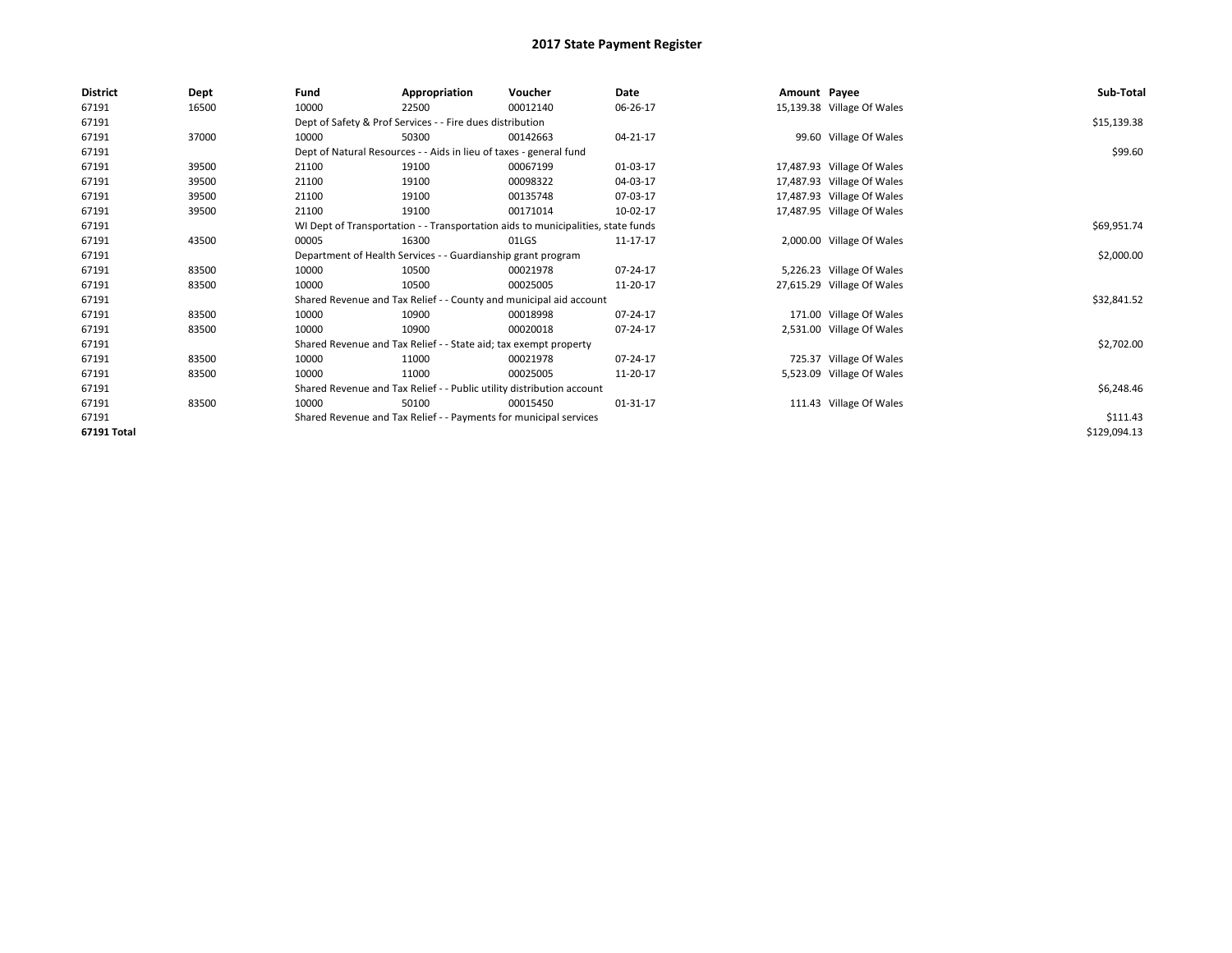| <b>District</b> | Dept  | Fund  | Appropriation                                                                    | Voucher                                                            | Date           | Amount Payee |                            | Sub-Total    |
|-----------------|-------|-------|----------------------------------------------------------------------------------|--------------------------------------------------------------------|----------------|--------------|----------------------------|--------------|
| 67191           | 16500 | 10000 | 22500                                                                            | 00012140                                                           | 06-26-17       |              | 15,139.38 Village Of Wales |              |
| 67191           |       |       | Dept of Safety & Prof Services - - Fire dues distribution                        |                                                                    |                |              |                            | \$15,139.38  |
| 67191           | 37000 | 10000 | 50300                                                                            | 00142663                                                           | 04-21-17       |              | 99.60 Village Of Wales     |              |
| 67191           |       |       | Dept of Natural Resources - - Aids in lieu of taxes - general fund               |                                                                    |                |              |                            | \$99.60      |
| 67191           | 39500 | 21100 | 19100                                                                            | 00067199                                                           | 01-03-17       |              | 17,487.93 Village Of Wales |              |
| 67191           | 39500 | 21100 | 19100                                                                            | 00098322                                                           | 04-03-17       |              | 17,487.93 Village Of Wales |              |
| 67191           | 39500 | 21100 | 19100                                                                            | 00135748                                                           | 07-03-17       |              | 17,487.93 Village Of Wales |              |
| 67191           | 39500 | 21100 | 19100                                                                            | 00171014                                                           | 10-02-17       |              | 17,487.95 Village Of Wales |              |
| 67191           |       |       | WI Dept of Transportation - - Transportation aids to municipalities, state funds |                                                                    | \$69,951.74    |              |                            |              |
| 67191           | 43500 | 00005 | 16300                                                                            | 01LGS                                                              | 11-17-17       |              | 2,000.00 Village Of Wales  |              |
| 67191           |       |       | Department of Health Services - - Guardianship grant program                     |                                                                    |                |              |                            | \$2,000.00   |
| 67191           | 83500 | 10000 | 10500                                                                            | 00021978                                                           | 07-24-17       |              | 5,226.23 Village Of Wales  |              |
| 67191           | 83500 | 10000 | 10500                                                                            | 00025005                                                           | 11-20-17       |              | 27,615.29 Village Of Wales |              |
| 67191           |       |       |                                                                                  | Shared Revenue and Tax Relief - - County and municipal aid account |                |              |                            | \$32,841.52  |
| 67191           | 83500 | 10000 | 10900                                                                            | 00018998                                                           | $07 - 24 - 17$ |              | 171.00 Village Of Wales    |              |
| 67191           | 83500 | 10000 | 10900                                                                            | 00020018                                                           | 07-24-17       |              | 2,531.00 Village Of Wales  |              |
| 67191           |       |       | Shared Revenue and Tax Relief - - State aid; tax exempt property                 |                                                                    |                |              |                            | \$2,702.00   |
| 67191           | 83500 | 10000 | 11000                                                                            | 00021978                                                           | 07-24-17       |              | 725.37 Village Of Wales    |              |
| 67191           | 83500 | 10000 | 11000                                                                            | 00025005                                                           | 11-20-17       |              | 5,523.09 Village Of Wales  |              |
| 67191           |       |       | Shared Revenue and Tax Relief - - Public utility distribution account            |                                                                    |                |              |                            | \$6,248.46   |
| 67191           | 83500 | 10000 | 50100                                                                            | 00015450                                                           | 01-31-17       |              | 111.43 Village Of Wales    |              |
| 67191           |       |       | Shared Revenue and Tax Relief - - Payments for municipal services                |                                                                    |                |              |                            | \$111.43     |
| 67191 Total     |       |       |                                                                                  |                                                                    |                |              |                            | \$129,094.13 |
|                 |       |       |                                                                                  |                                                                    |                |              |                            |              |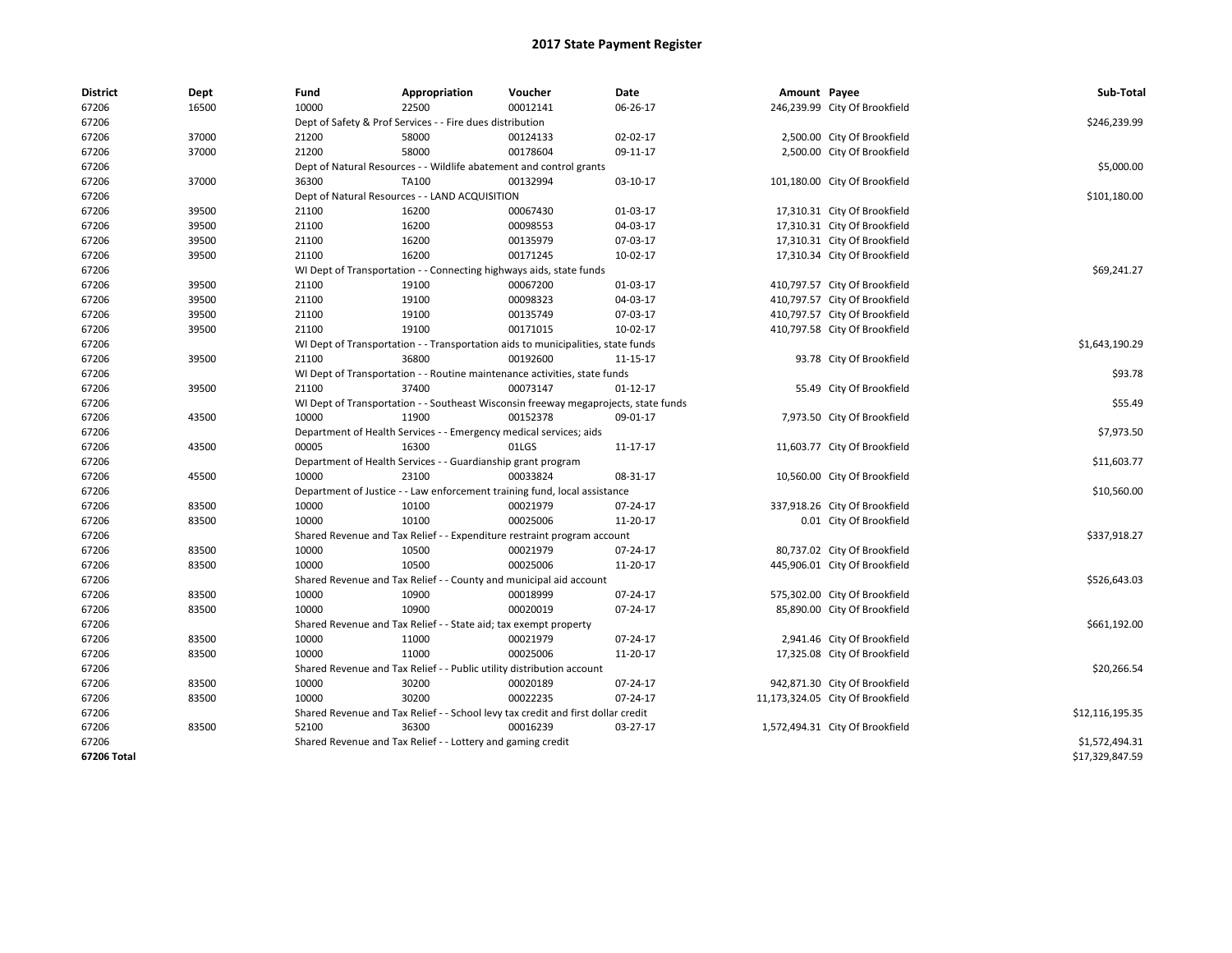| <b>District</b> | Dept  | Fund  | Appropriation                                                                       | Voucher  | Date           | Amount Payee |                                  | Sub-Total       |
|-----------------|-------|-------|-------------------------------------------------------------------------------------|----------|----------------|--------------|----------------------------------|-----------------|
| 67206           | 16500 | 10000 | 22500                                                                               | 00012141 | 06-26-17       |              | 246,239.99 City Of Brookfield    |                 |
| 67206           |       |       | Dept of Safety & Prof Services - - Fire dues distribution                           |          |                |              |                                  | \$246,239.99    |
| 67206           | 37000 | 21200 | 58000                                                                               | 00124133 | 02-02-17       |              | 2,500.00 City Of Brookfield      |                 |
| 67206           | 37000 | 21200 | 58000                                                                               | 00178604 | 09-11-17       |              | 2,500.00 City Of Brookfield      |                 |
| 67206           |       |       | Dept of Natural Resources - - Wildlife abatement and control grants                 |          |                |              |                                  | \$5,000.00      |
| 67206           | 37000 | 36300 | TA100                                                                               | 00132994 | 03-10-17       |              | 101,180.00 City Of Brookfield    |                 |
| 67206           |       |       | Dept of Natural Resources - - LAND ACQUISITION                                      |          |                |              |                                  | \$101,180.00    |
| 67206           | 39500 | 21100 | 16200                                                                               | 00067430 | 01-03-17       |              | 17,310.31 City Of Brookfield     |                 |
| 67206           | 39500 | 21100 | 16200                                                                               | 00098553 | 04-03-17       |              | 17,310.31 City Of Brookfield     |                 |
| 67206           | 39500 | 21100 | 16200                                                                               | 00135979 | 07-03-17       |              | 17,310.31 City Of Brookfield     |                 |
| 67206           | 39500 | 21100 | 16200                                                                               | 00171245 | 10-02-17       |              | 17,310.34 City Of Brookfield     |                 |
| 67206           |       |       | WI Dept of Transportation - - Connecting highways aids, state funds                 |          |                |              |                                  | \$69,241.27     |
| 67206           | 39500 | 21100 | 19100                                                                               | 00067200 | 01-03-17       |              | 410,797.57 City Of Brookfield    |                 |
| 67206           | 39500 | 21100 | 19100                                                                               | 00098323 | 04-03-17       |              | 410,797.57 City Of Brookfield    |                 |
| 67206           | 39500 | 21100 | 19100                                                                               | 00135749 | 07-03-17       |              | 410,797.57 City Of Brookfield    |                 |
| 67206           | 39500 | 21100 | 19100                                                                               | 00171015 | 10-02-17       |              | 410,797.58 City Of Brookfield    |                 |
| 67206           |       |       | WI Dept of Transportation - - Transportation aids to municipalities, state funds    |          |                |              |                                  | \$1,643,190.29  |
| 67206           | 39500 | 21100 | 36800                                                                               | 00192600 | 11-15-17       |              | 93.78 City Of Brookfield         |                 |
| 67206           |       |       | WI Dept of Transportation - - Routine maintenance activities, state funds           |          |                |              |                                  | \$93.78         |
| 67206           | 39500 | 21100 | 37400                                                                               | 00073147 | $01 - 12 - 17$ |              | 55.49 City Of Brookfield         |                 |
| 67206           |       |       | WI Dept of Transportation - - Southeast Wisconsin freeway megaprojects, state funds |          |                |              |                                  | \$55.49         |
| 67206           | 43500 | 10000 | 11900                                                                               | 00152378 | 09-01-17       |              | 7,973.50 City Of Brookfield      |                 |
| 67206           |       |       | Department of Health Services - - Emergency medical services; aids                  |          |                |              |                                  | \$7,973.50      |
| 67206           | 43500 | 00005 | 16300                                                                               | 01LGS    | 11-17-17       |              | 11,603.77 City Of Brookfield     |                 |
| 67206           |       |       | Department of Health Services - - Guardianship grant program                        |          |                |              |                                  | \$11,603.77     |
| 67206           | 45500 | 10000 | 23100                                                                               | 00033824 | 08-31-17       |              | 10,560.00 City Of Brookfield     |                 |
| 67206           |       |       | Department of Justice - - Law enforcement training fund, local assistance           |          |                |              |                                  | \$10,560.00     |
| 67206           | 83500 | 10000 | 10100                                                                               | 00021979 | 07-24-17       |              | 337,918.26 City Of Brookfield    |                 |
| 67206           | 83500 | 10000 | 10100                                                                               | 00025006 | 11-20-17       |              | 0.01 City Of Brookfield          |                 |
| 67206           |       |       | Shared Revenue and Tax Relief - - Expenditure restraint program account             |          |                |              |                                  | \$337,918.27    |
| 67206           | 83500 | 10000 | 10500                                                                               | 00021979 | 07-24-17       |              | 80,737.02 City Of Brookfield     |                 |
| 67206           | 83500 | 10000 | 10500                                                                               | 00025006 | 11-20-17       |              | 445,906.01 City Of Brookfield    |                 |
| 67206           |       |       | Shared Revenue and Tax Relief - - County and municipal aid account                  |          |                |              |                                  | \$526,643.03    |
| 67206           | 83500 | 10000 | 10900                                                                               | 00018999 | 07-24-17       |              | 575,302.00 City Of Brookfield    |                 |
| 67206           | 83500 | 10000 | 10900                                                                               | 00020019 | 07-24-17       |              | 85,890.00 City Of Brookfield     |                 |
| 67206           |       |       | Shared Revenue and Tax Relief - - State aid; tax exempt property                    |          |                |              |                                  | \$661,192.00    |
| 67206           | 83500 | 10000 | 11000                                                                               | 00021979 | 07-24-17       |              | 2,941.46 City Of Brookfield      |                 |
| 67206           | 83500 | 10000 | 11000                                                                               | 00025006 | 11-20-17       |              | 17,325.08 City Of Brookfield     |                 |
| 67206           |       |       | Shared Revenue and Tax Relief - - Public utility distribution account               |          |                |              |                                  | \$20,266.54     |
| 67206           | 83500 | 10000 | 30200                                                                               | 00020189 | 07-24-17       |              | 942,871.30 City Of Brookfield    |                 |
| 67206           | 83500 | 10000 | 30200                                                                               | 00022235 | 07-24-17       |              | 11,173,324.05 City Of Brookfield |                 |
| 67206           |       |       | Shared Revenue and Tax Relief - - School levy tax credit and first dollar credit    |          |                |              |                                  | \$12,116,195.35 |
| 67206           | 83500 | 52100 | 36300                                                                               | 00016239 | 03-27-17       |              | 1,572,494.31 City Of Brookfield  |                 |
| 67206           |       |       | Shared Revenue and Tax Relief - - Lottery and gaming credit                         |          |                |              |                                  | \$1,572,494.31  |
|                 |       |       |                                                                                     |          |                |              |                                  |                 |
| 67206 Total     |       |       |                                                                                     |          |                |              |                                  | \$17,329,847.59 |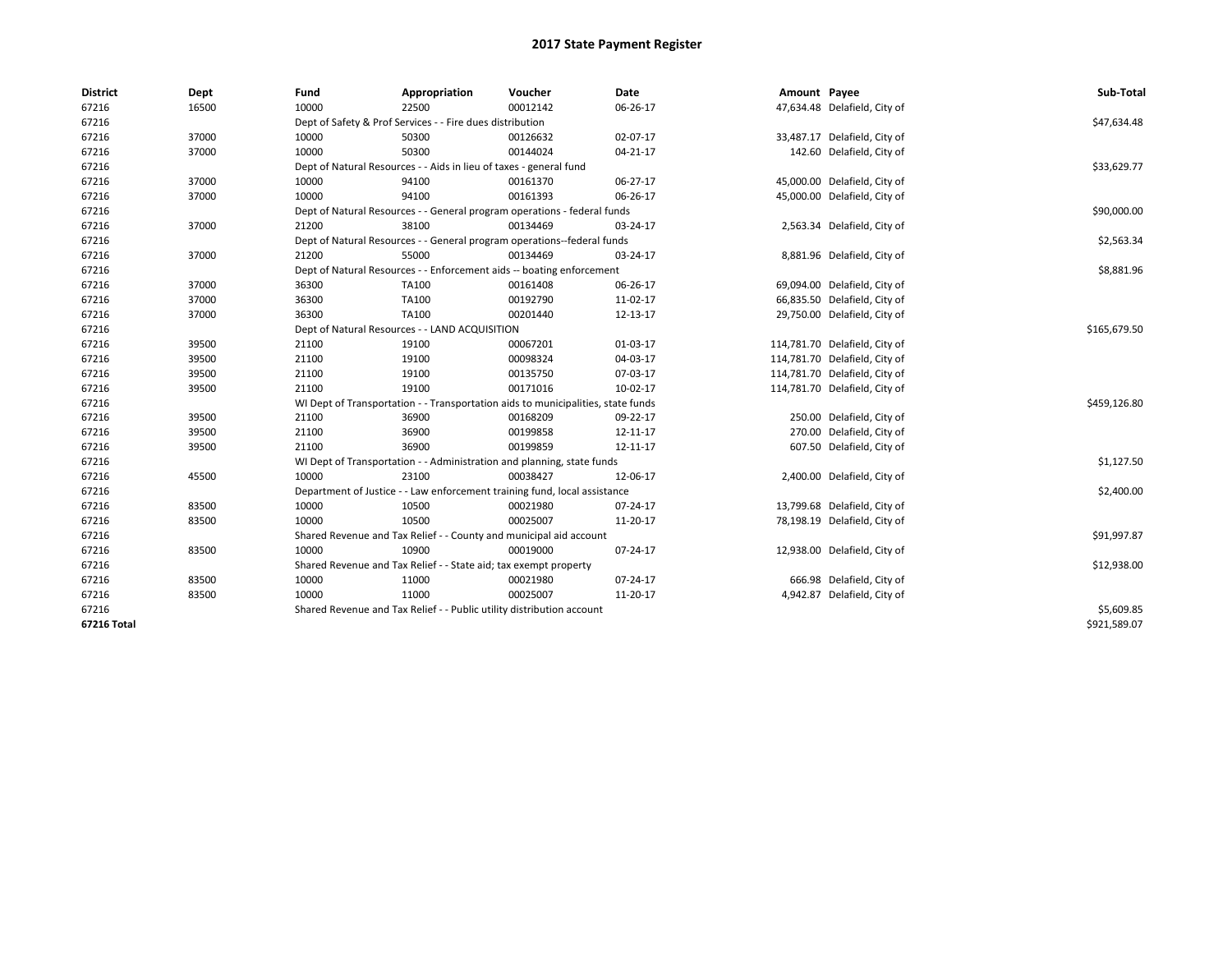| <b>District</b> | Dept  | Fund  | Appropriation                                                                    | Voucher  | Date           | Amount Payee |                               | Sub-Total    |  |  |
|-----------------|-------|-------|----------------------------------------------------------------------------------|----------|----------------|--------------|-------------------------------|--------------|--|--|
| 67216           | 16500 | 10000 | 22500                                                                            | 00012142 | 06-26-17       |              | 47,634.48 Delafield, City of  |              |  |  |
| 67216           |       |       | Dept of Safety & Prof Services - - Fire dues distribution                        |          |                |              |                               | \$47,634.48  |  |  |
| 67216           | 37000 | 10000 | 50300                                                                            | 00126632 | 02-07-17       |              | 33,487.17 Delafield, City of  |              |  |  |
| 67216           | 37000 | 10000 | 50300                                                                            | 00144024 | $04 - 21 - 17$ |              | 142.60 Delafield, City of     |              |  |  |
| 67216           |       |       | Dept of Natural Resources - - Aids in lieu of taxes - general fund               |          |                |              |                               | \$33,629.77  |  |  |
| 67216           | 37000 | 10000 | 94100                                                                            | 00161370 | 06-27-17       |              | 45,000.00 Delafield, City of  |              |  |  |
| 67216           | 37000 | 10000 | 94100                                                                            | 00161393 | 06-26-17       |              | 45,000.00 Delafield, City of  |              |  |  |
| 67216           |       |       | Dept of Natural Resources - - General program operations - federal funds         |          |                |              |                               | \$90,000.00  |  |  |
| 67216           | 37000 | 21200 | 38100                                                                            | 00134469 | 03-24-17       |              | 2,563.34 Delafield, City of   |              |  |  |
| 67216           |       |       | Dept of Natural Resources - - General program operations--federal funds          |          |                |              |                               | \$2,563.34   |  |  |
| 67216           | 37000 | 21200 | 55000                                                                            | 00134469 | 03-24-17       |              | 8,881.96 Delafield, City of   |              |  |  |
| 67216           |       |       | Dept of Natural Resources - - Enforcement aids -- boating enforcement            |          |                |              |                               | \$8,881.96   |  |  |
| 67216           | 37000 | 36300 | TA100                                                                            | 00161408 | 06-26-17       |              | 69,094.00 Delafield, City of  |              |  |  |
| 67216           | 37000 | 36300 | TA100                                                                            | 00192790 | 11-02-17       |              | 66,835.50 Delafield, City of  |              |  |  |
| 67216           | 37000 | 36300 | TA100                                                                            | 00201440 | 12-13-17       |              | 29,750.00 Delafield, City of  |              |  |  |
| 67216           |       |       | Dept of Natural Resources - - LAND ACQUISITION                                   |          |                |              |                               |              |  |  |
| 67216           | 39500 | 21100 | 19100                                                                            | 00067201 | 01-03-17       |              | 114,781.70 Delafield, City of |              |  |  |
| 67216           | 39500 | 21100 | 19100                                                                            | 00098324 | 04-03-17       |              | 114,781.70 Delafield, City of |              |  |  |
| 67216           | 39500 | 21100 | 19100                                                                            | 00135750 | 07-03-17       |              | 114,781.70 Delafield, City of |              |  |  |
| 67216           | 39500 | 21100 | 19100                                                                            | 00171016 | 10-02-17       |              | 114,781.70 Delafield, City of |              |  |  |
| 67216           |       |       | WI Dept of Transportation - - Transportation aids to municipalities, state funds |          |                |              |                               | \$459,126.80 |  |  |
| 67216           | 39500 | 21100 | 36900                                                                            | 00168209 | 09-22-17       |              | 250.00 Delafield, City of     |              |  |  |
| 67216           | 39500 | 21100 | 36900                                                                            | 00199858 | 12-11-17       |              | 270.00 Delafield, City of     |              |  |  |
| 67216           | 39500 | 21100 | 36900                                                                            | 00199859 | 12-11-17       |              | 607.50 Delafield, City of     |              |  |  |
| 67216           |       |       | WI Dept of Transportation - - Administration and planning, state funds           |          |                |              |                               | \$1,127.50   |  |  |
| 67216           | 45500 | 10000 | 23100                                                                            | 00038427 | 12-06-17       |              | 2,400.00 Delafield, City of   |              |  |  |
| 67216           |       |       | Department of Justice - - Law enforcement training fund, local assistance        |          |                |              |                               | \$2,400.00   |  |  |
| 67216           | 83500 | 10000 | 10500                                                                            | 00021980 | 07-24-17       |              | 13,799.68 Delafield, City of  |              |  |  |
| 67216           | 83500 | 10000 | 10500                                                                            | 00025007 | 11-20-17       |              | 78,198.19 Delafield, City of  |              |  |  |
| 67216           |       |       | Shared Revenue and Tax Relief - - County and municipal aid account               |          |                |              |                               | \$91,997.87  |  |  |
| 67216           | 83500 | 10000 | 10900                                                                            | 00019000 | 07-24-17       |              | 12,938.00 Delafield, City of  |              |  |  |
| 67216           |       |       | Shared Revenue and Tax Relief - - State aid; tax exempt property                 |          |                |              |                               | \$12,938.00  |  |  |
| 67216           | 83500 | 10000 | 11000                                                                            | 00021980 | 07-24-17       |              | 666.98 Delafield, City of     |              |  |  |
| 67216           | 83500 | 10000 | 11000                                                                            | 00025007 | 11-20-17       |              | 4,942.87 Delafield, City of   |              |  |  |
| 67216           |       |       | Shared Revenue and Tax Relief - - Public utility distribution account            |          |                |              |                               | \$5,609.85   |  |  |
| 67216 Total     |       |       |                                                                                  |          |                |              |                               | \$921,589.07 |  |  |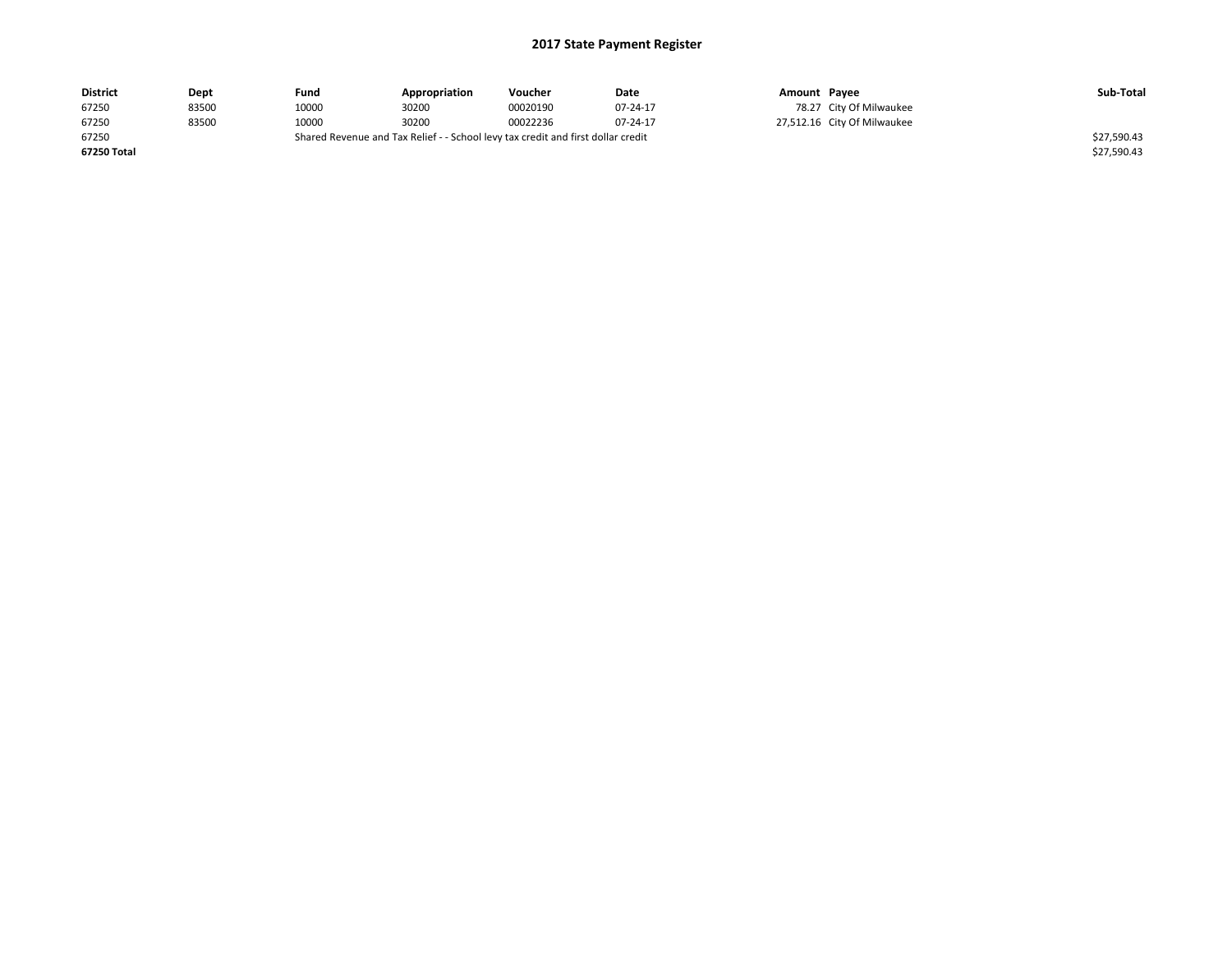| <b>District</b>                                                                           | Dept  | Fund  | Appropriation | Voucher  | Date     | Amount Pavee |                             | Sub-Total   |
|-------------------------------------------------------------------------------------------|-------|-------|---------------|----------|----------|--------------|-----------------------------|-------------|
| 67250                                                                                     | 83500 | 10000 | 30200         | 00020190 | 07-24-17 |              | 78.27 City Of Milwaukee     |             |
| 67250                                                                                     | 83500 | 10000 | 30200         | 00022236 | 07-24-17 |              | 27,512.16 City Of Milwaukee |             |
| Shared Revenue and Tax Relief - - School levy tax credit and first dollar credit<br>67250 |       |       |               |          |          |              |                             | \$27,590.43 |
| 67250 Total                                                                               |       |       |               |          |          |              |                             | \$27,590.43 |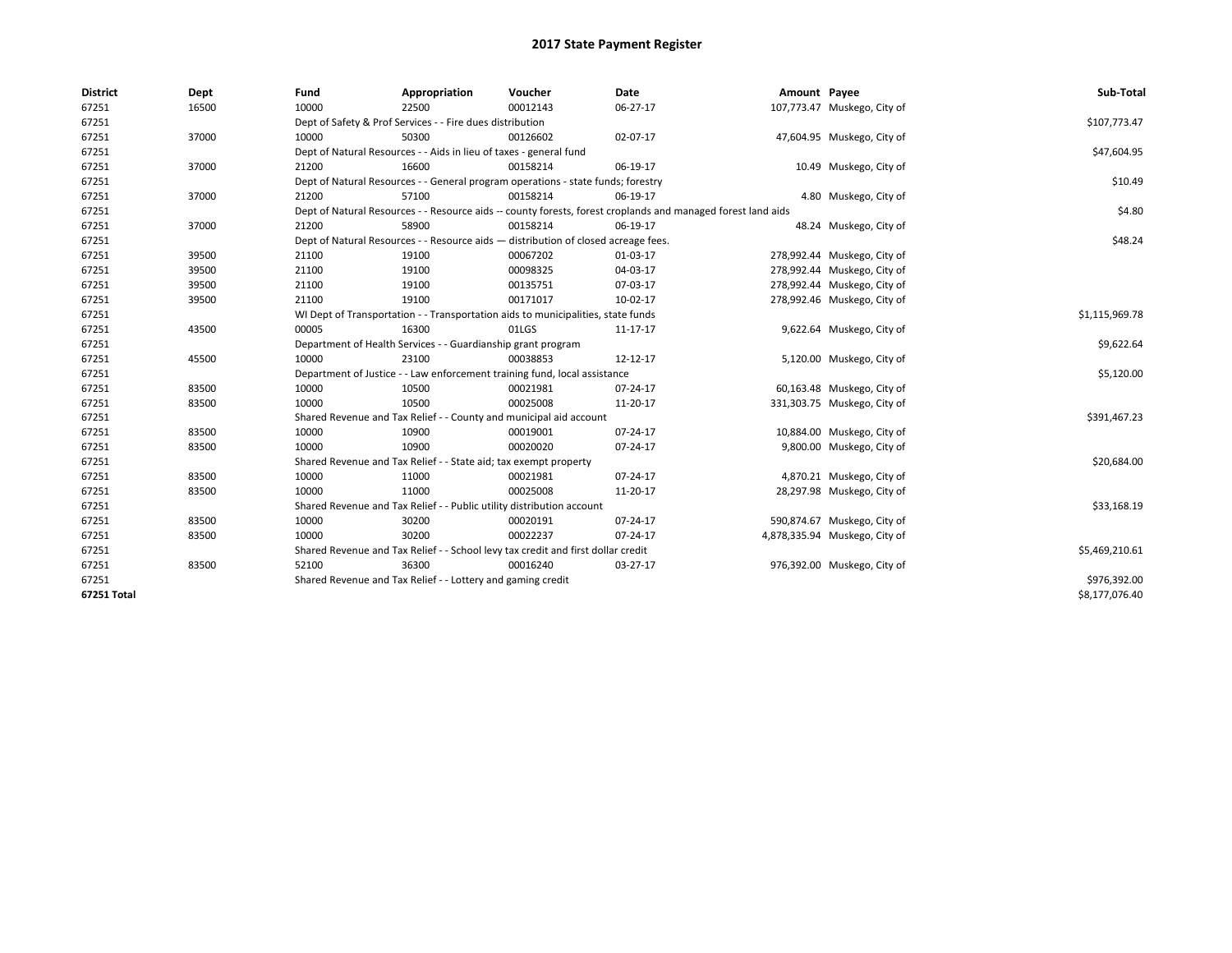| <b>District</b> | Dept  | Fund  | Appropriation                                                                                                | Voucher  | Date     | Amount Payee |                               | Sub-Total      |
|-----------------|-------|-------|--------------------------------------------------------------------------------------------------------------|----------|----------|--------------|-------------------------------|----------------|
| 67251           | 16500 | 10000 | 22500                                                                                                        | 00012143 | 06-27-17 |              | 107,773.47 Muskego, City of   |                |
| 67251           |       |       | Dept of Safety & Prof Services - - Fire dues distribution                                                    |          |          |              |                               | \$107,773.47   |
| 67251           | 37000 | 10000 | 50300                                                                                                        | 00126602 | 02-07-17 |              | 47,604.95 Muskego, City of    |                |
| 67251           |       |       | Dept of Natural Resources - - Aids in lieu of taxes - general fund                                           |          |          |              |                               | \$47,604.95    |
| 67251           | 37000 | 21200 | 16600                                                                                                        | 00158214 | 06-19-17 |              | 10.49 Muskego, City of        |                |
| 67251           |       |       | Dept of Natural Resources - - General program operations - state funds; forestry                             |          |          |              |                               | \$10.49        |
| 67251           | 37000 | 21200 | 57100                                                                                                        | 00158214 | 06-19-17 |              | 4.80 Muskego, City of         |                |
| 67251           |       |       | Dept of Natural Resources - - Resource aids -- county forests, forest croplands and managed forest land aids |          |          |              |                               | \$4.80         |
| 67251           | 37000 | 21200 | 58900                                                                                                        | 00158214 | 06-19-17 |              | 48.24 Muskego, City of        |                |
| 67251           |       |       | Dept of Natural Resources - - Resource aids - distribution of closed acreage fees.                           |          |          |              |                               | \$48.24        |
| 67251           | 39500 | 21100 | 19100                                                                                                        | 00067202 | 01-03-17 |              | 278,992.44 Muskego, City of   |                |
| 67251           | 39500 | 21100 | 19100                                                                                                        | 00098325 | 04-03-17 |              | 278,992.44 Muskego, City of   |                |
| 67251           | 39500 | 21100 | 19100                                                                                                        | 00135751 | 07-03-17 |              | 278,992.44 Muskego, City of   |                |
| 67251           | 39500 | 21100 | 19100                                                                                                        | 00171017 | 10-02-17 |              | 278,992.46 Muskego, City of   |                |
| 67251           |       |       | WI Dept of Transportation - - Transportation aids to municipalities, state funds                             |          |          |              |                               | \$1,115,969.78 |
| 67251           | 43500 | 00005 | 16300                                                                                                        | 01LGS    | 11-17-17 |              | 9,622.64 Muskego, City of     |                |
| 67251           |       |       | Department of Health Services - - Guardianship grant program                                                 |          |          |              |                               | \$9,622.64     |
| 67251           | 45500 | 10000 | 23100                                                                                                        | 00038853 | 12-12-17 |              | 5,120.00 Muskego, City of     |                |
| 67251           |       |       | Department of Justice - - Law enforcement training fund, local assistance                                    |          |          |              |                               | \$5,120.00     |
| 67251           | 83500 | 10000 | 10500                                                                                                        | 00021981 | 07-24-17 |              | 60,163.48 Muskego, City of    |                |
| 67251           | 83500 | 10000 | 10500                                                                                                        | 00025008 | 11-20-17 |              | 331,303.75 Muskego, City of   |                |
| 67251           |       |       | Shared Revenue and Tax Relief - - County and municipal aid account                                           |          |          |              |                               | \$391,467.23   |
| 67251           | 83500 | 10000 | 10900                                                                                                        | 00019001 | 07-24-17 |              | 10,884.00 Muskego, City of    |                |
| 67251           | 83500 | 10000 | 10900                                                                                                        | 00020020 | 07-24-17 |              | 9,800.00 Muskego, City of     |                |
| 67251           |       |       | Shared Revenue and Tax Relief - - State aid; tax exempt property                                             |          |          |              |                               | \$20,684.00    |
| 67251           | 83500 | 10000 | 11000                                                                                                        | 00021981 | 07-24-17 |              | 4,870.21 Muskego, City of     |                |
| 67251           | 83500 | 10000 | 11000                                                                                                        | 00025008 | 11-20-17 |              | 28,297.98 Muskego, City of    |                |
| 67251           |       |       | Shared Revenue and Tax Relief - - Public utility distribution account                                        |          |          |              |                               | \$33,168.19    |
| 67251           | 83500 | 10000 | 30200                                                                                                        | 00020191 | 07-24-17 |              | 590,874.67 Muskego, City of   |                |
| 67251           | 83500 | 10000 | 30200                                                                                                        | 00022237 | 07-24-17 |              | 4,878,335.94 Muskego, City of |                |
| 67251           |       |       | Shared Revenue and Tax Relief - - School levy tax credit and first dollar credit                             |          |          |              |                               | \$5,469,210.61 |
| 67251           | 83500 | 52100 | 36300                                                                                                        | 00016240 | 03-27-17 |              | 976,392.00 Muskego, City of   |                |
| 67251           |       |       | Shared Revenue and Tax Relief - - Lottery and gaming credit                                                  |          |          |              |                               | \$976,392.00   |
| 67251 Total     |       |       |                                                                                                              |          |          |              |                               | \$8,177,076.40 |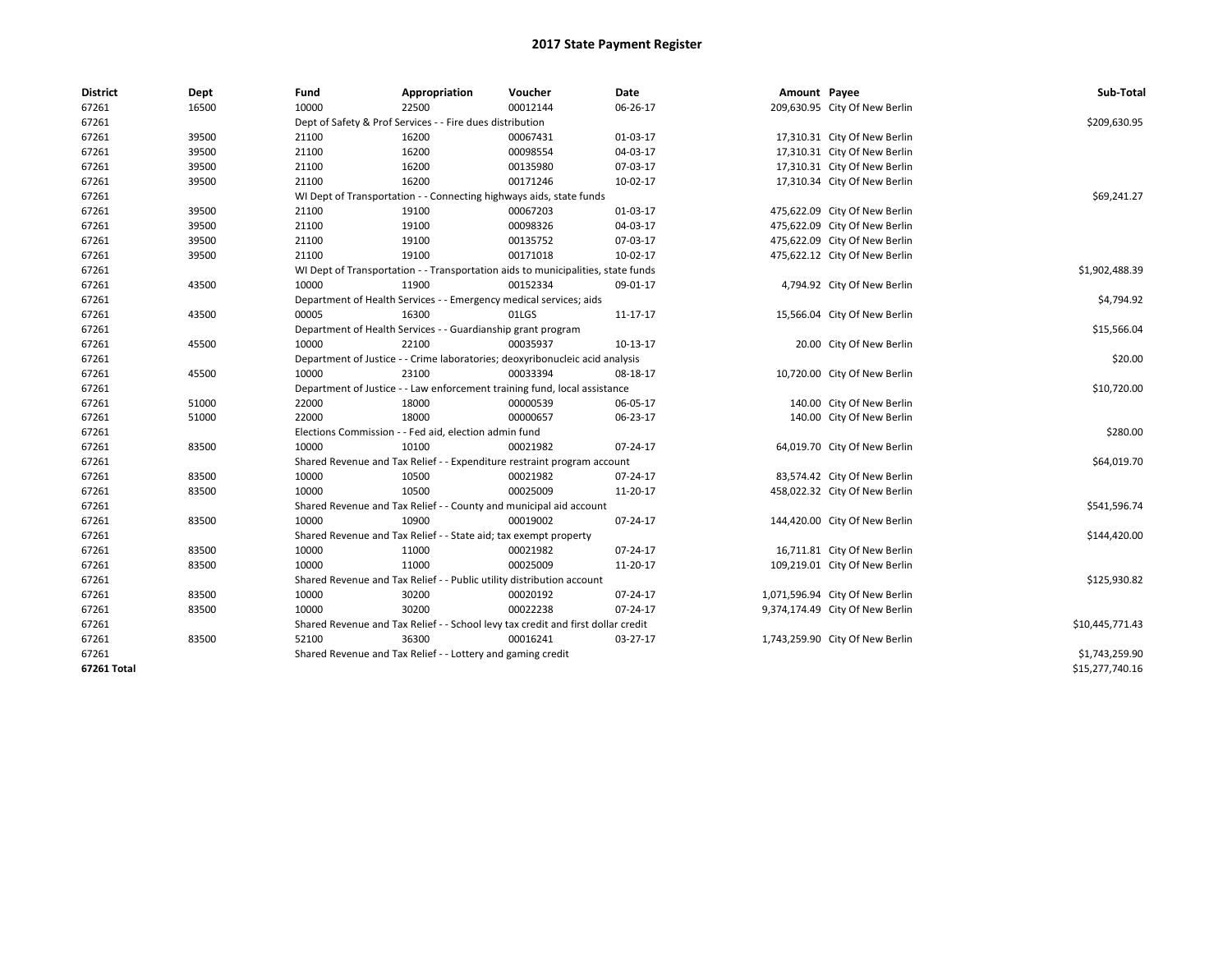| <b>District</b> | Dept  | Fund  | Appropriation                                                                    | Voucher  | Date           | Amount Payee |                                 | Sub-Total       |  |
|-----------------|-------|-------|----------------------------------------------------------------------------------|----------|----------------|--------------|---------------------------------|-----------------|--|
| 67261           | 16500 | 10000 | 22500                                                                            | 00012144 | 06-26-17       |              | 209,630.95 City Of New Berlin   |                 |  |
| 67261           |       |       | Dept of Safety & Prof Services - - Fire dues distribution                        |          |                |              |                                 | \$209,630.95    |  |
| 67261           | 39500 | 21100 | 16200                                                                            | 00067431 | 01-03-17       |              | 17,310.31 City Of New Berlin    |                 |  |
| 67261           | 39500 | 21100 | 16200                                                                            | 00098554 | 04-03-17       |              | 17,310.31 City Of New Berlin    |                 |  |
| 67261           | 39500 | 21100 | 16200                                                                            | 00135980 | 07-03-17       |              | 17,310.31 City Of New Berlin    |                 |  |
| 67261           | 39500 | 21100 | 16200                                                                            | 00171246 | 10-02-17       |              | 17,310.34 City Of New Berlin    |                 |  |
| 67261           |       |       | WI Dept of Transportation - - Connecting highways aids, state funds              |          |                |              |                                 | \$69,241.27     |  |
| 67261           | 39500 | 21100 | 19100                                                                            | 00067203 | 01-03-17       |              | 475,622.09 City Of New Berlin   |                 |  |
| 67261           | 39500 | 21100 | 19100                                                                            | 00098326 | 04-03-17       |              | 475,622.09 City Of New Berlin   |                 |  |
| 67261           | 39500 | 21100 | 19100                                                                            | 00135752 | 07-03-17       |              | 475,622.09 City Of New Berlin   |                 |  |
| 67261           | 39500 | 21100 | 19100                                                                            | 00171018 | 10-02-17       |              | 475,622.12 City Of New Berlin   |                 |  |
| 67261           |       |       | WI Dept of Transportation - - Transportation aids to municipalities, state funds |          |                |              |                                 | \$1,902,488.39  |  |
| 67261           | 43500 | 10000 | 11900                                                                            | 00152334 | 09-01-17       |              | 4,794.92 City Of New Berlin     |                 |  |
| 67261           |       |       | Department of Health Services - - Emergency medical services; aids               |          |                |              |                                 | \$4,794.92      |  |
| 67261           | 43500 | 00005 | 16300                                                                            | 01LGS    | $11 - 17 - 17$ |              | 15,566.04 City Of New Berlin    |                 |  |
| 67261           |       |       | Department of Health Services - - Guardianship grant program                     |          |                |              |                                 | \$15,566.04     |  |
| 67261           | 45500 | 10000 | 22100                                                                            | 00035937 | $10-13-17$     |              | 20.00 City Of New Berlin        |                 |  |
| 67261           |       |       | Department of Justice - - Crime laboratories; deoxyribonucleic acid analysis     |          |                |              |                                 |                 |  |
| 67261           | 45500 | 10000 | 23100                                                                            | 00033394 | 08-18-17       |              | 10,720.00 City Of New Berlin    |                 |  |
| 67261           |       |       | Department of Justice - - Law enforcement training fund, local assistance        |          |                |              |                                 | \$10,720.00     |  |
| 67261           | 51000 | 22000 | 18000                                                                            | 00000539 | 06-05-17       |              | 140.00 City Of New Berlin       |                 |  |
| 67261           | 51000 | 22000 | 18000                                                                            | 00000657 | 06-23-17       |              | 140.00 City Of New Berlin       |                 |  |
| 67261           |       |       | Elections Commission - - Fed aid, election admin fund                            |          |                |              |                                 | \$280.00        |  |
| 67261           | 83500 | 10000 | 10100                                                                            | 00021982 | 07-24-17       |              | 64,019.70 City Of New Berlin    |                 |  |
| 67261           |       |       | Shared Revenue and Tax Relief - - Expenditure restraint program account          |          |                |              |                                 | \$64,019.70     |  |
| 67261           | 83500 | 10000 | 10500                                                                            | 00021982 | 07-24-17       |              | 83,574.42 City Of New Berlin    |                 |  |
| 67261           | 83500 | 10000 | 10500                                                                            | 00025009 | 11-20-17       |              | 458,022.32 City Of New Berlin   |                 |  |
| 67261           |       |       | Shared Revenue and Tax Relief - - County and municipal aid account               |          |                |              |                                 | \$541,596.74    |  |
| 67261           | 83500 | 10000 | 10900                                                                            | 00019002 | 07-24-17       |              | 144,420.00 City Of New Berlin   |                 |  |
| 67261           |       |       | Shared Revenue and Tax Relief - - State aid; tax exempt property                 |          |                |              |                                 | \$144,420.00    |  |
| 67261           | 83500 | 10000 | 11000                                                                            | 00021982 | 07-24-17       |              | 16,711.81 City Of New Berlin    |                 |  |
| 67261           | 83500 | 10000 | 11000                                                                            | 00025009 | 11-20-17       |              | 109,219.01 City Of New Berlin   |                 |  |
| 67261           |       |       | Shared Revenue and Tax Relief - - Public utility distribution account            |          |                |              |                                 | \$125,930.82    |  |
| 67261           | 83500 | 10000 | 30200                                                                            | 00020192 | 07-24-17       |              | 1,071,596.94 City Of New Berlin |                 |  |
| 67261           | 83500 | 10000 | 30200                                                                            | 00022238 | 07-24-17       |              | 9,374,174.49 City Of New Berlin |                 |  |
| 67261           |       |       | Shared Revenue and Tax Relief - - School levy tax credit and first dollar credit |          |                |              |                                 | \$10,445,771.43 |  |
| 67261           | 83500 | 52100 | 36300                                                                            | 00016241 | 03-27-17       |              | 1,743,259.90 City Of New Berlin |                 |  |
| 67261           |       |       | Shared Revenue and Tax Relief - - Lottery and gaming credit                      |          |                |              |                                 | \$1,743,259.90  |  |
| 67261 Total     |       |       |                                                                                  |          |                |              |                                 | \$15,277,740.16 |  |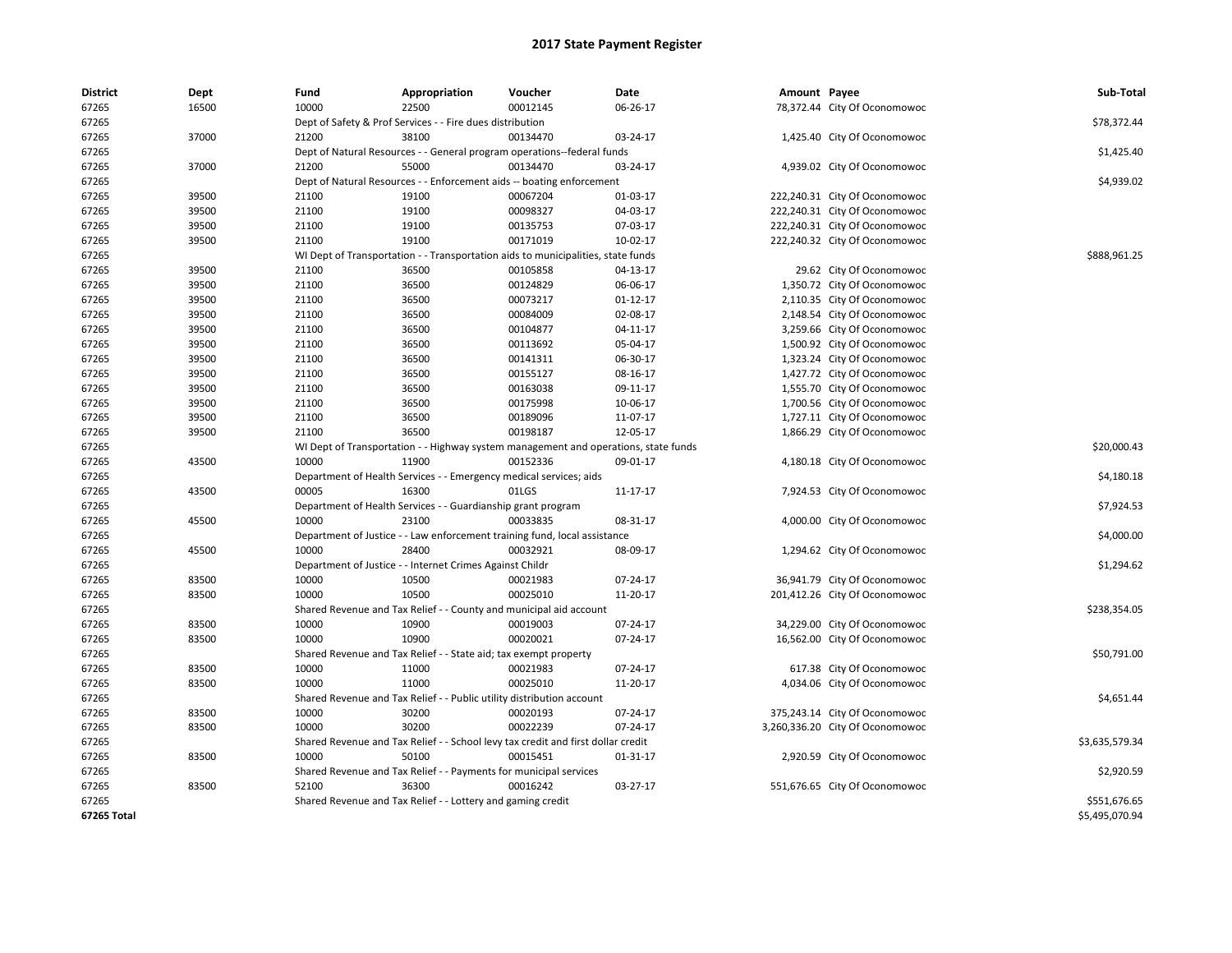| <b>District</b> | Dept  | Fund  | Appropriation                                                         | Voucher                                                                             | Date     | Amount Payee |                                 | Sub-Total      |
|-----------------|-------|-------|-----------------------------------------------------------------------|-------------------------------------------------------------------------------------|----------|--------------|---------------------------------|----------------|
| 67265           | 16500 | 10000 | 22500                                                                 | 00012145                                                                            | 06-26-17 |              | 78,372.44 City Of Oconomowoc    |                |
| 67265           |       |       | Dept of Safety & Prof Services - - Fire dues distribution             |                                                                                     |          |              |                                 | \$78,372.44    |
| 67265           | 37000 | 21200 | 38100                                                                 | 00134470                                                                            | 03-24-17 |              | 1,425.40 City Of Oconomowoc     |                |
| 67265           |       |       |                                                                       | Dept of Natural Resources - - General program operations--federal funds             |          |              |                                 | \$1,425.40     |
| 67265           | 37000 | 21200 | 55000                                                                 | 00134470                                                                            | 03-24-17 |              | 4,939.02 City Of Oconomowoc     |                |
| 67265           |       |       |                                                                       | Dept of Natural Resources - - Enforcement aids -- boating enforcement               |          |              |                                 | \$4,939.02     |
| 67265           | 39500 | 21100 | 19100                                                                 | 00067204                                                                            | 01-03-17 |              | 222,240.31 City Of Oconomowoc   |                |
| 67265           | 39500 | 21100 | 19100                                                                 | 00098327                                                                            | 04-03-17 |              | 222,240.31 City Of Oconomowoc   |                |
| 67265           | 39500 | 21100 | 19100                                                                 | 00135753                                                                            | 07-03-17 |              | 222,240.31 City Of Oconomowoc   |                |
| 67265           | 39500 | 21100 | 19100                                                                 | 00171019                                                                            | 10-02-17 |              | 222,240.32 City Of Oconomowoc   |                |
| 67265           |       |       |                                                                       | WI Dept of Transportation - - Transportation aids to municipalities, state funds    |          |              |                                 | \$888,961.25   |
| 67265           | 39500 | 21100 | 36500                                                                 | 00105858                                                                            | 04-13-17 |              | 29.62 City Of Oconomowoc        |                |
| 67265           | 39500 | 21100 | 36500                                                                 | 00124829                                                                            | 06-06-17 |              | 1,350.72 City Of Oconomowoc     |                |
| 67265           | 39500 | 21100 | 36500                                                                 | 00073217                                                                            | 01-12-17 |              | 2,110.35 City Of Oconomowoc     |                |
| 67265           | 39500 | 21100 | 36500                                                                 | 00084009                                                                            | 02-08-17 |              | 2,148.54 City Of Oconomowoc     |                |
| 67265           | 39500 | 21100 | 36500                                                                 | 00104877                                                                            | 04-11-17 |              | 3,259.66 City Of Oconomowoc     |                |
| 67265           | 39500 | 21100 | 36500                                                                 | 00113692                                                                            | 05-04-17 |              | 1,500.92 City Of Oconomowoc     |                |
| 67265           | 39500 | 21100 | 36500                                                                 | 00141311                                                                            | 06-30-17 |              | 1,323.24 City Of Oconomowoc     |                |
| 67265           | 39500 | 21100 | 36500                                                                 | 00155127                                                                            | 08-16-17 |              | 1,427.72 City Of Oconomowoc     |                |
| 67265           | 39500 | 21100 | 36500                                                                 | 00163038                                                                            | 09-11-17 |              | 1,555.70 City Of Oconomowoc     |                |
| 67265           | 39500 | 21100 | 36500                                                                 | 00175998                                                                            | 10-06-17 |              | 1,700.56 City Of Oconomowoc     |                |
| 67265           | 39500 | 21100 | 36500                                                                 | 00189096                                                                            | 11-07-17 |              | 1,727.11 City Of Oconomowoc     |                |
| 67265           | 39500 | 21100 | 36500                                                                 | 00198187                                                                            | 12-05-17 |              | 1,866.29 City Of Oconomowoc     |                |
| 67265           |       |       |                                                                       | WI Dept of Transportation - - Highway system management and operations, state funds |          |              |                                 | \$20,000.43    |
| 67265           | 43500 | 10000 | 11900                                                                 | 00152336                                                                            | 09-01-17 |              | 4,180.18 City Of Oconomowoc     |                |
| 67265           |       |       | Department of Health Services - - Emergency medical services; aids    |                                                                                     |          |              |                                 | \$4,180.18     |
| 67265           | 43500 | 00005 | 16300                                                                 | 01LGS                                                                               | 11-17-17 |              | 7,924.53 City Of Oconomowoc     |                |
| 67265           |       |       | Department of Health Services - - Guardianship grant program          |                                                                                     |          |              |                                 | \$7,924.53     |
| 67265           | 45500 | 10000 | 23100                                                                 | 00033835                                                                            | 08-31-17 |              | 4,000.00 City Of Oconomowoc     |                |
| 67265           |       |       |                                                                       | Department of Justice - - Law enforcement training fund, local assistance           |          |              |                                 | \$4,000.00     |
| 67265           | 45500 | 10000 | 28400                                                                 | 00032921                                                                            | 08-09-17 |              | 1,294.62 City Of Oconomowoc     |                |
| 67265           |       |       | Department of Justice - - Internet Crimes Against Childr              |                                                                                     |          |              |                                 | \$1,294.62     |
| 67265           | 83500 | 10000 | 10500                                                                 | 00021983                                                                            | 07-24-17 |              | 36,941.79 City Of Oconomowoc    |                |
| 67265           | 83500 | 10000 | 10500                                                                 | 00025010                                                                            | 11-20-17 |              | 201,412.26 City Of Oconomowoc   |                |
| 67265           |       |       |                                                                       | Shared Revenue and Tax Relief - - County and municipal aid account                  |          |              |                                 | \$238,354.05   |
| 67265           | 83500 | 10000 | 10900                                                                 | 00019003                                                                            | 07-24-17 |              | 34,229.00 City Of Oconomowoc    |                |
| 67265           | 83500 | 10000 | 10900                                                                 | 00020021                                                                            | 07-24-17 |              | 16,562.00 City Of Oconomowoc    |                |
| 67265           |       |       | Shared Revenue and Tax Relief - - State aid; tax exempt property      |                                                                                     |          |              |                                 | \$50,791.00    |
| 67265           | 83500 | 10000 | 11000                                                                 | 00021983                                                                            | 07-24-17 |              | 617.38 City Of Oconomowoc       |                |
| 67265           | 83500 | 10000 | 11000                                                                 | 00025010                                                                            | 11-20-17 |              | 4,034.06 City Of Oconomowoc     |                |
| 67265           |       |       | Shared Revenue and Tax Relief - - Public utility distribution account |                                                                                     |          |              |                                 | \$4,651.44     |
| 67265           | 83500 | 10000 | 30200                                                                 | 00020193                                                                            | 07-24-17 |              | 375,243.14 City Of Oconomowoc   |                |
| 67265           | 83500 | 10000 | 30200                                                                 | 00022239                                                                            | 07-24-17 |              | 3,260,336.20 City Of Oconomowoc |                |
| 67265           |       |       |                                                                       | Shared Revenue and Tax Relief - - School levy tax credit and first dollar credit    |          |              |                                 | \$3,635,579.34 |
| 67265           | 83500 | 10000 | 50100                                                                 | 00015451                                                                            | 01-31-17 |              | 2,920.59 City Of Oconomowoc     |                |
| 67265           |       |       | Shared Revenue and Tax Relief - - Payments for municipal services     |                                                                                     |          |              |                                 | \$2,920.59     |
| 67265           | 83500 | 52100 | 36300                                                                 | 00016242                                                                            | 03-27-17 |              | 551,676.65 City Of Oconomowoc   |                |
| 67265           |       |       | Shared Revenue and Tax Relief - - Lottery and gaming credit           |                                                                                     |          |              |                                 | \$551,676.65   |
| 67265 Total     |       |       |                                                                       |                                                                                     |          |              |                                 | \$5,495,070.94 |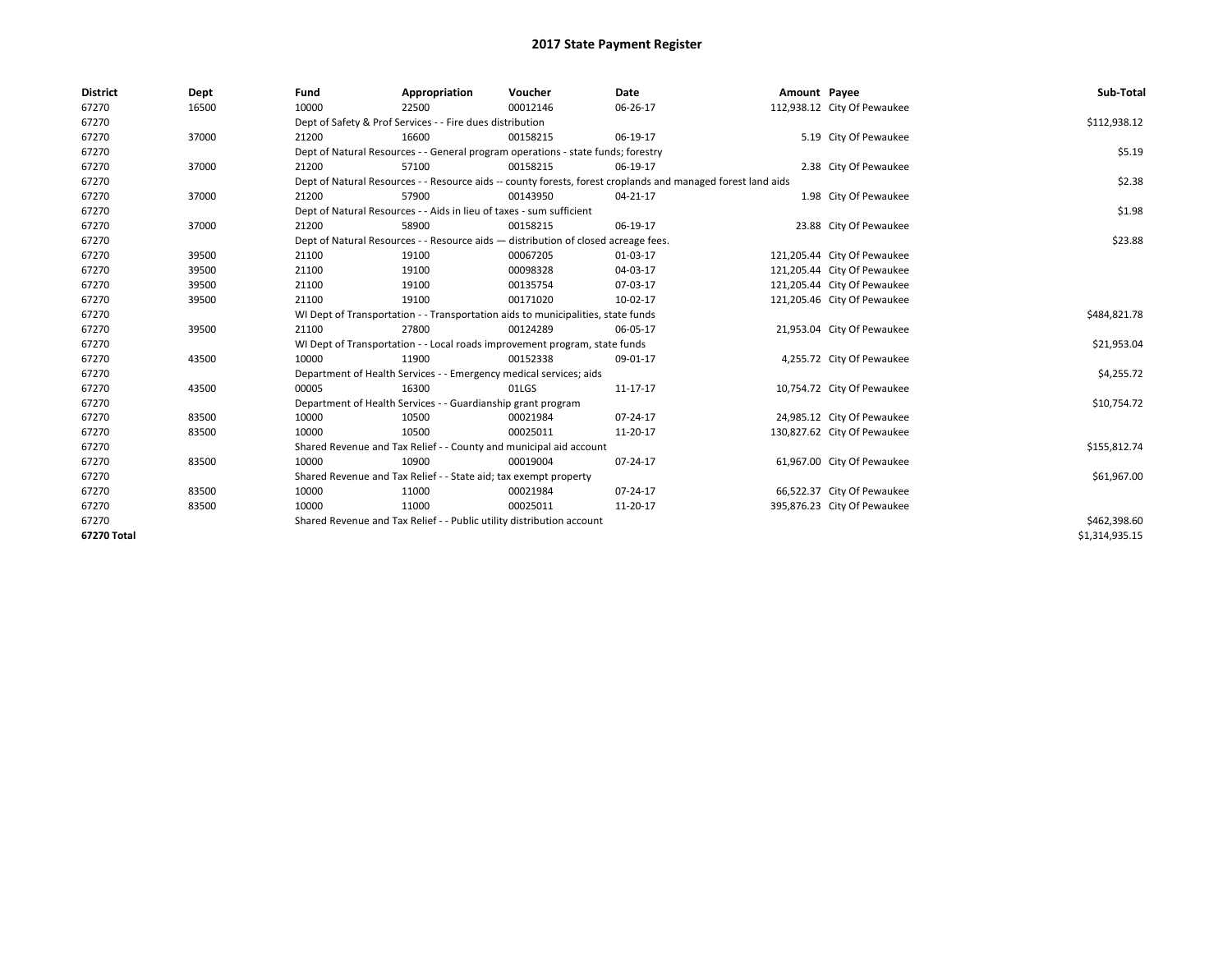| <b>District</b> | Dept  | Fund  | Appropriation                                                                      | Voucher  | Date                                                                                                         | Amount Payee |                             | Sub-Total      |  |  |
|-----------------|-------|-------|------------------------------------------------------------------------------------|----------|--------------------------------------------------------------------------------------------------------------|--------------|-----------------------------|----------------|--|--|
| 67270           | 16500 | 10000 | 22500                                                                              | 00012146 | 06-26-17                                                                                                     |              | 112,938.12 City Of Pewaukee |                |  |  |
| 67270           |       |       | Dept of Safety & Prof Services - - Fire dues distribution                          |          |                                                                                                              |              |                             | \$112,938.12   |  |  |
| 67270           | 37000 | 21200 | 16600                                                                              | 00158215 | 06-19-17                                                                                                     |              | 5.19 City Of Pewaukee       |                |  |  |
| 67270           |       |       | Dept of Natural Resources - - General program operations - state funds; forestry   |          |                                                                                                              |              |                             | \$5.19         |  |  |
| 67270           | 37000 | 21200 | 57100                                                                              | 00158215 | 06-19-17                                                                                                     |              | 2.38 City Of Pewaukee       |                |  |  |
| 67270           |       |       |                                                                                    |          | Dept of Natural Resources - - Resource aids -- county forests, forest croplands and managed forest land aids |              |                             | \$2.38         |  |  |
| 67270           | 37000 | 21200 | 57900                                                                              | 00143950 | 04-21-17                                                                                                     |              | 1.98 City Of Pewaukee       |                |  |  |
| 67270           |       |       | Dept of Natural Resources - - Aids in lieu of taxes - sum sufficient               |          |                                                                                                              |              |                             | \$1.98         |  |  |
| 67270           | 37000 | 21200 | 58900                                                                              | 00158215 | 06-19-17                                                                                                     |              | 23.88 City Of Pewaukee      |                |  |  |
| 67270           |       |       | Dept of Natural Resources - - Resource aids - distribution of closed acreage fees. |          |                                                                                                              |              |                             |                |  |  |
| 67270           | 39500 | 21100 | 19100                                                                              | 00067205 | 01-03-17                                                                                                     |              | 121,205.44 City Of Pewaukee |                |  |  |
| 67270           | 39500 | 21100 | 19100                                                                              | 00098328 | 04-03-17                                                                                                     |              | 121,205.44 City Of Pewaukee |                |  |  |
| 67270           | 39500 | 21100 | 19100                                                                              | 00135754 | 07-03-17                                                                                                     |              | 121,205.44 City Of Pewaukee |                |  |  |
| 67270           | 39500 | 21100 | 19100                                                                              | 00171020 | 10-02-17                                                                                                     |              | 121,205.46 City Of Pewaukee |                |  |  |
| 67270           |       |       | WI Dept of Transportation - - Transportation aids to municipalities, state funds   |          |                                                                                                              |              |                             | \$484,821.78   |  |  |
| 67270           | 39500 | 21100 | 27800                                                                              | 00124289 | 06-05-17                                                                                                     |              | 21,953.04 City Of Pewaukee  |                |  |  |
| 67270           |       |       | WI Dept of Transportation - - Local roads improvement program, state funds         |          |                                                                                                              |              |                             | \$21,953.04    |  |  |
| 67270           | 43500 | 10000 | 11900                                                                              | 00152338 | 09-01-17                                                                                                     |              | 4,255.72 City Of Pewaukee   |                |  |  |
| 67270           |       |       | Department of Health Services - - Emergency medical services; aids                 |          |                                                                                                              |              |                             | \$4,255.72     |  |  |
| 67270           | 43500 | 00005 | 16300                                                                              | 01LGS    | 11-17-17                                                                                                     |              | 10,754.72 City Of Pewaukee  |                |  |  |
| 67270           |       |       | Department of Health Services - - Guardianship grant program                       |          |                                                                                                              |              |                             | \$10,754.72    |  |  |
| 67270           | 83500 | 10000 | 10500                                                                              | 00021984 | 07-24-17                                                                                                     |              | 24,985.12 City Of Pewaukee  |                |  |  |
| 67270           | 83500 | 10000 | 10500                                                                              | 00025011 | 11-20-17                                                                                                     |              | 130,827.62 City Of Pewaukee |                |  |  |
| 67270           |       |       | Shared Revenue and Tax Relief - - County and municipal aid account                 |          |                                                                                                              |              |                             | \$155,812.74   |  |  |
| 67270           | 83500 | 10000 | 10900                                                                              | 00019004 | 07-24-17                                                                                                     |              | 61,967.00 City Of Pewaukee  |                |  |  |
| 67270           |       |       | Shared Revenue and Tax Relief - - State aid; tax exempt property                   |          |                                                                                                              |              |                             | \$61,967.00    |  |  |
| 67270           | 83500 | 10000 | 11000                                                                              | 00021984 | 07-24-17                                                                                                     |              | 66,522.37 City Of Pewaukee  |                |  |  |
| 67270           | 83500 | 10000 | 11000                                                                              | 00025011 | 11-20-17                                                                                                     |              | 395,876.23 City Of Pewaukee |                |  |  |
| 67270           |       |       | Shared Revenue and Tax Relief - - Public utility distribution account              |          |                                                                                                              |              |                             | \$462,398.60   |  |  |
| 67270 Total     |       |       |                                                                                    |          |                                                                                                              |              |                             | \$1,314,935.15 |  |  |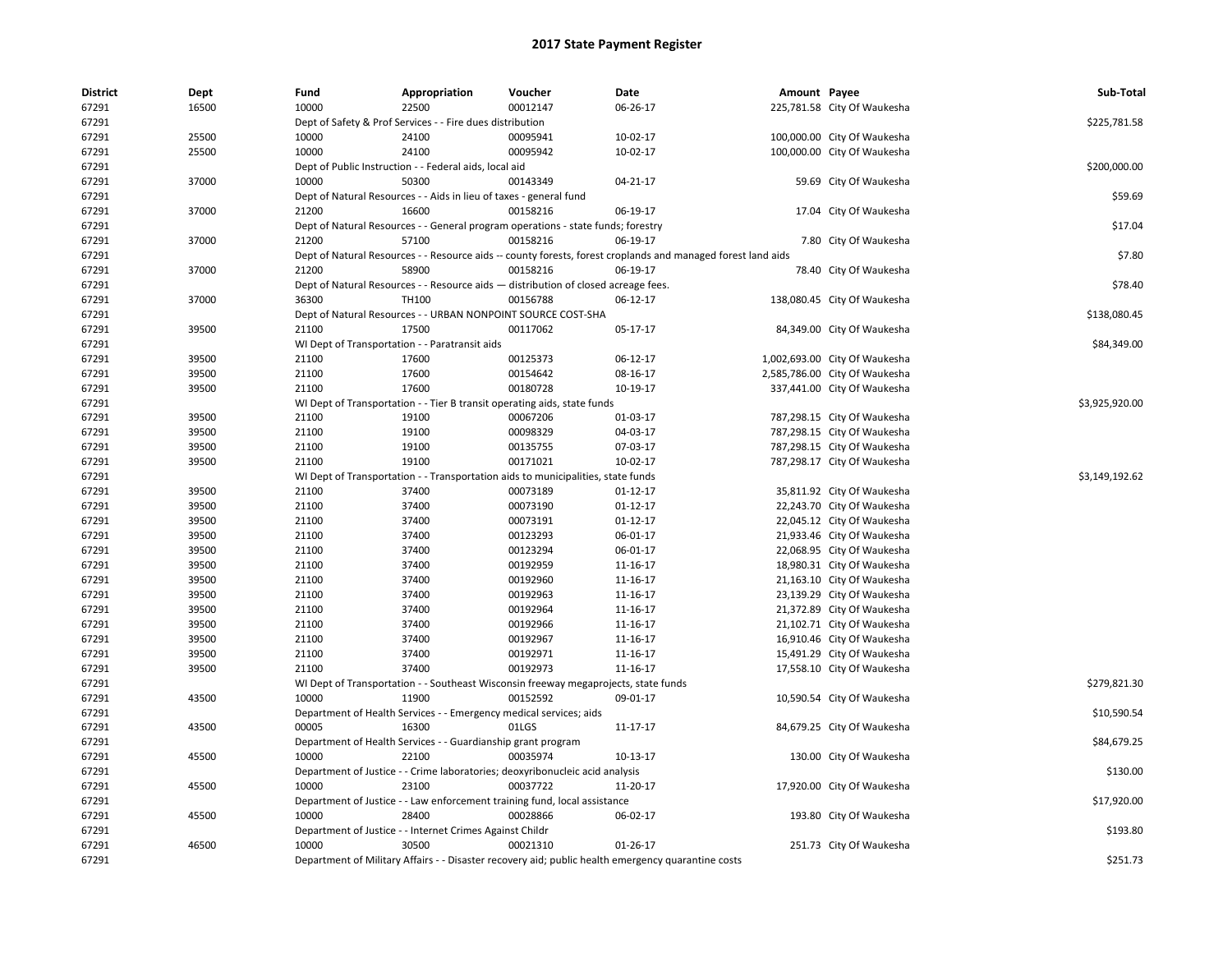| <b>District</b> | Dept  | Fund  | Appropriation                                                                       | Voucher  | Date                                                                                                         | Amount Payee |                               | Sub-Total      |
|-----------------|-------|-------|-------------------------------------------------------------------------------------|----------|--------------------------------------------------------------------------------------------------------------|--------------|-------------------------------|----------------|
| 67291           | 16500 | 10000 | 22500                                                                               | 00012147 | 06-26-17                                                                                                     |              | 225,781.58 City Of Waukesha   |                |
| 67291           |       |       | Dept of Safety & Prof Services - - Fire dues distribution                           |          |                                                                                                              |              |                               | \$225,781.58   |
| 67291           | 25500 | 10000 | 24100                                                                               | 00095941 | 10-02-17                                                                                                     |              | 100,000.00 City Of Waukesha   |                |
| 67291           | 25500 | 10000 | 24100                                                                               | 00095942 | 10-02-17                                                                                                     |              | 100,000.00 City Of Waukesha   |                |
| 67291           |       |       | Dept of Public Instruction - - Federal aids, local aid                              |          |                                                                                                              |              |                               | \$200,000.00   |
| 67291           | 37000 | 10000 | 50300                                                                               | 00143349 | 04-21-17                                                                                                     |              | 59.69 City Of Waukesha        |                |
| 67291           |       |       | Dept of Natural Resources - - Aids in lieu of taxes - general fund                  |          |                                                                                                              |              |                               | \$59.69        |
| 67291           | 37000 | 21200 | 16600                                                                               | 00158216 | 06-19-17                                                                                                     |              | 17.04 City Of Waukesha        |                |
| 67291           |       |       | Dept of Natural Resources - - General program operations - state funds; forestry    |          |                                                                                                              |              |                               | \$17.04        |
| 67291           | 37000 | 21200 | 57100                                                                               | 00158216 | 06-19-17                                                                                                     |              | 7.80 City Of Waukesha         |                |
| 67291           |       |       |                                                                                     |          | Dept of Natural Resources - - Resource aids -- county forests, forest croplands and managed forest land aids |              |                               | \$7.80         |
| 67291           | 37000 | 21200 | 58900                                                                               | 00158216 | 06-19-17                                                                                                     |              | 78.40 City Of Waukesha        |                |
| 67291           |       |       | Dept of Natural Resources - - Resource aids - distribution of closed acreage fees.  |          |                                                                                                              |              |                               | \$78.40        |
| 67291           | 37000 | 36300 | TH100                                                                               | 00156788 | 06-12-17                                                                                                     |              | 138,080.45 City Of Waukesha   |                |
| 67291           |       |       | Dept of Natural Resources - - URBAN NONPOINT SOURCE COST-SHA                        |          |                                                                                                              |              |                               | \$138,080.45   |
| 67291           | 39500 | 21100 | 17500                                                                               | 00117062 | 05-17-17                                                                                                     |              | 84,349.00 City Of Waukesha    |                |
| 67291           |       |       | WI Dept of Transportation - - Paratransit aids                                      |          |                                                                                                              |              |                               | \$84,349.00    |
| 67291           | 39500 | 21100 | 17600                                                                               | 00125373 | 06-12-17                                                                                                     |              | 1,002,693.00 City Of Waukesha |                |
| 67291           | 39500 | 21100 | 17600                                                                               | 00154642 | 08-16-17                                                                                                     |              | 2,585,786.00 City Of Waukesha |                |
| 67291           | 39500 | 21100 | 17600                                                                               | 00180728 | 10-19-17                                                                                                     |              | 337,441.00 City Of Waukesha   |                |
| 67291           |       |       | WI Dept of Transportation - - Tier B transit operating aids, state funds            |          |                                                                                                              |              |                               | \$3,925,920.00 |
| 67291           | 39500 | 21100 | 19100                                                                               | 00067206 | 01-03-17                                                                                                     |              | 787,298.15 City Of Waukesha   |                |
| 67291           | 39500 | 21100 | 19100                                                                               | 00098329 | 04-03-17                                                                                                     |              | 787,298.15 City Of Waukesha   |                |
| 67291           | 39500 | 21100 | 19100                                                                               | 00135755 | 07-03-17                                                                                                     |              | 787,298.15 City Of Waukesha   |                |
| 67291           | 39500 | 21100 | 19100                                                                               | 00171021 | 10-02-17                                                                                                     |              | 787,298.17 City Of Waukesha   |                |
| 67291           |       |       | WI Dept of Transportation - - Transportation aids to municipalities, state funds    |          |                                                                                                              |              |                               | \$3,149,192.62 |
| 67291           | 39500 | 21100 | 37400                                                                               | 00073189 | $01 - 12 - 17$                                                                                               |              | 35,811.92 City Of Waukesha    |                |
| 67291           | 39500 | 21100 | 37400                                                                               | 00073190 | 01-12-17                                                                                                     |              | 22,243.70 City Of Waukesha    |                |
| 67291           | 39500 | 21100 | 37400                                                                               | 00073191 | $01 - 12 - 17$                                                                                               |              | 22,045.12 City Of Waukesha    |                |
| 67291           | 39500 | 21100 | 37400                                                                               | 00123293 | 06-01-17                                                                                                     |              | 21,933.46 City Of Waukesha    |                |
| 67291           | 39500 | 21100 | 37400                                                                               | 00123294 | 06-01-17                                                                                                     |              | 22,068.95 City Of Waukesha    |                |
| 67291           | 39500 | 21100 | 37400                                                                               | 00192959 | 11-16-17                                                                                                     |              | 18,980.31 City Of Waukesha    |                |
| 67291           | 39500 | 21100 | 37400                                                                               | 00192960 | 11-16-17                                                                                                     |              | 21,163.10 City Of Waukesha    |                |
| 67291           | 39500 | 21100 | 37400                                                                               | 00192963 | 11-16-17                                                                                                     |              | 23,139.29 City Of Waukesha    |                |
| 67291           | 39500 | 21100 | 37400                                                                               | 00192964 | 11-16-17                                                                                                     |              | 21,372.89 City Of Waukesha    |                |
| 67291           | 39500 | 21100 | 37400                                                                               | 00192966 | 11-16-17                                                                                                     |              | 21,102.71 City Of Waukesha    |                |
| 67291           | 39500 | 21100 | 37400                                                                               | 00192967 | 11-16-17                                                                                                     |              | 16,910.46 City Of Waukesha    |                |
| 67291           | 39500 | 21100 | 37400                                                                               | 00192971 | 11-16-17                                                                                                     |              | 15,491.29 City Of Waukesha    |                |
| 67291           | 39500 | 21100 | 37400                                                                               | 00192973 | 11-16-17                                                                                                     |              | 17,558.10 City Of Waukesha    |                |
| 67291           |       |       | WI Dept of Transportation - - Southeast Wisconsin freeway megaprojects, state funds |          |                                                                                                              |              |                               | \$279,821.30   |
| 67291           | 43500 | 10000 | 11900                                                                               | 00152592 | 09-01-17                                                                                                     |              | 10,590.54 City Of Waukesha    |                |
| 67291           |       |       | Department of Health Services - - Emergency medical services; aids                  |          |                                                                                                              |              |                               | \$10,590.54    |
| 67291           | 43500 | 00005 | 16300                                                                               | 01LGS    | 11-17-17                                                                                                     |              | 84,679.25 City Of Waukesha    |                |
| 67291           |       |       | Department of Health Services - - Guardianship grant program                        |          |                                                                                                              |              |                               | \$84,679.25    |
| 67291           | 45500 | 10000 | 22100                                                                               | 00035974 | 10-13-17                                                                                                     |              |                               |                |
| 67291           |       |       |                                                                                     |          |                                                                                                              |              | 130.00 City Of Waukesha       | \$130.00       |
|                 | 45500 |       | Department of Justice - - Crime laboratories; deoxyribonucleic acid analysis        | 00037722 |                                                                                                              |              |                               |                |
| 67291           |       | 10000 | 23100                                                                               |          | 11-20-17                                                                                                     |              | 17,920.00 City Of Waukesha    |                |
| 67291           |       |       | Department of Justice - - Law enforcement training fund, local assistance           | 00028866 |                                                                                                              |              |                               | \$17,920.00    |
| 67291           | 45500 | 10000 | 28400                                                                               |          | 06-02-17                                                                                                     |              | 193.80 City Of Waukesha       | \$193.80       |
| 67291           | 46500 | 10000 | Department of Justice - - Internet Crimes Against Childr<br>30500                   |          | $01 - 26 - 17$                                                                                               |              |                               |                |
| 67291           |       |       |                                                                                     | 00021310 |                                                                                                              |              | 251.73 City Of Waukesha       |                |
| 67291           |       |       |                                                                                     |          | Department of Military Affairs - - Disaster recovery aid; public health emergency quarantine costs           |              |                               | \$251.73       |